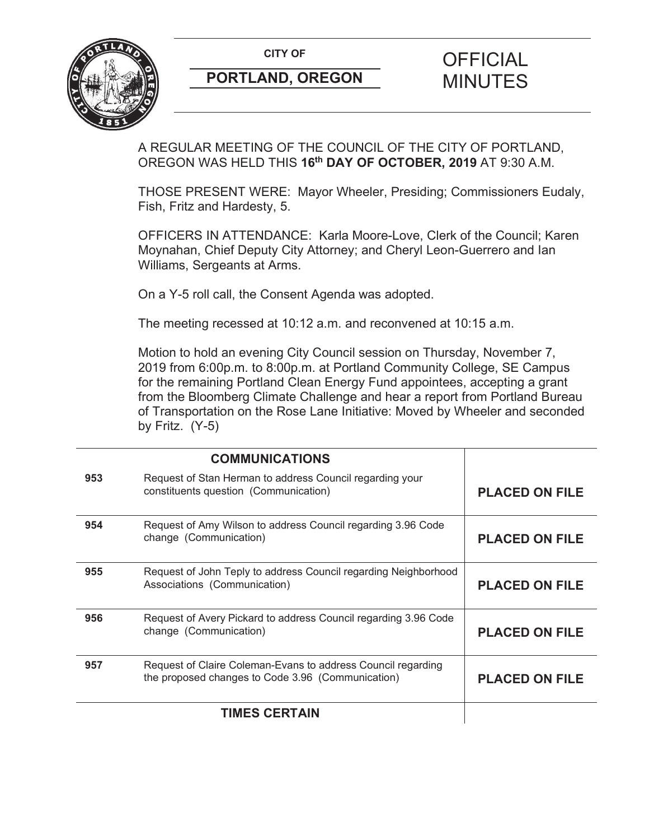

A REGULAR MEETING OF THE COUNCIL OF THE CITY OF PORTLAND, OREGON WAS HELD THIS **16th DAY OF OCTOBER, 2019** AT 9:30 A.M.

THOSE PRESENT WERE: Mayor Wheeler, Presiding; Commissioners Eudaly, Fish, Fritz and Hardesty, 5.

OFFICERS IN ATTENDANCE: Karla Moore-Love, Clerk of the Council; Karen Moynahan, Chief Deputy City Attorney; and Cheryl Leon-Guerrero and Ian Williams, Sergeants at Arms.

On a Y-5 roll call, the Consent Agenda was adopted.

The meeting recessed at 10:12 a.m. and reconvened at 10:15 a.m.

Motion to hold an evening City Council session on Thursday, November 7, 2019 from 6:00p.m. to 8:00p.m. at Portland Community College, SE Campus for the remaining Portland Clean Energy Fund appointees, accepting a grant from the Bloomberg Climate Challenge and hear a report from Portland Bureau of Transportation on the Rose Lane Initiative: Moved by Wheeler and seconded by Fritz.  $(Y-5)$ 

|     | <b>COMMUNICATIONS</b>                                                                                             |                       |
|-----|-------------------------------------------------------------------------------------------------------------------|-----------------------|
| 953 | Request of Stan Herman to address Council regarding your<br>constituents question (Communication)                 | <b>PLACED ON FILE</b> |
| 954 | Request of Amy Wilson to address Council regarding 3.96 Code<br>change (Communication)                            | <b>PLACED ON FILE</b> |
| 955 | Request of John Teply to address Council regarding Neighborhood<br>Associations (Communication)                   | <b>PLACED ON FILE</b> |
| 956 | Request of Avery Pickard to address Council regarding 3.96 Code<br>change (Communication)                         | <b>PLACED ON FILE</b> |
| 957 | Request of Claire Coleman-Evans to address Council regarding<br>the proposed changes to Code 3.96 (Communication) | <b>PLACED ON FILE</b> |
|     | <b>TIMES CERTAIN</b>                                                                                              |                       |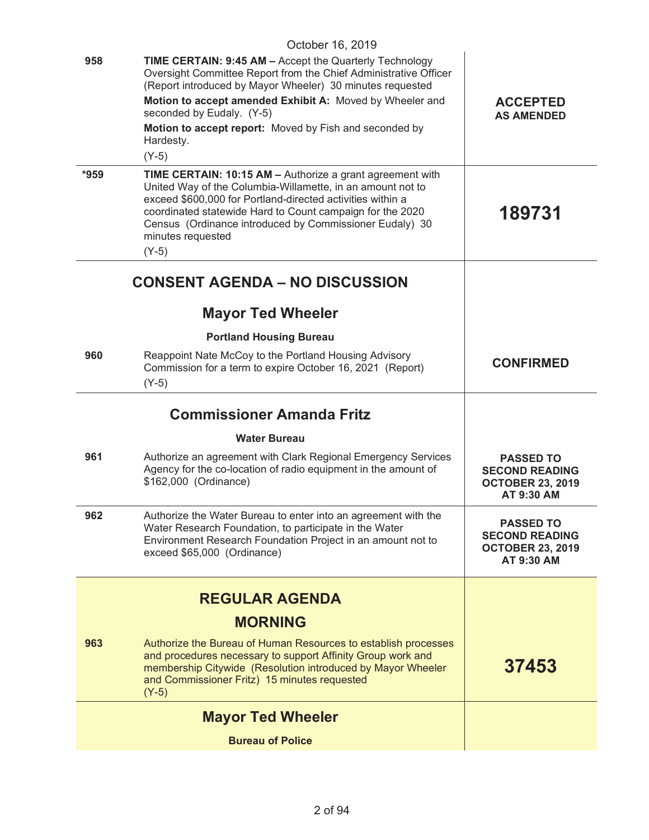| October 16, 2019 |                                                                                                                                                                                                                                                                                                                                                                            |                                                                                    |
|------------------|----------------------------------------------------------------------------------------------------------------------------------------------------------------------------------------------------------------------------------------------------------------------------------------------------------------------------------------------------------------------------|------------------------------------------------------------------------------------|
| 958              | <b>TIME CERTAIN: 9:45 AM - Accept the Quarterly Technology</b><br>Oversight Committee Report from the Chief Administrative Officer<br>(Report introduced by Mayor Wheeler) 30 minutes requested<br>Motion to accept amended Exhibit A: Moved by Wheeler and<br>seconded by Eudaly. (Y-5)<br>Motion to accept report: Moved by Fish and seconded by<br>Hardesty.<br>$(Y-5)$ | <b>ACCEPTED</b><br><b>AS AMENDED</b>                                               |
| $*959$           | TIME CERTAIN: 10:15 AM - Authorize a grant agreement with<br>United Way of the Columbia-Willamette, in an amount not to<br>exceed \$600,000 for Portland-directed activities within a<br>coordinated statewide Hard to Count campaign for the 2020<br>Census (Ordinance introduced by Commissioner Eudaly) 30<br>minutes requested<br>$(Y-5)$                              | 189731                                                                             |
|                  | <b>CONSENT AGENDA - NO DISCUSSION</b>                                                                                                                                                                                                                                                                                                                                      |                                                                                    |
|                  | <b>Mayor Ted Wheeler</b>                                                                                                                                                                                                                                                                                                                                                   |                                                                                    |
|                  | <b>Portland Housing Bureau</b>                                                                                                                                                                                                                                                                                                                                             |                                                                                    |
| 960              | Reappoint Nate McCoy to the Portland Housing Advisory<br>Commission for a term to expire October 16, 2021 (Report)<br>$(Y-5)$                                                                                                                                                                                                                                              | <b>CONFIRMED</b>                                                                   |
|                  | <b>Commissioner Amanda Fritz</b>                                                                                                                                                                                                                                                                                                                                           |                                                                                    |
|                  | <b>Water Bureau</b>                                                                                                                                                                                                                                                                                                                                                        |                                                                                    |
| 961              | Authorize an agreement with Clark Regional Emergency Services<br>Agency for the co-location of radio equipment in the amount of<br>\$162,000 (Ordinance)                                                                                                                                                                                                                   | <b>PASSED TO</b><br><b>SECOND READING</b><br><b>OCTOBER 23, 2019</b><br>AT 9:30 AM |
| 962              | Authorize the Water Bureau to enter into an agreement with the<br>Water Research Foundation, to participate in the Water<br>Environment Research Foundation Project in an amount not to<br>exceed \$65,000 (Ordinance)                                                                                                                                                     | <b>PASSED TO</b><br><b>SECOND READING</b><br><b>OCTOBER 23, 2019</b><br>AT 9:30 AM |
|                  | <b>REGULAR AGENDA</b>                                                                                                                                                                                                                                                                                                                                                      |                                                                                    |
|                  | <b>MORNING</b>                                                                                                                                                                                                                                                                                                                                                             |                                                                                    |
| 963              | Authorize the Bureau of Human Resources to establish processes<br>and procedures necessary to support Affinity Group work and<br>membership Citywide (Resolution introduced by Mayor Wheeler<br>and Commissioner Fritz) 15 minutes requested<br>$(Y-5)$                                                                                                                    | 37453                                                                              |
|                  | <b>Mayor Ted Wheeler</b>                                                                                                                                                                                                                                                                                                                                                   |                                                                                    |
|                  | <b>Bureau of Police</b>                                                                                                                                                                                                                                                                                                                                                    |                                                                                    |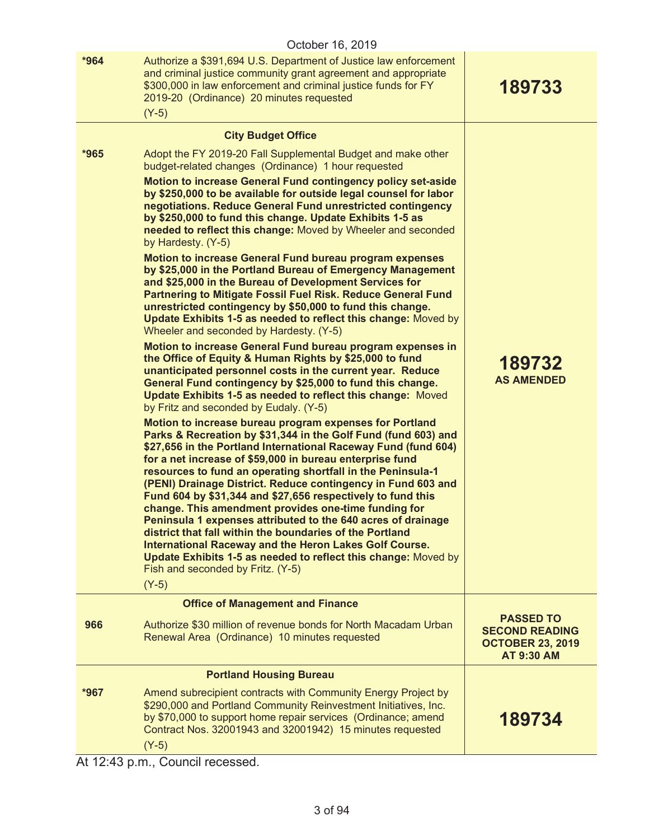|        | October 16, 2019                                                                                                                                                                                                                                                                                                                                                                                                                                                                                                                                                                                                                                                                                                                                                                                                                                                                                                                                                                                                                                                                                                                                                                                                                                                                                                                                                                                                                                                                                                                                                                                                                                                                                                                                                                                                                                                                                                                                                                                                                                                               |                                                                       |
|--------|--------------------------------------------------------------------------------------------------------------------------------------------------------------------------------------------------------------------------------------------------------------------------------------------------------------------------------------------------------------------------------------------------------------------------------------------------------------------------------------------------------------------------------------------------------------------------------------------------------------------------------------------------------------------------------------------------------------------------------------------------------------------------------------------------------------------------------------------------------------------------------------------------------------------------------------------------------------------------------------------------------------------------------------------------------------------------------------------------------------------------------------------------------------------------------------------------------------------------------------------------------------------------------------------------------------------------------------------------------------------------------------------------------------------------------------------------------------------------------------------------------------------------------------------------------------------------------------------------------------------------------------------------------------------------------------------------------------------------------------------------------------------------------------------------------------------------------------------------------------------------------------------------------------------------------------------------------------------------------------------------------------------------------------------------------------------------------|-----------------------------------------------------------------------|
| $*964$ | Authorize a \$391,694 U.S. Department of Justice law enforcement<br>and criminal justice community grant agreement and appropriate<br>\$300,000 in law enforcement and criminal justice funds for FY<br>2019-20 (Ordinance) 20 minutes requested<br>$(Y-5)$                                                                                                                                                                                                                                                                                                                                                                                                                                                                                                                                                                                                                                                                                                                                                                                                                                                                                                                                                                                                                                                                                                                                                                                                                                                                                                                                                                                                                                                                                                                                                                                                                                                                                                                                                                                                                    | 189733                                                                |
|        | <b>City Budget Office</b>                                                                                                                                                                                                                                                                                                                                                                                                                                                                                                                                                                                                                                                                                                                                                                                                                                                                                                                                                                                                                                                                                                                                                                                                                                                                                                                                                                                                                                                                                                                                                                                                                                                                                                                                                                                                                                                                                                                                                                                                                                                      |                                                                       |
| $*965$ | Adopt the FY 2019-20 Fall Supplemental Budget and make other<br>budget-related changes (Ordinance) 1 hour requested<br>Motion to increase General Fund contingency policy set-aside<br>by \$250,000 to be available for outside legal counsel for labor<br>negotiations. Reduce General Fund unrestricted contingency<br>by \$250,000 to fund this change. Update Exhibits 1-5 as<br>needed to reflect this change: Moved by Wheeler and seconded<br>by Hardesty. (Y-5)<br>Motion to increase General Fund bureau program expenses<br>by \$25,000 in the Portland Bureau of Emergency Management<br>and \$25,000 in the Bureau of Development Services for<br>Partnering to Mitigate Fossil Fuel Risk. Reduce General Fund<br>unrestricted contingency by \$50,000 to fund this change.<br>Update Exhibits 1-5 as needed to reflect this change: Moved by<br>Wheeler and seconded by Hardesty. (Y-5)<br>Motion to increase General Fund bureau program expenses in<br>the Office of Equity & Human Rights by \$25,000 to fund<br>unanticipated personnel costs in the current year. Reduce<br>General Fund contingency by \$25,000 to fund this change.<br>Update Exhibits 1-5 as needed to reflect this change: Moved<br>by Fritz and seconded by Eudaly. (Y-5)<br>Motion to increase bureau program expenses for Portland<br>Parks & Recreation by \$31,344 in the Golf Fund (fund 603) and<br>\$27,656 in the Portland International Raceway Fund (fund 604)<br>for a net increase of \$59,000 in bureau enterprise fund<br>resources to fund an operating shortfall in the Peninsula-1<br>(PENI) Drainage District. Reduce contingency in Fund 603 and<br>Fund 604 by \$31,344 and \$27,656 respectively to fund this<br>change. This amendment provides one-time funding for<br>Peninsula 1 expenses attributed to the 640 acres of drainage<br>district that fall within the boundaries of the Portland<br>International Raceway and the Heron Lakes Golf Course.<br>Update Exhibits 1-5 as needed to reflect this change: Moved by<br>Fish and seconded by Fritz. (Y-5) | 189732<br><b>AS AMENDED</b>                                           |
|        | $(Y-5)$                                                                                                                                                                                                                                                                                                                                                                                                                                                                                                                                                                                                                                                                                                                                                                                                                                                                                                                                                                                                                                                                                                                                                                                                                                                                                                                                                                                                                                                                                                                                                                                                                                                                                                                                                                                                                                                                                                                                                                                                                                                                        |                                                                       |
|        | <b>Office of Management and Finance</b>                                                                                                                                                                                                                                                                                                                                                                                                                                                                                                                                                                                                                                                                                                                                                                                                                                                                                                                                                                                                                                                                                                                                                                                                                                                                                                                                                                                                                                                                                                                                                                                                                                                                                                                                                                                                                                                                                                                                                                                                                                        | <b>PASSED TO</b>                                                      |
| 966    | Authorize \$30 million of revenue bonds for North Macadam Urban<br>Renewal Area (Ordinance) 10 minutes requested                                                                                                                                                                                                                                                                                                                                                                                                                                                                                                                                                                                                                                                                                                                                                                                                                                                                                                                                                                                                                                                                                                                                                                                                                                                                                                                                                                                                                                                                                                                                                                                                                                                                                                                                                                                                                                                                                                                                                               | <b>SECOND READING</b><br><b>OCTOBER 23, 2019</b><br><b>AT 9:30 AM</b> |
|        | <b>Portland Housing Bureau</b>                                                                                                                                                                                                                                                                                                                                                                                                                                                                                                                                                                                                                                                                                                                                                                                                                                                                                                                                                                                                                                                                                                                                                                                                                                                                                                                                                                                                                                                                                                                                                                                                                                                                                                                                                                                                                                                                                                                                                                                                                                                 |                                                                       |
| $*967$ | Amend subrecipient contracts with Community Energy Project by<br>\$290,000 and Portland Community Reinvestment Initiatives, Inc.<br>by \$70,000 to support home repair services (Ordinance; amend<br>Contract Nos. 32001943 and 32001942) 15 minutes requested<br>$(Y-5)$                                                                                                                                                                                                                                                                                                                                                                                                                                                                                                                                                                                                                                                                                                                                                                                                                                                                                                                                                                                                                                                                                                                                                                                                                                                                                                                                                                                                                                                                                                                                                                                                                                                                                                                                                                                                      | 189734                                                                |

At 12:43 p.m., Council recessed.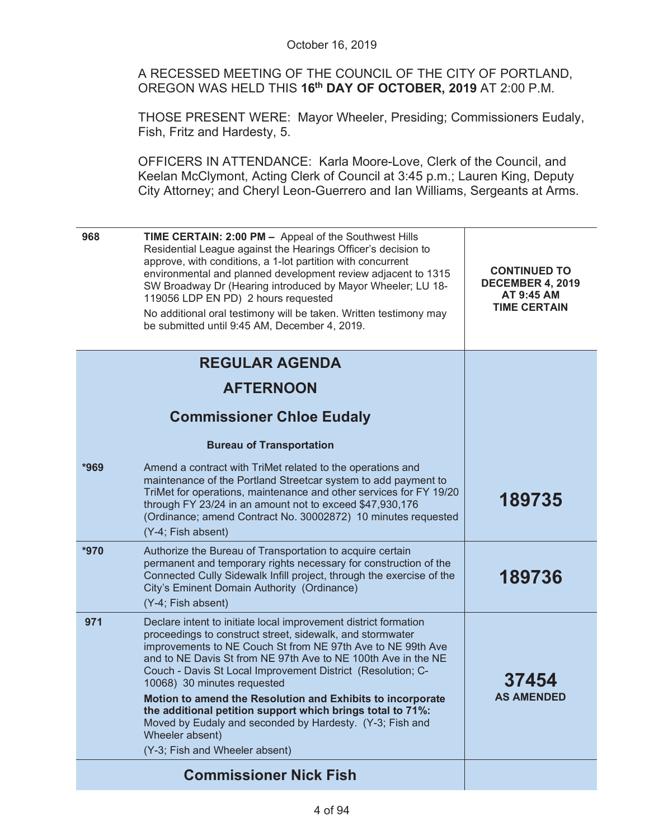A RECESSED MEETING OF THE COUNCIL OF THE CITY OF PORTLAND, OREGON WAS HELD THIS **16th DAY OF OCTOBER, 2019** AT 2:00 P.M.

THOSE PRESENT WERE: Mayor Wheeler, Presiding; Commissioners Eudaly, Fish, Fritz and Hardesty, 5.

OFFICERS IN ATTENDANCE: Karla Moore-Love, Clerk of the Council, and Keelan McClymont, Acting Clerk of Council at 3:45 p.m.; Lauren King, Deputy City Attorney; and Cheryl Leon-Guerrero and Ian Williams, Sergeants at Arms.

| 968  | <b>TIME CERTAIN: 2:00 PM - Appeal of the Southwest Hills</b><br>Residential League against the Hearings Officer's decision to<br>approve, with conditions, a 1-lot partition with concurrent<br>environmental and planned development review adjacent to 1315<br>SW Broadway Dr (Hearing introduced by Mayor Wheeler; LU 18-<br>119056 LDP EN PD) 2 hours requested<br>No additional oral testimony will be taken. Written testimony may<br>be submitted until 9:45 AM, December 4, 2019.                                                                                                               | <b>CONTINUED TO</b><br><b>DECEMBER 4, 2019</b><br>AT 9:45 AM<br><b>TIME CERTAIN</b> |
|------|---------------------------------------------------------------------------------------------------------------------------------------------------------------------------------------------------------------------------------------------------------------------------------------------------------------------------------------------------------------------------------------------------------------------------------------------------------------------------------------------------------------------------------------------------------------------------------------------------------|-------------------------------------------------------------------------------------|
|      | <b>REGULAR AGENDA</b>                                                                                                                                                                                                                                                                                                                                                                                                                                                                                                                                                                                   |                                                                                     |
|      | <b>AFTERNOON</b>                                                                                                                                                                                                                                                                                                                                                                                                                                                                                                                                                                                        |                                                                                     |
|      | <b>Commissioner Chloe Eudaly</b>                                                                                                                                                                                                                                                                                                                                                                                                                                                                                                                                                                        |                                                                                     |
|      | <b>Bureau of Transportation</b>                                                                                                                                                                                                                                                                                                                                                                                                                                                                                                                                                                         |                                                                                     |
| *969 | Amend a contract with TriMet related to the operations and<br>maintenance of the Portland Streetcar system to add payment to<br>TriMet for operations, maintenance and other services for FY 19/20<br>through FY 23/24 in an amount not to exceed \$47,930,176<br>(Ordinance; amend Contract No. 30002872) 10 minutes requested<br>(Y-4; Fish absent)                                                                                                                                                                                                                                                   | 189735                                                                              |
| *970 | Authorize the Bureau of Transportation to acquire certain<br>permanent and temporary rights necessary for construction of the<br>Connected Cully Sidewalk Infill project, through the exercise of the<br>City's Eminent Domain Authority (Ordinance)<br>(Y-4; Fish absent)                                                                                                                                                                                                                                                                                                                              | 189736                                                                              |
| 971  | Declare intent to initiate local improvement district formation<br>proceedings to construct street, sidewalk, and stormwater<br>improvements to NE Couch St from NE 97th Ave to NE 99th Ave<br>and to NE Davis St from NE 97th Ave to NE 100th Ave in the NE<br>Couch - Davis St Local Improvement District (Resolution; C-<br>10068) 30 minutes requested<br>Motion to amend the Resolution and Exhibits to incorporate<br>the additional petition support which brings total to 71%:<br>Moved by Eudaly and seconded by Hardesty. (Y-3; Fish and<br>Wheeler absent)<br>(Y-3; Fish and Wheeler absent) | 37454<br><b>AS AMENDED</b>                                                          |
|      | <b>Commissioner Nick Fish</b>                                                                                                                                                                                                                                                                                                                                                                                                                                                                                                                                                                           |                                                                                     |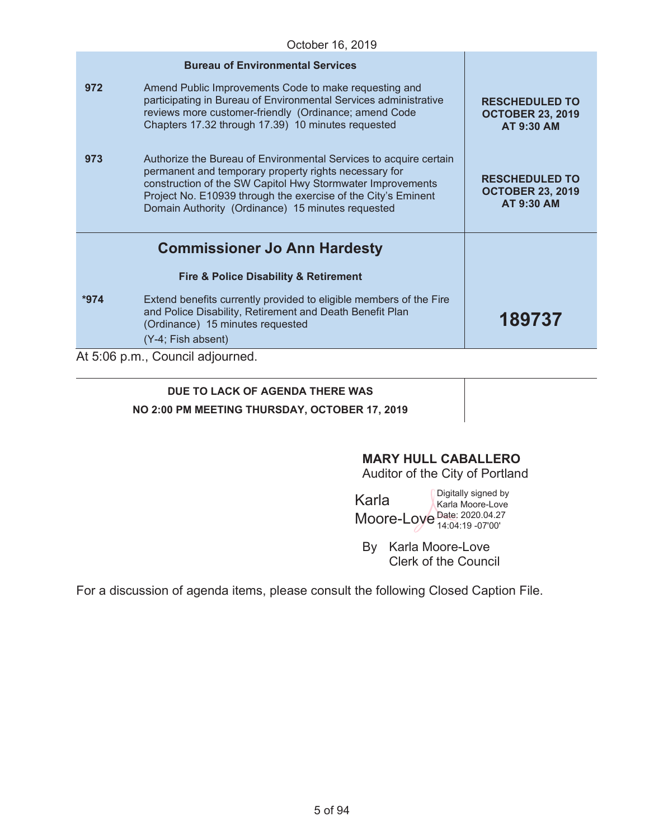|        | <b>Bureau of Environmental Services</b>                                                                                                                                                                                                                                                                        |                                                                       |
|--------|----------------------------------------------------------------------------------------------------------------------------------------------------------------------------------------------------------------------------------------------------------------------------------------------------------------|-----------------------------------------------------------------------|
| 972    | Amend Public Improvements Code to make requesting and<br>participating in Bureau of Environmental Services administrative<br>reviews more customer-friendly (Ordinance; amend Code<br>Chapters 17.32 through 17.39) 10 minutes requested                                                                       | <b>RESCHEDULED TO</b><br><b>OCTOBER 23, 2019</b><br><b>AT 9:30 AM</b> |
| 973    | Authorize the Bureau of Environmental Services to acquire certain<br>permanent and temporary property rights necessary for<br>construction of the SW Capitol Hwy Stormwater Improvements<br>Project No. E10939 through the exercise of the City's Eminent<br>Domain Authority (Ordinance) 15 minutes requested | <b>RESCHEDULED TO</b><br><b>OCTOBER 23, 2019</b><br><b>AT 9:30 AM</b> |
|        | <b>Commissioner Jo Ann Hardesty</b>                                                                                                                                                                                                                                                                            |                                                                       |
|        | <b>Fire &amp; Police Disability &amp; Retirement</b>                                                                                                                                                                                                                                                           |                                                                       |
| $*974$ | Extend benefits currently provided to eligible members of the Fire<br>and Police Disability, Retirement and Death Benefit Plan<br>(Ordinance) 15 minutes requested                                                                                                                                             | 189737                                                                |
|        | (Y-4; Fish absent)<br>At 5:06 p.m., Council adjourned.                                                                                                                                                                                                                                                         |                                                                       |
|        |                                                                                                                                                                                                                                                                                                                |                                                                       |

# **DUE TO LACK OF AGENDA THERE WAS NO 2:00 PM MEETING THURSDAY, OCTOBER 17, 2019**

# **MARY HULL CABALLERO**

Auditor of the City of Portland

Karla Moore-Love Date: 2020.04.27 Digitally signed by Karla Moore-Love 14:04:19 -07'00'

By Karla Moore-Love Clerk of the Council

For a discussion of agenda items, please consult the following Closed Caption File.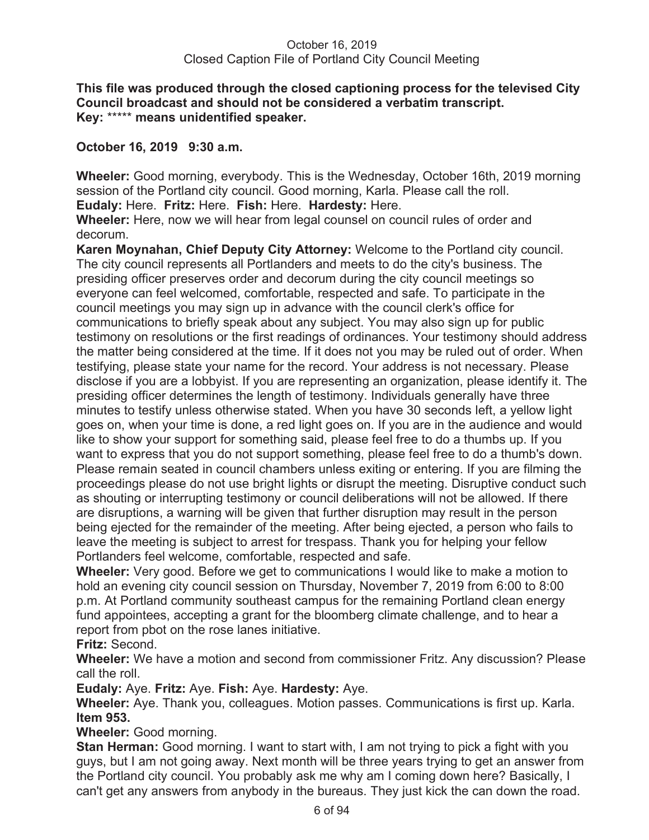### **This file was produced through the closed captioning process for the televised City Council broadcast and should not be considered a verbatim transcript. Key:** \*\*\*\*\* **means unidentified speaker.**

# **October 16, 2019 9:30 a.m.**

**Wheeler:** Good morning, everybody. This is the Wednesday, October 16th, 2019 morning session of the Portland city council. Good morning, Karla. Please call the roll. **Eudaly:** Here. **Fritz:** Here. **Fish:** Here. **Hardesty:** Here.

**Wheeler:** Here, now we will hear from legal counsel on council rules of order and decorum.

**Karen Moynahan, Chief Deputy City Attorney:** Welcome to the Portland city council. The city council represents all Portlanders and meets to do the city's business. The presiding officer preserves order and decorum during the city council meetings so everyone can feel welcomed, comfortable, respected and safe. To participate in the council meetings you may sign up in advance with the council clerk's office for communications to briefly speak about any subject. You may also sign up for public testimony on resolutions or the first readings of ordinances. Your testimony should address the matter being considered at the time. If it does not you may be ruled out of order. When testifying, please state your name for the record. Your address is not necessary. Please disclose if you are a lobbyist. If you are representing an organization, please identify it. The presiding officer determines the length of testimony. Individuals generally have three minutes to testify unless otherwise stated. When you have 30 seconds left, a yellow light goes on, when your time is done, a red light goes on. If you are in the audience and would like to show your support for something said, please feel free to do a thumbs up. If you want to express that you do not support something, please feel free to do a thumb's down. Please remain seated in council chambers unless exiting or entering. If you are filming the proceedings please do not use bright lights or disrupt the meeting. Disruptive conduct such as shouting or interrupting testimony or council deliberations will not be allowed. If there are disruptions, a warning will be given that further disruption may result in the person being ejected for the remainder of the meeting. After being ejected, a person who fails to leave the meeting is subject to arrest for trespass. Thank you for helping your fellow Portlanders feel welcome, comfortable, respected and safe.

**Wheeler:** Very good. Before we get to communications I would like to make a motion to hold an evening city council session on Thursday, November 7, 2019 from 6:00 to 8:00 p.m. At Portland community southeast campus for the remaining Portland clean energy fund appointees, accepting a grant for the bloomberg climate challenge, and to hear a report from pbot on the rose lanes initiative.

# **Fritz:** Second.

**Wheeler:** We have a motion and second from commissioner Fritz. Any discussion? Please call the roll.

**Eudaly:** Aye. **Fritz:** Aye. **Fish:** Aye. **Hardesty:** Aye.

**Wheeler:** Aye. Thank you, colleagues. Motion passes. Communications is first up. Karla. **Item 953.** 

# **Wheeler:** Good morning.

**Stan Herman:** Good morning. I want to start with, I am not trying to pick a fight with you guys, but I am not going away. Next month will be three years trying to get an answer from the Portland city council. You probably ask me why am I coming down here? Basically, I can't get any answers from anybody in the bureaus. They just kick the can down the road.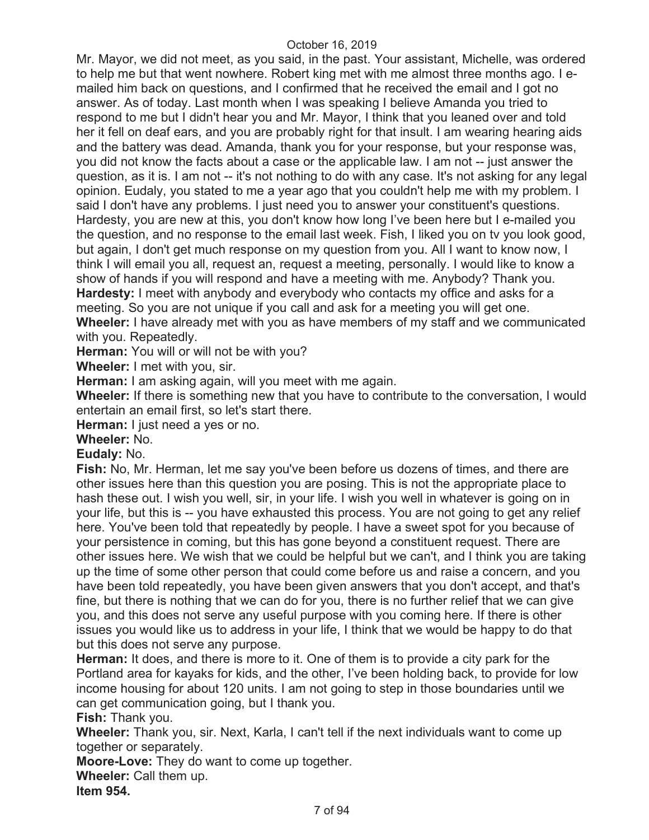Mr. Mayor, we did not meet, as you said, in the past. Your assistant, Michelle, was ordered to help me but that went nowhere. Robert king met with me almost three months ago. I emailed him back on questions, and I confirmed that he received the email and I got no answer. As of today. Last month when I was speaking I believe Amanda you tried to respond to me but I didn't hear you and Mr. Mayor, I think that you leaned over and told her it fell on deaf ears, and you are probably right for that insult. I am wearing hearing aids and the battery was dead. Amanda, thank you for your response, but your response was, you did not know the facts about a case or the applicable law. I am not -- just answer the question, as it is. I am not -- it's not nothing to do with any case. It's not asking for any legal opinion. Eudaly, you stated to me a year ago that you couldn't help me with my problem. I said I don't have any problems. I just need you to answer your constituent's questions. Hardesty, you are new at this, you don't know how long I've been here but I e-mailed you the question, and no response to the email last week. Fish, I liked you on tv you look good, but again, I don't get much response on my question from you. All I want to know now, I think I will email you all, request an, request a meeting, personally. I would like to know a show of hands if you will respond and have a meeting with me. Anybody? Thank you. **Hardesty:** I meet with anybody and everybody who contacts my office and asks for a meeting. So you are not unique if you call and ask for a meeting you will get one. **Wheeler:** I have already met with you as have members of my staff and we communicated with you. Repeatedly.

**Herman:** You will or will not be with you?

**Wheeler:** I met with you, sir.

**Herman:** I am asking again, will you meet with me again.

**Wheeler:** If there is something new that you have to contribute to the conversation, I would entertain an email first, so let's start there.

**Herman:** I just need a yes or no.

**Wheeler:** No.

#### **Eudaly:** No.

**Fish:** No, Mr. Herman, let me say you've been before us dozens of times, and there are other issues here than this question you are posing. This is not the appropriate place to hash these out. I wish you well, sir, in your life. I wish you well in whatever is going on in your life, but this is -- you have exhausted this process. You are not going to get any relief here. You've been told that repeatedly by people. I have a sweet spot for you because of your persistence in coming, but this has gone beyond a constituent request. There are other issues here. We wish that we could be helpful but we can't, and I think you are taking up the time of some other person that could come before us and raise a concern, and you have been told repeatedly, you have been given answers that you don't accept, and that's fine, but there is nothing that we can do for you, there is no further relief that we can give you, and this does not serve any useful purpose with you coming here. If there is other issues you would like us to address in your life, I think that we would be happy to do that but this does not serve any purpose.

**Herman:** It does, and there is more to it. One of them is to provide a city park for the Portland area for kayaks for kids, and the other, I've been holding back, to provide for low income housing for about 120 units. I am not going to step in those boundaries until we can get communication going, but I thank you.

**Fish:** Thank you.

**Wheeler:** Thank you, sir. Next, Karla, I can't tell if the next individuals want to come up together or separately.

**Moore-Love:** They do want to come up together.

**Wheeler:** Call them up.

**Item 954.**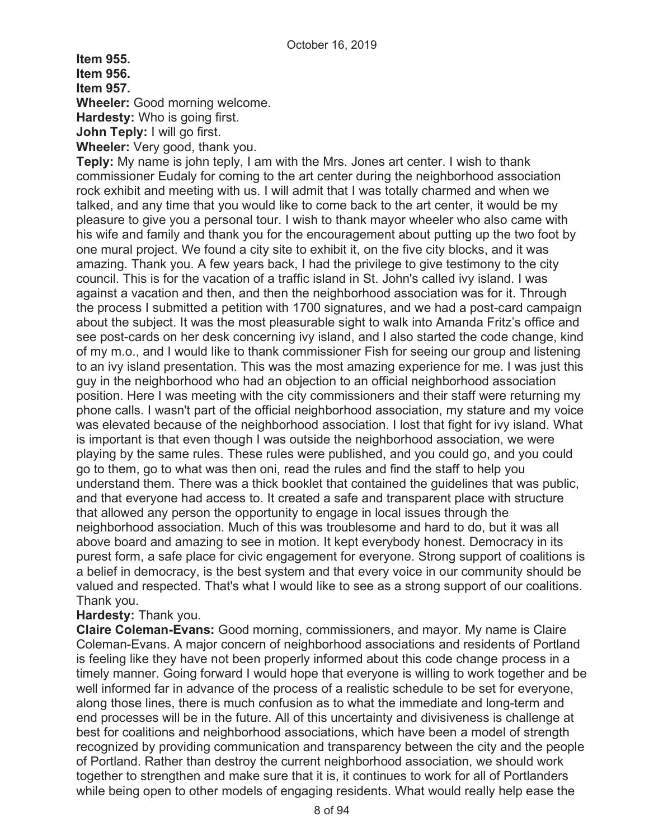**Item 955. Item 956. Item 957.** 

**Wheeler:** Good morning welcome.

**Hardesty:** Who is going first.

**John Teply:** I will go first.

**Wheeler:** Very good, thank you.

**Teply:** My name is john teply, I am with the Mrs. Jones art center. I wish to thank commissioner Eudaly for coming to the art center during the neighborhood association rock exhibit and meeting with us. I will admit that I was totally charmed and when we talked, and any time that you would like to come back to the art center, it would be my pleasure to give you a personal tour. I wish to thank mayor wheeler who also came with his wife and family and thank you for the encouragement about putting up the two foot by one mural project. We found a city site to exhibit it, on the five city blocks, and it was amazing. Thank you. A few years back, I had the privilege to give testimony to the city council. This is for the vacation of a traffic island in St. John's called ivy island. I was against a vacation and then, and then the neighborhood association was for it. Through the process I submitted a petition with 1700 signatures, and we had a post-card campaign about the subject. It was the most pleasurable sight to walk into Amanda Fritz's office and see post-cards on her desk concerning ivy island, and I also started the code change, kind of my m.o., and I would like to thank commissioner Fish for seeing our group and listening to an ivy island presentation. This was the most amazing experience for me. I was just this guy in the neighborhood who had an objection to an official neighborhood association position. Here I was meeting with the city commissioners and their staff were returning my phone calls. I wasn't part of the official neighborhood association, my stature and my voice was elevated because of the neighborhood association. I lost that fight for ivy island. What is important is that even though I was outside the neighborhood association, we were playing by the same rules. These rules were published, and you could go, and you could go to them, go to what was then oni, read the rules and find the staff to help you understand them. There was a thick booklet that contained the guidelines that was public, and that everyone had access to. It created a safe and transparent place with structure that allowed any person the opportunity to engage in local issues through the neighborhood association. Much of this was troublesome and hard to do, but it was all above board and amazing to see in motion. It kept everybody honest. Democracy in its purest form, a safe place for civic engagement for everyone. Strong support of coalitions is a belief in democracy, is the best system and that every voice in our community should be valued and respected. That's what I would like to see as a strong support of our coalitions. Thank you.

# **Hardesty:** Thank you.

**Claire Coleman-Evans:** Good morning, commissioners, and mayor. My name is Claire Coleman-Evans. A major concern of neighborhood associations and residents of Portland is feeling like they have not been properly informed about this code change process in a timely manner. Going forward I would hope that everyone is willing to work together and be well informed far in advance of the process of a realistic schedule to be set for everyone, along those lines, there is much confusion as to what the immediate and long-term and end processes will be in the future. All of this uncertainty and divisiveness is challenge at best for coalitions and neighborhood associations, which have been a model of strength recognized by providing communication and transparency between the city and the people of Portland. Rather than destroy the current neighborhood association, we should work together to strengthen and make sure that it is, it continues to work for all of Portlanders while being open to other models of engaging residents. What would really help ease the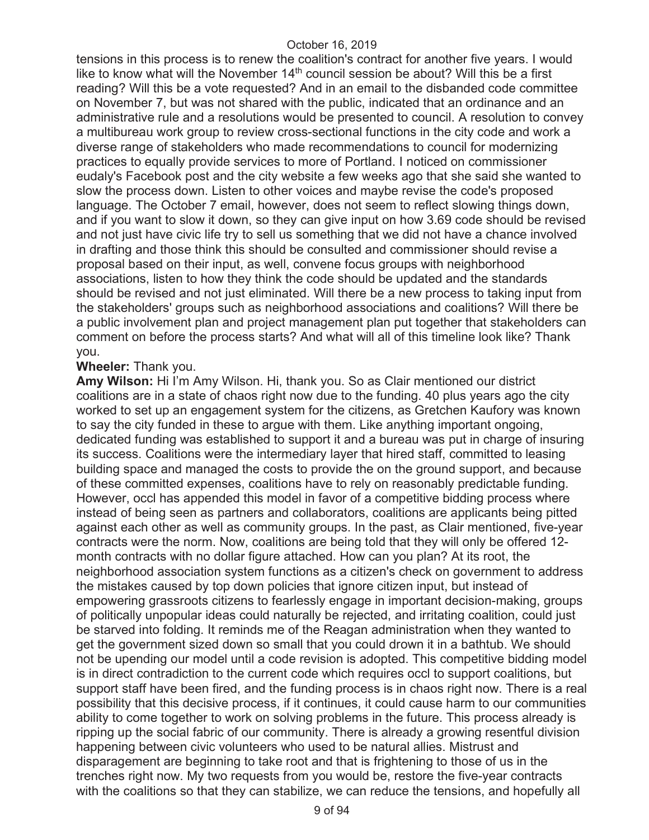tensions in this process is to renew the coalition's contract for another five years. I would like to know what will the November  $14<sup>th</sup>$  council session be about? Will this be a first reading? Will this be a vote requested? And in an email to the disbanded code committee on November 7, but was not shared with the public, indicated that an ordinance and an administrative rule and a resolutions would be presented to council. A resolution to convey a multibureau work group to review cross-sectional functions in the city code and work a diverse range of stakeholders who made recommendations to council for modernizing practices to equally provide services to more of Portland. I noticed on commissioner eudaly's Facebook post and the city website a few weeks ago that she said she wanted to slow the process down. Listen to other voices and maybe revise the code's proposed language. The October 7 email, however, does not seem to reflect slowing things down, and if you want to slow it down, so they can give input on how 3.69 code should be revised and not just have civic life try to sell us something that we did not have a chance involved in drafting and those think this should be consulted and commissioner should revise a proposal based on their input, as well, convene focus groups with neighborhood associations, listen to how they think the code should be updated and the standards should be revised and not just eliminated. Will there be a new process to taking input from the stakeholders' groups such as neighborhood associations and coalitions? Will there be a public involvement plan and project management plan put together that stakeholders can comment on before the process starts? And what will all of this timeline look like? Thank you.

#### **Wheeler:** Thank you.

**Amy Wilson:** Hi I'm Amy Wilson. Hi, thank you. So as Clair mentioned our district coalitions are in a state of chaos right now due to the funding. 40 plus years ago the city worked to set up an engagement system for the citizens, as Gretchen Kaufory was known to say the city funded in these to argue with them. Like anything important ongoing, dedicated funding was established to support it and a bureau was put in charge of insuring its success. Coalitions were the intermediary layer that hired staff, committed to leasing building space and managed the costs to provide the on the ground support, and because of these committed expenses, coalitions have to rely on reasonably predictable funding. However, occl has appended this model in favor of a competitive bidding process where instead of being seen as partners and collaborators, coalitions are applicants being pitted against each other as well as community groups. In the past, as Clair mentioned, five-year contracts were the norm. Now, coalitions are being told that they will only be offered 12 month contracts with no dollar figure attached. How can you plan? At its root, the neighborhood association system functions as a citizen's check on government to address the mistakes caused by top down policies that ignore citizen input, but instead of empowering grassroots citizens to fearlessly engage in important decision-making, groups of politically unpopular ideas could naturally be rejected, and irritating coalition, could just be starved into folding. It reminds me of the Reagan administration when they wanted to get the government sized down so small that you could drown it in a bathtub. We should not be upending our model until a code revision is adopted. This competitive bidding model is in direct contradiction to the current code which requires occl to support coalitions, but support staff have been fired, and the funding process is in chaos right now. There is a real possibility that this decisive process, if it continues, it could cause harm to our communities ability to come together to work on solving problems in the future. This process already is ripping up the social fabric of our community. There is already a growing resentful division happening between civic volunteers who used to be natural allies. Mistrust and disparagement are beginning to take root and that is frightening to those of us in the trenches right now. My two requests from you would be, restore the five-year contracts with the coalitions so that they can stabilize, we can reduce the tensions, and hopefully all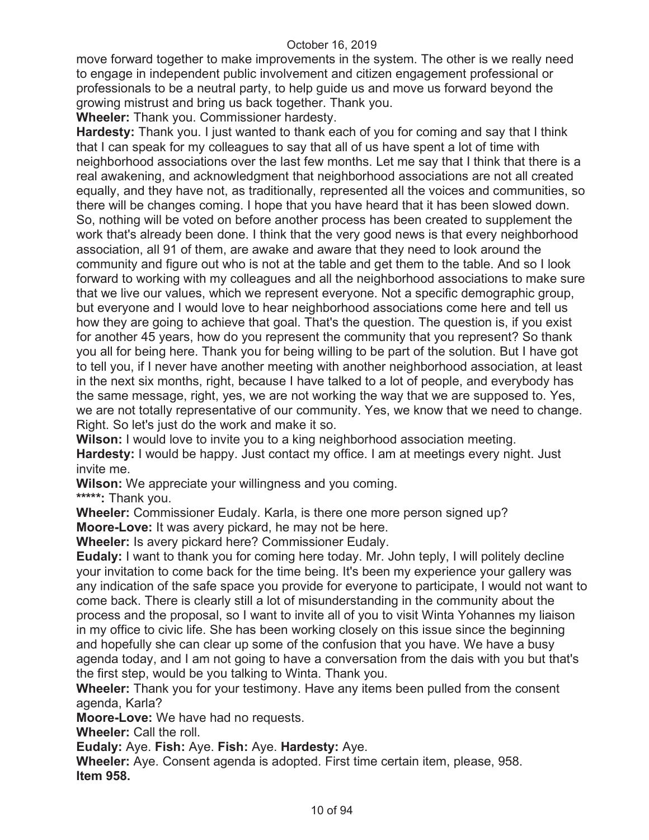move forward together to make improvements in the system. The other is we really need to engage in independent public involvement and citizen engagement professional or professionals to be a neutral party, to help guide us and move us forward beyond the growing mistrust and bring us back together. Thank you.

**Wheeler:** Thank you. Commissioner hardesty.

**Hardesty:** Thank you. I just wanted to thank each of you for coming and say that I think that I can speak for my colleagues to say that all of us have spent a lot of time with neighborhood associations over the last few months. Let me say that I think that there is a real awakening, and acknowledgment that neighborhood associations are not all created equally, and they have not, as traditionally, represented all the voices and communities, so there will be changes coming. I hope that you have heard that it has been slowed down. So, nothing will be voted on before another process has been created to supplement the work that's already been done. I think that the very good news is that every neighborhood association, all 91 of them, are awake and aware that they need to look around the community and figure out who is not at the table and get them to the table. And so I look forward to working with my colleagues and all the neighborhood associations to make sure that we live our values, which we represent everyone. Not a specific demographic group, but everyone and I would love to hear neighborhood associations come here and tell us how they are going to achieve that goal. That's the question. The question is, if you exist for another 45 years, how do you represent the community that you represent? So thank you all for being here. Thank you for being willing to be part of the solution. But I have got to tell you, if I never have another meeting with another neighborhood association, at least in the next six months, right, because I have talked to a lot of people, and everybody has the same message, right, yes, we are not working the way that we are supposed to. Yes, we are not totally representative of our community. Yes, we know that we need to change. Right. So let's just do the work and make it so.

**Wilson:** I would love to invite you to a king neighborhood association meeting. **Hardesty:** I would be happy. Just contact my office. I am at meetings every night. Just invite me.

**Wilson:** We appreciate your willingness and you coming.

**\*\*\*\*\*:** Thank you.

**Wheeler:** Commissioner Eudaly. Karla, is there one more person signed up?

**Moore-Love:** It was avery pickard, he may not be here.

**Wheeler:** Is avery pickard here? Commissioner Eudaly.

**Eudaly:** I want to thank you for coming here today. Mr. John teply, I will politely decline your invitation to come back for the time being. It's been my experience your gallery was any indication of the safe space you provide for everyone to participate, I would not want to come back. There is clearly still a lot of misunderstanding in the community about the process and the proposal, so I want to invite all of you to visit Winta Yohannes my liaison in my office to civic life. She has been working closely on this issue since the beginning and hopefully she can clear up some of the confusion that you have. We have a busy agenda today, and I am not going to have a conversation from the dais with you but that's the first step, would be you talking to Winta. Thank you.

**Wheeler:** Thank you for your testimony. Have any items been pulled from the consent agenda, Karla?

**Moore-Love:** We have had no requests.

**Wheeler:** Call the roll.

**Eudaly:** Aye. **Fish:** Aye. **Fish:** Aye. **Hardesty:** Aye.

**Wheeler:** Aye. Consent agenda is adopted. First time certain item, please, 958. **Item 958.**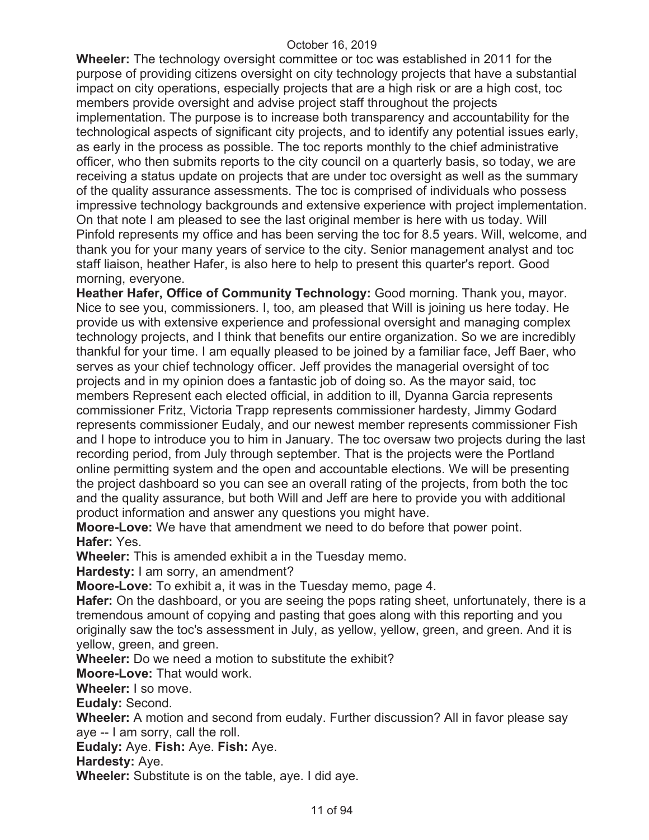**Wheeler:** The technology oversight committee or toc was established in 2011 for the purpose of providing citizens oversight on city technology projects that have a substantial impact on city operations, especially projects that are a high risk or are a high cost, toc members provide oversight and advise project staff throughout the projects implementation. The purpose is to increase both transparency and accountability for the technological aspects of significant city projects, and to identify any potential issues early, as early in the process as possible. The toc reports monthly to the chief administrative officer, who then submits reports to the city council on a quarterly basis, so today, we are receiving a status update on projects that are under toc oversight as well as the summary of the quality assurance assessments. The toc is comprised of individuals who possess impressive technology backgrounds and extensive experience with project implementation. On that note I am pleased to see the last original member is here with us today. Will Pinfold represents my office and has been serving the toc for 8.5 years. Will, welcome, and thank you for your many years of service to the city. Senior management analyst and toc staff liaison, heather Hafer, is also here to help to present this quarter's report. Good morning, everyone.

**Heather Hafer, Office of Community Technology:** Good morning. Thank you, mayor. Nice to see you, commissioners. I, too, am pleased that Will is joining us here today. He provide us with extensive experience and professional oversight and managing complex technology projects, and I think that benefits our entire organization. So we are incredibly thankful for your time. I am equally pleased to be joined by a familiar face, Jeff Baer, who serves as your chief technology officer. Jeff provides the managerial oversight of toc projects and in my opinion does a fantastic job of doing so. As the mayor said, toc members Represent each elected official, in addition to ill, Dyanna Garcia represents commissioner Fritz, Victoria Trapp represents commissioner hardesty, Jimmy Godard represents commissioner Eudaly, and our newest member represents commissioner Fish and I hope to introduce you to him in January. The toc oversaw two projects during the last recording period, from July through september. That is the projects were the Portland online permitting system and the open and accountable elections. We will be presenting the project dashboard so you can see an overall rating of the projects, from both the toc and the quality assurance, but both Will and Jeff are here to provide you with additional product information and answer any questions you might have.

**Moore-Love:** We have that amendment we need to do before that power point. **Hafer:** Yes.

**Wheeler:** This is amended exhibit a in the Tuesday memo.

**Hardesty:** I am sorry, an amendment?

**Moore-Love:** To exhibit a, it was in the Tuesday memo, page 4.

**Hafer:** On the dashboard, or you are seeing the pops rating sheet, unfortunately, there is a tremendous amount of copying and pasting that goes along with this reporting and you originally saw the toc's assessment in July, as yellow, yellow, green, and green. And it is yellow, green, and green.

**Wheeler:** Do we need a motion to substitute the exhibit?

**Moore-Love:** That would work.

**Wheeler:** I so move.

**Eudaly:** Second.

**Wheeler:** A motion and second from eudaly. Further discussion? All in favor please say aye -- I am sorry, call the roll.

**Eudaly:** Aye. **Fish:** Aye. **Fish:** Aye.

**Hardesty:** Aye.

**Wheeler:** Substitute is on the table, aye. I did aye.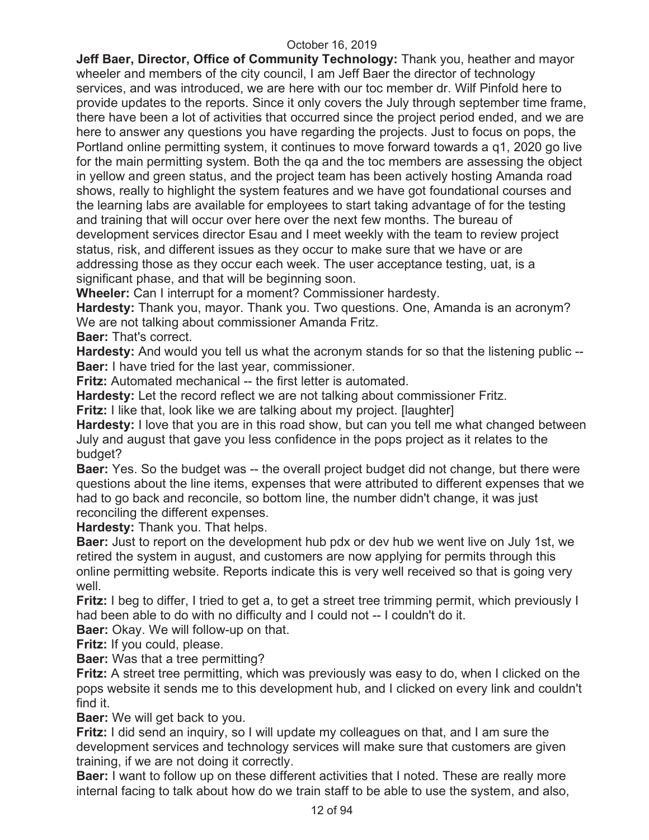**Jeff Baer, Director, Office of Community Technology:** Thank you, heather and mayor wheeler and members of the city council, I am Jeff Baer the director of technology services, and was introduced, we are here with our toc member dr. Wilf Pinfold here to provide updates to the reports. Since it only covers the July through september time frame, there have been a lot of activities that occurred since the project period ended, and we are here to answer any questions you have regarding the projects. Just to focus on pops, the Portland online permitting system, it continues to move forward towards a q1, 2020 go live for the main permitting system. Both the qa and the toc members are assessing the object in yellow and green status, and the project team has been actively hosting Amanda road shows, really to highlight the system features and we have got foundational courses and the learning labs are available for employees to start taking advantage of for the testing and training that will occur over here over the next few months. The bureau of development services director Esau and I meet weekly with the team to review project status, risk, and different issues as they occur to make sure that we have or are addressing those as they occur each week. The user acceptance testing, uat, is a significant phase, and that will be beginning soon.

**Wheeler:** Can I interrupt for a moment? Commissioner hardesty.

**Hardesty:** Thank you, mayor. Thank you. Two questions. One, Amanda is an acronym? We are not talking about commissioner Amanda Fritz.

**Baer:** That's correct.

**Hardesty:** And would you tell us what the acronym stands for so that the listening public -- **Baer:** I have tried for the last year, commissioner.

**Fritz:** Automated mechanical -- the first letter is automated.

**Hardesty:** Let the record reflect we are not talking about commissioner Fritz.

**Fritz:** I like that, look like we are talking about my project. [laughter]

**Hardesty:** I love that you are in this road show, but can you tell me what changed between July and august that gave you less confidence in the pops project as it relates to the budget?

**Baer:** Yes. So the budget was -- the overall project budget did not change, but there were questions about the line items, expenses that were attributed to different expenses that we had to go back and reconcile, so bottom line, the number didn't change, it was just reconciling the different expenses.

**Hardesty:** Thank you. That helps.

**Baer:** Just to report on the development hub pdx or dev hub we went live on July 1st, we retired the system in august, and customers are now applying for permits through this online permitting website. Reports indicate this is very well received so that is going very well.

**Fritz:** I beg to differ, I tried to get a, to get a street tree trimming permit, which previously I had been able to do with no difficulty and I could not -- I couldn't do it.

**Baer:** Okay. We will follow-up on that.

**Fritz:** If you could, please.

**Baer:** Was that a tree permitting?

**Fritz:** A street tree permitting, which was previously was easy to do, when I clicked on the pops website it sends me to this development hub, and I clicked on every link and couldn't find it.

**Baer:** We will get back to you.

**Fritz:** I did send an inquiry, so I will update my colleagues on that, and I am sure the development services and technology services will make sure that customers are given training, if we are not doing it correctly.

**Baer:** I want to follow up on these different activities that I noted. These are really more internal facing to talk about how do we train staff to be able to use the system, and also,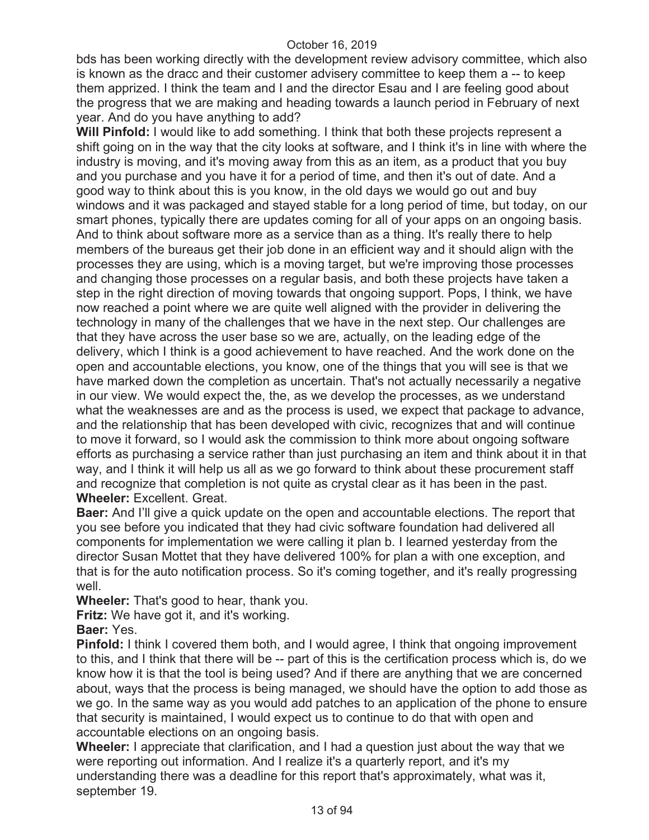bds has been working directly with the development review advisory committee, which also is known as the dracc and their customer advisery committee to keep them a -- to keep them apprized. I think the team and I and the director Esau and I are feeling good about the progress that we are making and heading towards a launch period in February of next year. And do you have anything to add?

**Will Pinfold:** I would like to add something. I think that both these projects represent a shift going on in the way that the city looks at software, and I think it's in line with where the industry is moving, and it's moving away from this as an item, as a product that you buy and you purchase and you have it for a period of time, and then it's out of date. And a good way to think about this is you know, in the old days we would go out and buy windows and it was packaged and stayed stable for a long period of time, but today, on our smart phones, typically there are updates coming for all of your apps on an ongoing basis. And to think about software more as a service than as a thing. It's really there to help members of the bureaus get their job done in an efficient way and it should align with the processes they are using, which is a moving target, but we're improving those processes and changing those processes on a regular basis, and both these projects have taken a step in the right direction of moving towards that ongoing support. Pops, I think, we have now reached a point where we are quite well aligned with the provider in delivering the technology in many of the challenges that we have in the next step. Our challenges are that they have across the user base so we are, actually, on the leading edge of the delivery, which I think is a good achievement to have reached. And the work done on the open and accountable elections, you know, one of the things that you will see is that we have marked down the completion as uncertain. That's not actually necessarily a negative in our view. We would expect the, the, as we develop the processes, as we understand what the weaknesses are and as the process is used, we expect that package to advance, and the relationship that has been developed with civic, recognizes that and will continue to move it forward, so I would ask the commission to think more about ongoing software efforts as purchasing a service rather than just purchasing an item and think about it in that way, and I think it will help us all as we go forward to think about these procurement staff and recognize that completion is not quite as crystal clear as it has been in the past. **Wheeler:** Excellent. Great.

**Baer:** And I'll give a quick update on the open and accountable elections. The report that you see before you indicated that they had civic software foundation had delivered all components for implementation we were calling it plan b. I learned yesterday from the director Susan Mottet that they have delivered 100% for plan a with one exception, and that is for the auto notification process. So it's coming together, and it's really progressing well.

**Wheeler:** That's good to hear, thank you.

**Fritz:** We have got it, and it's working.

**Baer:** Yes.

**Pinfold:** I think I covered them both, and I would agree, I think that ongoing improvement to this, and I think that there will be -- part of this is the certification process which is, do we know how it is that the tool is being used? And if there are anything that we are concerned about, ways that the process is being managed, we should have the option to add those as we go. In the same way as you would add patches to an application of the phone to ensure that security is maintained, I would expect us to continue to do that with open and accountable elections on an ongoing basis.

**Wheeler:** I appreciate that clarification, and I had a question just about the way that we were reporting out information. And I realize it's a quarterly report, and it's my understanding there was a deadline for this report that's approximately, what was it, september 19.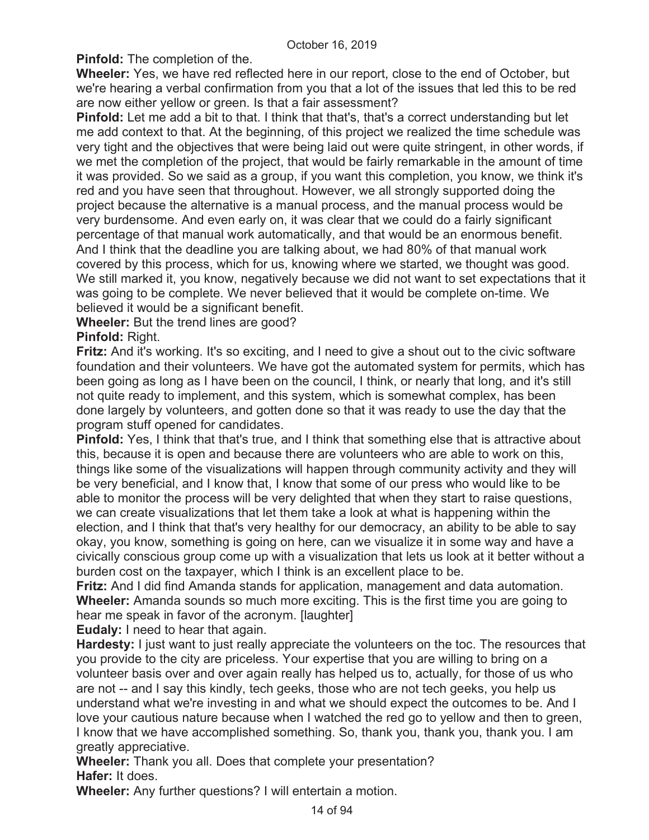**Pinfold:** The completion of the.

**Wheeler:** Yes, we have red reflected here in our report, close to the end of October, but we're hearing a verbal confirmation from you that a lot of the issues that led this to be red are now either yellow or green. Is that a fair assessment?

**Pinfold:** Let me add a bit to that. I think that that's, that's a correct understanding but let me add context to that. At the beginning, of this project we realized the time schedule was very tight and the objectives that were being laid out were quite stringent, in other words, if we met the completion of the project, that would be fairly remarkable in the amount of time it was provided. So we said as a group, if you want this completion, you know, we think it's red and you have seen that throughout. However, we all strongly supported doing the project because the alternative is a manual process, and the manual process would be very burdensome. And even early on, it was clear that we could do a fairly significant percentage of that manual work automatically, and that would be an enormous benefit. And I think that the deadline you are talking about, we had 80% of that manual work covered by this process, which for us, knowing where we started, we thought was good. We still marked it, you know, negatively because we did not want to set expectations that it was going to be complete. We never believed that it would be complete on-time. We believed it would be a significant benefit.

**Wheeler:** But the trend lines are good?

**Pinfold:** Right.

**Fritz:** And it's working. It's so exciting, and I need to give a shout out to the civic software foundation and their volunteers. We have got the automated system for permits, which has been going as long as I have been on the council, I think, or nearly that long, and it's still not quite ready to implement, and this system, which is somewhat complex, has been done largely by volunteers, and gotten done so that it was ready to use the day that the program stuff opened for candidates.

**Pinfold:** Yes, I think that that's true, and I think that something else that is attractive about this, because it is open and because there are volunteers who are able to work on this, things like some of the visualizations will happen through community activity and they will be very beneficial, and I know that, I know that some of our press who would like to be able to monitor the process will be very delighted that when they start to raise questions, we can create visualizations that let them take a look at what is happening within the election, and I think that that's very healthy for our democracy, an ability to be able to say okay, you know, something is going on here, can we visualize it in some way and have a civically conscious group come up with a visualization that lets us look at it better without a burden cost on the taxpayer, which I think is an excellent place to be.

**Fritz:** And I did find Amanda stands for application, management and data automation. **Wheeler:** Amanda sounds so much more exciting. This is the first time you are going to hear me speak in favor of the acronym. [laughter]

**Eudaly:** I need to hear that again.

**Hardesty:** I just want to just really appreciate the volunteers on the toc. The resources that you provide to the city are priceless. Your expertise that you are willing to bring on a volunteer basis over and over again really has helped us to, actually, for those of us who are not -- and I say this kindly, tech geeks, those who are not tech geeks, you help us understand what we're investing in and what we should expect the outcomes to be. And I love your cautious nature because when I watched the red go to yellow and then to green, I know that we have accomplished something. So, thank you, thank you, thank you. I am greatly appreciative.

**Wheeler:** Thank you all. Does that complete your presentation? **Hafer:** It does.

**Wheeler:** Any further questions? I will entertain a motion.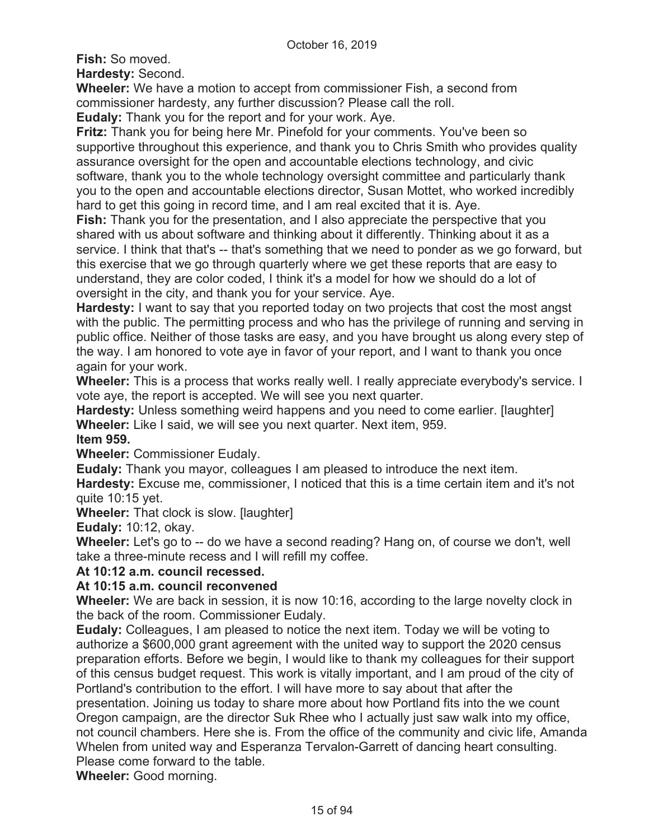**Fish:** So moved.

**Hardesty:** Second.

**Wheeler:** We have a motion to accept from commissioner Fish, a second from commissioner hardesty, any further discussion? Please call the roll.

**Eudaly:** Thank you for the report and for your work. Aye.

**Fritz:** Thank you for being here Mr. Pinefold for your comments. You've been so supportive throughout this experience, and thank you to Chris Smith who provides quality assurance oversight for the open and accountable elections technology, and civic software, thank you to the whole technology oversight committee and particularly thank you to the open and accountable elections director, Susan Mottet, who worked incredibly hard to get this going in record time, and I am real excited that it is. Aye.

**Fish:** Thank you for the presentation, and I also appreciate the perspective that you shared with us about software and thinking about it differently. Thinking about it as a service. I think that that's -- that's something that we need to ponder as we go forward, but this exercise that we go through quarterly where we get these reports that are easy to understand, they are color coded, I think it's a model for how we should do a lot of oversight in the city, and thank you for your service. Aye.

**Hardesty:** I want to say that you reported today on two projects that cost the most angst with the public. The permitting process and who has the privilege of running and serving in public office. Neither of those tasks are easy, and you have brought us along every step of the way. I am honored to vote aye in favor of your report, and I want to thank you once again for your work.

**Wheeler:** This is a process that works really well. I really appreciate everybody's service. I vote aye, the report is accepted. We will see you next quarter.

**Hardesty:** Unless something weird happens and you need to come earlier. [laughter] **Wheeler:** Like I said, we will see you next quarter. Next item, 959.

# **Item 959.**

**Wheeler:** Commissioner Eudaly.

**Eudaly:** Thank you mayor, colleagues I am pleased to introduce the next item.

**Hardesty:** Excuse me, commissioner, I noticed that this is a time certain item and it's not quite 10:15 yet.

**Wheeler:** That clock is slow. [laughter]

**Eudaly:** 10:12, okay.

**Wheeler:** Let's go to -- do we have a second reading? Hang on, of course we don't, well take a three-minute recess and I will refill my coffee.

# **At 10:12 a.m. council recessed.**

# **At 10:15 a.m. council reconvened**

**Wheeler:** We are back in session, it is now 10:16, according to the large novelty clock in the back of the room. Commissioner Eudaly.

**Eudaly:** Colleagues, I am pleased to notice the next item. Today we will be voting to authorize a \$600,000 grant agreement with the united way to support the 2020 census preparation efforts. Before we begin, I would like to thank my colleagues for their support of this census budget request. This work is vitally important, and I am proud of the city of Portland's contribution to the effort. I will have more to say about that after the presentation. Joining us today to share more about how Portland fits into the we count Oregon campaign, are the director Suk Rhee who I actually just saw walk into my office, not council chambers. Here she is. From the office of the community and civic life, Amanda Whelen from united way and Esperanza Tervalon-Garrett of dancing heart consulting. Please come forward to the table.

**Wheeler:** Good morning.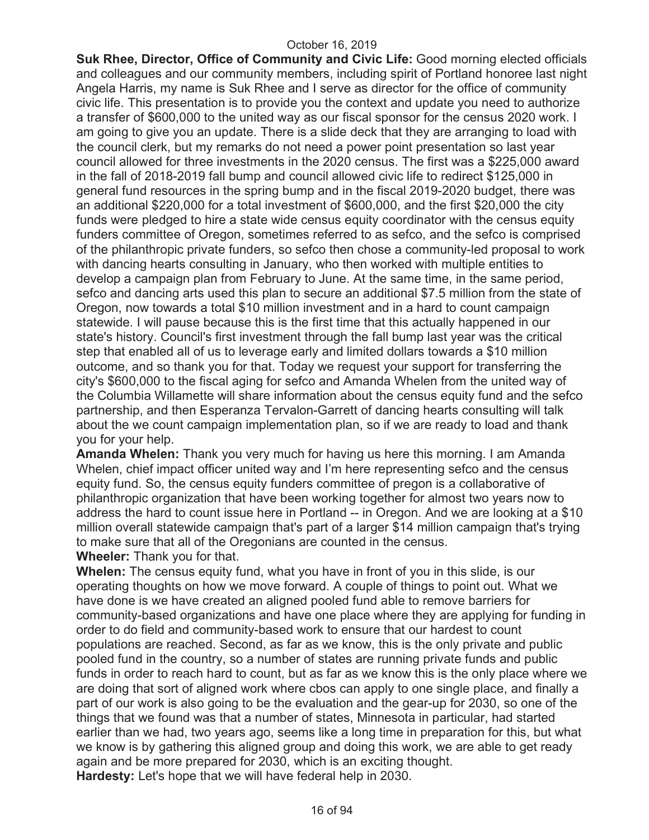**Suk Rhee, Director, Office of Community and Civic Life:** Good morning elected officials and colleagues and our community members, including spirit of Portland honoree last night Angela Harris, my name is Suk Rhee and I serve as director for the office of community civic life. This presentation is to provide you the context and update you need to authorize a transfer of \$600,000 to the united way as our fiscal sponsor for the census 2020 work. I am going to give you an update. There is a slide deck that they are arranging to load with the council clerk, but my remarks do not need a power point presentation so last year council allowed for three investments in the 2020 census. The first was a \$225,000 award in the fall of 2018-2019 fall bump and council allowed civic life to redirect \$125,000 in general fund resources in the spring bump and in the fiscal 2019-2020 budget, there was an additional \$220,000 for a total investment of \$600,000, and the first \$20,000 the city funds were pledged to hire a state wide census equity coordinator with the census equity funders committee of Oregon, sometimes referred to as sefco, and the sefco is comprised of the philanthropic private funders, so sefco then chose a community-led proposal to work with dancing hearts consulting in January, who then worked with multiple entities to develop a campaign plan from February to June. At the same time, in the same period, sefco and dancing arts used this plan to secure an additional \$7.5 million from the state of Oregon, now towards a total \$10 million investment and in a hard to count campaign statewide. I will pause because this is the first time that this actually happened in our state's history. Council's first investment through the fall bump last year was the critical step that enabled all of us to leverage early and limited dollars towards a \$10 million outcome, and so thank you for that. Today we request your support for transferring the city's \$600,000 to the fiscal aging for sefco and Amanda Whelen from the united way of the Columbia Willamette will share information about the census equity fund and the sefco partnership, and then Esperanza Tervalon-Garrett of dancing hearts consulting will talk about the we count campaign implementation plan, so if we are ready to load and thank you for your help.

**Amanda Whelen:** Thank you very much for having us here this morning. I am Amanda Whelen, chief impact officer united way and I'm here representing sefco and the census equity fund. So, the census equity funders committee of pregon is a collaborative of philanthropic organization that have been working together for almost two years now to address the hard to count issue here in Portland -- in Oregon. And we are looking at a \$10 million overall statewide campaign that's part of a larger \$14 million campaign that's trying to make sure that all of the Oregonians are counted in the census.

**Wheeler:** Thank you for that.

**Whelen:** The census equity fund, what you have in front of you in this slide, is our operating thoughts on how we move forward. A couple of things to point out. What we have done is we have created an aligned pooled fund able to remove barriers for community-based organizations and have one place where they are applying for funding in order to do field and community-based work to ensure that our hardest to count populations are reached. Second, as far as we know, this is the only private and public pooled fund in the country, so a number of states are running private funds and public funds in order to reach hard to count, but as far as we know this is the only place where we are doing that sort of aligned work where cbos can apply to one single place, and finally a part of our work is also going to be the evaluation and the gear-up for 2030, so one of the things that we found was that a number of states, Minnesota in particular, had started earlier than we had, two years ago, seems like a long time in preparation for this, but what we know is by gathering this aligned group and doing this work, we are able to get ready again and be more prepared for 2030, which is an exciting thought. **Hardesty:** Let's hope that we will have federal help in 2030.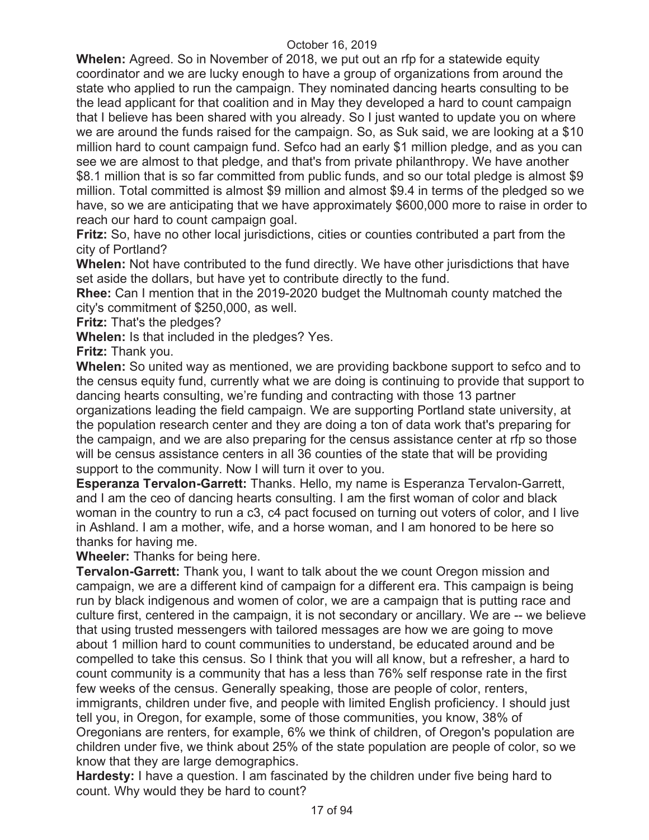**Whelen:** Agreed. So in November of 2018, we put out an rfp for a statewide equity coordinator and we are lucky enough to have a group of organizations from around the state who applied to run the campaign. They nominated dancing hearts consulting to be the lead applicant for that coalition and in May they developed a hard to count campaign that I believe has been shared with you already. So I just wanted to update you on where we are around the funds raised for the campaign. So, as Suk said, we are looking at a \$10 million hard to count campaign fund. Sefco had an early \$1 million pledge, and as you can see we are almost to that pledge, and that's from private philanthropy. We have another \$8.1 million that is so far committed from public funds, and so our total pledge is almost \$9 million. Total committed is almost \$9 million and almost \$9.4 in terms of the pledged so we have, so we are anticipating that we have approximately \$600,000 more to raise in order to reach our hard to count campaign goal.

**Fritz:** So, have no other local jurisdictions, cities or counties contributed a part from the city of Portland?

**Whelen:** Not have contributed to the fund directly. We have other jurisdictions that have set aside the dollars, but have yet to contribute directly to the fund.

**Rhee:** Can I mention that in the 2019-2020 budget the Multnomah county matched the city's commitment of \$250,000, as well.

**Fritz:** That's the pledges?

**Whelen:** Is that included in the pledges? Yes.

**Fritz:** Thank you.

**Whelen:** So united way as mentioned, we are providing backbone support to sefco and to the census equity fund, currently what we are doing is continuing to provide that support to dancing hearts consulting, we're funding and contracting with those 13 partner organizations leading the field campaign. We are supporting Portland state university, at the population research center and they are doing a ton of data work that's preparing for the campaign, and we are also preparing for the census assistance center at rfp so those will be census assistance centers in all 36 counties of the state that will be providing

support to the community. Now I will turn it over to you.

**Esperanza Tervalon-Garrett:** Thanks. Hello, my name is Esperanza Tervalon-Garrett, and I am the ceo of dancing hearts consulting. I am the first woman of color and black woman in the country to run a c3, c4 pact focused on turning out voters of color, and I live in Ashland. I am a mother, wife, and a horse woman, and I am honored to be here so thanks for having me.

**Wheeler:** Thanks for being here.

**Tervalon-Garrett:** Thank you, I want to talk about the we count Oregon mission and campaign, we are a different kind of campaign for a different era. This campaign is being run by black indigenous and women of color, we are a campaign that is putting race and culture first, centered in the campaign, it is not secondary or ancillary. We are -- we believe that using trusted messengers with tailored messages are how we are going to move about 1 million hard to count communities to understand, be educated around and be compelled to take this census. So I think that you will all know, but a refresher, a hard to count community is a community that has a less than 76% self response rate in the first few weeks of the census. Generally speaking, those are people of color, renters, immigrants, children under five, and people with limited English proficiency. I should just tell you, in Oregon, for example, some of those communities, you know, 38% of Oregonians are renters, for example, 6% we think of children, of Oregon's population are children under five, we think about 25% of the state population are people of color, so we know that they are large demographics.

**Hardesty:** I have a question. I am fascinated by the children under five being hard to count. Why would they be hard to count?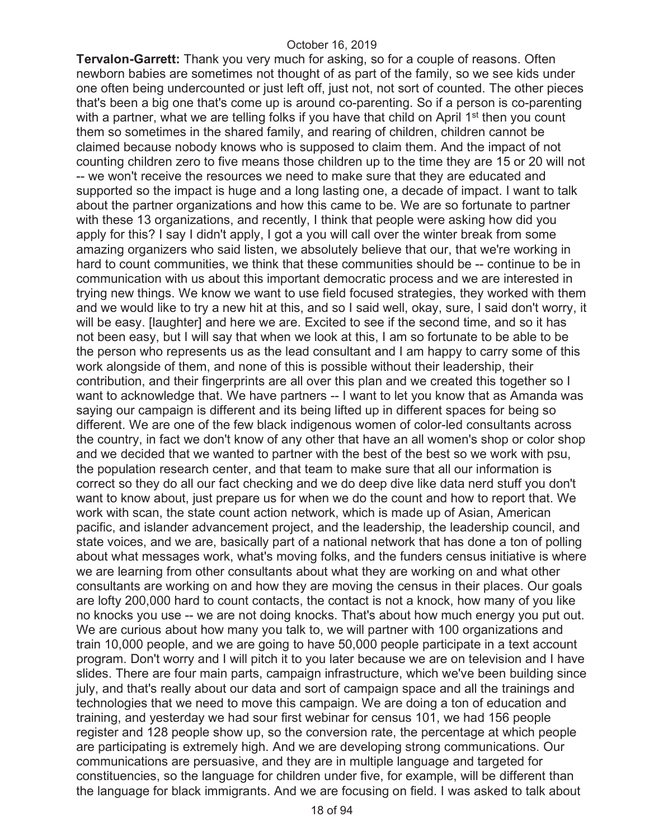**Tervalon-Garrett:** Thank you very much for asking, so for a couple of reasons. Often newborn babies are sometimes not thought of as part of the family, so we see kids under one often being undercounted or just left off, just not, not sort of counted. The other pieces that's been a big one that's come up is around co-parenting. So if a person is co-parenting with a partner, what we are telling folks if you have that child on April 1<sup>st</sup> then you count them so sometimes in the shared family, and rearing of children, children cannot be claimed because nobody knows who is supposed to claim them. And the impact of not counting children zero to five means those children up to the time they are 15 or 20 will not -- we won't receive the resources we need to make sure that they are educated and supported so the impact is huge and a long lasting one, a decade of impact. I want to talk about the partner organizations and how this came to be. We are so fortunate to partner with these 13 organizations, and recently, I think that people were asking how did you apply for this? I say I didn't apply, I got a you will call over the winter break from some amazing organizers who said listen, we absolutely believe that our, that we're working in hard to count communities, we think that these communities should be -- continue to be in communication with us about this important democratic process and we are interested in trying new things. We know we want to use field focused strategies, they worked with them and we would like to try a new hit at this, and so I said well, okay, sure, I said don't worry, it will be easy. [laughter] and here we are. Excited to see if the second time, and so it has not been easy, but I will say that when we look at this, I am so fortunate to be able to be the person who represents us as the lead consultant and I am happy to carry some of this work alongside of them, and none of this is possible without their leadership, their contribution, and their fingerprints are all over this plan and we created this together so I want to acknowledge that. We have partners -- I want to let you know that as Amanda was saying our campaign is different and its being lifted up in different spaces for being so different. We are one of the few black indigenous women of color-led consultants across the country, in fact we don't know of any other that have an all women's shop or color shop and we decided that we wanted to partner with the best of the best so we work with psu, the population research center, and that team to make sure that all our information is correct so they do all our fact checking and we do deep dive like data nerd stuff you don't want to know about, just prepare us for when we do the count and how to report that. We work with scan, the state count action network, which is made up of Asian, American pacific, and islander advancement project, and the leadership, the leadership council, and state voices, and we are, basically part of a national network that has done a ton of polling about what messages work, what's moving folks, and the funders census initiative is where we are learning from other consultants about what they are working on and what other consultants are working on and how they are moving the census in their places. Our goals are lofty 200,000 hard to count contacts, the contact is not a knock, how many of you like no knocks you use -- we are not doing knocks. That's about how much energy you put out. We are curious about how many you talk to, we will partner with 100 organizations and train 10,000 people, and we are going to have 50,000 people participate in a text account program. Don't worry and I will pitch it to you later because we are on television and I have slides. There are four main parts, campaign infrastructure, which we've been building since july, and that's really about our data and sort of campaign space and all the trainings and technologies that we need to move this campaign. We are doing a ton of education and training, and yesterday we had sour first webinar for census 101, we had 156 people register and 128 people show up, so the conversion rate, the percentage at which people are participating is extremely high. And we are developing strong communications. Our communications are persuasive, and they are in multiple language and targeted for constituencies, so the language for children under five, for example, will be different than the language for black immigrants. And we are focusing on field. I was asked to talk about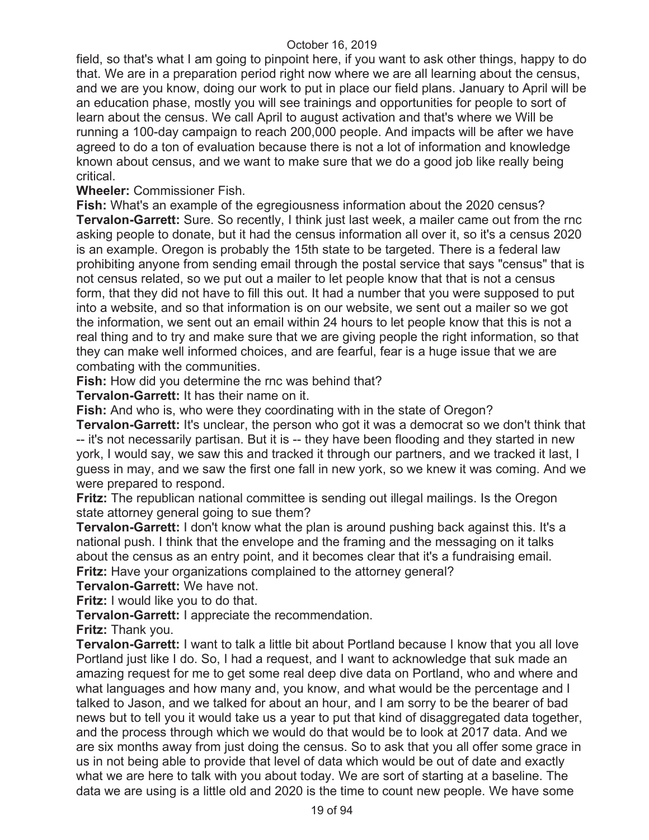field, so that's what I am going to pinpoint here, if you want to ask other things, happy to do that. We are in a preparation period right now where we are all learning about the census, and we are you know, doing our work to put in place our field plans. January to April will be an education phase, mostly you will see trainings and opportunities for people to sort of learn about the census. We call April to august activation and that's where we Will be running a 100-day campaign to reach 200,000 people. And impacts will be after we have agreed to do a ton of evaluation because there is not a lot of information and knowledge known about census, and we want to make sure that we do a good job like really being critical.

**Wheeler:** Commissioner Fish.

**Fish:** What's an example of the egregiousness information about the 2020 census? **Tervalon-Garrett:** Sure. So recently, I think just last week, a mailer came out from the rnc asking people to donate, but it had the census information all over it, so it's a census 2020 is an example. Oregon is probably the 15th state to be targeted. There is a federal law prohibiting anyone from sending email through the postal service that says "census" that is not census related, so we put out a mailer to let people know that that is not a census form, that they did not have to fill this out. It had a number that you were supposed to put into a website, and so that information is on our website, we sent out a mailer so we got the information, we sent out an email within 24 hours to let people know that this is not a real thing and to try and make sure that we are giving people the right information, so that they can make well informed choices, and are fearful, fear is a huge issue that we are combating with the communities.

**Fish:** How did you determine the rnc was behind that?

**Tervalon-Garrett:** It has their name on it.

**Fish:** And who is, who were they coordinating with in the state of Oregon?

**Tervalon-Garrett:** It's unclear, the person who got it was a democrat so we don't think that -- it's not necessarily partisan. But it is -- they have been flooding and they started in new york, I would say, we saw this and tracked it through our partners, and we tracked it last, I guess in may, and we saw the first one fall in new york, so we knew it was coming. And we were prepared to respond.

**Fritz:** The republican national committee is sending out illegal mailings. Is the Oregon state attorney general going to sue them?

**Tervalon-Garrett:** I don't know what the plan is around pushing back against this. It's a national push. I think that the envelope and the framing and the messaging on it talks about the census as an entry point, and it becomes clear that it's a fundraising email. **Fritz:** Have your organizations complained to the attorney general?

**Tervalon-Garrett:** We have not.

**Fritz:** I would like you to do that.

**Tervalon-Garrett:** I appreciate the recommendation.

**Fritz:** Thank you.

**Tervalon-Garrett:** I want to talk a little bit about Portland because I know that you all love Portland just like I do. So, I had a request, and I want to acknowledge that suk made an amazing request for me to get some real deep dive data on Portland, who and where and what languages and how many and, you know, and what would be the percentage and I talked to Jason, and we talked for about an hour, and I am sorry to be the bearer of bad news but to tell you it would take us a year to put that kind of disaggregated data together, and the process through which we would do that would be to look at 2017 data. And we are six months away from just doing the census. So to ask that you all offer some grace in us in not being able to provide that level of data which would be out of date and exactly what we are here to talk with you about today. We are sort of starting at a baseline. The data we are using is a little old and 2020 is the time to count new people. We have some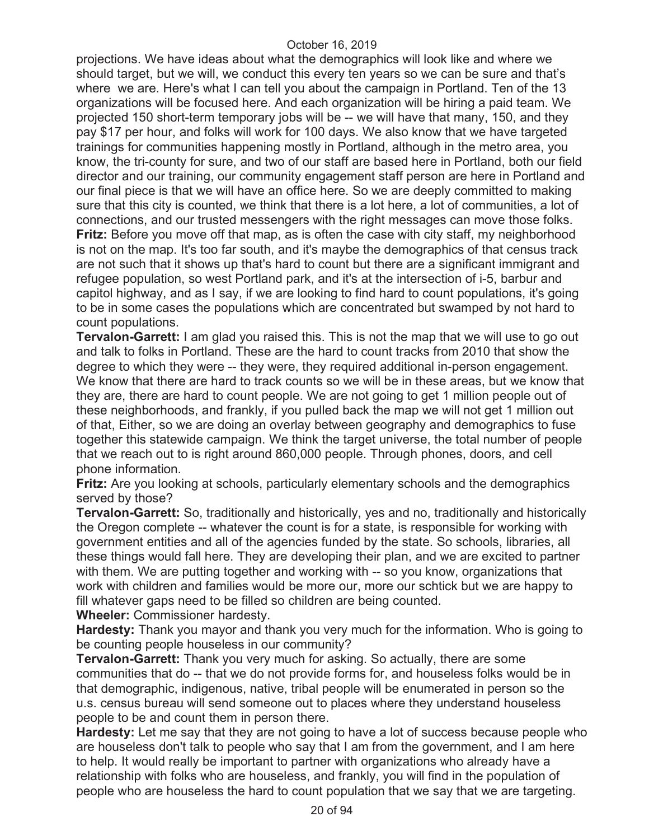projections. We have ideas about what the demographics will look like and where we should target, but we will, we conduct this every ten years so we can be sure and that's where we are. Here's what I can tell you about the campaign in Portland. Ten of the 13 organizations will be focused here. And each organization will be hiring a paid team. We projected 150 short-term temporary jobs will be -- we will have that many, 150, and they pay \$17 per hour, and folks will work for 100 days. We also know that we have targeted trainings for communities happening mostly in Portland, although in the metro area, you know, the tri-county for sure, and two of our staff are based here in Portland, both our field director and our training, our community engagement staff person are here in Portland and our final piece is that we will have an office here. So we are deeply committed to making sure that this city is counted, we think that there is a lot here, a lot of communities, a lot of connections, and our trusted messengers with the right messages can move those folks. **Fritz:** Before you move off that map, as is often the case with city staff, my neighborhood is not on the map. It's too far south, and it's maybe the demographics of that census track are not such that it shows up that's hard to count but there are a significant immigrant and refugee population, so west Portland park, and it's at the intersection of i-5, barbur and capitol highway, and as I say, if we are looking to find hard to count populations, it's going to be in some cases the populations which are concentrated but swamped by not hard to count populations.

**Tervalon-Garrett:** I am glad you raised this. This is not the map that we will use to go out and talk to folks in Portland. These are the hard to count tracks from 2010 that show the degree to which they were -- they were, they required additional in-person engagement. We know that there are hard to track counts so we will be in these areas, but we know that they are, there are hard to count people. We are not going to get 1 million people out of these neighborhoods, and frankly, if you pulled back the map we will not get 1 million out of that, Either, so we are doing an overlay between geography and demographics to fuse together this statewide campaign. We think the target universe, the total number of people that we reach out to is right around 860,000 people. Through phones, doors, and cell phone information.

**Fritz:** Are you looking at schools, particularly elementary schools and the demographics served by those?

**Tervalon-Garrett:** So, traditionally and historically, yes and no, traditionally and historically the Oregon complete -- whatever the count is for a state, is responsible for working with government entities and all of the agencies funded by the state. So schools, libraries, all these things would fall here. They are developing their plan, and we are excited to partner with them. We are putting together and working with -- so you know, organizations that work with children and families would be more our, more our schtick but we are happy to fill whatever gaps need to be filled so children are being counted.

**Wheeler:** Commissioner hardesty.

**Hardesty:** Thank you mayor and thank you very much for the information. Who is going to be counting people houseless in our community?

**Tervalon-Garrett:** Thank you very much for asking. So actually, there are some communities that do -- that we do not provide forms for, and houseless folks would be in that demographic, indigenous, native, tribal people will be enumerated in person so the u.s. census bureau will send someone out to places where they understand houseless people to be and count them in person there.

**Hardesty:** Let me say that they are not going to have a lot of success because people who are houseless don't talk to people who say that I am from the government, and I am here to help. It would really be important to partner with organizations who already have a relationship with folks who are houseless, and frankly, you will find in the population of people who are houseless the hard to count population that we say that we are targeting.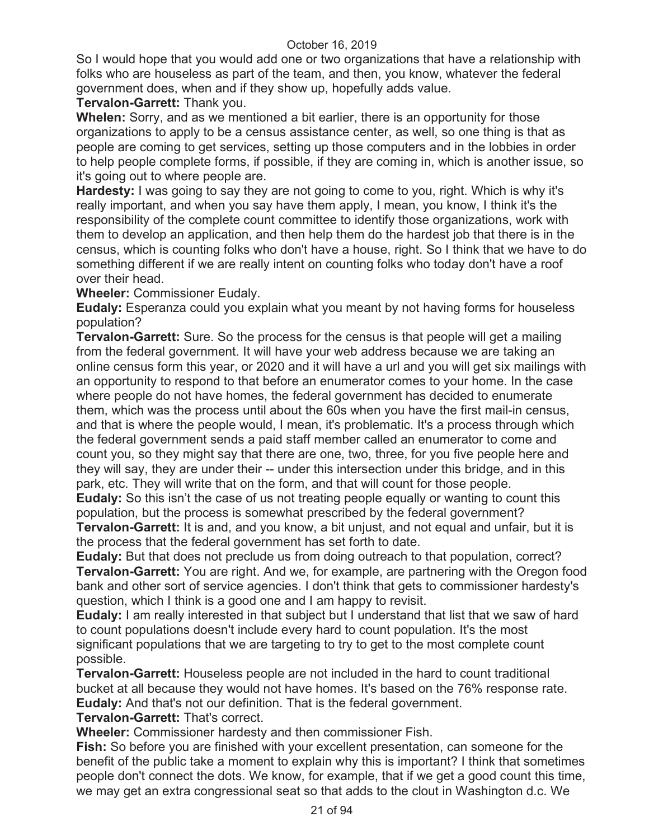So I would hope that you would add one or two organizations that have a relationship with folks who are houseless as part of the team, and then, you know, whatever the federal government does, when and if they show up, hopefully adds value.

# **Tervalon-Garrett:** Thank you.

**Whelen:** Sorry, and as we mentioned a bit earlier, there is an opportunity for those organizations to apply to be a census assistance center, as well, so one thing is that as people are coming to get services, setting up those computers and in the lobbies in order to help people complete forms, if possible, if they are coming in, which is another issue, so it's going out to where people are.

**Hardesty:** I was going to say they are not going to come to you, right. Which is why it's really important, and when you say have them apply, I mean, you know, I think it's the responsibility of the complete count committee to identify those organizations, work with them to develop an application, and then help them do the hardest job that there is in the census, which is counting folks who don't have a house, right. So I think that we have to do something different if we are really intent on counting folks who today don't have a roof over their head.

**Wheeler:** Commissioner Eudaly.

**Eudaly:** Esperanza could you explain what you meant by not having forms for houseless population?

**Tervalon-Garrett:** Sure. So the process for the census is that people will get a mailing from the federal government. It will have your web address because we are taking an online census form this year, or 2020 and it will have a url and you will get six mailings with an opportunity to respond to that before an enumerator comes to your home. In the case where people do not have homes, the federal government has decided to enumerate them, which was the process until about the 60s when you have the first mail-in census, and that is where the people would, I mean, it's problematic. It's a process through which the federal government sends a paid staff member called an enumerator to come and count you, so they might say that there are one, two, three, for you five people here and they will say, they are under their -- under this intersection under this bridge, and in this park, etc. They will write that on the form, and that will count for those people.

**Eudaly:** So this isn't the case of us not treating people equally or wanting to count this population, but the process is somewhat prescribed by the federal government? **Tervalon-Garrett:** It is and, and you know, a bit unjust, and not equal and unfair, but it is

the process that the federal government has set forth to date.

**Eudaly:** But that does not preclude us from doing outreach to that population, correct? **Tervalon-Garrett:** You are right. And we, for example, are partnering with the Oregon food bank and other sort of service agencies. I don't think that gets to commissioner hardesty's question, which I think is a good one and I am happy to revisit.

**Eudaly:** I am really interested in that subject but I understand that list that we saw of hard to count populations doesn't include every hard to count population. It's the most significant populations that we are targeting to try to get to the most complete count possible.

**Tervalon-Garrett:** Houseless people are not included in the hard to count traditional bucket at all because they would not have homes. It's based on the 76% response rate. **Eudaly:** And that's not our definition. That is the federal government.

**Tervalon-Garrett:** That's correct.

**Wheeler:** Commissioner hardesty and then commissioner Fish.

**Fish:** So before you are finished with your excellent presentation, can someone for the benefit of the public take a moment to explain why this is important? I think that sometimes people don't connect the dots. We know, for example, that if we get a good count this time, we may get an extra congressional seat so that adds to the clout in Washington d.c. We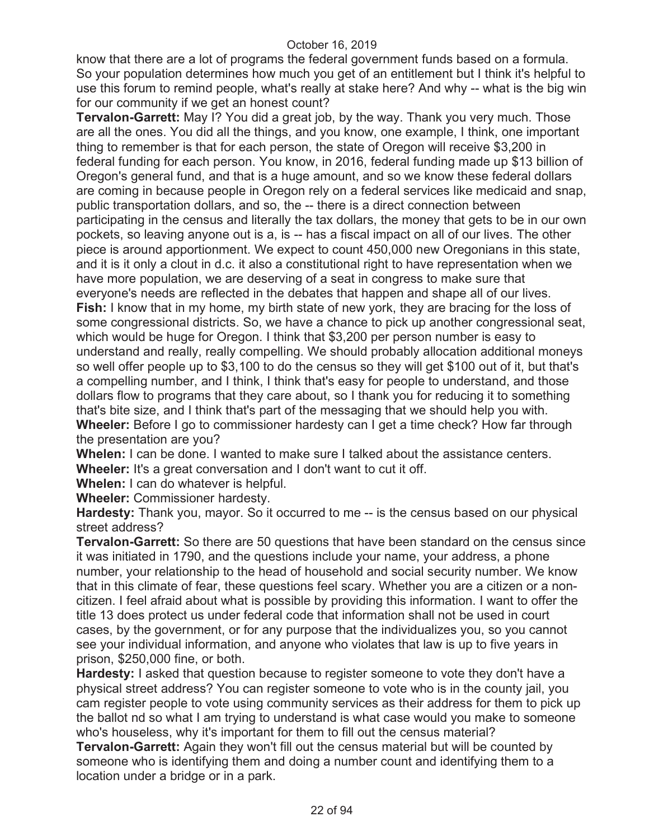know that there are a lot of programs the federal government funds based on a formula. So your population determines how much you get of an entitlement but I think it's helpful to use this forum to remind people, what's really at stake here? And why -- what is the big win for our community if we get an honest count?

**Tervalon-Garrett:** May I? You did a great job, by the way. Thank you very much. Those are all the ones. You did all the things, and you know, one example, I think, one important thing to remember is that for each person, the state of Oregon will receive \$3,200 in federal funding for each person. You know, in 2016, federal funding made up \$13 billion of Oregon's general fund, and that is a huge amount, and so we know these federal dollars are coming in because people in Oregon rely on a federal services like medicaid and snap, public transportation dollars, and so, the -- there is a direct connection between participating in the census and literally the tax dollars, the money that gets to be in our own pockets, so leaving anyone out is a, is -- has a fiscal impact on all of our lives. The other piece is around apportionment. We expect to count 450,000 new Oregonians in this state, and it is it only a clout in d.c. it also a constitutional right to have representation when we have more population, we are deserving of a seat in congress to make sure that everyone's needs are reflected in the debates that happen and shape all of our lives. **Fish:** I know that in my home, my birth state of new york, they are bracing for the loss of some congressional districts. So, we have a chance to pick up another congressional seat, which would be huge for Oregon. I think that \$3,200 per person number is easy to understand and really, really compelling. We should probably allocation additional moneys so well offer people up to \$3,100 to do the census so they will get \$100 out of it, but that's a compelling number, and I think, I think that's easy for people to understand, and those dollars flow to programs that they care about, so I thank you for reducing it to something that's bite size, and I think that's part of the messaging that we should help you with. **Wheeler:** Before I go to commissioner hardesty can I get a time check? How far through the presentation are you?

**Whelen:** I can be done. I wanted to make sure I talked about the assistance centers. **Wheeler:** It's a great conversation and I don't want to cut it off.

**Whelen:** I can do whatever is helpful.

**Wheeler:** Commissioner hardesty.

**Hardesty:** Thank you, mayor. So it occurred to me -- is the census based on our physical street address?

**Tervalon-Garrett:** So there are 50 questions that have been standard on the census since it was initiated in 1790, and the questions include your name, your address, a phone number, your relationship to the head of household and social security number. We know that in this climate of fear, these questions feel scary. Whether you are a citizen or a noncitizen. I feel afraid about what is possible by providing this information. I want to offer the title 13 does protect us under federal code that information shall not be used in court cases, by the government, or for any purpose that the individualizes you, so you cannot see your individual information, and anyone who violates that law is up to five years in prison, \$250,000 fine, or both.

**Hardesty:** I asked that question because to register someone to vote they don't have a physical street address? You can register someone to vote who is in the county jail, you cam register people to vote using community services as their address for them to pick up the ballot nd so what I am trying to understand is what case would you make to someone who's houseless, why it's important for them to fill out the census material?

**Tervalon-Garrett:** Again they won't fill out the census material but will be counted by someone who is identifying them and doing a number count and identifying them to a location under a bridge or in a park.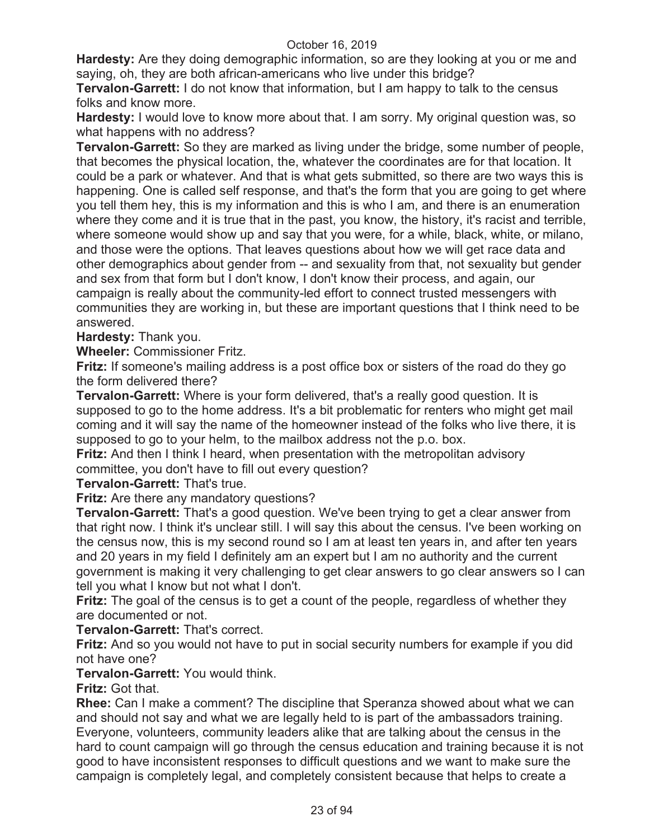**Hardesty:** Are they doing demographic information, so are they looking at you or me and saying, oh, they are both african-americans who live under this bridge?

**Tervalon-Garrett:** I do not know that information, but I am happy to talk to the census folks and know more.

**Hardesty:** I would love to know more about that. I am sorry. My original question was, so what happens with no address?

**Tervalon-Garrett:** So they are marked as living under the bridge, some number of people, that becomes the physical location, the, whatever the coordinates are for that location. It could be a park or whatever. And that is what gets submitted, so there are two ways this is happening. One is called self response, and that's the form that you are going to get where you tell them hey, this is my information and this is who I am, and there is an enumeration where they come and it is true that in the past, you know, the history, it's racist and terrible, where someone would show up and say that you were, for a while, black, white, or milano, and those were the options. That leaves questions about how we will get race data and other demographics about gender from -- and sexuality from that, not sexuality but gender and sex from that form but I don't know, I don't know their process, and again, our campaign is really about the community-led effort to connect trusted messengers with communities they are working in, but these are important questions that I think need to be answered.

**Hardesty:** Thank you.

**Wheeler:** Commissioner Fritz.

**Fritz:** If someone's mailing address is a post office box or sisters of the road do they go the form delivered there?

**Tervalon-Garrett:** Where is your form delivered, that's a really good question. It is supposed to go to the home address. It's a bit problematic for renters who might get mail coming and it will say the name of the homeowner instead of the folks who live there, it is supposed to go to your helm, to the mailbox address not the p.o. box.

**Fritz:** And then I think I heard, when presentation with the metropolitan advisory committee, you don't have to fill out every question?

**Tervalon-Garrett:** That's true.

**Fritz:** Are there any mandatory questions?

**Tervalon-Garrett:** That's a good question. We've been trying to get a clear answer from that right now. I think it's unclear still. I will say this about the census. I've been working on the census now, this is my second round so I am at least ten years in, and after ten years and 20 years in my field I definitely am an expert but I am no authority and the current government is making it very challenging to get clear answers to go clear answers so I can tell you what I know but not what I don't.

**Fritz:** The goal of the census is to get a count of the people, regardless of whether they are documented or not.

**Tervalon-Garrett:** That's correct.

**Fritz:** And so you would not have to put in social security numbers for example if you did not have one?

**Tervalon-Garrett:** You would think.

**Fritz:** Got that.

**Rhee:** Can I make a comment? The discipline that Speranza showed about what we can and should not say and what we are legally held to is part of the ambassadors training. Everyone, volunteers, community leaders alike that are talking about the census in the hard to count campaign will go through the census education and training because it is not good to have inconsistent responses to difficult questions and we want to make sure the campaign is completely legal, and completely consistent because that helps to create a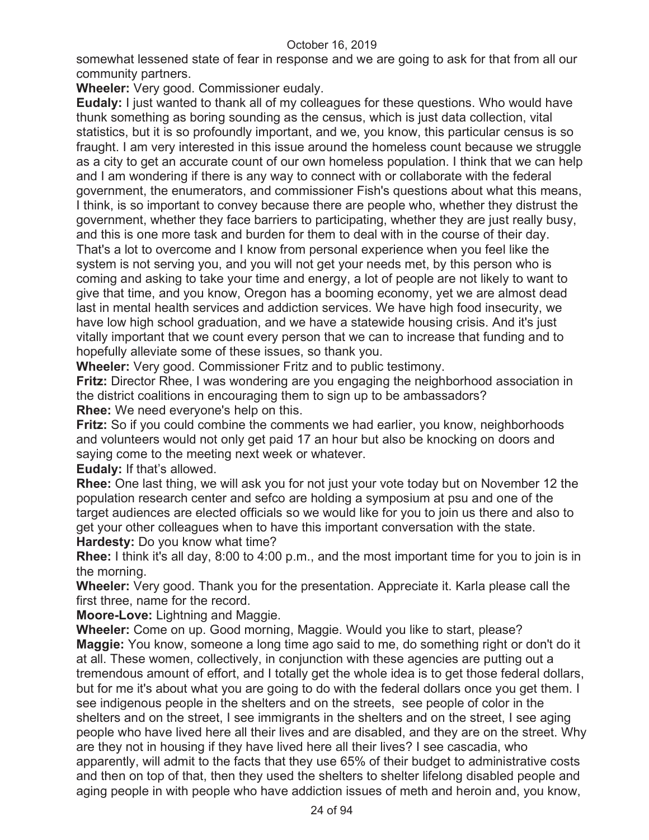somewhat lessened state of fear in response and we are going to ask for that from all our community partners.

**Wheeler:** Very good. Commissioner eudaly.

**Eudaly:** I just wanted to thank all of my colleagues for these questions. Who would have thunk something as boring sounding as the census, which is just data collection, vital statistics, but it is so profoundly important, and we, you know, this particular census is so fraught. I am very interested in this issue around the homeless count because we struggle as a city to get an accurate count of our own homeless population. I think that we can help and I am wondering if there is any way to connect with or collaborate with the federal government, the enumerators, and commissioner Fish's questions about what this means, I think, is so important to convey because there are people who, whether they distrust the government, whether they face barriers to participating, whether they are just really busy, and this is one more task and burden for them to deal with in the course of their day. That's a lot to overcome and I know from personal experience when you feel like the system is not serving you, and you will not get your needs met, by this person who is coming and asking to take your time and energy, a lot of people are not likely to want to give that time, and you know, Oregon has a booming economy, yet we are almost dead last in mental health services and addiction services. We have high food insecurity, we have low high school graduation, and we have a statewide housing crisis. And it's just vitally important that we count every person that we can to increase that funding and to hopefully alleviate some of these issues, so thank you.

**Wheeler:** Very good. Commissioner Fritz and to public testimony.

**Fritz:** Director Rhee, I was wondering are you engaging the neighborhood association in the district coalitions in encouraging them to sign up to be ambassadors? **Rhee:** We need everyone's help on this.

**Fritz:** So if you could combine the comments we had earlier, you know, neighborhoods and volunteers would not only get paid 17 an hour but also be knocking on doors and saying come to the meeting next week or whatever.

**Eudaly:** If that's allowed.

**Rhee:** One last thing, we will ask you for not just your vote today but on November 12 the population research center and sefco are holding a symposium at psu and one of the target audiences are elected officials so we would like for you to join us there and also to get your other colleagues when to have this important conversation with the state. **Hardesty:** Do you know what time?

**Rhee:** I think it's all day, 8:00 to 4:00 p.m., and the most important time for you to join is in the morning.

**Wheeler:** Very good. Thank you for the presentation. Appreciate it. Karla please call the first three, name for the record.

**Moore-Love:** Lightning and Maggie.

**Wheeler:** Come on up. Good morning, Maggie. Would you like to start, please? **Maggie:** You know, someone a long time ago said to me, do something right or don't do it at all. These women, collectively, in conjunction with these agencies are putting out a tremendous amount of effort, and I totally get the whole idea is to get those federal dollars, but for me it's about what you are going to do with the federal dollars once you get them. I see indigenous people in the shelters and on the streets, see people of color in the shelters and on the street, I see immigrants in the shelters and on the street, I see aging people who have lived here all their lives and are disabled, and they are on the street. Why are they not in housing if they have lived here all their lives? I see cascadia, who apparently, will admit to the facts that they use 65% of their budget to administrative costs and then on top of that, then they used the shelters to shelter lifelong disabled people and aging people in with people who have addiction issues of meth and heroin and, you know,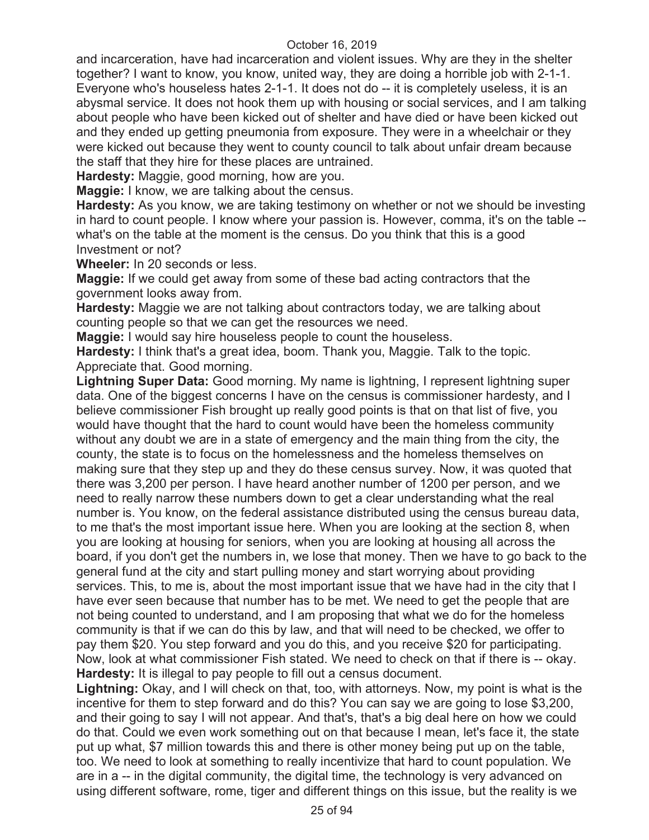and incarceration, have had incarceration and violent issues. Why are they in the shelter together? I want to know, you know, united way, they are doing a horrible job with 2-1-1. Everyone who's houseless hates 2-1-1. It does not do -- it is completely useless, it is an abysmal service. It does not hook them up with housing or social services, and I am talking about people who have been kicked out of shelter and have died or have been kicked out and they ended up getting pneumonia from exposure. They were in a wheelchair or they were kicked out because they went to county council to talk about unfair dream because the staff that they hire for these places are untrained.

**Hardesty:** Maggie, good morning, how are you.

**Maggie:** I know, we are talking about the census.

**Hardesty:** As you know, we are taking testimony on whether or not we should be investing in hard to count people. I know where your passion is. However, comma, it's on the table - what's on the table at the moment is the census. Do you think that this is a good Investment or not?

**Wheeler:** In 20 seconds or less.

**Maggie:** If we could get away from some of these bad acting contractors that the government looks away from.

**Hardesty:** Maggie we are not talking about contractors today, we are talking about counting people so that we can get the resources we need.

**Maggie:** I would say hire houseless people to count the houseless.

**Hardesty:** I think that's a great idea, boom. Thank you, Maggie. Talk to the topic. Appreciate that. Good morning.

**Lightning Super Data:** Good morning. My name is lightning, I represent lightning super data. One of the biggest concerns I have on the census is commissioner hardesty, and I believe commissioner Fish brought up really good points is that on that list of five, you would have thought that the hard to count would have been the homeless community without any doubt we are in a state of emergency and the main thing from the city, the county, the state is to focus on the homelessness and the homeless themselves on making sure that they step up and they do these census survey. Now, it was quoted that there was 3,200 per person. I have heard another number of 1200 per person, and we need to really narrow these numbers down to get a clear understanding what the real number is. You know, on the federal assistance distributed using the census bureau data, to me that's the most important issue here. When you are looking at the section 8, when you are looking at housing for seniors, when you are looking at housing all across the board, if you don't get the numbers in, we lose that money. Then we have to go back to the general fund at the city and start pulling money and start worrying about providing services. This, to me is, about the most important issue that we have had in the city that I have ever seen because that number has to be met. We need to get the people that are not being counted to understand, and I am proposing that what we do for the homeless community is that if we can do this by law, and that will need to be checked, we offer to pay them \$20. You step forward and you do this, and you receive \$20 for participating. Now, look at what commissioner Fish stated. We need to check on that if there is -- okay. **Hardesty:** It is illegal to pay people to fill out a census document.

**Lightning:** Okay, and I will check on that, too, with attorneys. Now, my point is what is the incentive for them to step forward and do this? You can say we are going to lose \$3,200, and their going to say I will not appear. And that's, that's a big deal here on how we could do that. Could we even work something out on that because I mean, let's face it, the state put up what, \$7 million towards this and there is other money being put up on the table, too. We need to look at something to really incentivize that hard to count population. We are in a -- in the digital community, the digital time, the technology is very advanced on using different software, rome, tiger and different things on this issue, but the reality is we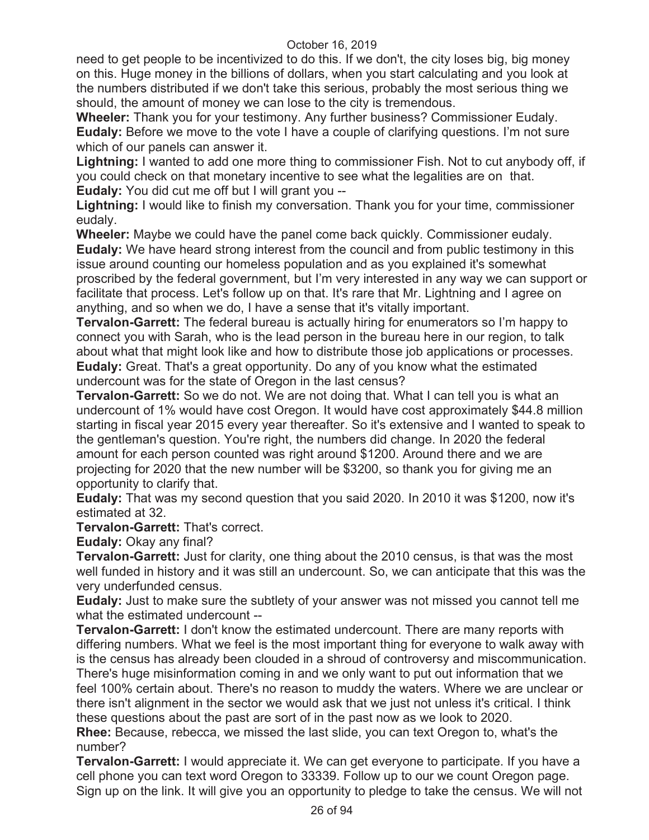need to get people to be incentivized to do this. If we don't, the city loses big, big money on this. Huge money in the billions of dollars, when you start calculating and you look at the numbers distributed if we don't take this serious, probably the most serious thing we should, the amount of money we can lose to the city is tremendous.

**Wheeler:** Thank you for your testimony. Any further business? Commissioner Eudaly. **Eudaly:** Before we move to the vote I have a couple of clarifying questions. I'm not sure which of our panels can answer it.

**Lightning:** I wanted to add one more thing to commissioner Fish. Not to cut anybody off, if you could check on that monetary incentive to see what the legalities are on that. **Eudaly:** You did cut me off but I will grant you --

**Lightning:** I would like to finish my conversation. Thank you for your time, commissioner eudaly.

**Wheeler:** Maybe we could have the panel come back quickly. Commissioner eudaly. **Eudaly:** We have heard strong interest from the council and from public testimony in this issue around counting our homeless population and as you explained it's somewhat proscribed by the federal government, but I'm very interested in any way we can support or facilitate that process. Let's follow up on that. It's rare that Mr. Lightning and I agree on anything, and so when we do, I have a sense that it's vitally important.

**Tervalon-Garrett:** The federal bureau is actually hiring for enumerators so I'm happy to connect you with Sarah, who is the lead person in the bureau here in our region, to talk about what that might look like and how to distribute those job applications or processes. **Eudaly:** Great. That's a great opportunity. Do any of you know what the estimated undercount was for the state of Oregon in the last census?

**Tervalon-Garrett:** So we do not. We are not doing that. What I can tell you is what an undercount of 1% would have cost Oregon. It would have cost approximately \$44.8 million starting in fiscal year 2015 every year thereafter. So it's extensive and I wanted to speak to the gentleman's question. You're right, the numbers did change. In 2020 the federal amount for each person counted was right around \$1200. Around there and we are projecting for 2020 that the new number will be \$3200, so thank you for giving me an opportunity to clarify that.

**Eudaly:** That was my second question that you said 2020. In 2010 it was \$1200, now it's estimated at 32.

**Tervalon-Garrett:** That's correct.

**Eudaly:** Okay any final?

**Tervalon-Garrett:** Just for clarity, one thing about the 2010 census, is that was the most well funded in history and it was still an undercount. So, we can anticipate that this was the very underfunded census.

**Eudaly:** Just to make sure the subtlety of your answer was not missed you cannot tell me what the estimated undercount --

**Tervalon-Garrett:** I don't know the estimated undercount. There are many reports with differing numbers. What we feel is the most important thing for everyone to walk away with is the census has already been clouded in a shroud of controversy and miscommunication. There's huge misinformation coming in and we only want to put out information that we feel 100% certain about. There's no reason to muddy the waters. Where we are unclear or there isn't alignment in the sector we would ask that we just not unless it's critical. I think these questions about the past are sort of in the past now as we look to 2020.

**Rhee:** Because, rebecca, we missed the last slide, you can text Oregon to, what's the number?

**Tervalon-Garrett:** I would appreciate it. We can get everyone to participate. If you have a cell phone you can text word Oregon to 33339. Follow up to our we count Oregon page. Sign up on the link. It will give you an opportunity to pledge to take the census. We will not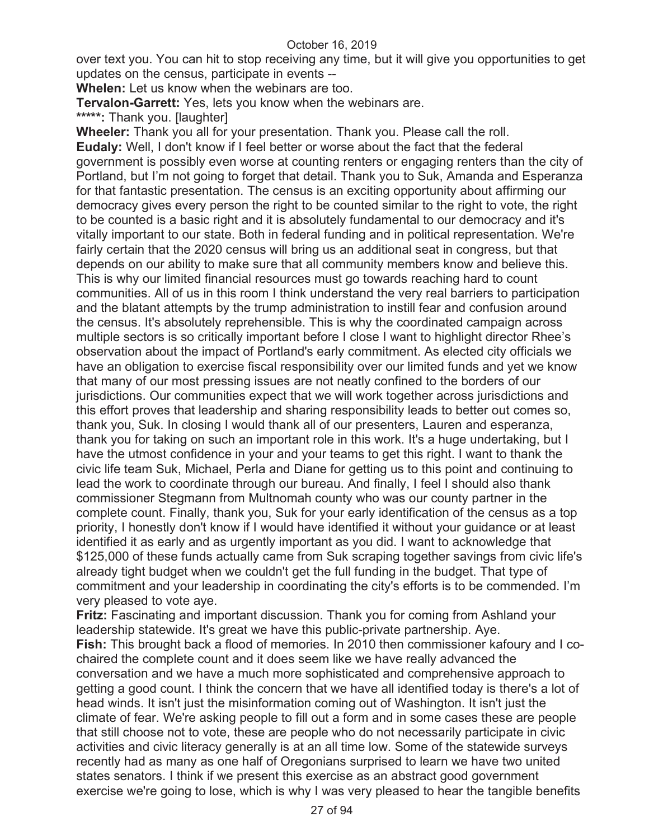over text you. You can hit to stop receiving any time, but it will give you opportunities to get updates on the census, participate in events --

**Whelen:** Let us know when the webinars are too.

**Tervalon-Garrett:** Yes, lets you know when the webinars are.

**\*\*\*\*\*:** Thank you. [laughter]

**Wheeler:** Thank you all for your presentation. Thank you. Please call the roll. **Eudaly:** Well, I don't know if I feel better or worse about the fact that the federal government is possibly even worse at counting renters or engaging renters than the city of Portland, but I'm not going to forget that detail. Thank you to Suk, Amanda and Esperanza for that fantastic presentation. The census is an exciting opportunity about affirming our democracy gives every person the right to be counted similar to the right to vote, the right to be counted is a basic right and it is absolutely fundamental to our democracy and it's vitally important to our state. Both in federal funding and in political representation. We're fairly certain that the 2020 census will bring us an additional seat in congress, but that depends on our ability to make sure that all community members know and believe this. This is why our limited financial resources must go towards reaching hard to count communities. All of us in this room I think understand the very real barriers to participation and the blatant attempts by the trump administration to instill fear and confusion around the census. It's absolutely reprehensible. This is why the coordinated campaign across multiple sectors is so critically important before I close I want to highlight director Rhee's observation about the impact of Portland's early commitment. As elected city officials we have an obligation to exercise fiscal responsibility over our limited funds and yet we know that many of our most pressing issues are not neatly confined to the borders of our jurisdictions. Our communities expect that we will work together across jurisdictions and this effort proves that leadership and sharing responsibility leads to better out comes so, thank you, Suk. In closing I would thank all of our presenters, Lauren and esperanza, thank you for taking on such an important role in this work. It's a huge undertaking, but I have the utmost confidence in your and your teams to get this right. I want to thank the civic life team Suk, Michael, Perla and Diane for getting us to this point and continuing to lead the work to coordinate through our bureau. And finally, I feel I should also thank commissioner Stegmann from Multnomah county who was our county partner in the complete count. Finally, thank you, Suk for your early identification of the census as a top priority, I honestly don't know if I would have identified it without your guidance or at least identified it as early and as urgently important as you did. I want to acknowledge that \$125,000 of these funds actually came from Suk scraping together savings from civic life's already tight budget when we couldn't get the full funding in the budget. That type of commitment and your leadership in coordinating the city's efforts is to be commended. I'm very pleased to vote aye.

**Fritz:** Fascinating and important discussion. Thank you for coming from Ashland your leadership statewide. It's great we have this public-private partnership. Aye. **Fish:** This brought back a flood of memories. In 2010 then commissioner kafoury and I cochaired the complete count and it does seem like we have really advanced the conversation and we have a much more sophisticated and comprehensive approach to getting a good count. I think the concern that we have all identified today is there's a lot of head winds. It isn't just the misinformation coming out of Washington. It isn't just the climate of fear. We're asking people to fill out a form and in some cases these are people that still choose not to vote, these are people who do not necessarily participate in civic activities and civic literacy generally is at an all time low. Some of the statewide surveys recently had as many as one half of Oregonians surprised to learn we have two united states senators. I think if we present this exercise as an abstract good government exercise we're going to lose, which is why I was very pleased to hear the tangible benefits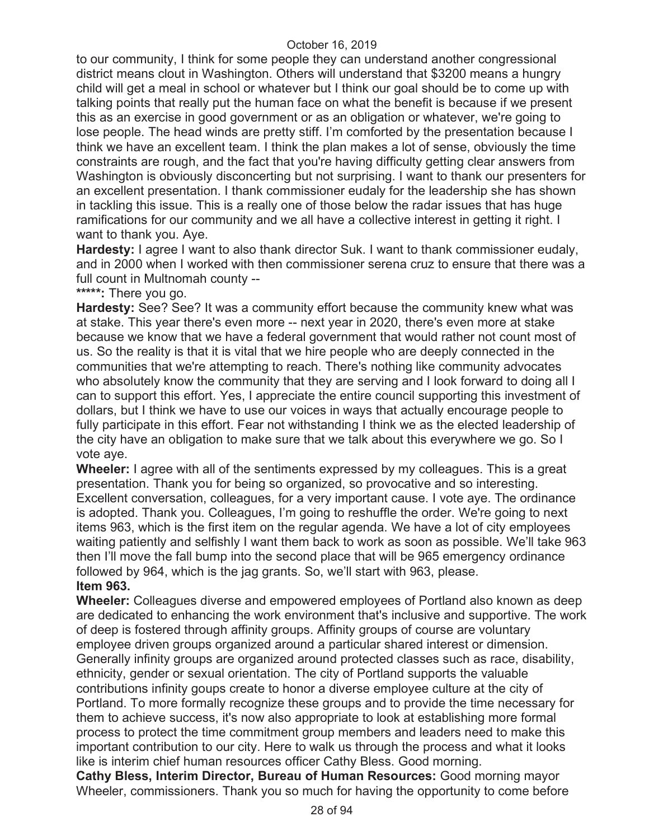to our community, I think for some people they can understand another congressional district means clout in Washington. Others will understand that \$3200 means a hungry child will get a meal in school or whatever but I think our goal should be to come up with talking points that really put the human face on what the benefit is because if we present this as an exercise in good government or as an obligation or whatever, we're going to lose people. The head winds are pretty stiff. I'm comforted by the presentation because I think we have an excellent team. I think the plan makes a lot of sense, obviously the time constraints are rough, and the fact that you're having difficulty getting clear answers from Washington is obviously disconcerting but not surprising. I want to thank our presenters for an excellent presentation. I thank commissioner eudaly for the leadership she has shown in tackling this issue. This is a really one of those below the radar issues that has huge ramifications for our community and we all have a collective interest in getting it right. I want to thank you. Aye.

**Hardesty:** I agree I want to also thank director Suk. I want to thank commissioner eudaly, and in 2000 when I worked with then commissioner serena cruz to ensure that there was a full count in Multnomah county --

**\*\*\*\*\*:** There you go.

**Hardesty:** See? See? It was a community effort because the community knew what was at stake. This year there's even more -- next year in 2020, there's even more at stake because we know that we have a federal government that would rather not count most of us. So the reality is that it is vital that we hire people who are deeply connected in the communities that we're attempting to reach. There's nothing like community advocates who absolutely know the community that they are serving and I look forward to doing all I can to support this effort. Yes, I appreciate the entire council supporting this investment of dollars, but I think we have to use our voices in ways that actually encourage people to fully participate in this effort. Fear not withstanding I think we as the elected leadership of the city have an obligation to make sure that we talk about this everywhere we go. So I vote aye.

**Wheeler:** I agree with all of the sentiments expressed by my colleagues. This is a great presentation. Thank you for being so organized, so provocative and so interesting. Excellent conversation, colleagues, for a very important cause. I vote aye. The ordinance is adopted. Thank you. Colleagues, I'm going to reshuffle the order. We're going to next items 963, which is the first item on the regular agenda. We have a lot of city employees waiting patiently and selfishly I want them back to work as soon as possible. We'll take 963 then I'll move the fall bump into the second place that will be 965 emergency ordinance followed by 964, which is the jag grants. So, we'll start with 963, please. **Item 963.** 

**Wheeler:** Colleagues diverse and empowered employees of Portland also known as deep are dedicated to enhancing the work environment that's inclusive and supportive. The work of deep is fostered through affinity groups. Affinity groups of course are voluntary employee driven groups organized around a particular shared interest or dimension. Generally infinity groups are organized around protected classes such as race, disability, ethnicity, gender or sexual orientation. The city of Portland supports the valuable contributions infinity goups create to honor a diverse employee culture at the city of Portland. To more formally recognize these groups and to provide the time necessary for them to achieve success, it's now also appropriate to look at establishing more formal process to protect the time commitment group members and leaders need to make this important contribution to our city. Here to walk us through the process and what it looks like is interim chief human resources officer Cathy Bless. Good morning.

**Cathy Bless, Interim Director, Bureau of Human Resources:** Good morning mayor Wheeler, commissioners. Thank you so much for having the opportunity to come before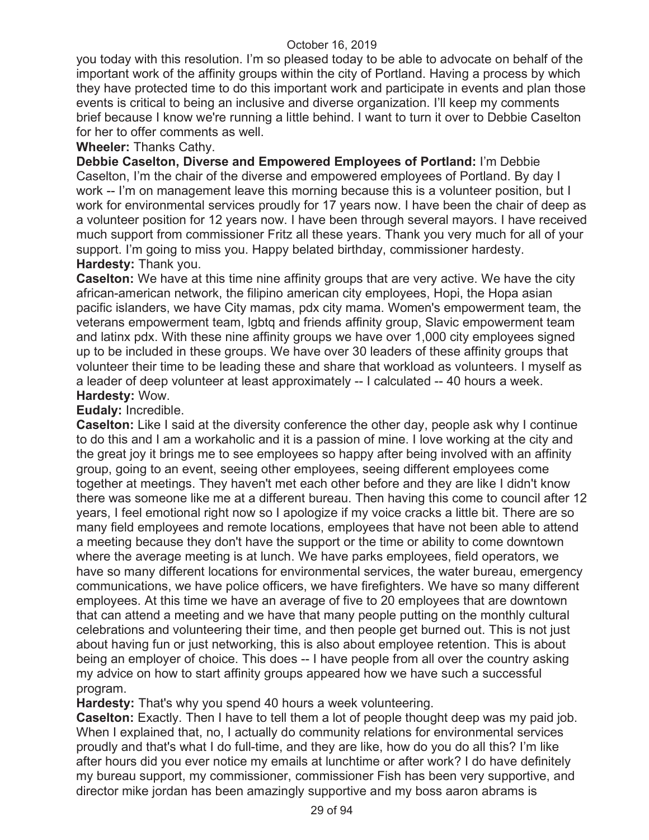you today with this resolution. I'm so pleased today to be able to advocate on behalf of the important work of the affinity groups within the city of Portland. Having a process by which they have protected time to do this important work and participate in events and plan those events is critical to being an inclusive and diverse organization. I'll keep my comments brief because I know we're running a little behind. I want to turn it over to Debbie Caselton for her to offer comments as well.

### **Wheeler:** Thanks Cathy.

**Debbie Caselton, Diverse and Empowered Employees of Portland:** I'm Debbie Caselton, I'm the chair of the diverse and empowered employees of Portland. By day I work -- I'm on management leave this morning because this is a volunteer position, but I work for environmental services proudly for 17 years now. I have been the chair of deep as a volunteer position for 12 years now. I have been through several mayors. I have received much support from commissioner Fritz all these years. Thank you very much for all of your support. I'm going to miss you. Happy belated birthday, commissioner hardesty. **Hardesty:** Thank you.

**Caselton:** We have at this time nine affinity groups that are very active. We have the city african-american network, the filipino american city employees, Hopi, the Hopa asian pacific islanders, we have City mamas, pdx city mama. Women's empowerment team, the veterans empowerment team, lgbtq and friends affinity group, Slavic empowerment team and latinx pdx. With these nine affinity groups we have over 1,000 city employees signed up to be included in these groups. We have over 30 leaders of these affinity groups that volunteer their time to be leading these and share that workload as volunteers. I myself as a leader of deep volunteer at least approximately -- I calculated -- 40 hours a week. **Hardesty:** Wow.

# **Eudaly:** Incredible.

**Caselton:** Like I said at the diversity conference the other day, people ask why I continue to do this and I am a workaholic and it is a passion of mine. I love working at the city and the great joy it brings me to see employees so happy after being involved with an affinity group, going to an event, seeing other employees, seeing different employees come together at meetings. They haven't met each other before and they are like I didn't know there was someone like me at a different bureau. Then having this come to council after 12 years, I feel emotional right now so I apologize if my voice cracks a little bit. There are so many field employees and remote locations, employees that have not been able to attend a meeting because they don't have the support or the time or ability to come downtown where the average meeting is at lunch. We have parks employees, field operators, we have so many different locations for environmental services, the water bureau, emergency communications, we have police officers, we have firefighters. We have so many different employees. At this time we have an average of five to 20 employees that are downtown that can attend a meeting and we have that many people putting on the monthly cultural celebrations and volunteering their time, and then people get burned out. This is not just about having fun or just networking, this is also about employee retention. This is about being an employer of choice. This does -- I have people from all over the country asking my advice on how to start affinity groups appeared how we have such a successful program.

**Hardesty:** That's why you spend 40 hours a week volunteering.

**Caselton:** Exactly. Then I have to tell them a lot of people thought deep was my paid job. When I explained that, no, I actually do community relations for environmental services proudly and that's what I do full-time, and they are like, how do you do all this? I'm like after hours did you ever notice my emails at lunchtime or after work? I do have definitely my bureau support, my commissioner, commissioner Fish has been very supportive, and director mike jordan has been amazingly supportive and my boss aaron abrams is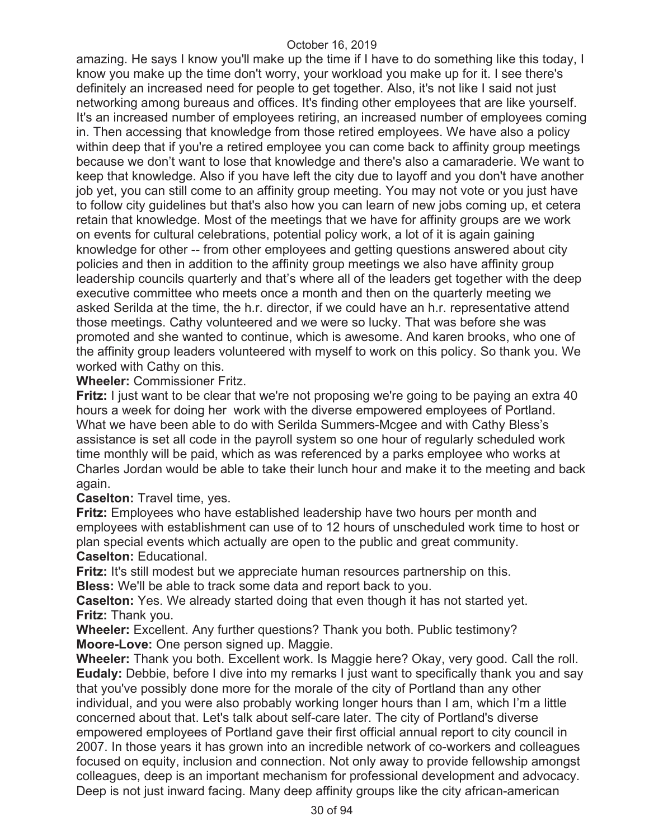amazing. He says I know you'll make up the time if I have to do something like this today, I know you make up the time don't worry, your workload you make up for it. I see there's definitely an increased need for people to get together. Also, it's not like I said not just networking among bureaus and offices. It's finding other employees that are like yourself. It's an increased number of employees retiring, an increased number of employees coming in. Then accessing that knowledge from those retired employees. We have also a policy within deep that if you're a retired employee you can come back to affinity group meetings because we don't want to lose that knowledge and there's also a camaraderie. We want to keep that knowledge. Also if you have left the city due to layoff and you don't have another job yet, you can still come to an affinity group meeting. You may not vote or you just have to follow city guidelines but that's also how you can learn of new jobs coming up, et cetera retain that knowledge. Most of the meetings that we have for affinity groups are we work on events for cultural celebrations, potential policy work, a lot of it is again gaining knowledge for other -- from other employees and getting questions answered about city policies and then in addition to the affinity group meetings we also have affinity group leadership councils quarterly and that's where all of the leaders get together with the deep executive committee who meets once a month and then on the quarterly meeting we asked Serilda at the time, the h.r. director, if we could have an h.r. representative attend those meetings. Cathy volunteered and we were so lucky. That was before she was promoted and she wanted to continue, which is awesome. And karen brooks, who one of the affinity group leaders volunteered with myself to work on this policy. So thank you. We worked with Cathy on this.

#### **Wheeler:** Commissioner Fritz.

**Fritz:** I just want to be clear that we're not proposing we're going to be paying an extra 40 hours a week for doing her work with the diverse empowered employees of Portland. What we have been able to do with Serilda Summers-Mcgee and with Cathy Bless's assistance is set all code in the payroll system so one hour of regularly scheduled work time monthly will be paid, which as was referenced by a parks employee who works at Charles Jordan would be able to take their lunch hour and make it to the meeting and back again.

**Caselton:** Travel time, yes.

**Fritz:** Employees who have established leadership have two hours per month and employees with establishment can use of to 12 hours of unscheduled work time to host or plan special events which actually are open to the public and great community. **Caselton:** Educational.

**Fritz:** It's still modest but we appreciate human resources partnership on this. **Bless:** We'll be able to track some data and report back to you.

**Caselton:** Yes. We already started doing that even though it has not started yet. **Fritz:** Thank you.

**Wheeler:** Excellent. Any further questions? Thank you both. Public testimony? **Moore-Love:** One person signed up. Maggie.

**Wheeler:** Thank you both. Excellent work. Is Maggie here? Okay, very good. Call the roll. **Eudaly:** Debbie, before I dive into my remarks I just want to specifically thank you and say that you've possibly done more for the morale of the city of Portland than any other individual, and you were also probably working longer hours than I am, which I'm a little concerned about that. Let's talk about self-care later. The city of Portland's diverse empowered employees of Portland gave their first official annual report to city council in 2007. In those years it has grown into an incredible network of co-workers and colleagues focused on equity, inclusion and connection. Not only away to provide fellowship amongst colleagues, deep is an important mechanism for professional development and advocacy. Deep is not just inward facing. Many deep affinity groups like the city african-american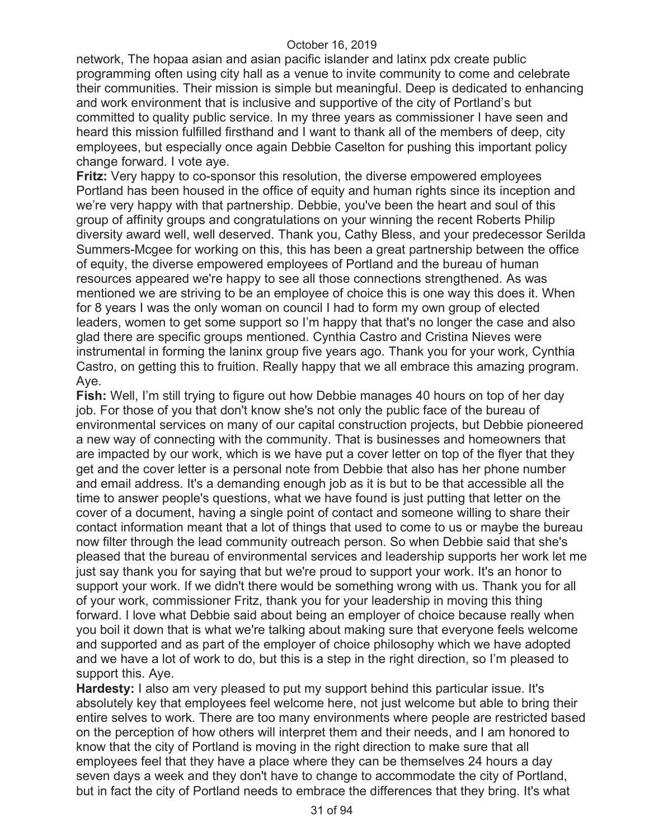network, The hopaa asian and asian pacific islander and latinx pdx create public programming often using city hall as a venue to invite community to come and celebrate their communities. Their mission is simple but meaningful. Deep is dedicated to enhancing and work environment that is inclusive and supportive of the city of Portland's but committed to quality public service. In my three years as commissioner I have seen and heard this mission fulfilled firsthand and I want to thank all of the members of deep, city employees, but especially once again Debbie Caselton for pushing this important policy change forward. I vote aye.

**Fritz:** Very happy to co-sponsor this resolution, the diverse empowered employees Portland has been housed in the office of equity and human rights since its inception and we're very happy with that partnership. Debbie, you've been the heart and soul of this group of affinity groups and congratulations on your winning the recent Roberts Philip diversity award well, well deserved. Thank you, Cathy Bless, and your predecessor Serilda Summers-Mcgee for working on this, this has been a great partnership between the office of equity, the diverse empowered employees of Portland and the bureau of human resources appeared we're happy to see all those connections strengthened. As was mentioned we are striving to be an employee of choice this is one way this does it. When for 8 years I was the only woman on council I had to form my own group of elected leaders, women to get some support so I'm happy that that's no longer the case and also glad there are specific groups mentioned. Cynthia Castro and Cristina Nieves were instrumental in forming the laninx group five years ago. Thank you for your work, Cynthia Castro, on getting this to fruition. Really happy that we all embrace this amazing program. Aye.

**Fish:** Well, I'm still trying to figure out how Debbie manages 40 hours on top of her day job. For those of you that don't know she's not only the public face of the bureau of environmental services on many of our capital construction projects, but Debbie pioneered a new way of connecting with the community. That is businesses and homeowners that are impacted by our work, which is we have put a cover letter on top of the flyer that they get and the cover letter is a personal note from Debbie that also has her phone number and email address. It's a demanding enough job as it is but to be that accessible all the time to answer people's questions, what we have found is just putting that letter on the cover of a document, having a single point of contact and someone willing to share their contact information meant that a lot of things that used to come to us or maybe the bureau now filter through the lead community outreach person. So when Debbie said that she's pleased that the bureau of environmental services and leadership supports her work let me just say thank you for saying that but we're proud to support your work. It's an honor to support your work. If we didn't there would be something wrong with us. Thank you for all of your work, commissioner Fritz, thank you for your leadership in moving this thing forward. I love what Debbie said about being an employer of choice because really when you boil it down that is what we're talking about making sure that everyone feels welcome and supported and as part of the employer of choice philosophy which we have adopted and we have a lot of work to do, but this is a step in the right direction, so I'm pleased to support this. Aye.

**Hardesty:** I also am very pleased to put my support behind this particular issue. It's absolutely key that employees feel welcome here, not just welcome but able to bring their entire selves to work. There are too many environments where people are restricted based on the perception of how others will interpret them and their needs, and I am honored to know that the city of Portland is moving in the right direction to make sure that all employees feel that they have a place where they can be themselves 24 hours a day seven days a week and they don't have to change to accommodate the city of Portland, but in fact the city of Portland needs to embrace the differences that they bring. It's what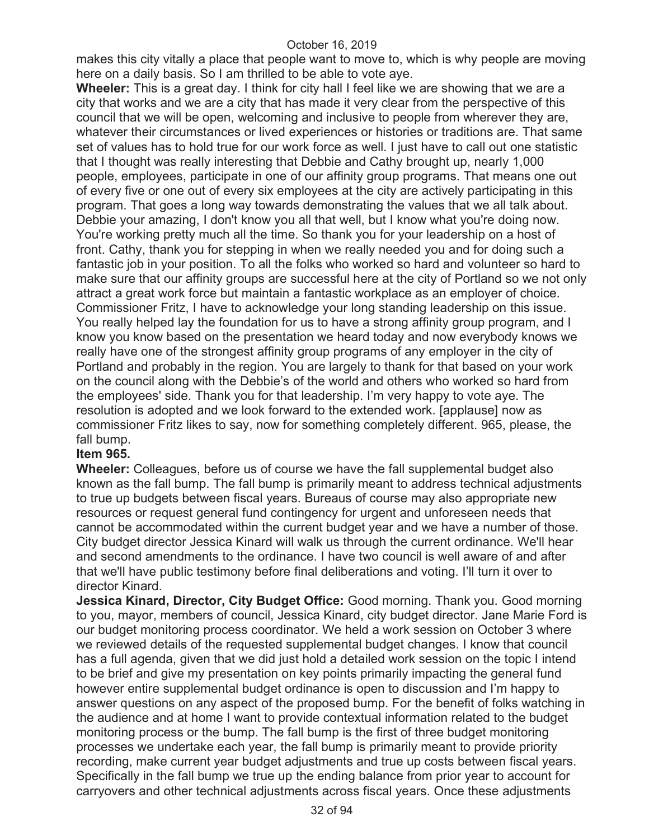makes this city vitally a place that people want to move to, which is why people are moving here on a daily basis. So I am thrilled to be able to vote aye.

**Wheeler:** This is a great day. I think for city hall I feel like we are showing that we are a city that works and we are a city that has made it very clear from the perspective of this council that we will be open, welcoming and inclusive to people from wherever they are, whatever their circumstances or lived experiences or histories or traditions are. That same set of values has to hold true for our work force as well. I just have to call out one statistic that I thought was really interesting that Debbie and Cathy brought up, nearly 1,000 people, employees, participate in one of our affinity group programs. That means one out of every five or one out of every six employees at the city are actively participating in this program. That goes a long way towards demonstrating the values that we all talk about. Debbie your amazing, I don't know you all that well, but I know what you're doing now. You're working pretty much all the time. So thank you for your leadership on a host of front. Cathy, thank you for stepping in when we really needed you and for doing such a fantastic job in your position. To all the folks who worked so hard and volunteer so hard to make sure that our affinity groups are successful here at the city of Portland so we not only attract a great work force but maintain a fantastic workplace as an employer of choice. Commissioner Fritz, I have to acknowledge your long standing leadership on this issue. You really helped lay the foundation for us to have a strong affinity group program, and I know you know based on the presentation we heard today and now everybody knows we really have one of the strongest affinity group programs of any employer in the city of Portland and probably in the region. You are largely to thank for that based on your work on the council along with the Debbie's of the world and others who worked so hard from the employees' side. Thank you for that leadership. I'm very happy to vote aye. The resolution is adopted and we look forward to the extended work. [applause] now as commissioner Fritz likes to say, now for something completely different. 965, please, the fall bump.

# **Item 965.**

**Wheeler:** Colleagues, before us of course we have the fall supplemental budget also known as the fall bump. The fall bump is primarily meant to address technical adjustments to true up budgets between fiscal years. Bureaus of course may also appropriate new resources or request general fund contingency for urgent and unforeseen needs that cannot be accommodated within the current budget year and we have a number of those. City budget director Jessica Kinard will walk us through the current ordinance. We'll hear and second amendments to the ordinance. I have two council is well aware of and after that we'll have public testimony before final deliberations and voting. I'll turn it over to director Kinard.

**Jessica Kinard, Director, City Budget Office:** Good morning. Thank you. Good morning to you, mayor, members of council, Jessica Kinard, city budget director. Jane Marie Ford is our budget monitoring process coordinator. We held a work session on October 3 where we reviewed details of the requested supplemental budget changes. I know that council has a full agenda, given that we did just hold a detailed work session on the topic I intend to be brief and give my presentation on key points primarily impacting the general fund however entire supplemental budget ordinance is open to discussion and I'm happy to answer questions on any aspect of the proposed bump. For the benefit of folks watching in the audience and at home I want to provide contextual information related to the budget monitoring process or the bump. The fall bump is the first of three budget monitoring processes we undertake each year, the fall bump is primarily meant to provide priority recording, make current year budget adjustments and true up costs between fiscal years. Specifically in the fall bump we true up the ending balance from prior year to account for carryovers and other technical adjustments across fiscal years. Once these adjustments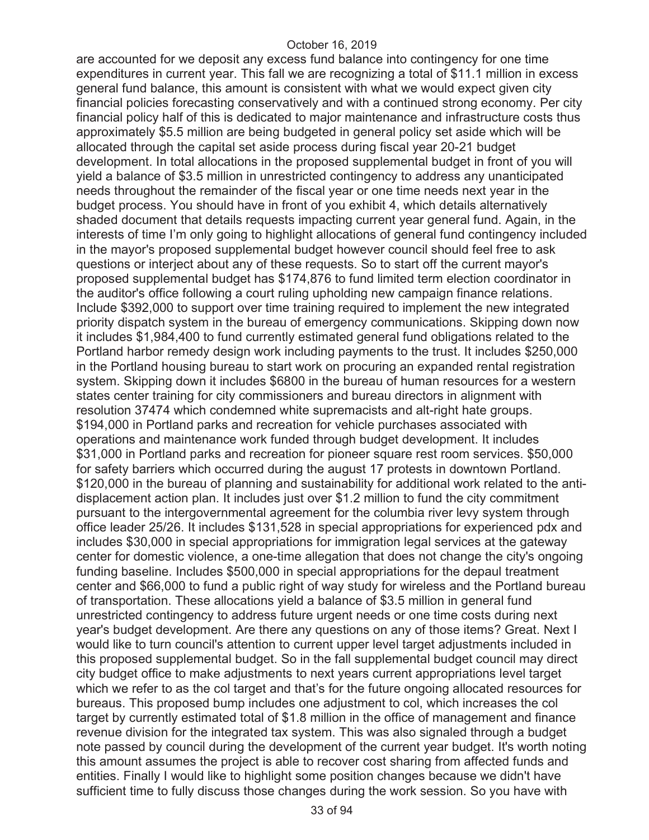are accounted for we deposit any excess fund balance into contingency for one time expenditures in current year. This fall we are recognizing a total of \$11.1 million in excess general fund balance, this amount is consistent with what we would expect given city financial policies forecasting conservatively and with a continued strong economy. Per city financial policy half of this is dedicated to major maintenance and infrastructure costs thus approximately \$5.5 million are being budgeted in general policy set aside which will be allocated through the capital set aside process during fiscal year 20-21 budget development. In total allocations in the proposed supplemental budget in front of you will yield a balance of \$3.5 million in unrestricted contingency to address any unanticipated needs throughout the remainder of the fiscal year or one time needs next year in the budget process. You should have in front of you exhibit 4, which details alternatively shaded document that details requests impacting current year general fund. Again, in the interests of time I'm only going to highlight allocations of general fund contingency included in the mayor's proposed supplemental budget however council should feel free to ask questions or interject about any of these requests. So to start off the current mayor's proposed supplemental budget has \$174,876 to fund limited term election coordinator in the auditor's office following a court ruling upholding new campaign finance relations. Include \$392,000 to support over time training required to implement the new integrated priority dispatch system in the bureau of emergency communications. Skipping down now it includes \$1,984,400 to fund currently estimated general fund obligations related to the Portland harbor remedy design work including payments to the trust. It includes \$250,000 in the Portland housing bureau to start work on procuring an expanded rental registration system. Skipping down it includes \$6800 in the bureau of human resources for a western states center training for city commissioners and bureau directors in alignment with resolution 37474 which condemned white supremacists and alt-right hate groups. \$194,000 in Portland parks and recreation for vehicle purchases associated with operations and maintenance work funded through budget development. It includes \$31,000 in Portland parks and recreation for pioneer square rest room services. \$50,000 for safety barriers which occurred during the august 17 protests in downtown Portland. \$120,000 in the bureau of planning and sustainability for additional work related to the antidisplacement action plan. It includes just over \$1.2 million to fund the city commitment pursuant to the intergovernmental agreement for the columbia river levy system through office leader 25/26. It includes \$131,528 in special appropriations for experienced pdx and includes \$30,000 in special appropriations for immigration legal services at the gateway center for domestic violence, a one-time allegation that does not change the city's ongoing funding baseline. Includes \$500,000 in special appropriations for the depaul treatment center and \$66,000 to fund a public right of way study for wireless and the Portland bureau of transportation. These allocations yield a balance of \$3.5 million in general fund unrestricted contingency to address future urgent needs or one time costs during next year's budget development. Are there any questions on any of those items? Great. Next I would like to turn council's attention to current upper level target adjustments included in this proposed supplemental budget. So in the fall supplemental budget council may direct city budget office to make adjustments to next years current appropriations level target which we refer to as the col target and that's for the future ongoing allocated resources for bureaus. This proposed bump includes one adjustment to col, which increases the col target by currently estimated total of \$1.8 million in the office of management and finance revenue division for the integrated tax system. This was also signaled through a budget note passed by council during the development of the current year budget. It's worth noting this amount assumes the project is able to recover cost sharing from affected funds and entities. Finally I would like to highlight some position changes because we didn't have sufficient time to fully discuss those changes during the work session. So you have with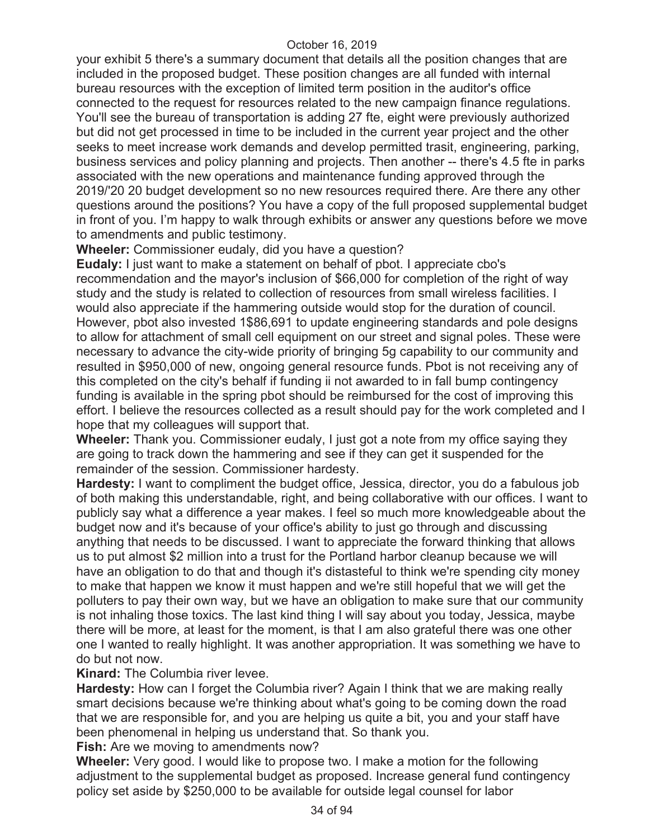your exhibit 5 there's a summary document that details all the position changes that are included in the proposed budget. These position changes are all funded with internal bureau resources with the exception of limited term position in the auditor's office connected to the request for resources related to the new campaign finance regulations. You'll see the bureau of transportation is adding 27 fte, eight were previously authorized but did not get processed in time to be included in the current year project and the other seeks to meet increase work demands and develop permitted trasit, engineering, parking, business services and policy planning and projects. Then another -- there's 4.5 fte in parks associated with the new operations and maintenance funding approved through the 2019/'20 20 budget development so no new resources required there. Are there any other questions around the positions? You have a copy of the full proposed supplemental budget in front of you. I'm happy to walk through exhibits or answer any questions before we move to amendments and public testimony.

**Wheeler:** Commissioner eudaly, did you have a question?

**Eudaly:** I just want to make a statement on behalf of pbot. I appreciate cbo's recommendation and the mayor's inclusion of \$66,000 for completion of the right of way study and the study is related to collection of resources from small wireless facilities. I would also appreciate if the hammering outside would stop for the duration of council. However, pbot also invested 1\$86,691 to update engineering standards and pole designs to allow for attachment of small cell equipment on our street and signal poles. These were necessary to advance the city-wide priority of bringing 5g capability to our community and resulted in \$950,000 of new, ongoing general resource funds. Pbot is not receiving any of this completed on the city's behalf if funding ii not awarded to in fall bump contingency funding is available in the spring pbot should be reimbursed for the cost of improving this effort. I believe the resources collected as a result should pay for the work completed and I hope that my colleagues will support that.

**Wheeler:** Thank you. Commissioner eudaly, I just got a note from my office saying they are going to track down the hammering and see if they can get it suspended for the remainder of the session. Commissioner hardesty.

**Hardesty:** I want to compliment the budget office, Jessica, director, you do a fabulous job of both making this understandable, right, and being collaborative with our offices. I want to publicly say what a difference a year makes. I feel so much more knowledgeable about the budget now and it's because of your office's ability to just go through and discussing anything that needs to be discussed. I want to appreciate the forward thinking that allows us to put almost \$2 million into a trust for the Portland harbor cleanup because we will have an obligation to do that and though it's distasteful to think we're spending city money to make that happen we know it must happen and we're still hopeful that we will get the polluters to pay their own way, but we have an obligation to make sure that our community is not inhaling those toxics. The last kind thing I will say about you today, Jessica, maybe there will be more, at least for the moment, is that I am also grateful there was one other one I wanted to really highlight. It was another appropriation. It was something we have to do but not now.

**Kinard:** The Columbia river levee.

**Hardesty:** How can I forget the Columbia river? Again I think that we are making really smart decisions because we're thinking about what's going to be coming down the road that we are responsible for, and you are helping us quite a bit, you and your staff have been phenomenal in helping us understand that. So thank you.

**Fish:** Are we moving to amendments now?

**Wheeler:** Very good. I would like to propose two. I make a motion for the following adjustment to the supplemental budget as proposed. Increase general fund contingency policy set aside by \$250,000 to be available for outside legal counsel for labor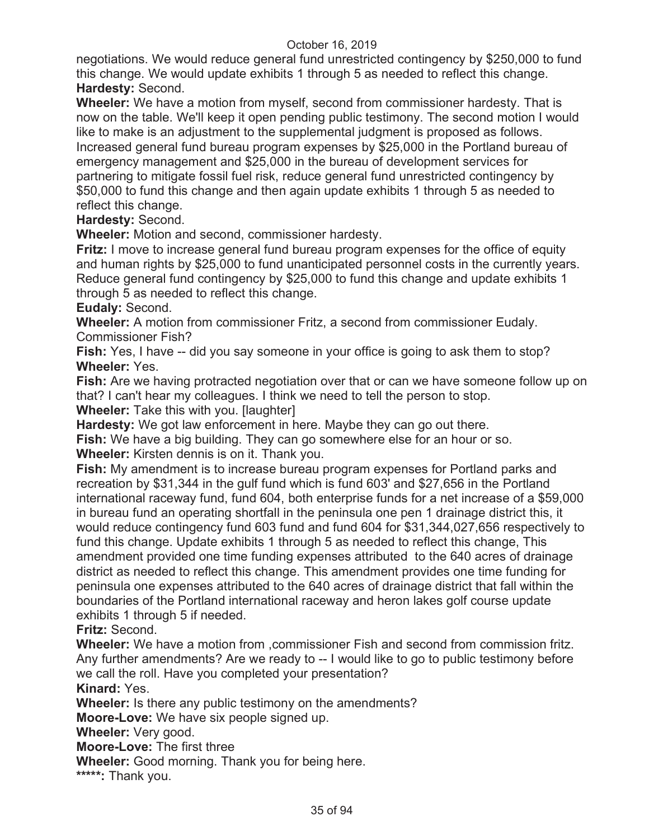negotiations. We would reduce general fund unrestricted contingency by \$250,000 to fund this change. We would update exhibits 1 through 5 as needed to reflect this change. **Hardesty:** Second.

**Wheeler:** We have a motion from myself, second from commissioner hardesty. That is now on the table. We'll keep it open pending public testimony. The second motion I would like to make is an adjustment to the supplemental judgment is proposed as follows. Increased general fund bureau program expenses by \$25,000 in the Portland bureau of emergency management and \$25,000 in the bureau of development services for partnering to mitigate fossil fuel risk, reduce general fund unrestricted contingency by \$50,000 to fund this change and then again update exhibits 1 through 5 as needed to reflect this change.

**Hardesty:** Second.

**Wheeler:** Motion and second, commissioner hardesty.

**Fritz:** I move to increase general fund bureau program expenses for the office of equity and human rights by \$25,000 to fund unanticipated personnel costs in the currently years. Reduce general fund contingency by \$25,000 to fund this change and update exhibits 1 through 5 as needed to reflect this change.

**Eudaly:** Second.

**Wheeler:** A motion from commissioner Fritz, a second from commissioner Eudaly. Commissioner Fish?

**Fish:** Yes, I have -- did you say someone in your office is going to ask them to stop? **Wheeler:** Yes.

**Fish:** Are we having protracted negotiation over that or can we have someone follow up on that? I can't hear my colleagues. I think we need to tell the person to stop.

**Wheeler:** Take this with you. [laughter]

**Hardesty:** We got law enforcement in here. Maybe they can go out there.

**Fish:** We have a big building. They can go somewhere else for an hour or so.

**Wheeler:** Kirsten dennis is on it. Thank you.

**Fish:** My amendment is to increase bureau program expenses for Portland parks and recreation by \$31,344 in the gulf fund which is fund 603' and \$27,656 in the Portland international raceway fund, fund 604, both enterprise funds for a net increase of a \$59,000 in bureau fund an operating shortfall in the peninsula one pen 1 drainage district this, it would reduce contingency fund 603 fund and fund 604 for \$31,344,027,656 respectively to fund this change. Update exhibits 1 through 5 as needed to reflect this change, This amendment provided one time funding expenses attributed to the 640 acres of drainage district as needed to reflect this change. This amendment provides one time funding for peninsula one expenses attributed to the 640 acres of drainage district that fall within the boundaries of the Portland international raceway and heron lakes golf course update exhibits 1 through 5 if needed.

**Fritz:** Second.

**Wheeler:** We have a motion from ,commissioner Fish and second from commission fritz. Any further amendments? Are we ready to -- I would like to go to public testimony before we call the roll. Have you completed your presentation?

**Kinard:** Yes.

**Wheeler:** Is there any public testimony on the amendments?

**Moore-Love:** We have six people signed up.

**Wheeler:** Very good.

**Moore-Love:** The first three

**Wheeler:** Good morning. Thank you for being here.

**\*\*\*\*\*:** Thank you.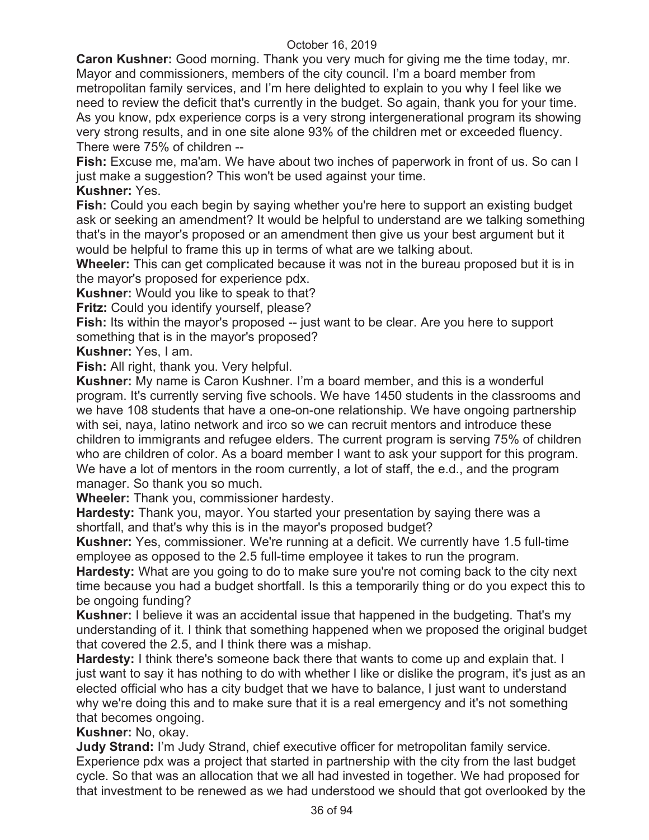**Caron Kushner:** Good morning. Thank you very much for giving me the time today, mr. Mayor and commissioners, members of the city council. I'm a board member from metropolitan family services, and I'm here delighted to explain to you why I feel like we need to review the deficit that's currently in the budget. So again, thank you for your time. As you know, pdx experience corps is a very strong intergenerational program its showing very strong results, and in one site alone 93% of the children met or exceeded fluency. There were 75% of children --

**Fish:** Excuse me, ma'am. We have about two inches of paperwork in front of us. So can I just make a suggestion? This won't be used against your time.

# **Kushner:** Yes.

**Fish:** Could you each begin by saying whether you're here to support an existing budget ask or seeking an amendment? It would be helpful to understand are we talking something that's in the mayor's proposed or an amendment then give us your best argument but it would be helpful to frame this up in terms of what are we talking about.

**Wheeler:** This can get complicated because it was not in the bureau proposed but it is in the mayor's proposed for experience pdx.

**Kushner:** Would you like to speak to that?

**Fritz:** Could you identify yourself, please?

**Fish:** Its within the mayor's proposed -- just want to be clear. Are you here to support something that is in the mayor's proposed?

**Kushner:** Yes, I am.

**Fish:** All right, thank you. Very helpful.

**Kushner:** My name is Caron Kushner. I'm a board member, and this is a wonderful program. It's currently serving five schools. We have 1450 students in the classrooms and we have 108 students that have a one-on-one relationship. We have ongoing partnership with sei, naya, latino network and irco so we can recruit mentors and introduce these children to immigrants and refugee elders. The current program is serving 75% of children who are children of color. As a board member I want to ask your support for this program. We have a lot of mentors in the room currently, a lot of staff, the e.d., and the program manager. So thank you so much.

**Wheeler:** Thank you, commissioner hardesty.

**Hardesty:** Thank you, mayor. You started your presentation by saying there was a shortfall, and that's why this is in the mayor's proposed budget?

**Kushner:** Yes, commissioner. We're running at a deficit. We currently have 1.5 full-time employee as opposed to the 2.5 full-time employee it takes to run the program.

**Hardesty:** What are you going to do to make sure you're not coming back to the city next time because you had a budget shortfall. Is this a temporarily thing or do you expect this to be ongoing funding?

**Kushner:** I believe it was an accidental issue that happened in the budgeting. That's my understanding of it. I think that something happened when we proposed the original budget that covered the 2.5, and I think there was a mishap.

**Hardesty:** I think there's someone back there that wants to come up and explain that. I just want to say it has nothing to do with whether I like or dislike the program, it's just as an elected official who has a city budget that we have to balance, I just want to understand why we're doing this and to make sure that it is a real emergency and it's not something that becomes ongoing.

# **Kushner:** No, okay.

**Judy Strand:** I'm Judy Strand, chief executive officer for metropolitan family service. Experience pdx was a project that started in partnership with the city from the last budget cycle. So that was an allocation that we all had invested in together. We had proposed for that investment to be renewed as we had understood we should that got overlooked by the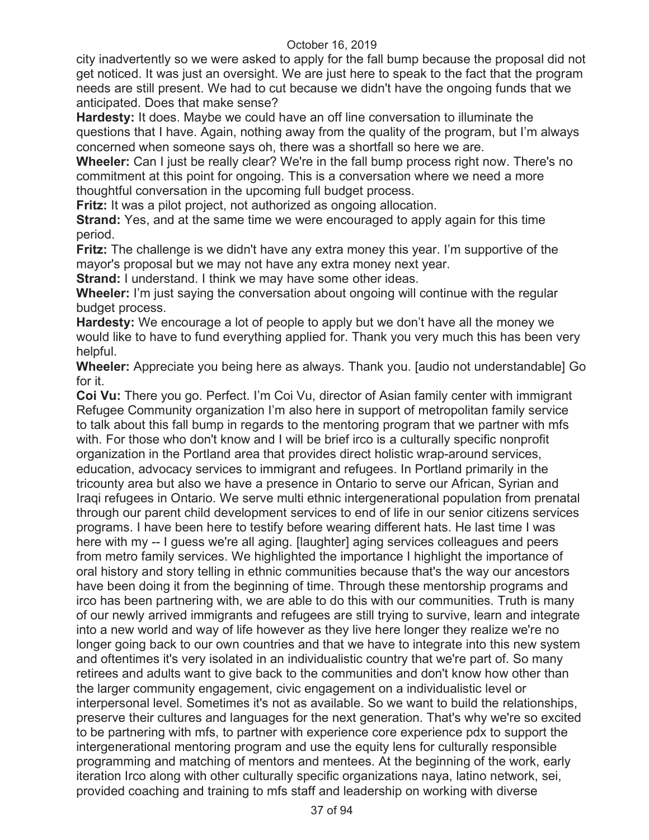city inadvertently so we were asked to apply for the fall bump because the proposal did not get noticed. It was just an oversight. We are just here to speak to the fact that the program needs are still present. We had to cut because we didn't have the ongoing funds that we anticipated. Does that make sense?

**Hardesty:** It does. Maybe we could have an off line conversation to illuminate the questions that I have. Again, nothing away from the quality of the program, but I'm always concerned when someone says oh, there was a shortfall so here we are.

**Wheeler:** Can I just be really clear? We're in the fall bump process right now. There's no commitment at this point for ongoing. This is a conversation where we need a more thoughtful conversation in the upcoming full budget process.

**Fritz:** It was a pilot project, not authorized as ongoing allocation.

**Strand:** Yes, and at the same time we were encouraged to apply again for this time period.

**Fritz:** The challenge is we didn't have any extra money this year. I'm supportive of the mayor's proposal but we may not have any extra money next year.

**Strand:** I understand. I think we may have some other ideas.

**Wheeler:** I'm just saying the conversation about ongoing will continue with the regular budget process.

**Hardesty:** We encourage a lot of people to apply but we don't have all the money we would like to have to fund everything applied for. Thank you very much this has been very helpful.

**Wheeler:** Appreciate you being here as always. Thank you. [audio not understandable] Go for it.

**Coi Vu:** There you go. Perfect. I'm Coi Vu, director of Asian family center with immigrant Refugee Community organization I'm also here in support of metropolitan family service to talk about this fall bump in regards to the mentoring program that we partner with mfs with. For those who don't know and I will be brief irco is a culturally specific nonprofit organization in the Portland area that provides direct holistic wrap-around services, education, advocacy services to immigrant and refugees. In Portland primarily in the tricounty area but also we have a presence in Ontario to serve our African, Syrian and Iraqi refugees in Ontario. We serve multi ethnic intergenerational population from prenatal through our parent child development services to end of life in our senior citizens services programs. I have been here to testify before wearing different hats. He last time I was here with my -- I guess we're all aging. [laughter] aging services colleagues and peers from metro family services. We highlighted the importance I highlight the importance of oral history and story telling in ethnic communities because that's the way our ancestors have been doing it from the beginning of time. Through these mentorship programs and irco has been partnering with, we are able to do this with our communities. Truth is many of our newly arrived immigrants and refugees are still trying to survive, learn and integrate into a new world and way of life however as they live here longer they realize we're no longer going back to our own countries and that we have to integrate into this new system and oftentimes it's very isolated in an individualistic country that we're part of. So many retirees and adults want to give back to the communities and don't know how other than the larger community engagement, civic engagement on a individualistic level or interpersonal level. Sometimes it's not as available. So we want to build the relationships, preserve their cultures and languages for the next generation. That's why we're so excited to be partnering with mfs, to partner with experience core experience pdx to support the intergenerational mentoring program and use the equity lens for culturally responsible programming and matching of mentors and mentees. At the beginning of the work, early iteration Irco along with other culturally specific organizations naya, latino network, sei, provided coaching and training to mfs staff and leadership on working with diverse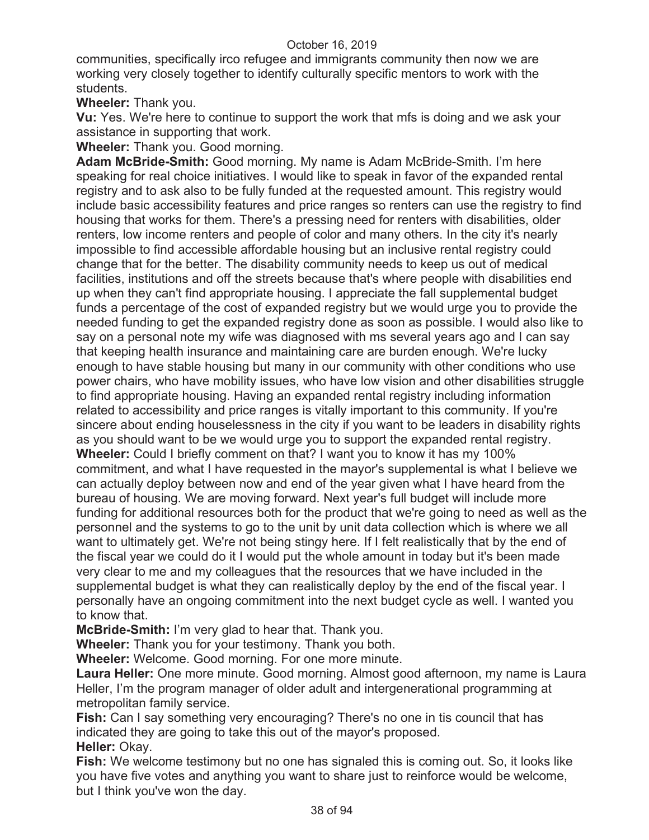communities, specifically irco refugee and immigrants community then now we are working very closely together to identify culturally specific mentors to work with the students.

**Wheeler:** Thank you.

**Vu:** Yes. We're here to continue to support the work that mfs is doing and we ask your assistance in supporting that work.

**Wheeler:** Thank you. Good morning.

**Adam McBride-Smith:** Good morning. My name is Adam McBride-Smith. I'm here speaking for real choice initiatives. I would like to speak in favor of the expanded rental registry and to ask also to be fully funded at the requested amount. This registry would include basic accessibility features and price ranges so renters can use the registry to find housing that works for them. There's a pressing need for renters with disabilities, older renters, low income renters and people of color and many others. In the city it's nearly impossible to find accessible affordable housing but an inclusive rental registry could change that for the better. The disability community needs to keep us out of medical facilities, institutions and off the streets because that's where people with disabilities end up when they can't find appropriate housing. I appreciate the fall supplemental budget funds a percentage of the cost of expanded registry but we would urge you to provide the needed funding to get the expanded registry done as soon as possible. I would also like to say on a personal note my wife was diagnosed with ms several years ago and I can say that keeping health insurance and maintaining care are burden enough. We're lucky enough to have stable housing but many in our community with other conditions who use power chairs, who have mobility issues, who have low vision and other disabilities struggle to find appropriate housing. Having an expanded rental registry including information related to accessibility and price ranges is vitally important to this community. If you're sincere about ending houselessness in the city if you want to be leaders in disability rights as you should want to be we would urge you to support the expanded rental registry. **Wheeler:** Could I briefly comment on that? I want you to know it has my 100% commitment, and what I have requested in the mayor's supplemental is what I believe we can actually deploy between now and end of the year given what I have heard from the bureau of housing. We are moving forward. Next year's full budget will include more funding for additional resources both for the product that we're going to need as well as the personnel and the systems to go to the unit by unit data collection which is where we all want to ultimately get. We're not being stingy here. If I felt realistically that by the end of the fiscal year we could do it I would put the whole amount in today but it's been made very clear to me and my colleagues that the resources that we have included in the supplemental budget is what they can realistically deploy by the end of the fiscal year. I personally have an ongoing commitment into the next budget cycle as well. I wanted you to know that.

**McBride-Smith:** I'm very glad to hear that. Thank you.

**Wheeler:** Thank you for your testimony. Thank you both.

**Wheeler:** Welcome. Good morning. For one more minute.

**Laura Heller:** One more minute. Good morning. Almost good afternoon, my name is Laura Heller, I'm the program manager of older adult and intergenerational programming at metropolitan family service.

**Fish:** Can I say something very encouraging? There's no one in tis council that has indicated they are going to take this out of the mayor's proposed. **Heller:** Okay.

**Fish:** We welcome testimony but no one has signaled this is coming out. So, it looks like you have five votes and anything you want to share just to reinforce would be welcome, but I think you've won the day.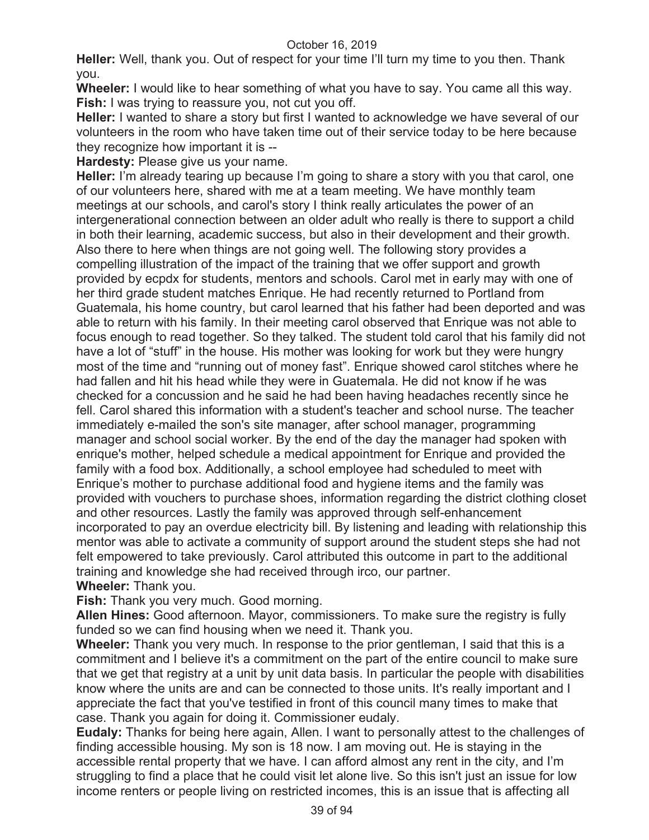**Heller:** Well, thank you. Out of respect for your time I'll turn my time to you then. Thank you.

**Wheeler:** I would like to hear something of what you have to say. You came all this way. **Fish:** I was trying to reassure you, not cut you off.

**Heller:** I wanted to share a story but first I wanted to acknowledge we have several of our volunteers in the room who have taken time out of their service today to be here because they recognize how important it is --

**Hardesty:** Please give us your name.

**Heller:** I'm already tearing up because I'm going to share a story with you that carol, one of our volunteers here, shared with me at a team meeting. We have monthly team meetings at our schools, and carol's story I think really articulates the power of an intergenerational connection between an older adult who really is there to support a child in both their learning, academic success, but also in their development and their growth. Also there to here when things are not going well. The following story provides a compelling illustration of the impact of the training that we offer support and growth provided by ecpdx for students, mentors and schools. Carol met in early may with one of her third grade student matches Enrique. He had recently returned to Portland from Guatemala, his home country, but carol learned that his father had been deported and was able to return with his family. In their meeting carol observed that Enrique was not able to focus enough to read together. So they talked. The student told carol that his family did not have a lot of "stuff" in the house. His mother was looking for work but they were hungry most of the time and "running out of money fast". Enrique showed carol stitches where he had fallen and hit his head while they were in Guatemala. He did not know if he was checked for a concussion and he said he had been having headaches recently since he fell. Carol shared this information with a student's teacher and school nurse. The teacher immediately e-mailed the son's site manager, after school manager, programming manager and school social worker. By the end of the day the manager had spoken with enrique's mother, helped schedule a medical appointment for Enrique and provided the family with a food box. Additionally, a school employee had scheduled to meet with Enrique's mother to purchase additional food and hygiene items and the family was provided with vouchers to purchase shoes, information regarding the district clothing closet and other resources. Lastly the family was approved through self-enhancement incorporated to pay an overdue electricity bill. By listening and leading with relationship this mentor was able to activate a community of support around the student steps she had not felt empowered to take previously. Carol attributed this outcome in part to the additional training and knowledge she had received through irco, our partner. **Wheeler:** Thank you.

**Fish:** Thank you very much. Good morning.

**Allen Hines:** Good afternoon. Mayor, commissioners. To make sure the registry is fully funded so we can find housing when we need it. Thank you.

**Wheeler:** Thank you very much. In response to the prior gentleman, I said that this is a commitment and I believe it's a commitment on the part of the entire council to make sure that we get that registry at a unit by unit data basis. In particular the people with disabilities know where the units are and can be connected to those units. It's really important and I appreciate the fact that you've testified in front of this council many times to make that case. Thank you again for doing it. Commissioner eudaly.

**Eudaly:** Thanks for being here again, Allen. I want to personally attest to the challenges of finding accessible housing. My son is 18 now. I am moving out. He is staying in the accessible rental property that we have. I can afford almost any rent in the city, and I'm struggling to find a place that he could visit let alone live. So this isn't just an issue for low income renters or people living on restricted incomes, this is an issue that is affecting all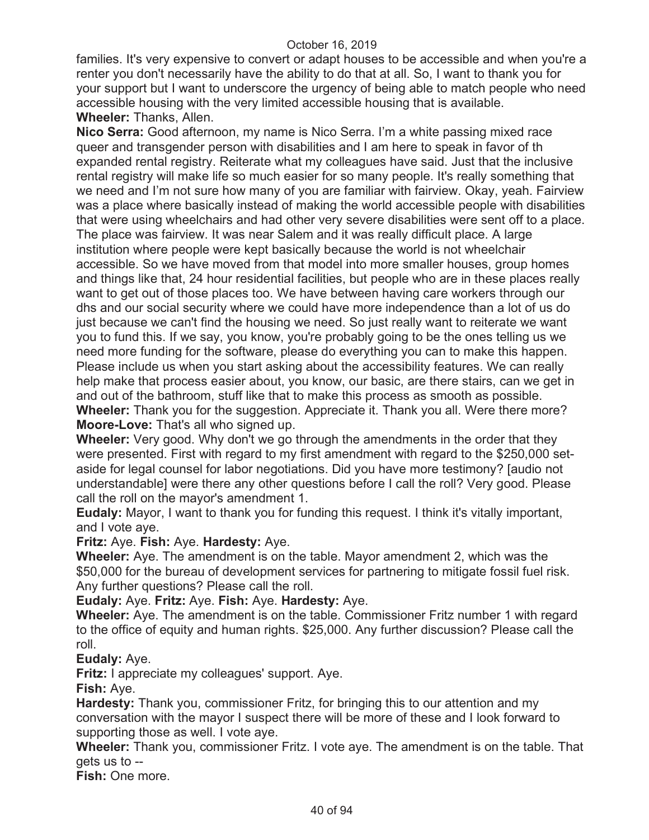families. It's very expensive to convert or adapt houses to be accessible and when you're a renter you don't necessarily have the ability to do that at all. So, I want to thank you for your support but I want to underscore the urgency of being able to match people who need accessible housing with the very limited accessible housing that is available. **Wheeler:** Thanks, Allen.

**Nico Serra:** Good afternoon, my name is Nico Serra. I'm a white passing mixed race queer and transgender person with disabilities and I am here to speak in favor of th expanded rental registry. Reiterate what my colleagues have said. Just that the inclusive rental registry will make life so much easier for so many people. It's really something that we need and I'm not sure how many of you are familiar with fairview. Okay, yeah. Fairview was a place where basically instead of making the world accessible people with disabilities that were using wheelchairs and had other very severe disabilities were sent off to a place. The place was fairview. It was near Salem and it was really difficult place. A large institution where people were kept basically because the world is not wheelchair accessible. So we have moved from that model into more smaller houses, group homes and things like that, 24 hour residential facilities, but people who are in these places really want to get out of those places too. We have between having care workers through our dhs and our social security where we could have more independence than a lot of us do just because we can't find the housing we need. So just really want to reiterate we want you to fund this. If we say, you know, you're probably going to be the ones telling us we need more funding for the software, please do everything you can to make this happen. Please include us when you start asking about the accessibility features. We can really help make that process easier about, you know, our basic, are there stairs, can we get in and out of the bathroom, stuff like that to make this process as smooth as possible. **Wheeler:** Thank you for the suggestion. Appreciate it. Thank you all. Were there more? **Moore-Love:** That's all who signed up.

**Wheeler:** Very good. Why don't we go through the amendments in the order that they were presented. First with regard to my first amendment with regard to the \$250,000 setaside for legal counsel for labor negotiations. Did you have more testimony? [audio not understandable] were there any other questions before I call the roll? Very good. Please call the roll on the mayor's amendment 1.

**Eudaly:** Mayor, I want to thank you for funding this request. I think it's vitally important, and I vote aye.

**Fritz:** Aye. **Fish:** Aye. **Hardesty:** Aye.

**Wheeler:** Aye. The amendment is on the table. Mayor amendment 2, which was the \$50,000 for the bureau of development services for partnering to mitigate fossil fuel risk. Any further questions? Please call the roll.

**Eudaly:** Aye. **Fritz:** Aye. **Fish:** Aye. **Hardesty:** Aye.

**Wheeler:** Aye. The amendment is on the table. Commissioner Fritz number 1 with regard to the office of equity and human rights. \$25,000. Any further discussion? Please call the roll.

**Eudaly:** Aye.

**Fritz:** I appreciate my colleagues' support. Aye.

**Fish:** Aye.

**Hardesty:** Thank you, commissioner Fritz, for bringing this to our attention and my conversation with the mayor I suspect there will be more of these and I look forward to supporting those as well. I vote aye.

**Wheeler:** Thank you, commissioner Fritz. I vote aye. The amendment is on the table. That gets us to --

**Fish:** One more.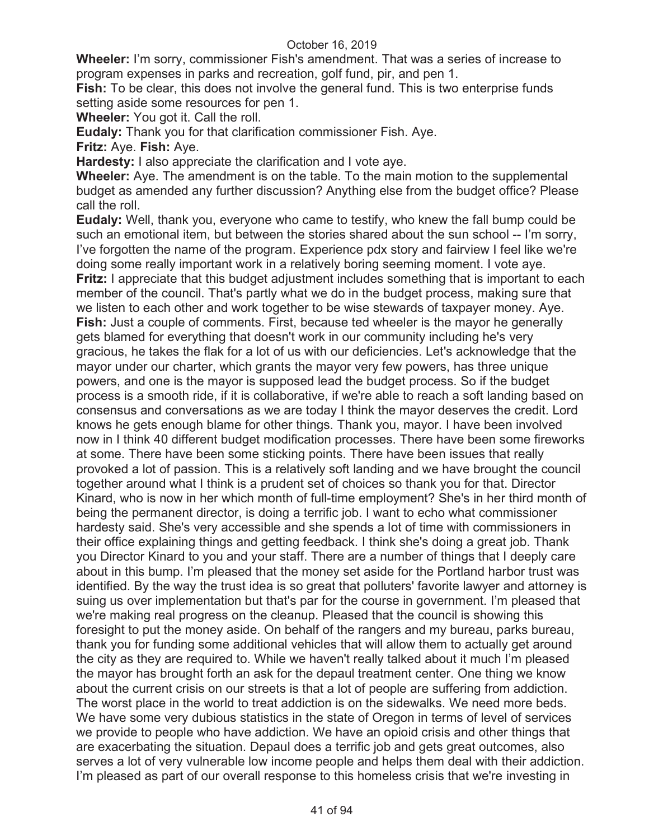**Wheeler:** I'm sorry, commissioner Fish's amendment. That was a series of increase to program expenses in parks and recreation, golf fund, pir, and pen 1.

**Fish:** To be clear, this does not involve the general fund. This is two enterprise funds setting aside some resources for pen 1.

**Wheeler:** You got it. Call the roll.

**Eudaly:** Thank you for that clarification commissioner Fish. Aye.

**Fritz:** Aye. **Fish:** Aye.

**Hardesty:** I also appreciate the clarification and I vote aye.

**Wheeler:** Aye. The amendment is on the table. To the main motion to the supplemental budget as amended any further discussion? Anything else from the budget office? Please call the roll.

**Eudaly:** Well, thank you, everyone who came to testify, who knew the fall bump could be such an emotional item, but between the stories shared about the sun school -- I'm sorry, I've forgotten the name of the program. Experience pdx story and fairview I feel like we're doing some really important work in a relatively boring seeming moment. I vote aye. **Fritz:** I appreciate that this budget adjustment includes something that is important to each member of the council. That's partly what we do in the budget process, making sure that we listen to each other and work together to be wise stewards of taxpayer money. Aye. **Fish:** Just a couple of comments. First, because ted wheeler is the mayor he generally gets blamed for everything that doesn't work in our community including he's very gracious, he takes the flak for a lot of us with our deficiencies. Let's acknowledge that the mayor under our charter, which grants the mayor very few powers, has three unique powers, and one is the mayor is supposed lead the budget process. So if the budget process is a smooth ride, if it is collaborative, if we're able to reach a soft landing based on consensus and conversations as we are today I think the mayor deserves the credit. Lord knows he gets enough blame for other things. Thank you, mayor. I have been involved now in I think 40 different budget modification processes. There have been some fireworks at some. There have been some sticking points. There have been issues that really provoked a lot of passion. This is a relatively soft landing and we have brought the council together around what I think is a prudent set of choices so thank you for that. Director Kinard, who is now in her which month of full-time employment? She's in her third month of being the permanent director, is doing a terrific job. I want to echo what commissioner hardesty said. She's very accessible and she spends a lot of time with commissioners in their office explaining things and getting feedback. I think she's doing a great job. Thank you Director Kinard to you and your staff. There are a number of things that I deeply care about in this bump. I'm pleased that the money set aside for the Portland harbor trust was identified. By the way the trust idea is so great that polluters' favorite lawyer and attorney is suing us over implementation but that's par for the course in government. I'm pleased that we're making real progress on the cleanup. Pleased that the council is showing this foresight to put the money aside. On behalf of the rangers and my bureau, parks bureau, thank you for funding some additional vehicles that will allow them to actually get around the city as they are required to. While we haven't really talked about it much I'm pleased the mayor has brought forth an ask for the depaul treatment center. One thing we know about the current crisis on our streets is that a lot of people are suffering from addiction. The worst place in the world to treat addiction is on the sidewalks. We need more beds. We have some very dubious statistics in the state of Oregon in terms of level of services we provide to people who have addiction. We have an opioid crisis and other things that are exacerbating the situation. Depaul does a terrific job and gets great outcomes, also serves a lot of very vulnerable low income people and helps them deal with their addiction. I'm pleased as part of our overall response to this homeless crisis that we're investing in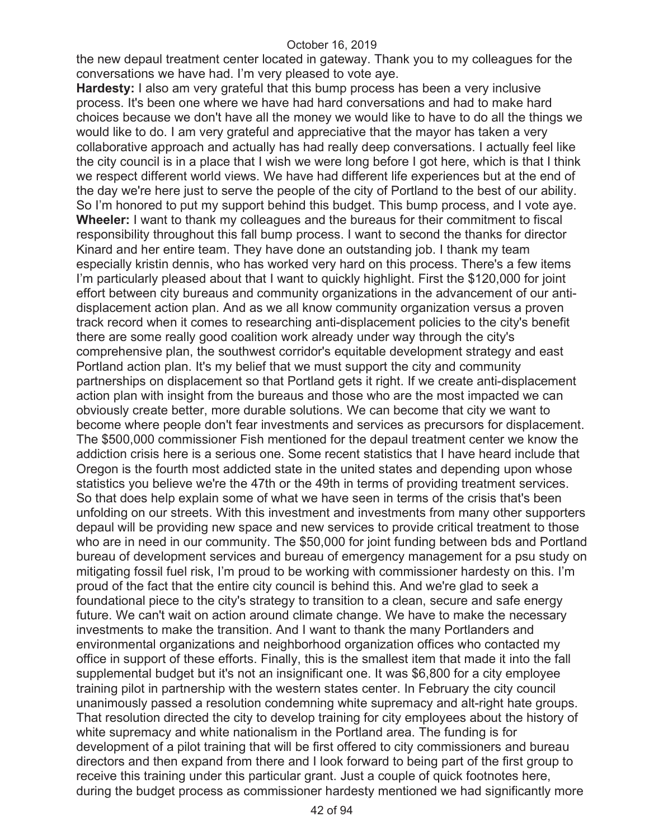the new depaul treatment center located in gateway. Thank you to my colleagues for the conversations we have had. I'm very pleased to vote aye.

**Hardesty:** I also am very grateful that this bump process has been a very inclusive process. It's been one where we have had hard conversations and had to make hard choices because we don't have all the money we would like to have to do all the things we would like to do. I am very grateful and appreciative that the mayor has taken a very collaborative approach and actually has had really deep conversations. I actually feel like the city council is in a place that I wish we were long before I got here, which is that I think we respect different world views. We have had different life experiences but at the end of the day we're here just to serve the people of the city of Portland to the best of our ability. So I'm honored to put my support behind this budget. This bump process, and I vote aye. **Wheeler:** I want to thank my colleagues and the bureaus for their commitment to fiscal responsibility throughout this fall bump process. I want to second the thanks for director Kinard and her entire team. They have done an outstanding job. I thank my team especially kristin dennis, who has worked very hard on this process. There's a few items I'm particularly pleased about that I want to quickly highlight. First the \$120,000 for joint effort between city bureaus and community organizations in the advancement of our antidisplacement action plan. And as we all know community organization versus a proven track record when it comes to researching anti-displacement policies to the city's benefit there are some really good coalition work already under way through the city's comprehensive plan, the southwest corridor's equitable development strategy and east Portland action plan. It's my belief that we must support the city and community partnerships on displacement so that Portland gets it right. If we create anti-displacement action plan with insight from the bureaus and those who are the most impacted we can obviously create better, more durable solutions. We can become that city we want to become where people don't fear investments and services as precursors for displacement. The \$500,000 commissioner Fish mentioned for the depaul treatment center we know the addiction crisis here is a serious one. Some recent statistics that I have heard include that Oregon is the fourth most addicted state in the united states and depending upon whose statistics you believe we're the 47th or the 49th in terms of providing treatment services. So that does help explain some of what we have seen in terms of the crisis that's been unfolding on our streets. With this investment and investments from many other supporters depaul will be providing new space and new services to provide critical treatment to those who are in need in our community. The \$50,000 for joint funding between bds and Portland bureau of development services and bureau of emergency management for a psu study on mitigating fossil fuel risk, I'm proud to be working with commissioner hardesty on this. I'm proud of the fact that the entire city council is behind this. And we're glad to seek a foundational piece to the city's strategy to transition to a clean, secure and safe energy future. We can't wait on action around climate change. We have to make the necessary investments to make the transition. And I want to thank the many Portlanders and environmental organizations and neighborhood organization offices who contacted my office in support of these efforts. Finally, this is the smallest item that made it into the fall supplemental budget but it's not an insignificant one. It was \$6,800 for a city employee training pilot in partnership with the western states center. In February the city council unanimously passed a resolution condemning white supremacy and alt-right hate groups. That resolution directed the city to develop training for city employees about the history of white supremacy and white nationalism in the Portland area. The funding is for development of a pilot training that will be first offered to city commissioners and bureau directors and then expand from there and I look forward to being part of the first group to receive this training under this particular grant. Just a couple of quick footnotes here, during the budget process as commissioner hardesty mentioned we had significantly more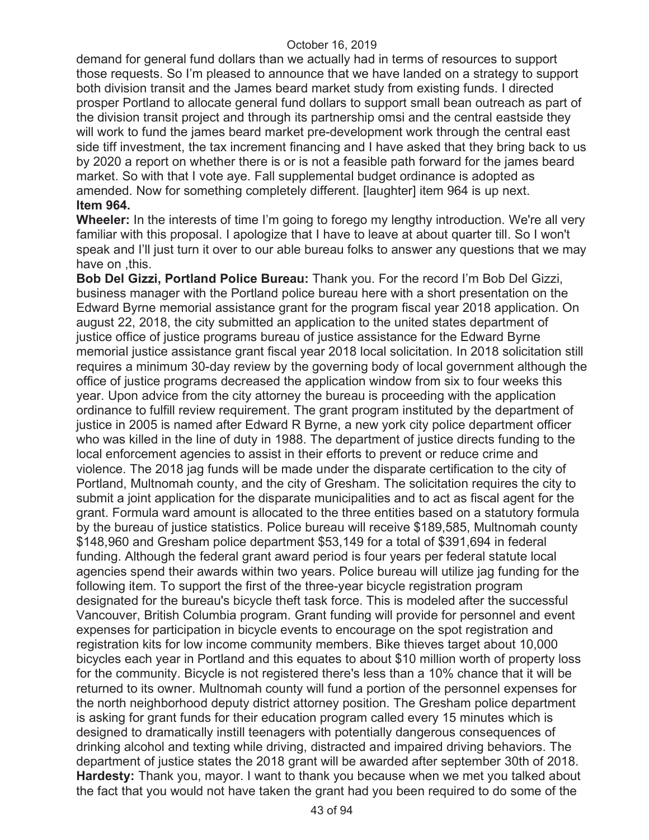demand for general fund dollars than we actually had in terms of resources to support those requests. So I'm pleased to announce that we have landed on a strategy to support both division transit and the James beard market study from existing funds. I directed prosper Portland to allocate general fund dollars to support small bean outreach as part of the division transit project and through its partnership omsi and the central eastside they will work to fund the james beard market pre-development work through the central east side tiff investment, the tax increment financing and I have asked that they bring back to us by 2020 a report on whether there is or is not a feasible path forward for the james beard market. So with that I vote aye. Fall supplemental budget ordinance is adopted as amended. Now for something completely different. [laughter] item 964 is up next. **Item 964.** 

**Wheeler:** In the interests of time I'm going to forego my lengthy introduction. We're all very familiar with this proposal. I apologize that I have to leave at about quarter till. So I won't speak and I'll just turn it over to our able bureau folks to answer any questions that we may have on this.

**Bob Del Gizzi, Portland Police Bureau:** Thank you. For the record I'm Bob Del Gizzi, business manager with the Portland police bureau here with a short presentation on the Edward Byrne memorial assistance grant for the program fiscal year 2018 application. On august 22, 2018, the city submitted an application to the united states department of justice office of justice programs bureau of justice assistance for the Edward Byrne memorial justice assistance grant fiscal year 2018 local solicitation. In 2018 solicitation still requires a minimum 30-day review by the governing body of local government although the office of justice programs decreased the application window from six to four weeks this year. Upon advice from the city attorney the bureau is proceeding with the application ordinance to fulfill review requirement. The grant program instituted by the department of justice in 2005 is named after Edward R Byrne, a new york city police department officer who was killed in the line of duty in 1988. The department of justice directs funding to the local enforcement agencies to assist in their efforts to prevent or reduce crime and violence. The 2018 jag funds will be made under the disparate certification to the city of Portland, Multnomah county, and the city of Gresham. The solicitation requires the city to submit a joint application for the disparate municipalities and to act as fiscal agent for the grant. Formula ward amount is allocated to the three entities based on a statutory formula by the bureau of justice statistics. Police bureau will receive \$189,585, Multnomah county \$148,960 and Gresham police department \$53,149 for a total of \$391,694 in federal funding. Although the federal grant award period is four years per federal statute local agencies spend their awards within two years. Police bureau will utilize jag funding for the following item. To support the first of the three-year bicycle registration program designated for the bureau's bicycle theft task force. This is modeled after the successful Vancouver, British Columbia program. Grant funding will provide for personnel and event expenses for participation in bicycle events to encourage on the spot registration and registration kits for low income community members. Bike thieves target about 10,000 bicycles each year in Portland and this equates to about \$10 million worth of property loss for the community. Bicycle is not registered there's less than a 10% chance that it will be returned to its owner. Multnomah county will fund a portion of the personnel expenses for the north neighborhood deputy district attorney position. The Gresham police department is asking for grant funds for their education program called every 15 minutes which is designed to dramatically instill teenagers with potentially dangerous consequences of drinking alcohol and texting while driving, distracted and impaired driving behaviors. The department of justice states the 2018 grant will be awarded after september 30th of 2018. **Hardesty:** Thank you, mayor. I want to thank you because when we met you talked about the fact that you would not have taken the grant had you been required to do some of the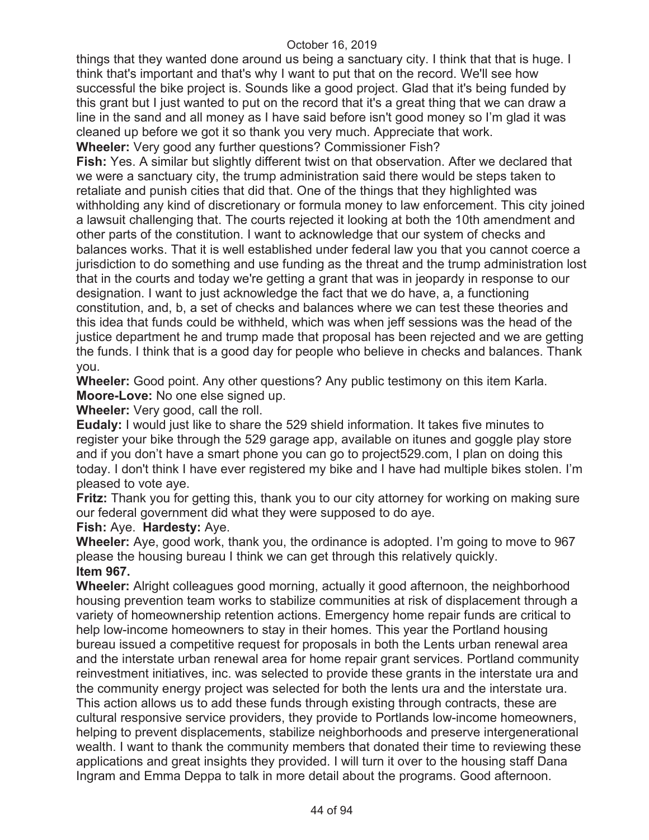things that they wanted done around us being a sanctuary city. I think that that is huge. I think that's important and that's why I want to put that on the record. We'll see how successful the bike project is. Sounds like a good project. Glad that it's being funded by this grant but I just wanted to put on the record that it's a great thing that we can draw a line in the sand and all money as I have said before isn't good money so I'm glad it was cleaned up before we got it so thank you very much. Appreciate that work. **Wheeler:** Very good any further questions? Commissioner Fish?

**Fish:** Yes. A similar but slightly different twist on that observation. After we declared that we were a sanctuary city, the trump administration said there would be steps taken to retaliate and punish cities that did that. One of the things that they highlighted was withholding any kind of discretionary or formula money to law enforcement. This city joined a lawsuit challenging that. The courts rejected it looking at both the 10th amendment and other parts of the constitution. I want to acknowledge that our system of checks and balances works. That it is well established under federal law you that you cannot coerce a jurisdiction to do something and use funding as the threat and the trump administration lost that in the courts and today we're getting a grant that was in jeopardy in response to our designation. I want to just acknowledge the fact that we do have, a, a functioning constitution, and, b, a set of checks and balances where we can test these theories and this idea that funds could be withheld, which was when jeff sessions was the head of the justice department he and trump made that proposal has been rejected and we are getting the funds. I think that is a good day for people who believe in checks and balances. Thank you.

**Wheeler:** Good point. Any other questions? Any public testimony on this item Karla. **Moore-Love:** No one else signed up.

**Wheeler:** Very good, call the roll.

**Eudaly:** I would just like to share the 529 shield information. It takes five minutes to register your bike through the 529 garage app, available on itunes and goggle play store and if you don't have a smart phone you can go to project529.com, I plan on doing this today. I don't think I have ever registered my bike and I have had multiple bikes stolen. I'm pleased to vote aye.

**Fritz:** Thank you for getting this, thank you to our city attorney for working on making sure our federal government did what they were supposed to do aye.

**Fish:** Aye. **Hardesty:** Aye.

**Wheeler:** Aye, good work, thank you, the ordinance is adopted. I'm going to move to 967 please the housing bureau I think we can get through this relatively quickly. **Item 967.** 

**Wheeler:** Alright colleagues good morning, actually it good afternoon, the neighborhood housing prevention team works to stabilize communities at risk of displacement through a variety of homeownership retention actions. Emergency home repair funds are critical to help low-income homeowners to stay in their homes. This year the Portland housing bureau issued a competitive request for proposals in both the Lents urban renewal area and the interstate urban renewal area for home repair grant services. Portland community reinvestment initiatives, inc. was selected to provide these grants in the interstate ura and the community energy project was selected for both the lents ura and the interstate ura. This action allows us to add these funds through existing through contracts, these are cultural responsive service providers, they provide to Portlands low-income homeowners, helping to prevent displacements, stabilize neighborhoods and preserve intergenerational wealth. I want to thank the community members that donated their time to reviewing these applications and great insights they provided. I will turn it over to the housing staff Dana Ingram and Emma Deppa to talk in more detail about the programs. Good afternoon.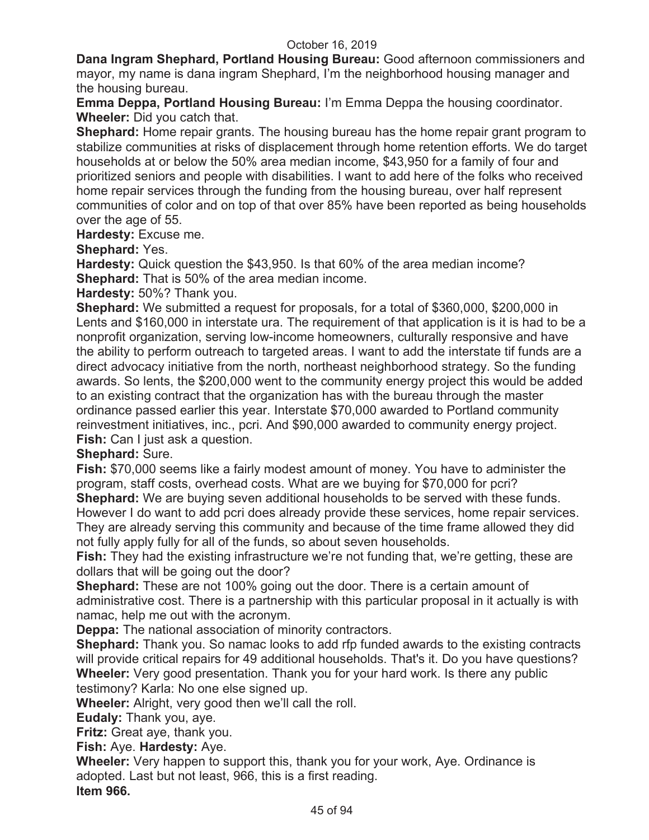**Dana Ingram Shephard, Portland Housing Bureau:** Good afternoon commissioners and mayor, my name is dana ingram Shephard, I'm the neighborhood housing manager and the housing bureau.

**Emma Deppa, Portland Housing Bureau:** I'm Emma Deppa the housing coordinator. **Wheeler:** Did you catch that.

**Shephard:** Home repair grants. The housing bureau has the home repair grant program to stabilize communities at risks of displacement through home retention efforts. We do target households at or below the 50% area median income, \$43,950 for a family of four and prioritized seniors and people with disabilities. I want to add here of the folks who received home repair services through the funding from the housing bureau, over half represent communities of color and on top of that over 85% have been reported as being households over the age of 55.

**Hardesty:** Excuse me.

**Shephard:** Yes.

**Hardesty:** Quick question the \$43,950. Is that 60% of the area median income? **Shephard:** That is 50% of the area median income.

**Hardesty:** 50%? Thank you.

**Shephard:** We submitted a request for proposals, for a total of \$360,000, \$200,000 in Lents and \$160,000 in interstate ura. The requirement of that application is it is had to be a nonprofit organization, serving low-income homeowners, culturally responsive and have the ability to perform outreach to targeted areas. I want to add the interstate tif funds are a direct advocacy initiative from the north, northeast neighborhood strategy. So the funding awards. So lents, the \$200,000 went to the community energy project this would be added to an existing contract that the organization has with the bureau through the master ordinance passed earlier this year. Interstate \$70,000 awarded to Portland community reinvestment initiatives, inc., pcri. And \$90,000 awarded to community energy project. **Fish:** Can I just ask a question.

# **Shephard:** Sure.

**Fish:** \$70,000 seems like a fairly modest amount of money. You have to administer the program, staff costs, overhead costs. What are we buying for \$70,000 for pcri?

**Shephard:** We are buying seven additional households to be served with these funds. However I do want to add pcri does already provide these services, home repair services. They are already serving this community and because of the time frame allowed they did not fully apply fully for all of the funds, so about seven households.

**Fish:** They had the existing infrastructure we're not funding that, we're getting, these are dollars that will be going out the door?

**Shephard:** These are not 100% going out the door. There is a certain amount of administrative cost. There is a partnership with this particular proposal in it actually is with namac, help me out with the acronym.

**Deppa:** The national association of minority contractors.

**Shephard:** Thank you. So namac looks to add rfp funded awards to the existing contracts will provide critical repairs for 49 additional households. That's it. Do you have questions? **Wheeler:** Very good presentation. Thank you for your hard work. Is there any public testimony? Karla: No one else signed up.

**Wheeler:** Alright, very good then we'll call the roll.

**Eudaly:** Thank you, aye.

**Fritz:** Great aye, thank you.

**Fish:** Aye. **Hardesty:** Aye.

**Wheeler:** Very happen to support this, thank you for your work, Aye. Ordinance is adopted. Last but not least, 966, this is a first reading.

**Item 966.**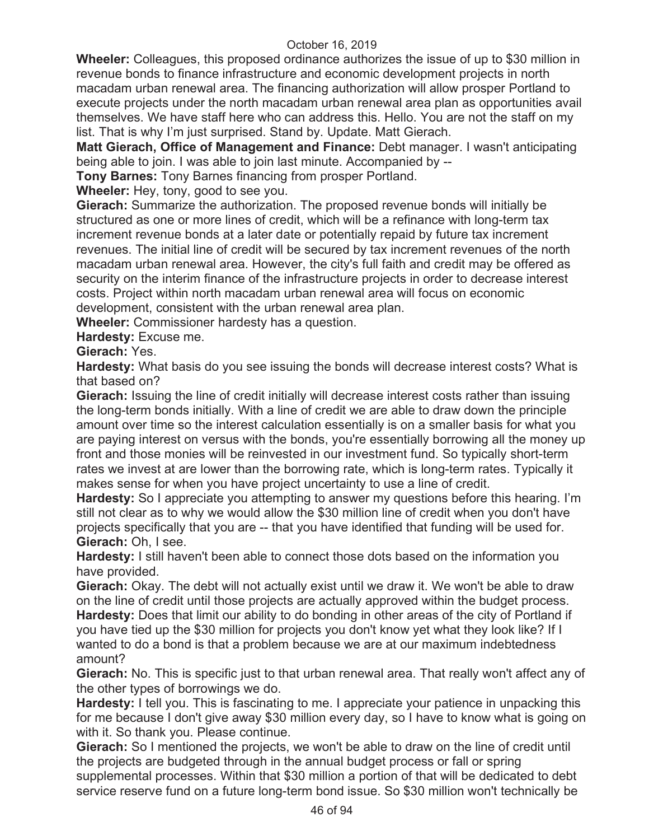**Wheeler:** Colleagues, this proposed ordinance authorizes the issue of up to \$30 million in revenue bonds to finance infrastructure and economic development projects in north macadam urban renewal area. The financing authorization will allow prosper Portland to execute projects under the north macadam urban renewal area plan as opportunities avail themselves. We have staff here who can address this. Hello. You are not the staff on my list. That is why I'm just surprised. Stand by. Update. Matt Gierach.

**Matt Gierach, Office of Management and Finance:** Debt manager. I wasn't anticipating being able to join. I was able to join last minute. Accompanied by --

**Tony Barnes:** Tony Barnes financing from prosper Portland.

**Wheeler:** Hey, tony, good to see you.

**Gierach:** Summarize the authorization. The proposed revenue bonds will initially be structured as one or more lines of credit, which will be a refinance with long-term tax increment revenue bonds at a later date or potentially repaid by future tax increment revenues. The initial line of credit will be secured by tax increment revenues of the north macadam urban renewal area. However, the city's full faith and credit may be offered as security on the interim finance of the infrastructure projects in order to decrease interest costs. Project within north macadam urban renewal area will focus on economic development, consistent with the urban renewal area plan.

**Wheeler:** Commissioner hardesty has a question.

**Hardesty:** Excuse me.

**Gierach:** Yes.

**Hardesty:** What basis do you see issuing the bonds will decrease interest costs? What is that based on?

**Gierach:** Issuing the line of credit initially will decrease interest costs rather than issuing the long-term bonds initially. With a line of credit we are able to draw down the principle amount over time so the interest calculation essentially is on a smaller basis for what you are paying interest on versus with the bonds, you're essentially borrowing all the money up front and those monies will be reinvested in our investment fund. So typically short-term rates we invest at are lower than the borrowing rate, which is long-term rates. Typically it makes sense for when you have project uncertainty to use a line of credit.

**Hardesty:** So I appreciate you attempting to answer my questions before this hearing. I'm still not clear as to why we would allow the \$30 million line of credit when you don't have projects specifically that you are -- that you have identified that funding will be used for. **Gierach:** Oh, I see.

**Hardesty:** I still haven't been able to connect those dots based on the information you have provided.

**Gierach:** Okay. The debt will not actually exist until we draw it. We won't be able to draw on the line of credit until those projects are actually approved within the budget process. **Hardesty:** Does that limit our ability to do bonding in other areas of the city of Portland if you have tied up the \$30 million for projects you don't know yet what they look like? If I wanted to do a bond is that a problem because we are at our maximum indebtedness amount?

**Gierach:** No. This is specific just to that urban renewal area. That really won't affect any of the other types of borrowings we do.

**Hardesty:** I tell you. This is fascinating to me. I appreciate your patience in unpacking this for me because I don't give away \$30 million every day, so I have to know what is going on with it. So thank you. Please continue.

**Gierach:** So I mentioned the projects, we won't be able to draw on the line of credit until the projects are budgeted through in the annual budget process or fall or spring supplemental processes. Within that \$30 million a portion of that will be dedicated to debt service reserve fund on a future long-term bond issue. So \$30 million won't technically be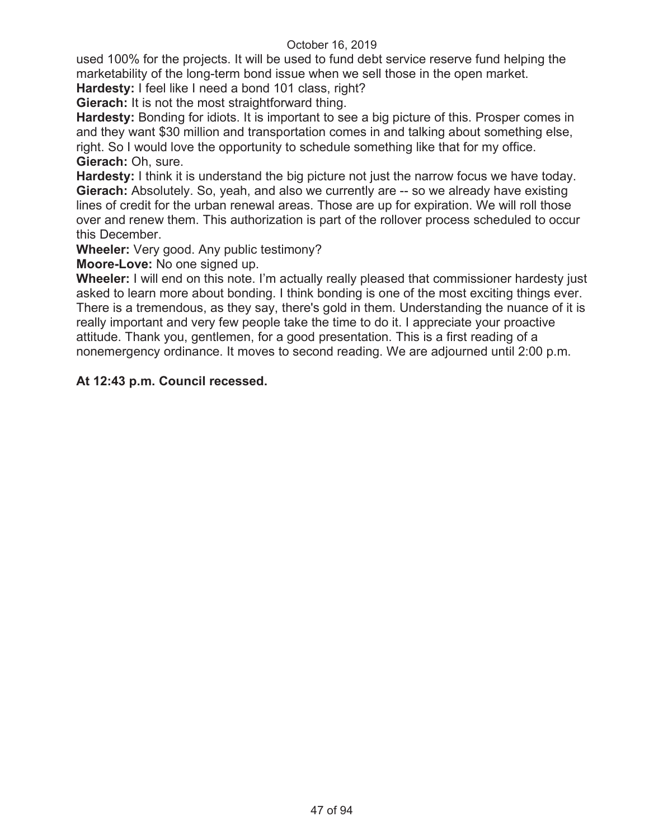used 100% for the projects. It will be used to fund debt service reserve fund helping the marketability of the long-term bond issue when we sell those in the open market.

**Hardesty:** I feel like I need a bond 101 class, right?

**Gierach:** It is not the most straightforward thing.

**Hardesty:** Bonding for idiots. It is important to see a big picture of this. Prosper comes in and they want \$30 million and transportation comes in and talking about something else, right. So I would love the opportunity to schedule something like that for my office. **Gierach:** Oh, sure.

**Hardesty:** I think it is understand the big picture not just the narrow focus we have today. **Gierach:** Absolutely. So, yeah, and also we currently are -- so we already have existing lines of credit for the urban renewal areas. Those are up for expiration. We will roll those over and renew them. This authorization is part of the rollover process scheduled to occur this December.

**Wheeler:** Very good. Any public testimony?

**Moore-Love:** No one signed up.

**Wheeler:** I will end on this note. I'm actually really pleased that commissioner hardesty just asked to learn more about bonding. I think bonding is one of the most exciting things ever. There is a tremendous, as they say, there's gold in them. Understanding the nuance of it is really important and very few people take the time to do it. I appreciate your proactive attitude. Thank you, gentlemen, for a good presentation. This is a first reading of a nonemergency ordinance. It moves to second reading. We are adjourned until 2:00 p.m.

## **At 12:43 p.m. Council recessed.**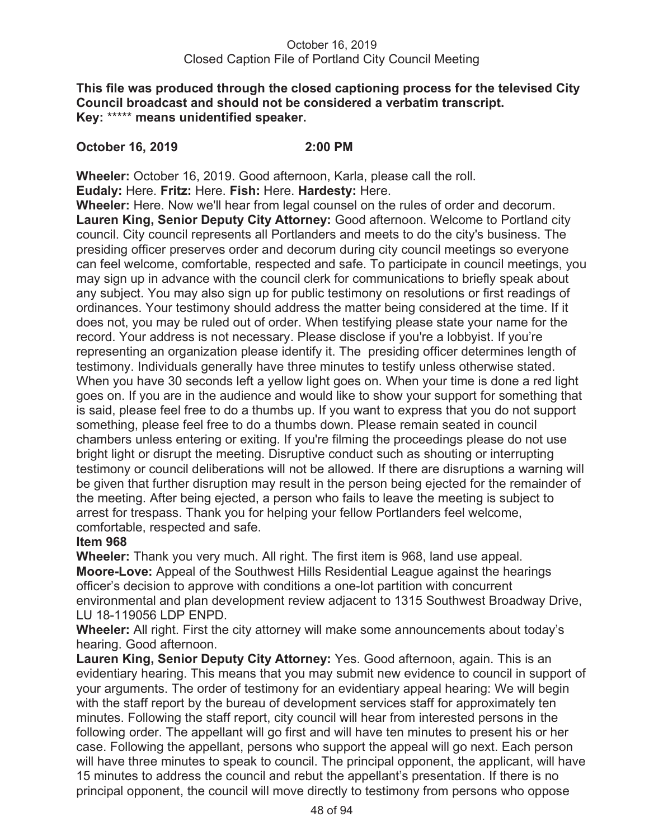## October 16, 2019 Closed Caption File of Portland City Council Meeting

### **This file was produced through the closed captioning process for the televised City Council broadcast and should not be considered a verbatim transcript. Key:** \*\*\*\*\* **means unidentified speaker.**

## **October 16, 2019 2:00 PM**

**Wheeler:** October 16, 2019. Good afternoon, Karla, please call the roll.

**Eudaly:** Here. **Fritz:** Here. **Fish:** Here. **Hardesty:** Here.

**Wheeler:** Here. Now we'll hear from legal counsel on the rules of order and decorum. **Lauren King, Senior Deputy City Attorney:** Good afternoon. Welcome to Portland city council. City council represents all Portlanders and meets to do the city's business. The presiding officer preserves order and decorum during city council meetings so everyone can feel welcome, comfortable, respected and safe. To participate in council meetings, you may sign up in advance with the council clerk for communications to briefly speak about any subject. You may also sign up for public testimony on resolutions or first readings of ordinances. Your testimony should address the matter being considered at the time. If it does not, you may be ruled out of order. When testifying please state your name for the record. Your address is not necessary. Please disclose if you're a lobbyist. If you're representing an organization please identify it. The presiding officer determines length of testimony. Individuals generally have three minutes to testify unless otherwise stated. When you have 30 seconds left a yellow light goes on. When your time is done a red light goes on. If you are in the audience and would like to show your support for something that is said, please feel free to do a thumbs up. If you want to express that you do not support something, please feel free to do a thumbs down. Please remain seated in council chambers unless entering or exiting. If you're filming the proceedings please do not use bright light or disrupt the meeting. Disruptive conduct such as shouting or interrupting testimony or council deliberations will not be allowed. If there are disruptions a warning will be given that further disruption may result in the person being ejected for the remainder of the meeting. After being ejected, a person who fails to leave the meeting is subject to arrest for trespass. Thank you for helping your fellow Portlanders feel welcome, comfortable, respected and safe.

# **Item 968**

**Wheeler:** Thank you very much. All right. The first item is 968, land use appeal. **Moore-Love:** Appeal of the Southwest Hills Residential League against the hearings officer's decision to approve with conditions a one-lot partition with concurrent environmental and plan development review adjacent to 1315 Southwest Broadway Drive, LU 18-119056 LDP ENPD.

**Wheeler:** All right. First the city attorney will make some announcements about today's hearing. Good afternoon.

**Lauren King, Senior Deputy City Attorney:** Yes. Good afternoon, again. This is an evidentiary hearing. This means that you may submit new evidence to council in support of your arguments. The order of testimony for an evidentiary appeal hearing: We will begin with the staff report by the bureau of development services staff for approximately ten minutes. Following the staff report, city council will hear from interested persons in the following order. The appellant will go first and will have ten minutes to present his or her case. Following the appellant, persons who support the appeal will go next. Each person will have three minutes to speak to council. The principal opponent, the applicant, will have 15 minutes to address the council and rebut the appellant's presentation. If there is no principal opponent, the council will move directly to testimony from persons who oppose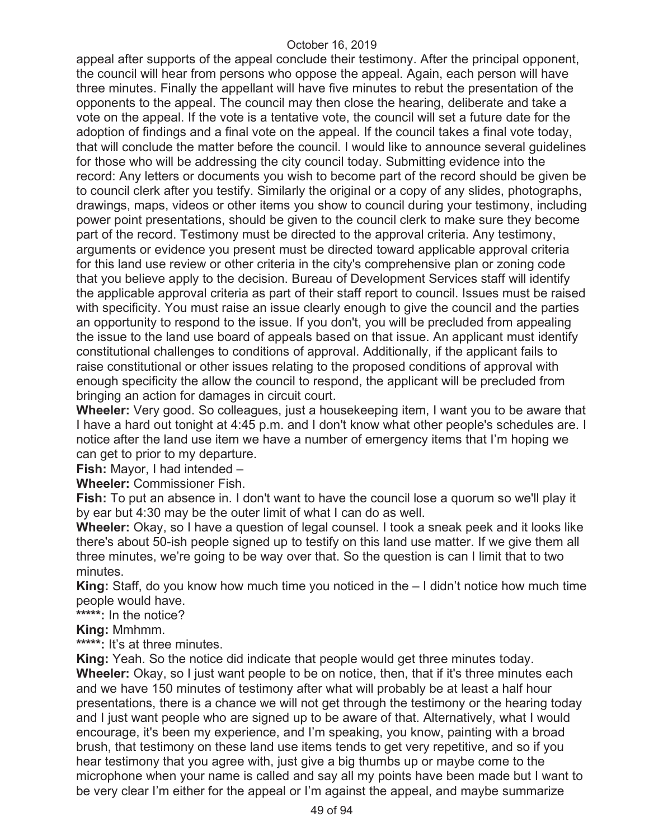appeal after supports of the appeal conclude their testimony. After the principal opponent, the council will hear from persons who oppose the appeal. Again, each person will have three minutes. Finally the appellant will have five minutes to rebut the presentation of the opponents to the appeal. The council may then close the hearing, deliberate and take a vote on the appeal. If the vote is a tentative vote, the council will set a future date for the adoption of findings and a final vote on the appeal. If the council takes a final vote today, that will conclude the matter before the council. I would like to announce several guidelines for those who will be addressing the city council today. Submitting evidence into the record: Any letters or documents you wish to become part of the record should be given be to council clerk after you testify. Similarly the original or a copy of any slides, photographs, drawings, maps, videos or other items you show to council during your testimony, including power point presentations, should be given to the council clerk to make sure they become part of the record. Testimony must be directed to the approval criteria. Any testimony, arguments or evidence you present must be directed toward applicable approval criteria for this land use review or other criteria in the city's comprehensive plan or zoning code that you believe apply to the decision. Bureau of Development Services staff will identify the applicable approval criteria as part of their staff report to council. Issues must be raised with specificity. You must raise an issue clearly enough to give the council and the parties an opportunity to respond to the issue. If you don't, you will be precluded from appealing the issue to the land use board of appeals based on that issue. An applicant must identify constitutional challenges to conditions of approval. Additionally, if the applicant fails to raise constitutional or other issues relating to the proposed conditions of approval with enough specificity the allow the council to respond, the applicant will be precluded from bringing an action for damages in circuit court.

**Wheeler:** Very good. So colleagues, just a housekeeping item, I want you to be aware that I have a hard out tonight at 4:45 p.m. and I don't know what other people's schedules are. I notice after the land use item we have a number of emergency items that I'm hoping we can get to prior to my departure.

**Fish:** Mayor, I had intended –

**Wheeler:** Commissioner Fish.

**Fish:** To put an absence in. I don't want to have the council lose a quorum so we'll play it by ear but 4:30 may be the outer limit of what I can do as well.

**Wheeler:** Okay, so I have a question of legal counsel. I took a sneak peek and it looks like there's about 50-ish people signed up to testify on this land use matter. If we give them all three minutes, we're going to be way over that. So the question is can I limit that to two minutes.

**King:** Staff, do you know how much time you noticed in the – I didn't notice how much time people would have.

**\*\*\*\*\*:** In the notice?

**King:** Mmhmm.

**\*\*\*\*\*:** It's at three minutes.

**King:** Yeah. So the notice did indicate that people would get three minutes today. **Wheeler:** Okay, so I just want people to be on notice, then, that if it's three minutes each and we have 150 minutes of testimony after what will probably be at least a half hour presentations, there is a chance we will not get through the testimony or the hearing today and I just want people who are signed up to be aware of that. Alternatively, what I would encourage, it's been my experience, and I'm speaking, you know, painting with a broad brush, that testimony on these land use items tends to get very repetitive, and so if you hear testimony that you agree with, just give a big thumbs up or maybe come to the microphone when your name is called and say all my points have been made but I want to be very clear I'm either for the appeal or I'm against the appeal, and maybe summarize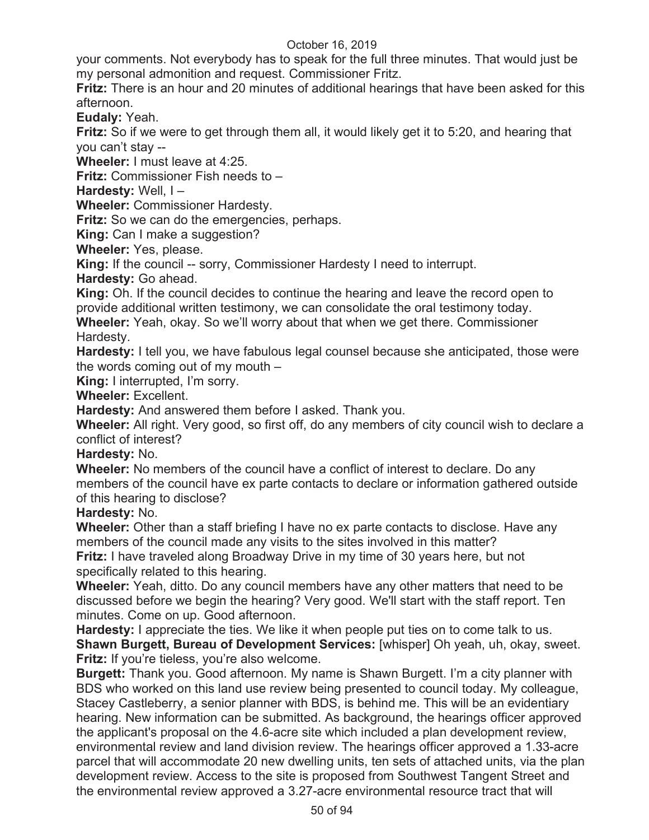your comments. Not everybody has to speak for the full three minutes. That would just be my personal admonition and request. Commissioner Fritz.

**Fritz:** There is an hour and 20 minutes of additional hearings that have been asked for this afternoon.

**Eudaly:** Yeah.

**Fritz:** So if we were to get through them all, it would likely get it to 5:20, and hearing that you can't stay --

**Wheeler:** I must leave at 4:25.

**Fritz:** Commissioner Fish needs to –

**Hardesty:** Well, I –

**Wheeler:** Commissioner Hardesty.

**Fritz:** So we can do the emergencies, perhaps.

**King: Can I make a suggestion?** 

**Wheeler:** Yes, please.

**King:** If the council -- sorry, Commissioner Hardesty I need to interrupt.

**Hardesty:** Go ahead.

**King:** Oh. If the council decides to continue the hearing and leave the record open to provide additional written testimony, we can consolidate the oral testimony today.

**Wheeler:** Yeah, okay. So we'll worry about that when we get there. Commissioner Hardesty.

**Hardesty:** I tell you, we have fabulous legal counsel because she anticipated, those were the words coming out of my mouth –

**King:** I interrupted, I'm sorry.

**Wheeler:** Excellent.

**Hardesty:** And answered them before I asked. Thank you.

**Wheeler:** All right. Very good, so first off, do any members of city council wish to declare a conflict of interest?

**Hardesty:** No.

**Wheeler:** No members of the council have a conflict of interest to declare. Do any members of the council have ex parte contacts to declare or information gathered outside of this hearing to disclose?

**Hardesty:** No.

**Wheeler:** Other than a staff briefing I have no ex parte contacts to disclose. Have any members of the council made any visits to the sites involved in this matter?

**Fritz:** I have traveled along Broadway Drive in my time of 30 years here, but not specifically related to this hearing.

**Wheeler:** Yeah, ditto. Do any council members have any other matters that need to be discussed before we begin the hearing? Very good. We'll start with the staff report. Ten minutes. Come on up. Good afternoon.

**Hardesty:** I appreciate the ties. We like it when people put ties on to come talk to us. **Shawn Burgett, Bureau of Development Services:** [whisper] Oh yeah, uh, okay, sweet. **Fritz:** If you're tieless, you're also welcome.

**Burgett:** Thank you. Good afternoon. My name is Shawn Burgett. I'm a city planner with BDS who worked on this land use review being presented to council today. My colleague, Stacey Castleberry, a senior planner with BDS, is behind me. This will be an evidentiary hearing. New information can be submitted. As background, the hearings officer approved the applicant's proposal on the 4.6-acre site which included a plan development review, environmental review and land division review. The hearings officer approved a 1.33-acre parcel that will accommodate 20 new dwelling units, ten sets of attached units, via the plan development review. Access to the site is proposed from Southwest Tangent Street and the environmental review approved a 3.27-acre environmental resource tract that will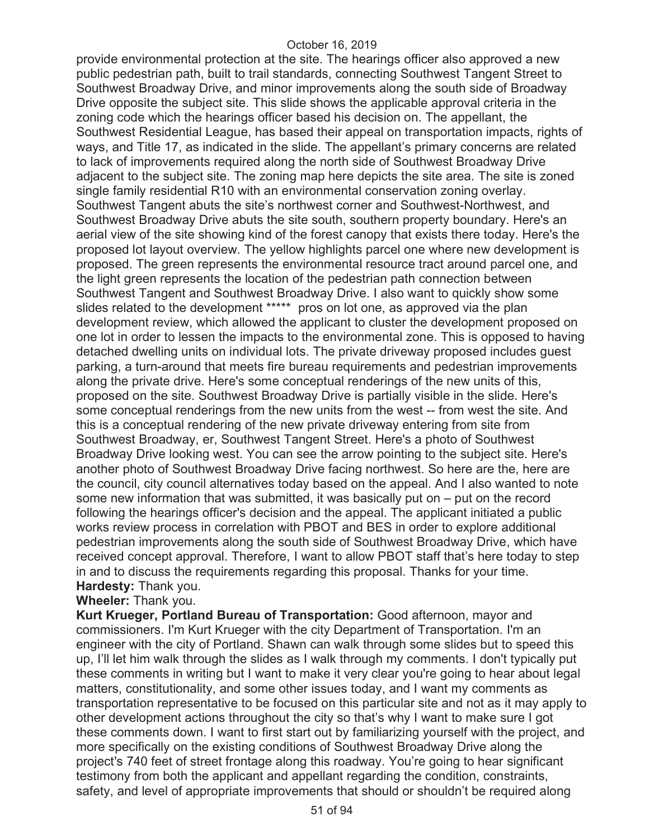provide environmental protection at the site. The hearings officer also approved a new public pedestrian path, built to trail standards, connecting Southwest Tangent Street to Southwest Broadway Drive, and minor improvements along the south side of Broadway Drive opposite the subject site. This slide shows the applicable approval criteria in the zoning code which the hearings officer based his decision on. The appellant, the Southwest Residential League, has based their appeal on transportation impacts, rights of ways, and Title 17, as indicated in the slide. The appellant's primary concerns are related to lack of improvements required along the north side of Southwest Broadway Drive adjacent to the subject site. The zoning map here depicts the site area. The site is zoned single family residential R10 with an environmental conservation zoning overlay. Southwest Tangent abuts the site's northwest corner and Southwest-Northwest, and Southwest Broadway Drive abuts the site south, southern property boundary. Here's an aerial view of the site showing kind of the forest canopy that exists there today. Here's the proposed lot layout overview. The yellow highlights parcel one where new development is proposed. The green represents the environmental resource tract around parcel one, and the light green represents the location of the pedestrian path connection between Southwest Tangent and Southwest Broadway Drive. I also want to quickly show some slides related to the development \*\*\*\*\* pros on lot one, as approved via the plan development review, which allowed the applicant to cluster the development proposed on one lot in order to lessen the impacts to the environmental zone. This is opposed to having detached dwelling units on individual lots. The private driveway proposed includes guest parking, a turn-around that meets fire bureau requirements and pedestrian improvements along the private drive. Here's some conceptual renderings of the new units of this, proposed on the site. Southwest Broadway Drive is partially visible in the slide. Here's some conceptual renderings from the new units from the west -- from west the site. And this is a conceptual rendering of the new private driveway entering from site from Southwest Broadway, er, Southwest Tangent Street. Here's a photo of Southwest Broadway Drive looking west. You can see the arrow pointing to the subject site. Here's another photo of Southwest Broadway Drive facing northwest. So here are the, here are the council, city council alternatives today based on the appeal. And I also wanted to note some new information that was submitted, it was basically put on – put on the record following the hearings officer's decision and the appeal. The applicant initiated a public works review process in correlation with PBOT and BES in order to explore additional pedestrian improvements along the south side of Southwest Broadway Drive, which have received concept approval. Therefore, I want to allow PBOT staff that's here today to step in and to discuss the requirements regarding this proposal. Thanks for your time. **Hardesty:** Thank you.

### **Wheeler:** Thank you.

**Kurt Krueger, Portland Bureau of Transportation:** Good afternoon, mayor and commissioners. I'm Kurt Krueger with the city Department of Transportation. I'm an engineer with the city of Portland. Shawn can walk through some slides but to speed this up, I'll let him walk through the slides as I walk through my comments. I don't typically put these comments in writing but I want to make it very clear you're going to hear about legal matters, constitutionality, and some other issues today, and I want my comments as transportation representative to be focused on this particular site and not as it may apply to other development actions throughout the city so that's why I want to make sure I got these comments down. I want to first start out by familiarizing yourself with the project, and more specifically on the existing conditions of Southwest Broadway Drive along the project's 740 feet of street frontage along this roadway. You're going to hear significant testimony from both the applicant and appellant regarding the condition, constraints, safety, and level of appropriate improvements that should or shouldn't be required along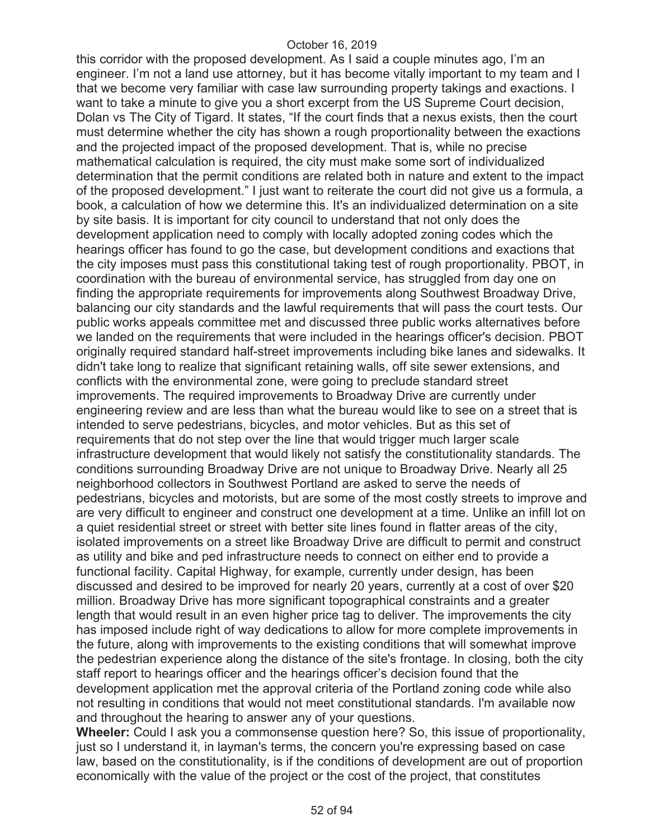this corridor with the proposed development. As I said a couple minutes ago, I'm an engineer. I'm not a land use attorney, but it has become vitally important to my team and I that we become very familiar with case law surrounding property takings and exactions. I want to take a minute to give you a short excerpt from the US Supreme Court decision, Dolan vs The City of Tigard. It states, "If the court finds that a nexus exists, then the court must determine whether the city has shown a rough proportionality between the exactions and the projected impact of the proposed development. That is, while no precise mathematical calculation is required, the city must make some sort of individualized determination that the permit conditions are related both in nature and extent to the impact of the proposed development." I just want to reiterate the court did not give us a formula, a book, a calculation of how we determine this. It's an individualized determination on a site by site basis. It is important for city council to understand that not only does the development application need to comply with locally adopted zoning codes which the hearings officer has found to go the case, but development conditions and exactions that the city imposes must pass this constitutional taking test of rough proportionality. PBOT, in coordination with the bureau of environmental service, has struggled from day one on finding the appropriate requirements for improvements along Southwest Broadway Drive, balancing our city standards and the lawful requirements that will pass the court tests. Our public works appeals committee met and discussed three public works alternatives before we landed on the requirements that were included in the hearings officer's decision. PBOT originally required standard half-street improvements including bike lanes and sidewalks. It didn't take long to realize that significant retaining walls, off site sewer extensions, and conflicts with the environmental zone, were going to preclude standard street improvements. The required improvements to Broadway Drive are currently under engineering review and are less than what the bureau would like to see on a street that is intended to serve pedestrians, bicycles, and motor vehicles. But as this set of requirements that do not step over the line that would trigger much larger scale infrastructure development that would likely not satisfy the constitutionality standards. The conditions surrounding Broadway Drive are not unique to Broadway Drive. Nearly all 25 neighborhood collectors in Southwest Portland are asked to serve the needs of pedestrians, bicycles and motorists, but are some of the most costly streets to improve and are very difficult to engineer and construct one development at a time. Unlike an infill lot on a quiet residential street or street with better site lines found in flatter areas of the city, isolated improvements on a street like Broadway Drive are difficult to permit and construct as utility and bike and ped infrastructure needs to connect on either end to provide a functional facility. Capital Highway, for example, currently under design, has been discussed and desired to be improved for nearly 20 years, currently at a cost of over \$20 million. Broadway Drive has more significant topographical constraints and a greater length that would result in an even higher price tag to deliver. The improvements the city has imposed include right of way dedications to allow for more complete improvements in the future, along with improvements to the existing conditions that will somewhat improve the pedestrian experience along the distance of the site's frontage. In closing, both the city staff report to hearings officer and the hearings officer's decision found that the development application met the approval criteria of the Portland zoning code while also not resulting in conditions that would not meet constitutional standards. I'm available now and throughout the hearing to answer any of your questions.

**Wheeler:** Could I ask you a commonsense question here? So, this issue of proportionality, just so I understand it, in layman's terms, the concern you're expressing based on case law, based on the constitutionality, is if the conditions of development are out of proportion economically with the value of the project or the cost of the project, that constitutes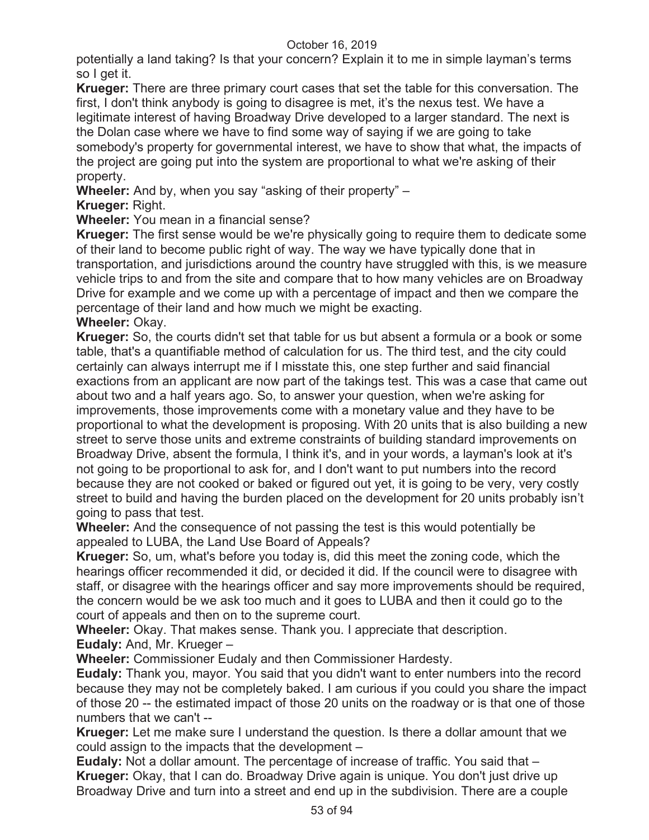potentially a land taking? Is that your concern? Explain it to me in simple layman's terms so I get it.

**Krueger:** There are three primary court cases that set the table for this conversation. The first, I don't think anybody is going to disagree is met, it's the nexus test. We have a legitimate interest of having Broadway Drive developed to a larger standard. The next is the Dolan case where we have to find some way of saying if we are going to take somebody's property for governmental interest, we have to show that what, the impacts of the project are going put into the system are proportional to what we're asking of their property.

**Wheeler:** And by, when you say "asking of their property" –

**Krueger:** Right.

**Wheeler:** You mean in a financial sense?

**Krueger:** The first sense would be we're physically going to require them to dedicate some of their land to become public right of way. The way we have typically done that in transportation, and jurisdictions around the country have struggled with this, is we measure vehicle trips to and from the site and compare that to how many vehicles are on Broadway Drive for example and we come up with a percentage of impact and then we compare the percentage of their land and how much we might be exacting.

**Wheeler:** Okay.

**Krueger:** So, the courts didn't set that table for us but absent a formula or a book or some table, that's a quantifiable method of calculation for us. The third test, and the city could certainly can always interrupt me if I misstate this, one step further and said financial exactions from an applicant are now part of the takings test. This was a case that came out about two and a half years ago. So, to answer your question, when we're asking for improvements, those improvements come with a monetary value and they have to be proportional to what the development is proposing. With 20 units that is also building a new street to serve those units and extreme constraints of building standard improvements on Broadway Drive, absent the formula, I think it's, and in your words, a layman's look at it's not going to be proportional to ask for, and I don't want to put numbers into the record because they are not cooked or baked or figured out yet, it is going to be very, very costly street to build and having the burden placed on the development for 20 units probably isn't going to pass that test.

**Wheeler:** And the consequence of not passing the test is this would potentially be appealed to LUBA, the Land Use Board of Appeals?

**Krueger:** So, um, what's before you today is, did this meet the zoning code, which the hearings officer recommended it did, or decided it did. If the council were to disagree with staff, or disagree with the hearings officer and say more improvements should be required, the concern would be we ask too much and it goes to LUBA and then it could go to the court of appeals and then on to the supreme court.

**Wheeler:** Okay. That makes sense. Thank you. I appreciate that description.

**Eudaly:** And, Mr. Krueger –

**Wheeler:** Commissioner Eudaly and then Commissioner Hardesty.

**Eudaly:** Thank you, mayor. You said that you didn't want to enter numbers into the record because they may not be completely baked. I am curious if you could you share the impact of those 20 -- the estimated impact of those 20 units on the roadway or is that one of those numbers that we can't --

**Krueger:** Let me make sure I understand the question. Is there a dollar amount that we could assign to the impacts that the development –

**Eudaly:** Not a dollar amount. The percentage of increase of traffic. You said that – **Krueger:** Okay, that I can do. Broadway Drive again is unique. You don't just drive up Broadway Drive and turn into a street and end up in the subdivision. There are a couple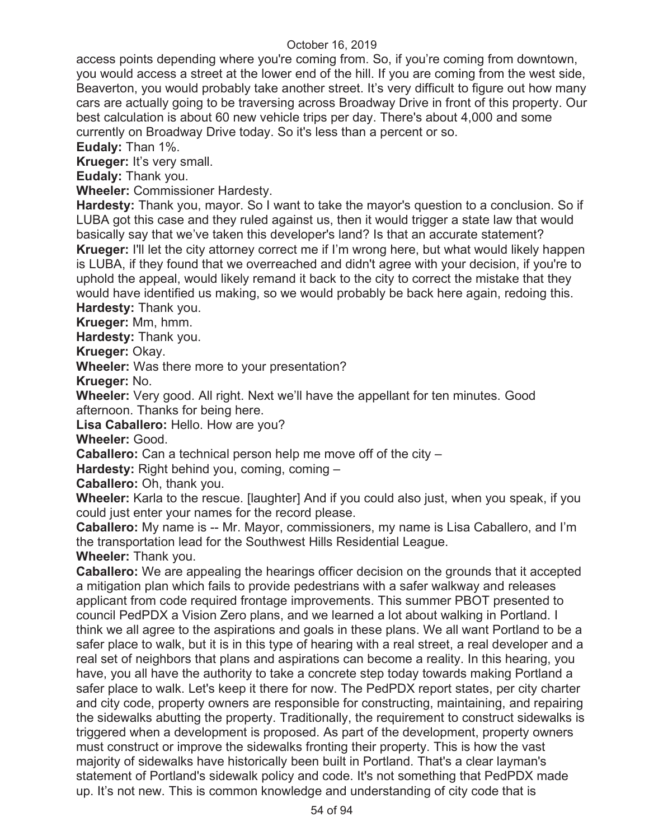access points depending where you're coming from. So, if you're coming from downtown, you would access a street at the lower end of the hill. If you are coming from the west side, Beaverton, you would probably take another street. It's very difficult to figure out how many cars are actually going to be traversing across Broadway Drive in front of this property. Our best calculation is about 60 new vehicle trips per day. There's about 4,000 and some currently on Broadway Drive today. So it's less than a percent or so.

**Eudaly:** Than 1%.

**Krueger:** It's very small.

**Eudaly:** Thank you.

**Wheeler:** Commissioner Hardesty.

**Hardesty:** Thank you, mayor. So I want to take the mayor's question to a conclusion. So if LUBA got this case and they ruled against us, then it would trigger a state law that would basically say that we've taken this developer's land? Is that an accurate statement? **Krueger:** I'll let the city attorney correct me if I'm wrong here, but what would likely happen is LUBA, if they found that we overreached and didn't agree with your decision, if you're to uphold the appeal, would likely remand it back to the city to correct the mistake that they would have identified us making, so we would probably be back here again, redoing this.

**Hardesty:** Thank you.

**Krueger:** Mm, hmm.

**Hardesty:** Thank you.

**Krueger:** Okay.

**Wheeler:** Was there more to your presentation?

**Krueger:** No.

**Wheeler:** Very good. All right. Next we'll have the appellant for ten minutes. Good afternoon. Thanks for being here.

**Lisa Caballero:** Hello. How are you?

**Wheeler:** Good.

**Caballero:** Can a technical person help me move off of the city –

**Hardesty:** Right behind you, coming, coming –

**Caballero:** Oh, thank you.

**Wheeler:** Karla to the rescue. [laughter] And if you could also just, when you speak, if you could just enter your names for the record please.

**Caballero:** My name is -- Mr. Mayor, commissioners, my name is Lisa Caballero, and I'm the transportation lead for the Southwest Hills Residential League.

**Wheeler:** Thank you.

**Caballero:** We are appealing the hearings officer decision on the grounds that it accepted a mitigation plan which fails to provide pedestrians with a safer walkway and releases applicant from code required frontage improvements. This summer PBOT presented to council PedPDX a Vision Zero plans, and we learned a lot about walking in Portland. I think we all agree to the aspirations and goals in these plans. We all want Portland to be a safer place to walk, but it is in this type of hearing with a real street, a real developer and a real set of neighbors that plans and aspirations can become a reality. In this hearing, you have, you all have the authority to take a concrete step today towards making Portland a safer place to walk. Let's keep it there for now. The PedPDX report states, per city charter and city code, property owners are responsible for constructing, maintaining, and repairing the sidewalks abutting the property. Traditionally, the requirement to construct sidewalks is triggered when a development is proposed. As part of the development, property owners must construct or improve the sidewalks fronting their property. This is how the vast majority of sidewalks have historically been built in Portland. That's a clear layman's statement of Portland's sidewalk policy and code. It's not something that PedPDX made up. It's not new. This is common knowledge and understanding of city code that is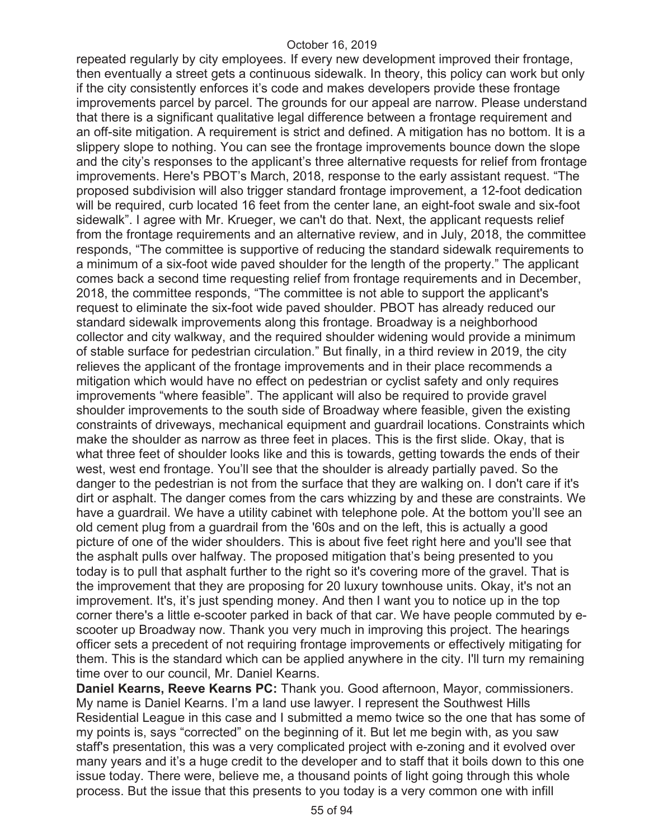repeated regularly by city employees. If every new development improved their frontage, then eventually a street gets a continuous sidewalk. In theory, this policy can work but only if the city consistently enforces it's code and makes developers provide these frontage improvements parcel by parcel. The grounds for our appeal are narrow. Please understand that there is a significant qualitative legal difference between a frontage requirement and an off-site mitigation. A requirement is strict and defined. A mitigation has no bottom. It is a slippery slope to nothing. You can see the frontage improvements bounce down the slope and the city's responses to the applicant's three alternative requests for relief from frontage improvements. Here's PBOT's March, 2018, response to the early assistant request. "The proposed subdivision will also trigger standard frontage improvement, a 12-foot dedication will be required, curb located 16 feet from the center lane, an eight-foot swale and six-foot sidewalk". I agree with Mr. Krueger, we can't do that. Next, the applicant requests relief from the frontage requirements and an alternative review, and in July, 2018, the committee responds, "The committee is supportive of reducing the standard sidewalk requirements to a minimum of a six-foot wide paved shoulder for the length of the property." The applicant comes back a second time requesting relief from frontage requirements and in December, 2018, the committee responds, "The committee is not able to support the applicant's request to eliminate the six-foot wide paved shoulder. PBOT has already reduced our standard sidewalk improvements along this frontage. Broadway is a neighborhood collector and city walkway, and the required shoulder widening would provide a minimum of stable surface for pedestrian circulation." But finally, in a third review in 2019, the city relieves the applicant of the frontage improvements and in their place recommends a mitigation which would have no effect on pedestrian or cyclist safety and only requires improvements "where feasible". The applicant will also be required to provide gravel shoulder improvements to the south side of Broadway where feasible, given the existing constraints of driveways, mechanical equipment and guardrail locations. Constraints which make the shoulder as narrow as three feet in places. This is the first slide. Okay, that is what three feet of shoulder looks like and this is towards, getting towards the ends of their west, west end frontage. You'll see that the shoulder is already partially paved. So the danger to the pedestrian is not from the surface that they are walking on. I don't care if it's dirt or asphalt. The danger comes from the cars whizzing by and these are constraints. We have a guardrail. We have a utility cabinet with telephone pole. At the bottom you'll see an old cement plug from a guardrail from the '60s and on the left, this is actually a good picture of one of the wider shoulders. This is about five feet right here and you'll see that the asphalt pulls over halfway. The proposed mitigation that's being presented to you today is to pull that asphalt further to the right so it's covering more of the gravel. That is the improvement that they are proposing for 20 luxury townhouse units. Okay, it's not an improvement. It's, it's just spending money. And then I want you to notice up in the top corner there's a little e-scooter parked in back of that car. We have people commuted by escooter up Broadway now. Thank you very much in improving this project. The hearings officer sets a precedent of not requiring frontage improvements or effectively mitigating for them. This is the standard which can be applied anywhere in the city. I'll turn my remaining time over to our council, Mr. Daniel Kearns.

**Daniel Kearns, Reeve Kearns PC:** Thank you. Good afternoon, Mayor, commissioners. My name is Daniel Kearns. I'm a land use lawyer. I represent the Southwest Hills Residential League in this case and I submitted a memo twice so the one that has some of my points is, says "corrected" on the beginning of it. But let me begin with, as you saw staff's presentation, this was a very complicated project with e-zoning and it evolved over many years and it's a huge credit to the developer and to staff that it boils down to this one issue today. There were, believe me, a thousand points of light going through this whole process. But the issue that this presents to you today is a very common one with infill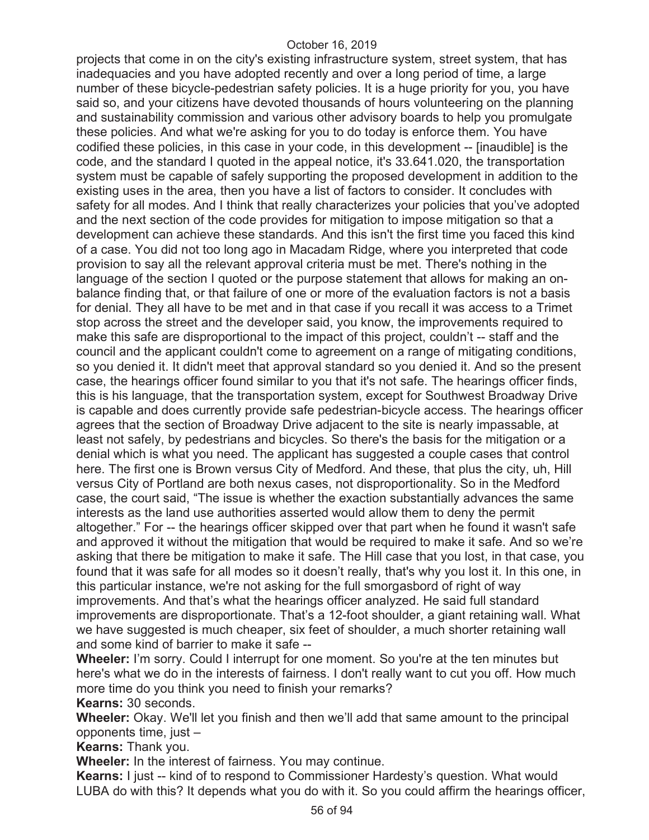projects that come in on the city's existing infrastructure system, street system, that has inadequacies and you have adopted recently and over a long period of time, a large number of these bicycle-pedestrian safety policies. It is a huge priority for you, you have said so, and your citizens have devoted thousands of hours volunteering on the planning and sustainability commission and various other advisory boards to help you promulgate these policies. And what we're asking for you to do today is enforce them. You have codified these policies, in this case in your code, in this development -- [inaudible] is the code, and the standard I quoted in the appeal notice, it's 33.641.020, the transportation system must be capable of safely supporting the proposed development in addition to the existing uses in the area, then you have a list of factors to consider. It concludes with safety for all modes. And I think that really characterizes your policies that you've adopted and the next section of the code provides for mitigation to impose mitigation so that a development can achieve these standards. And this isn't the first time you faced this kind of a case. You did not too long ago in Macadam Ridge, where you interpreted that code provision to say all the relevant approval criteria must be met. There's nothing in the language of the section I quoted or the purpose statement that allows for making an onbalance finding that, or that failure of one or more of the evaluation factors is not a basis for denial. They all have to be met and in that case if you recall it was access to a Trimet stop across the street and the developer said, you know, the improvements required to make this safe are disproportional to the impact of this project, couldn't -- staff and the council and the applicant couldn't come to agreement on a range of mitigating conditions, so you denied it. It didn't meet that approval standard so you denied it. And so the present case, the hearings officer found similar to you that it's not safe. The hearings officer finds, this is his language, that the transportation system, except for Southwest Broadway Drive is capable and does currently provide safe pedestrian-bicycle access. The hearings officer agrees that the section of Broadway Drive adjacent to the site is nearly impassable, at least not safely, by pedestrians and bicycles. So there's the basis for the mitigation or a denial which is what you need. The applicant has suggested a couple cases that control here. The first one is Brown versus City of Medford. And these, that plus the city, uh, Hill versus City of Portland are both nexus cases, not disproportionality. So in the Medford case, the court said, "The issue is whether the exaction substantially advances the same interests as the land use authorities asserted would allow them to deny the permit altogether." For -- the hearings officer skipped over that part when he found it wasn't safe and approved it without the mitigation that would be required to make it safe. And so we're asking that there be mitigation to make it safe. The Hill case that you lost, in that case, you found that it was safe for all modes so it doesn't really, that's why you lost it. In this one, in this particular instance, we're not asking for the full smorgasbord of right of way improvements. And that's what the hearings officer analyzed. He said full standard improvements are disproportionate. That's a 12-foot shoulder, a giant retaining wall. What we have suggested is much cheaper, six feet of shoulder, a much shorter retaining wall and some kind of barrier to make it safe --

**Wheeler:** I'm sorry. Could I interrupt for one moment. So you're at the ten minutes but here's what we do in the interests of fairness. I don't really want to cut you off. How much more time do you think you need to finish your remarks? **Kearns:** 30 seconds.

**Wheeler:** Okay. We'll let you finish and then we'll add that same amount to the principal opponents time, just –

**Kearns:** Thank you.

**Wheeler:** In the interest of fairness. You may continue.

**Kearns:** I just -- kind of to respond to Commissioner Hardesty's question. What would LUBA do with this? It depends what you do with it. So you could affirm the hearings officer,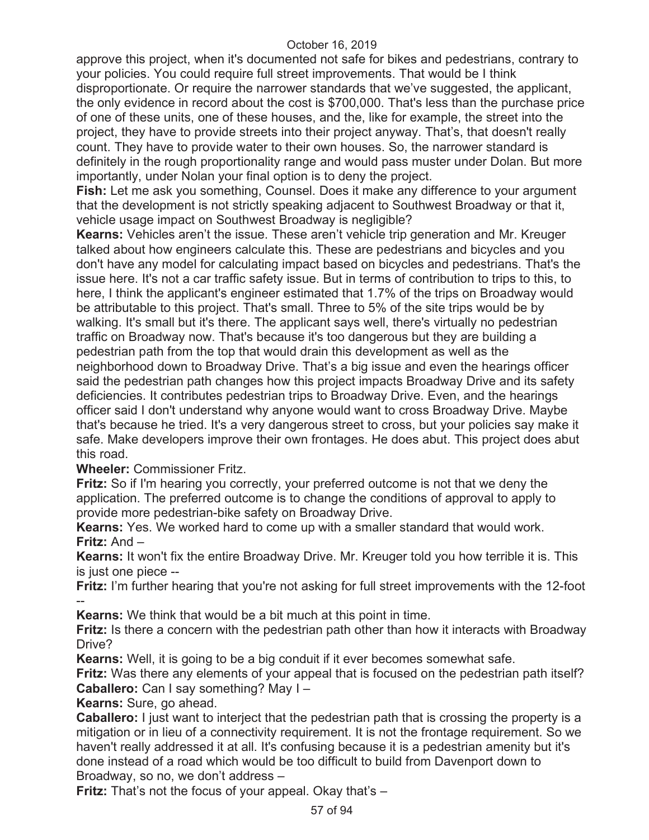approve this project, when it's documented not safe for bikes and pedestrians, contrary to your policies. You could require full street improvements. That would be I think disproportionate. Or require the narrower standards that we've suggested, the applicant, the only evidence in record about the cost is \$700,000. That's less than the purchase price of one of these units, one of these houses, and the, like for example, the street into the project, they have to provide streets into their project anyway. That's, that doesn't really count. They have to provide water to their own houses. So, the narrower standard is definitely in the rough proportionality range and would pass muster under Dolan. But more importantly, under Nolan your final option is to deny the project.

**Fish:** Let me ask you something, Counsel. Does it make any difference to your argument that the development is not strictly speaking adjacent to Southwest Broadway or that it, vehicle usage impact on Southwest Broadway is negligible?

**Kearns:** Vehicles aren't the issue. These aren't vehicle trip generation and Mr. Kreuger talked about how engineers calculate this. These are pedestrians and bicycles and you don't have any model for calculating impact based on bicycles and pedestrians. That's the issue here. It's not a car traffic safety issue. But in terms of contribution to trips to this, to here, I think the applicant's engineer estimated that 1.7% of the trips on Broadway would be attributable to this project. That's small. Three to 5% of the site trips would be by walking. It's small but it's there. The applicant says well, there's virtually no pedestrian traffic on Broadway now. That's because it's too dangerous but they are building a pedestrian path from the top that would drain this development as well as the neighborhood down to Broadway Drive. That's a big issue and even the hearings officer said the pedestrian path changes how this project impacts Broadway Drive and its safety deficiencies. It contributes pedestrian trips to Broadway Drive. Even, and the hearings officer said I don't understand why anyone would want to cross Broadway Drive. Maybe that's because he tried. It's a very dangerous street to cross, but your policies say make it safe. Make developers improve their own frontages. He does abut. This project does abut this road.

**Wheeler:** Commissioner Fritz.

**Fritz:** So if I'm hearing you correctly, your preferred outcome is not that we deny the application. The preferred outcome is to change the conditions of approval to apply to provide more pedestrian-bike safety on Broadway Drive.

**Kearns:** Yes. We worked hard to come up with a smaller standard that would work. **Fritz:** And –

**Kearns:** It won't fix the entire Broadway Drive. Mr. Kreuger told you how terrible it is. This is just one piece --

**Fritz:** I'm further hearing that you're not asking for full street improvements with the 12-foot --

**Kearns:** We think that would be a bit much at this point in time.

**Fritz:** Is there a concern with the pedestrian path other than how it interacts with Broadway Drive?

**Kearns:** Well, it is going to be a big conduit if it ever becomes somewhat safe.

**Fritz:** Was there any elements of your appeal that is focused on the pedestrian path itself? **Caballero:** Can I say something? May I –

**Kearns:** Sure, go ahead.

**Caballero:** I just want to interject that the pedestrian path that is crossing the property is a mitigation or in lieu of a connectivity requirement. It is not the frontage requirement. So we haven't really addressed it at all. It's confusing because it is a pedestrian amenity but it's done instead of a road which would be too difficult to build from Davenport down to Broadway, so no, we don't address –

**Fritz:** That's not the focus of your appeal. Okay that's –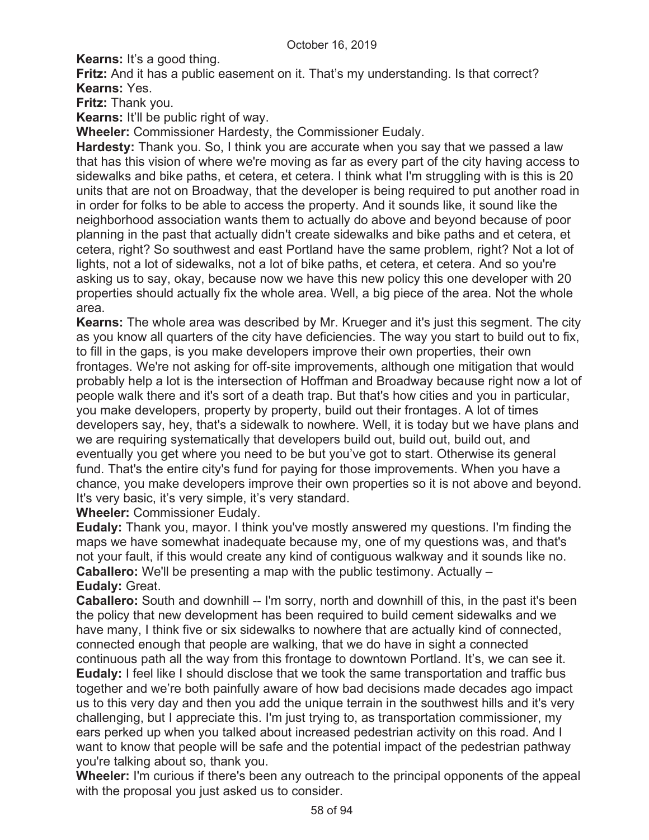**Kearns:** It's a good thing.

**Fritz:** And it has a public easement on it. That's my understanding. Is that correct? **Kearns:** Yes.

**Fritz:** Thank you.

**Kearns:** It'll be public right of way.

**Wheeler:** Commissioner Hardesty, the Commissioner Eudaly.

**Hardesty:** Thank you. So, I think you are accurate when you say that we passed a law that has this vision of where we're moving as far as every part of the city having access to sidewalks and bike paths, et cetera, et cetera. I think what I'm struggling with is this is 20 units that are not on Broadway, that the developer is being required to put another road in in order for folks to be able to access the property. And it sounds like, it sound like the neighborhood association wants them to actually do above and beyond because of poor planning in the past that actually didn't create sidewalks and bike paths and et cetera, et cetera, right? So southwest and east Portland have the same problem, right? Not a lot of lights, not a lot of sidewalks, not a lot of bike paths, et cetera, et cetera. And so you're asking us to say, okay, because now we have this new policy this one developer with 20 properties should actually fix the whole area. Well, a big piece of the area. Not the whole area.

**Kearns:** The whole area was described by Mr. Krueger and it's just this segment. The city as you know all quarters of the city have deficiencies. The way you start to build out to fix, to fill in the gaps, is you make developers improve their own properties, their own frontages. We're not asking for off-site improvements, although one mitigation that would probably help a lot is the intersection of Hoffman and Broadway because right now a lot of people walk there and it's sort of a death trap. But that's how cities and you in particular, you make developers, property by property, build out their frontages. A lot of times developers say, hey, that's a sidewalk to nowhere. Well, it is today but we have plans and we are requiring systematically that developers build out, build out, build out, and eventually you get where you need to be but you've got to start. Otherwise its general fund. That's the entire city's fund for paying for those improvements. When you have a chance, you make developers improve their own properties so it is not above and beyond. It's very basic, it's very simple, it's very standard.

**Wheeler:** Commissioner Eudaly.

**Eudaly:** Thank you, mayor. I think you've mostly answered my questions. I'm finding the maps we have somewhat inadequate because my, one of my questions was, and that's not your fault, if this would create any kind of contiguous walkway and it sounds like no. **Caballero:** We'll be presenting a map with the public testimony. Actually – **Eudaly:** Great.

**Caballero:** South and downhill -- I'm sorry, north and downhill of this, in the past it's been the policy that new development has been required to build cement sidewalks and we have many, I think five or six sidewalks to nowhere that are actually kind of connected, connected enough that people are walking, that we do have in sight a connected continuous path all the way from this frontage to downtown Portland. It's, we can see it. **Eudaly:** I feel like I should disclose that we took the same transportation and traffic bus together and we're both painfully aware of how bad decisions made decades ago impact us to this very day and then you add the unique terrain in the southwest hills and it's very challenging, but I appreciate this. I'm just trying to, as transportation commissioner, my ears perked up when you talked about increased pedestrian activity on this road. And I want to know that people will be safe and the potential impact of the pedestrian pathway you're talking about so, thank you.

**Wheeler:** I'm curious if there's been any outreach to the principal opponents of the appeal with the proposal you just asked us to consider.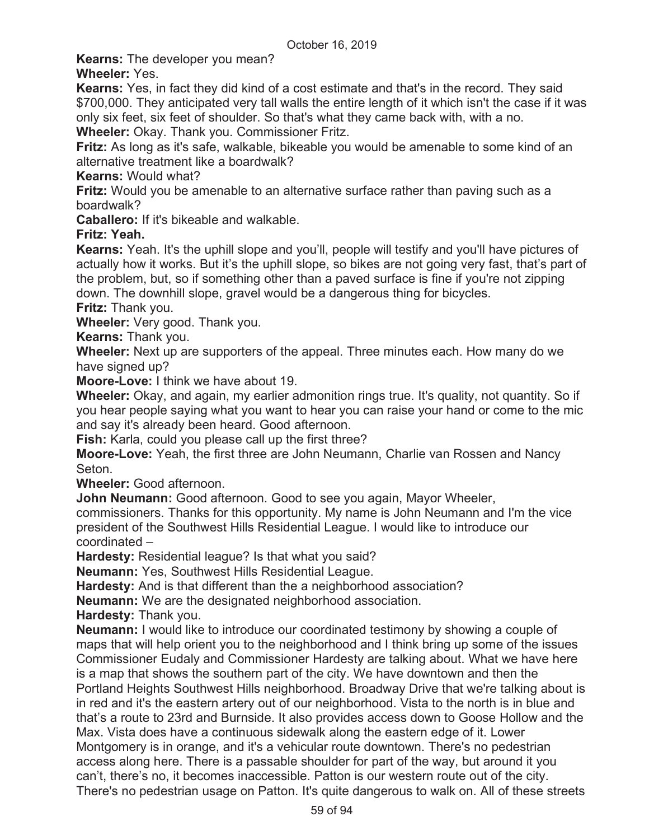**Kearns:** The developer you mean?

**Wheeler:** Yes.

**Kearns:** Yes, in fact they did kind of a cost estimate and that's in the record. They said \$700,000. They anticipated very tall walls the entire length of it which isn't the case if it was only six feet, six feet of shoulder. So that's what they came back with, with a no.

**Wheeler:** Okay. Thank you. Commissioner Fritz.

**Fritz:** As long as it's safe, walkable, bikeable you would be amenable to some kind of an alternative treatment like a boardwalk?

**Kearns:** Would what?

**Fritz:** Would you be amenable to an alternative surface rather than paving such as a boardwalk?

**Caballero:** If it's bikeable and walkable.

# **Fritz: Yeah.**

**Kearns:** Yeah. It's the uphill slope and you'll, people will testify and you'll have pictures of actually how it works. But it's the uphill slope, so bikes are not going very fast, that's part of the problem, but, so if something other than a paved surface is fine if you're not zipping down. The downhill slope, gravel would be a dangerous thing for bicycles.

**Fritz:** Thank you.

**Wheeler:** Very good. Thank you.

**Kearns:** Thank you.

**Wheeler:** Next up are supporters of the appeal. Three minutes each. How many do we have signed up?

**Moore-Love:** I think we have about 19.

**Wheeler:** Okay, and again, my earlier admonition rings true. It's quality, not quantity. So if you hear people saying what you want to hear you can raise your hand or come to the mic and say it's already been heard. Good afternoon.

**Fish:** Karla, could you please call up the first three?

**Moore-Love:** Yeah, the first three are John Neumann, Charlie van Rossen and Nancy Seton.

**Wheeler:** Good afternoon.

**John Neumann:** Good afternoon. Good to see you again, Mayor Wheeler,

commissioners. Thanks for this opportunity. My name is John Neumann and I'm the vice president of the Southwest Hills Residential League. I would like to introduce our coordinated –

**Hardesty:** Residential league? Is that what you said?

**Neumann:** Yes, Southwest Hills Residential League.

**Hardesty:** And is that different than the a neighborhood association?

**Neumann:** We are the designated neighborhood association.

**Hardesty:** Thank you.

**Neumann:** I would like to introduce our coordinated testimony by showing a couple of maps that will help orient you to the neighborhood and I think bring up some of the issues Commissioner Eudaly and Commissioner Hardesty are talking about. What we have here is a map that shows the southern part of the city. We have downtown and then the Portland Heights Southwest Hills neighborhood. Broadway Drive that we're talking about is in red and it's the eastern artery out of our neighborhood. Vista to the north is in blue and that's a route to 23rd and Burnside. It also provides access down to Goose Hollow and the Max. Vista does have a continuous sidewalk along the eastern edge of it. Lower Montgomery is in orange, and it's a vehicular route downtown. There's no pedestrian access along here. There is a passable shoulder for part of the way, but around it you can't, there's no, it becomes inaccessible. Patton is our western route out of the city. There's no pedestrian usage on Patton. It's quite dangerous to walk on. All of these streets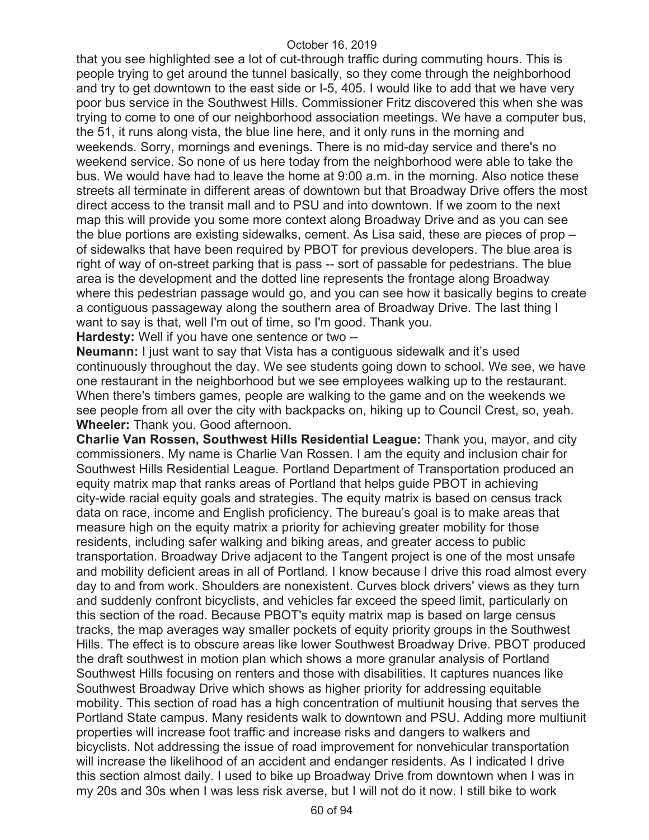that you see highlighted see a lot of cut-through traffic during commuting hours. This is people trying to get around the tunnel basically, so they come through the neighborhood and try to get downtown to the east side or I-5, 405. I would like to add that we have very poor bus service in the Southwest Hills. Commissioner Fritz discovered this when she was trying to come to one of our neighborhood association meetings. We have a computer bus, the 51, it runs along vista, the blue line here, and it only runs in the morning and weekends. Sorry, mornings and evenings. There is no mid-day service and there's no weekend service. So none of us here today from the neighborhood were able to take the bus. We would have had to leave the home at 9:00 a.m. in the morning. Also notice these streets all terminate in different areas of downtown but that Broadway Drive offers the most direct access to the transit mall and to PSU and into downtown. If we zoom to the next map this will provide you some more context along Broadway Drive and as you can see the blue portions are existing sidewalks, cement. As Lisa said, these are pieces of prop – of sidewalks that have been required by PBOT for previous developers. The blue area is right of way of on-street parking that is pass -- sort of passable for pedestrians. The blue area is the development and the dotted line represents the frontage along Broadway where this pedestrian passage would go, and you can see how it basically begins to create a contiguous passageway along the southern area of Broadway Drive. The last thing I want to say is that, well I'm out of time, so I'm good. Thank you.

**Hardesty:** Well if you have one sentence or two --

**Neumann:** I just want to say that Vista has a contiguous sidewalk and it's used continuously throughout the day. We see students going down to school. We see, we have one restaurant in the neighborhood but we see employees walking up to the restaurant. When there's timbers games, people are walking to the game and on the weekends we see people from all over the city with backpacks on, hiking up to Council Crest, so, yeah. **Wheeler:** Thank you. Good afternoon.

**Charlie Van Rossen, Southwest Hills Residential League:** Thank you, mayor, and city commissioners. My name is Charlie Van Rossen. I am the equity and inclusion chair for Southwest Hills Residential League. Portland Department of Transportation produced an equity matrix map that ranks areas of Portland that helps guide PBOT in achieving city-wide racial equity goals and strategies. The equity matrix is based on census track data on race, income and English proficiency. The bureau's goal is to make areas that measure high on the equity matrix a priority for achieving greater mobility for those residents, including safer walking and biking areas, and greater access to public transportation. Broadway Drive adjacent to the Tangent project is one of the most unsafe and mobility deficient areas in all of Portland. I know because I drive this road almost every day to and from work. Shoulders are nonexistent. Curves block drivers' views as they turn and suddenly confront bicyclists, and vehicles far exceed the speed limit, particularly on this section of the road. Because PBOT's equity matrix map is based on large census tracks, the map averages way smaller pockets of equity priority groups in the Southwest Hills. The effect is to obscure areas like lower Southwest Broadway Drive. PBOT produced the draft southwest in motion plan which shows a more granular analysis of Portland Southwest Hills focusing on renters and those with disabilities. It captures nuances like Southwest Broadway Drive which shows as higher priority for addressing equitable mobility. This section of road has a high concentration of multiunit housing that serves the Portland State campus. Many residents walk to downtown and PSU. Adding more multiunit properties will increase foot traffic and increase risks and dangers to walkers and bicyclists. Not addressing the issue of road improvement for nonvehicular transportation will increase the likelihood of an accident and endanger residents. As I indicated I drive this section almost daily. I used to bike up Broadway Drive from downtown when I was in my 20s and 30s when I was less risk averse, but I will not do it now. I still bike to work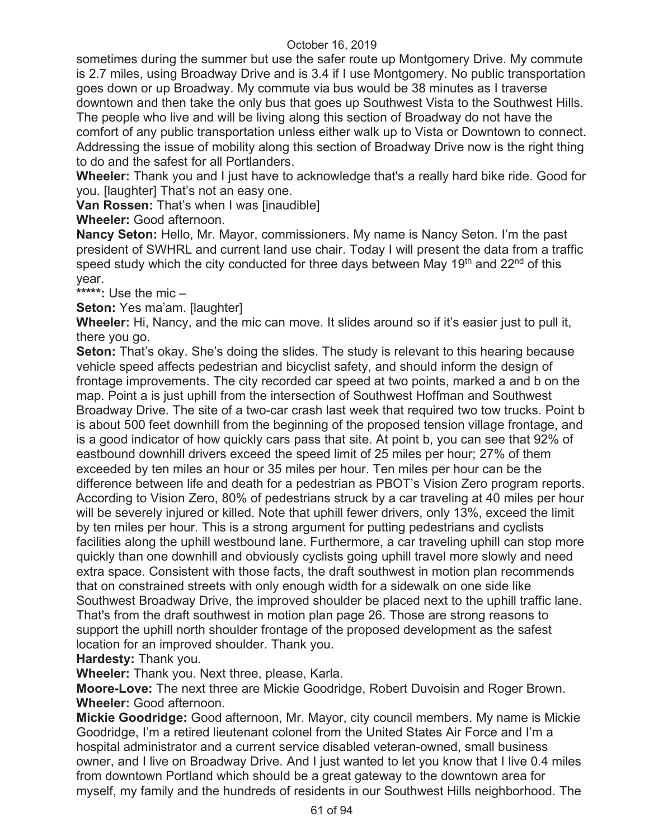sometimes during the summer but use the safer route up Montgomery Drive. My commute is 2.7 miles, using Broadway Drive and is 3.4 if I use Montgomery. No public transportation goes down or up Broadway. My commute via bus would be 38 minutes as I traverse downtown and then take the only bus that goes up Southwest Vista to the Southwest Hills. The people who live and will be living along this section of Broadway do not have the comfort of any public transportation unless either walk up to Vista or Downtown to connect. Addressing the issue of mobility along this section of Broadway Drive now is the right thing to do and the safest for all Portlanders.

**Wheeler:** Thank you and I just have to acknowledge that's a really hard bike ride. Good for you. [laughter] That's not an easy one.

**Van Rossen:** That's when I was [inaudible]

**Wheeler:** Good afternoon.

**Nancy Seton:** Hello, Mr. Mayor, commissioners. My name is Nancy Seton. I'm the past president of SWHRL and current land use chair. Today I will present the data from a traffic speed study which the city conducted for three days between May 19<sup>th</sup> and 22<sup>nd</sup> of this year.

**\*\*\*\*\*:** Use the mic –

**Seton:** Yes ma'am. [laughter]

**Wheeler:** Hi, Nancy, and the mic can move. It slides around so if it's easier just to pull it, there you go.

**Seton:** That's okay. She's doing the slides. The study is relevant to this hearing because vehicle speed affects pedestrian and bicyclist safety, and should inform the design of frontage improvements. The city recorded car speed at two points, marked a and b on the map. Point a is just uphill from the intersection of Southwest Hoffman and Southwest Broadway Drive. The site of a two-car crash last week that required two tow trucks. Point b is about 500 feet downhill from the beginning of the proposed tension village frontage, and is a good indicator of how quickly cars pass that site. At point b, you can see that 92% of eastbound downhill drivers exceed the speed limit of 25 miles per hour; 27% of them exceeded by ten miles an hour or 35 miles per hour. Ten miles per hour can be the difference between life and death for a pedestrian as PBOT's Vision Zero program reports. According to Vision Zero, 80% of pedestrians struck by a car traveling at 40 miles per hour will be severely injured or killed. Note that uphill fewer drivers, only 13%, exceed the limit by ten miles per hour. This is a strong argument for putting pedestrians and cyclists facilities along the uphill westbound lane. Furthermore, a car traveling uphill can stop more quickly than one downhill and obviously cyclists going uphill travel more slowly and need extra space. Consistent with those facts, the draft southwest in motion plan recommends that on constrained streets with only enough width for a sidewalk on one side like Southwest Broadway Drive, the improved shoulder be placed next to the uphill traffic lane. That's from the draft southwest in motion plan page 26. Those are strong reasons to support the uphill north shoulder frontage of the proposed development as the safest location for an improved shoulder. Thank you.

**Hardesty:** Thank you.

**Wheeler:** Thank you. Next three, please, Karla.

**Moore-Love:** The next three are Mickie Goodridge, Robert Duvoisin and Roger Brown. **Wheeler:** Good afternoon.

**Mickie Goodridge:** Good afternoon, Mr. Mayor, city council members. My name is Mickie Goodridge, I'm a retired lieutenant colonel from the United States Air Force and I'm a hospital administrator and a current service disabled veteran-owned, small business owner, and I live on Broadway Drive. And I just wanted to let you know that I live 0.4 miles from downtown Portland which should be a great gateway to the downtown area for myself, my family and the hundreds of residents in our Southwest Hills neighborhood. The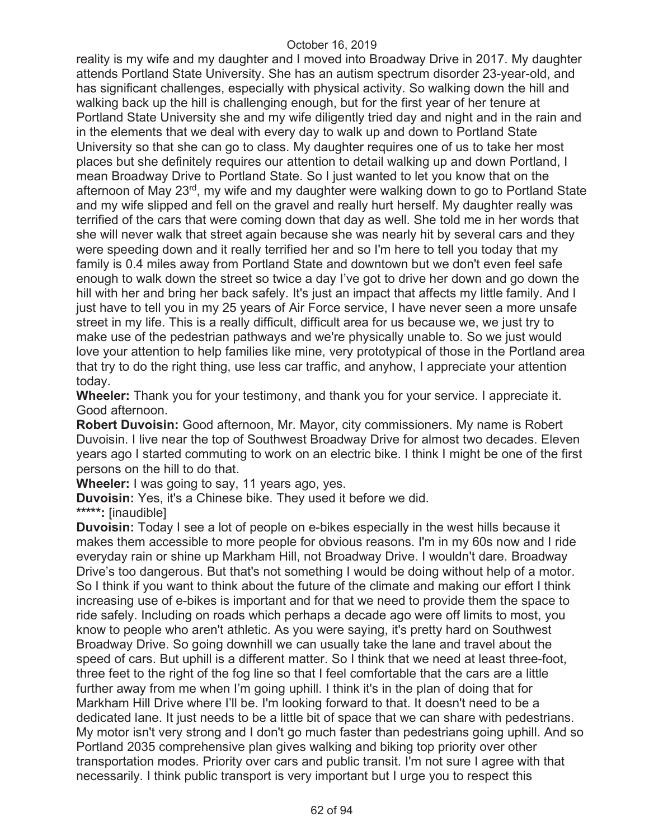reality is my wife and my daughter and I moved into Broadway Drive in 2017. My daughter attends Portland State University. She has an autism spectrum disorder 23-year-old, and has significant challenges, especially with physical activity. So walking down the hill and walking back up the hill is challenging enough, but for the first year of her tenure at Portland State University she and my wife diligently tried day and night and in the rain and in the elements that we deal with every day to walk up and down to Portland State University so that she can go to class. My daughter requires one of us to take her most places but she definitely requires our attention to detail walking up and down Portland, I mean Broadway Drive to Portland State. So I just wanted to let you know that on the afternoon of May 23rd, my wife and my daughter were walking down to go to Portland State and my wife slipped and fell on the gravel and really hurt herself. My daughter really was terrified of the cars that were coming down that day as well. She told me in her words that she will never walk that street again because she was nearly hit by several cars and they were speeding down and it really terrified her and so I'm here to tell you today that my family is 0.4 miles away from Portland State and downtown but we don't even feel safe enough to walk down the street so twice a day I've got to drive her down and go down the hill with her and bring her back safely. It's just an impact that affects my little family. And I just have to tell you in my 25 years of Air Force service, I have never seen a more unsafe street in my life. This is a really difficult, difficult area for us because we, we just try to make use of the pedestrian pathways and we're physically unable to. So we just would love your attention to help families like mine, very prototypical of those in the Portland area that try to do the right thing, use less car traffic, and anyhow, I appreciate your attention today.

**Wheeler:** Thank you for your testimony, and thank you for your service. I appreciate it. Good afternoon.

**Robert Duvoisin:** Good afternoon, Mr. Mayor, city commissioners. My name is Robert Duvoisin. I live near the top of Southwest Broadway Drive for almost two decades. Eleven years ago I started commuting to work on an electric bike. I think I might be one of the first persons on the hill to do that.

**Wheeler:** I was going to say, 11 years ago, yes.

**Duvoisin:** Yes, it's a Chinese bike. They used it before we did.

**\*\*\*\*\*:** [inaudible]

**Duvoisin:** Today I see a lot of people on e-bikes especially in the west hills because it makes them accessible to more people for obvious reasons. I'm in my 60s now and I ride everyday rain or shine up Markham Hill, not Broadway Drive. I wouldn't dare. Broadway Drive's too dangerous. But that's not something I would be doing without help of a motor. So I think if you want to think about the future of the climate and making our effort I think increasing use of e-bikes is important and for that we need to provide them the space to ride safely. Including on roads which perhaps a decade ago were off limits to most, you know to people who aren't athletic. As you were saying, it's pretty hard on Southwest Broadway Drive. So going downhill we can usually take the lane and travel about the speed of cars. But uphill is a different matter. So I think that we need at least three-foot, three feet to the right of the fog line so that I feel comfortable that the cars are a little further away from me when I'm going uphill. I think it's in the plan of doing that for Markham Hill Drive where I'll be. I'm looking forward to that. It doesn't need to be a dedicated lane. It just needs to be a little bit of space that we can share with pedestrians. My motor isn't very strong and I don't go much faster than pedestrians going uphill. And so Portland 2035 comprehensive plan gives walking and biking top priority over other transportation modes. Priority over cars and public transit. I'm not sure I agree with that necessarily. I think public transport is very important but I urge you to respect this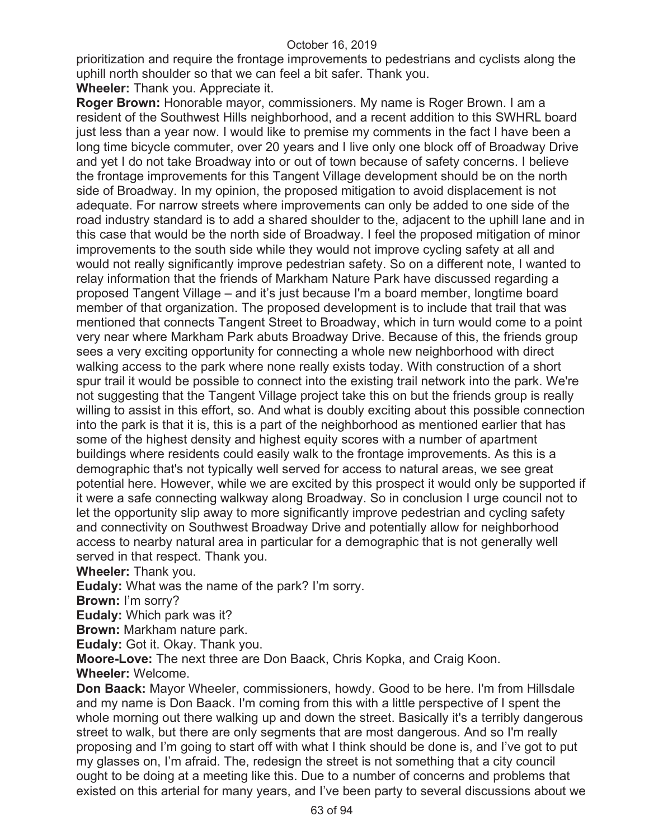prioritization and require the frontage improvements to pedestrians and cyclists along the uphill north shoulder so that we can feel a bit safer. Thank you.

**Wheeler:** Thank you. Appreciate it.

**Roger Brown:** Honorable mayor, commissioners. My name is Roger Brown. I am a resident of the Southwest Hills neighborhood, and a recent addition to this SWHRL board just less than a year now. I would like to premise my comments in the fact I have been a long time bicycle commuter, over 20 years and I live only one block off of Broadway Drive and yet I do not take Broadway into or out of town because of safety concerns. I believe the frontage improvements for this Tangent Village development should be on the north side of Broadway. In my opinion, the proposed mitigation to avoid displacement is not adequate. For narrow streets where improvements can only be added to one side of the road industry standard is to add a shared shoulder to the, adjacent to the uphill lane and in this case that would be the north side of Broadway. I feel the proposed mitigation of minor improvements to the south side while they would not improve cycling safety at all and would not really significantly improve pedestrian safety. So on a different note, I wanted to relay information that the friends of Markham Nature Park have discussed regarding a proposed Tangent Village – and it's just because I'm a board member, longtime board member of that organization. The proposed development is to include that trail that was mentioned that connects Tangent Street to Broadway, which in turn would come to a point very near where Markham Park abuts Broadway Drive. Because of this, the friends group sees a very exciting opportunity for connecting a whole new neighborhood with direct walking access to the park where none really exists today. With construction of a short spur trail it would be possible to connect into the existing trail network into the park. We're not suggesting that the Tangent Village project take this on but the friends group is really willing to assist in this effort, so. And what is doubly exciting about this possible connection into the park is that it is, this is a part of the neighborhood as mentioned earlier that has some of the highest density and highest equity scores with a number of apartment buildings where residents could easily walk to the frontage improvements. As this is a demographic that's not typically well served for access to natural areas, we see great potential here. However, while we are excited by this prospect it would only be supported if it were a safe connecting walkway along Broadway. So in conclusion I urge council not to let the opportunity slip away to more significantly improve pedestrian and cycling safety and connectivity on Southwest Broadway Drive and potentially allow for neighborhood access to nearby natural area in particular for a demographic that is not generally well served in that respect. Thank you.

**Wheeler:** Thank you.

**Eudaly:** What was the name of the park? I'm sorry.

**Brown:** I'm sorry?

**Eudaly:** Which park was it?

**Brown:** Markham nature park.

**Eudaly:** Got it. Okay. Thank you.

**Moore-Love:** The next three are Don Baack, Chris Kopka, and Craig Koon. **Wheeler:** Welcome.

**Don Baack:** Mayor Wheeler, commissioners, howdy. Good to be here. I'm from Hillsdale and my name is Don Baack. I'm coming from this with a little perspective of I spent the whole morning out there walking up and down the street. Basically it's a terribly dangerous street to walk, but there are only segments that are most dangerous. And so I'm really proposing and I'm going to start off with what I think should be done is, and I've got to put my glasses on, I'm afraid. The, redesign the street is not something that a city council ought to be doing at a meeting like this. Due to a number of concerns and problems that existed on this arterial for many years, and I've been party to several discussions about we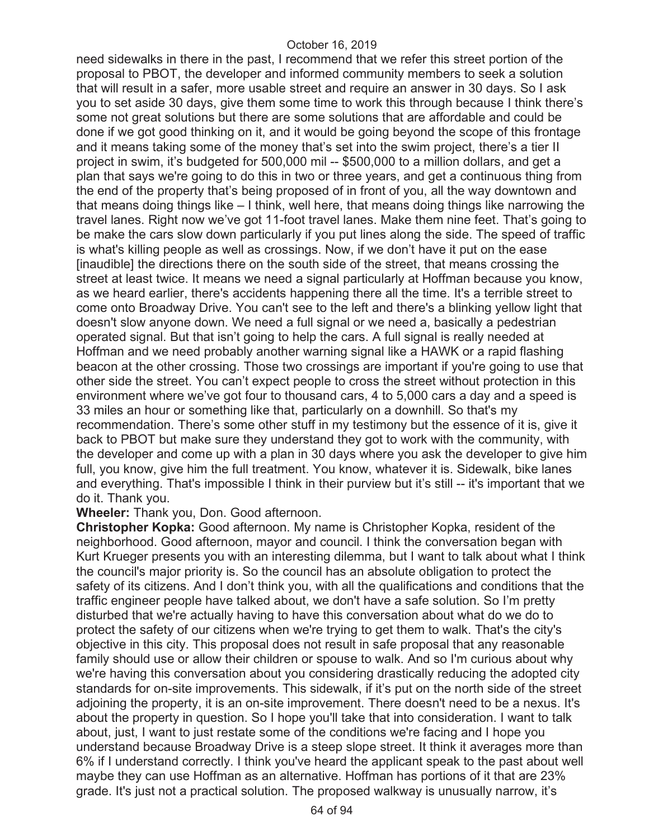need sidewalks in there in the past, I recommend that we refer this street portion of the proposal to PBOT, the developer and informed community members to seek a solution that will result in a safer, more usable street and require an answer in 30 days. So I ask you to set aside 30 days, give them some time to work this through because I think there's some not great solutions but there are some solutions that are affordable and could be done if we got good thinking on it, and it would be going beyond the scope of this frontage and it means taking some of the money that's set into the swim project, there's a tier II project in swim, it's budgeted for 500,000 mil -- \$500,000 to a million dollars, and get a plan that says we're going to do this in two or three years, and get a continuous thing from the end of the property that's being proposed of in front of you, all the way downtown and that means doing things like – I think, well here, that means doing things like narrowing the travel lanes. Right now we've got 11-foot travel lanes. Make them nine feet. That's going to be make the cars slow down particularly if you put lines along the side. The speed of traffic is what's killing people as well as crossings. Now, if we don't have it put on the ease [inaudible] the directions there on the south side of the street, that means crossing the street at least twice. It means we need a signal particularly at Hoffman because you know, as we heard earlier, there's accidents happening there all the time. It's a terrible street to come onto Broadway Drive. You can't see to the left and there's a blinking yellow light that doesn't slow anyone down. We need a full signal or we need a, basically a pedestrian operated signal. But that isn't going to help the cars. A full signal is really needed at Hoffman and we need probably another warning signal like a HAWK or a rapid flashing beacon at the other crossing. Those two crossings are important if you're going to use that other side the street. You can't expect people to cross the street without protection in this environment where we've got four to thousand cars, 4 to 5,000 cars a day and a speed is 33 miles an hour or something like that, particularly on a downhill. So that's my recommendation. There's some other stuff in my testimony but the essence of it is, give it back to PBOT but make sure they understand they got to work with the community, with the developer and come up with a plan in 30 days where you ask the developer to give him full, you know, give him the full treatment. You know, whatever it is. Sidewalk, bike lanes and everything. That's impossible I think in their purview but it's still -- it's important that we do it. Thank you.

**Wheeler:** Thank you, Don. Good afternoon.

**Christopher Kopka:** Good afternoon. My name is Christopher Kopka, resident of the neighborhood. Good afternoon, mayor and council. I think the conversation began with Kurt Krueger presents you with an interesting dilemma, but I want to talk about what I think the council's major priority is. So the council has an absolute obligation to protect the safety of its citizens. And I don't think you, with all the qualifications and conditions that the traffic engineer people have talked about, we don't have a safe solution. So I'm pretty disturbed that we're actually having to have this conversation about what do we do to protect the safety of our citizens when we're trying to get them to walk. That's the city's objective in this city. This proposal does not result in safe proposal that any reasonable family should use or allow their children or spouse to walk. And so I'm curious about why we're having this conversation about you considering drastically reducing the adopted city standards for on-site improvements. This sidewalk, if it's put on the north side of the street adjoining the property, it is an on-site improvement. There doesn't need to be a nexus. It's about the property in question. So I hope you'll take that into consideration. I want to talk about, just, I want to just restate some of the conditions we're facing and I hope you understand because Broadway Drive is a steep slope street. It think it averages more than 6% if I understand correctly. I think you've heard the applicant speak to the past about well maybe they can use Hoffman as an alternative. Hoffman has portions of it that are 23% grade. It's just not a practical solution. The proposed walkway is unusually narrow, it's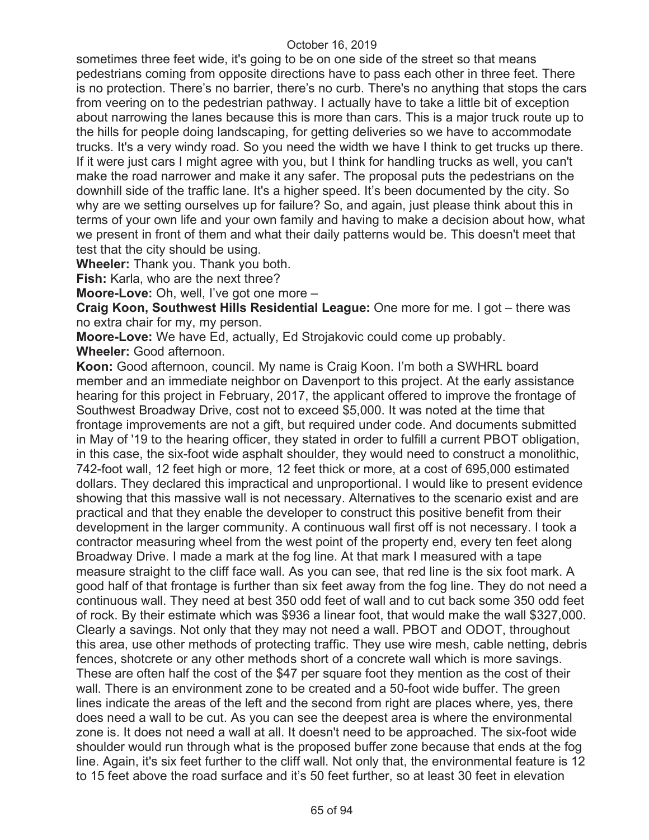sometimes three feet wide, it's going to be on one side of the street so that means pedestrians coming from opposite directions have to pass each other in three feet. There is no protection. There's no barrier, there's no curb. There's no anything that stops the cars from veering on to the pedestrian pathway. I actually have to take a little bit of exception about narrowing the lanes because this is more than cars. This is a major truck route up to the hills for people doing landscaping, for getting deliveries so we have to accommodate trucks. It's a very windy road. So you need the width we have I think to get trucks up there. If it were just cars I might agree with you, but I think for handling trucks as well, you can't make the road narrower and make it any safer. The proposal puts the pedestrians on the downhill side of the traffic lane. It's a higher speed. It's been documented by the city. So why are we setting ourselves up for failure? So, and again, just please think about this in terms of your own life and your own family and having to make a decision about how, what we present in front of them and what their daily patterns would be. This doesn't meet that test that the city should be using.

**Wheeler:** Thank you. Thank you both.

**Fish:** Karla, who are the next three?

**Moore-Love:** Oh, well, I've got one more –

**Craig Koon, Southwest Hills Residential League:** One more for me. I got – there was no extra chair for my, my person.

**Moore-Love:** We have Ed, actually, Ed Strojakovic could come up probably. **Wheeler:** Good afternoon.

**Koon:** Good afternoon, council. My name is Craig Koon. I'm both a SWHRL board member and an immediate neighbor on Davenport to this project. At the early assistance hearing for this project in February, 2017, the applicant offered to improve the frontage of Southwest Broadway Drive, cost not to exceed \$5,000. It was noted at the time that frontage improvements are not a gift, but required under code. And documents submitted in May of '19 to the hearing officer, they stated in order to fulfill a current PBOT obligation, in this case, the six-foot wide asphalt shoulder, they would need to construct a monolithic, 742-foot wall, 12 feet high or more, 12 feet thick or more, at a cost of 695,000 estimated dollars. They declared this impractical and unproportional. I would like to present evidence showing that this massive wall is not necessary. Alternatives to the scenario exist and are practical and that they enable the developer to construct this positive benefit from their development in the larger community. A continuous wall first off is not necessary. I took a contractor measuring wheel from the west point of the property end, every ten feet along Broadway Drive. I made a mark at the fog line. At that mark I measured with a tape measure straight to the cliff face wall. As you can see, that red line is the six foot mark. A good half of that frontage is further than six feet away from the fog line. They do not need a continuous wall. They need at best 350 odd feet of wall and to cut back some 350 odd feet of rock. By their estimate which was \$936 a linear foot, that would make the wall \$327,000. Clearly a savings. Not only that they may not need a wall. PBOT and ODOT, throughout this area, use other methods of protecting traffic. They use wire mesh, cable netting, debris fences, shotcrete or any other methods short of a concrete wall which is more savings. These are often half the cost of the \$47 per square foot they mention as the cost of their wall. There is an environment zone to be created and a 50-foot wide buffer. The green lines indicate the areas of the left and the second from right are places where, yes, there does need a wall to be cut. As you can see the deepest area is where the environmental zone is. It does not need a wall at all. It doesn't need to be approached. The six-foot wide shoulder would run through what is the proposed buffer zone because that ends at the fog line. Again, it's six feet further to the cliff wall. Not only that, the environmental feature is 12 to 15 feet above the road surface and it's 50 feet further, so at least 30 feet in elevation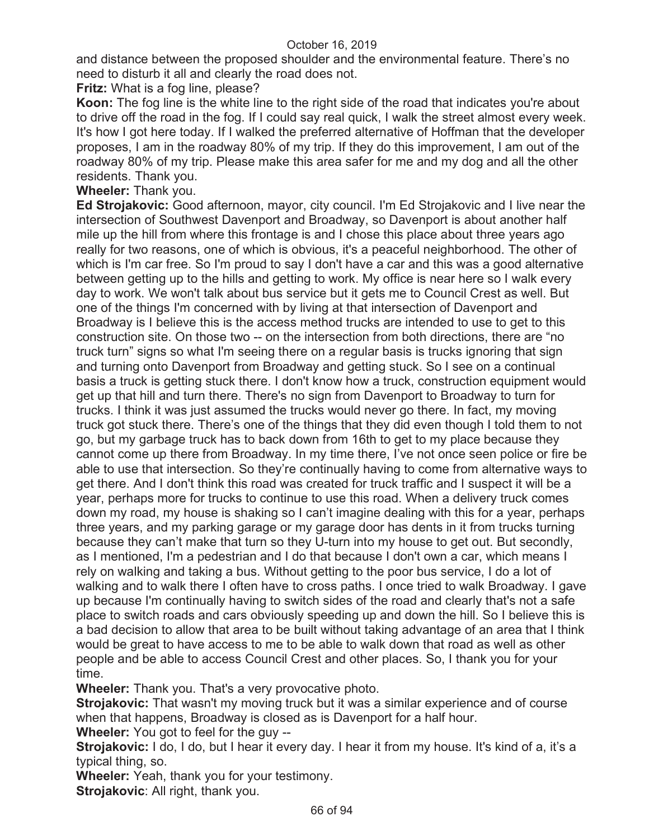and distance between the proposed shoulder and the environmental feature. There's no need to disturb it all and clearly the road does not.

**Fritz:** What is a fog line, please?

**Koon:** The fog line is the white line to the right side of the road that indicates you're about to drive off the road in the fog. If I could say real quick, I walk the street almost every week. It's how I got here today. If I walked the preferred alternative of Hoffman that the developer proposes, I am in the roadway 80% of my trip. If they do this improvement, I am out of the roadway 80% of my trip. Please make this area safer for me and my dog and all the other residents. Thank you.

**Wheeler:** Thank you.

**Ed Strojakovic:** Good afternoon, mayor, city council. I'm Ed Strojakovic and I live near the intersection of Southwest Davenport and Broadway, so Davenport is about another half mile up the hill from where this frontage is and I chose this place about three years ago really for two reasons, one of which is obvious, it's a peaceful neighborhood. The other of which is I'm car free. So I'm proud to say I don't have a car and this was a good alternative between getting up to the hills and getting to work. My office is near here so I walk every day to work. We won't talk about bus service but it gets me to Council Crest as well. But one of the things I'm concerned with by living at that intersection of Davenport and Broadway is I believe this is the access method trucks are intended to use to get to this construction site. On those two -- on the intersection from both directions, there are "no truck turn" signs so what I'm seeing there on a regular basis is trucks ignoring that sign and turning onto Davenport from Broadway and getting stuck. So I see on a continual basis a truck is getting stuck there. I don't know how a truck, construction equipment would get up that hill and turn there. There's no sign from Davenport to Broadway to turn for trucks. I think it was just assumed the trucks would never go there. In fact, my moving truck got stuck there. There's one of the things that they did even though I told them to not go, but my garbage truck has to back down from 16th to get to my place because they cannot come up there from Broadway. In my time there, I've not once seen police or fire be able to use that intersection. So they're continually having to come from alternative ways to get there. And I don't think this road was created for truck traffic and I suspect it will be a year, perhaps more for trucks to continue to use this road. When a delivery truck comes down my road, my house is shaking so I can't imagine dealing with this for a year, perhaps three years, and my parking garage or my garage door has dents in it from trucks turning because they can't make that turn so they U-turn into my house to get out. But secondly, as I mentioned, I'm a pedestrian and I do that because I don't own a car, which means I rely on walking and taking a bus. Without getting to the poor bus service, I do a lot of walking and to walk there I often have to cross paths. I once tried to walk Broadway. I gave up because I'm continually having to switch sides of the road and clearly that's not a safe place to switch roads and cars obviously speeding up and down the hill. So I believe this is a bad decision to allow that area to be built without taking advantage of an area that I think would be great to have access to me to be able to walk down that road as well as other people and be able to access Council Crest and other places. So, I thank you for your time.

**Wheeler:** Thank you. That's a very provocative photo.

**Strojakovic:** That wasn't my moving truck but it was a similar experience and of course when that happens, Broadway is closed as is Davenport for a half hour.

**Wheeler:** You got to feel for the guy --

Strojakovic: I do, I do, but I hear it every day. I hear it from my house. It's kind of a, it's a typical thing, so.

**Wheeler:** Yeah, thank you for your testimony.

**Strojakovic**: All right, thank you.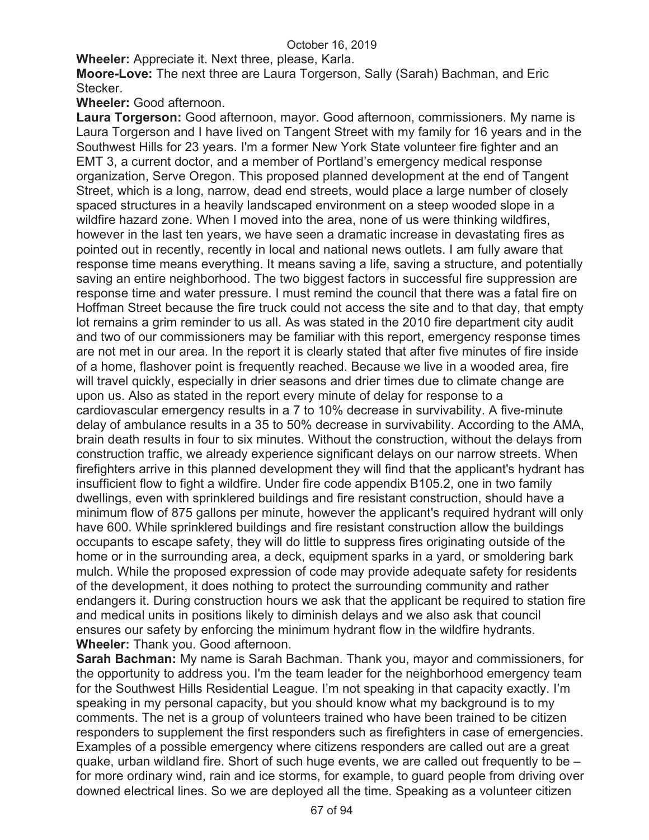**Wheeler:** Appreciate it. Next three, please, Karla.

**Moore-Love:** The next three are Laura Torgerson, Sally (Sarah) Bachman, and Eric Stecker.

**Wheeler:** Good afternoon.

**Laura Torgerson:** Good afternoon, mayor. Good afternoon, commissioners. My name is Laura Torgerson and I have lived on Tangent Street with my family for 16 years and in the Southwest Hills for 23 years. I'm a former New York State volunteer fire fighter and an EMT 3, a current doctor, and a member of Portland's emergency medical response organization, Serve Oregon. This proposed planned development at the end of Tangent Street, which is a long, narrow, dead end streets, would place a large number of closely spaced structures in a heavily landscaped environment on a steep wooded slope in a wildfire hazard zone. When I moved into the area, none of us were thinking wildfires, however in the last ten years, we have seen a dramatic increase in devastating fires as pointed out in recently, recently in local and national news outlets. I am fully aware that response time means everything. It means saving a life, saving a structure, and potentially saving an entire neighborhood. The two biggest factors in successful fire suppression are response time and water pressure. I must remind the council that there was a fatal fire on Hoffman Street because the fire truck could not access the site and to that day, that empty lot remains a grim reminder to us all. As was stated in the 2010 fire department city audit and two of our commissioners may be familiar with this report, emergency response times are not met in our area. In the report it is clearly stated that after five minutes of fire inside of a home, flashover point is frequently reached. Because we live in a wooded area, fire will travel quickly, especially in drier seasons and drier times due to climate change are upon us. Also as stated in the report every minute of delay for response to a cardiovascular emergency results in a 7 to 10% decrease in survivability. A five-minute delay of ambulance results in a 35 to 50% decrease in survivability. According to the AMA, brain death results in four to six minutes. Without the construction, without the delays from construction traffic, we already experience significant delays on our narrow streets. When firefighters arrive in this planned development they will find that the applicant's hydrant has insufficient flow to fight a wildfire. Under fire code appendix B105.2, one in two family dwellings, even with sprinklered buildings and fire resistant construction, should have a minimum flow of 875 gallons per minute, however the applicant's required hydrant will only have 600. While sprinklered buildings and fire resistant construction allow the buildings occupants to escape safety, they will do little to suppress fires originating outside of the home or in the surrounding area, a deck, equipment sparks in a yard, or smoldering bark mulch. While the proposed expression of code may provide adequate safety for residents of the development, it does nothing to protect the surrounding community and rather endangers it. During construction hours we ask that the applicant be required to station fire and medical units in positions likely to diminish delays and we also ask that council ensures our safety by enforcing the minimum hydrant flow in the wildfire hydrants. **Wheeler:** Thank you. Good afternoon.

**Sarah Bachman:** My name is Sarah Bachman. Thank you, mayor and commissioners, for the opportunity to address you. I'm the team leader for the neighborhood emergency team for the Southwest Hills Residential League. I'm not speaking in that capacity exactly. I'm speaking in my personal capacity, but you should know what my background is to my comments. The net is a group of volunteers trained who have been trained to be citizen responders to supplement the first responders such as firefighters in case of emergencies. Examples of a possible emergency where citizens responders are called out are a great quake, urban wildland fire. Short of such huge events, we are called out frequently to be – for more ordinary wind, rain and ice storms, for example, to guard people from driving over downed electrical lines. So we are deployed all the time. Speaking as a volunteer citizen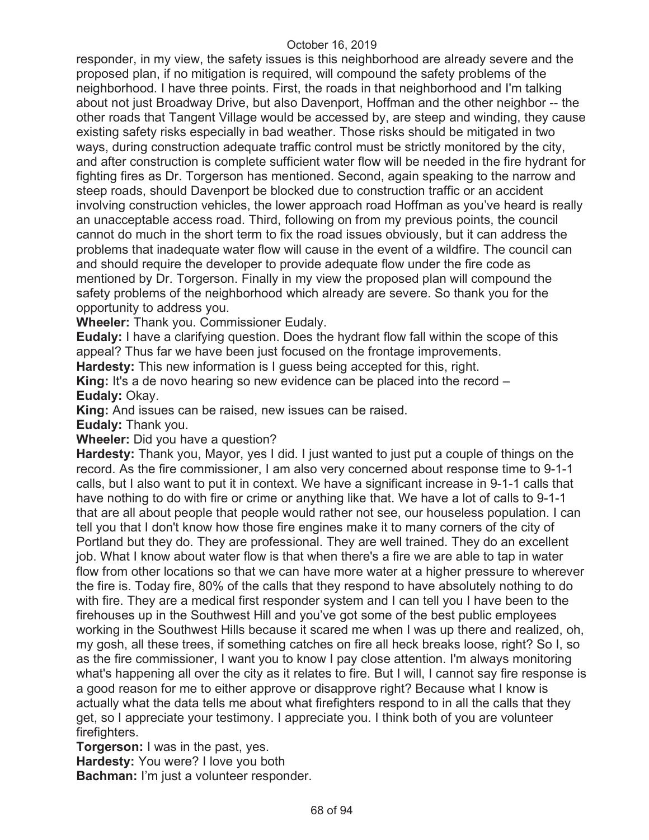responder, in my view, the safety issues is this neighborhood are already severe and the proposed plan, if no mitigation is required, will compound the safety problems of the neighborhood. I have three points. First, the roads in that neighborhood and I'm talking about not just Broadway Drive, but also Davenport, Hoffman and the other neighbor -- the other roads that Tangent Village would be accessed by, are steep and winding, they cause existing safety risks especially in bad weather. Those risks should be mitigated in two ways, during construction adequate traffic control must be strictly monitored by the city, and after construction is complete sufficient water flow will be needed in the fire hydrant for fighting fires as Dr. Torgerson has mentioned. Second, again speaking to the narrow and steep roads, should Davenport be blocked due to construction traffic or an accident involving construction vehicles, the lower approach road Hoffman as you've heard is really an unacceptable access road. Third, following on from my previous points, the council cannot do much in the short term to fix the road issues obviously, but it can address the problems that inadequate water flow will cause in the event of a wildfire. The council can and should require the developer to provide adequate flow under the fire code as mentioned by Dr. Torgerson. Finally in my view the proposed plan will compound the safety problems of the neighborhood which already are severe. So thank you for the opportunity to address you.

**Wheeler:** Thank you. Commissioner Eudaly.

**Eudaly:** I have a clarifying question. Does the hydrant flow fall within the scope of this appeal? Thus far we have been just focused on the frontage improvements.

**Hardesty:** This new information is I guess being accepted for this, right.

**King:** It's a de novo hearing so new evidence can be placed into the record – **Eudaly:** Okay.

**King:** And issues can be raised, new issues can be raised.

**Eudaly:** Thank you.

**Wheeler:** Did you have a question?

**Hardesty:** Thank you, Mayor, yes I did. I just wanted to just put a couple of things on the record. As the fire commissioner, I am also very concerned about response time to 9-1-1 calls, but I also want to put it in context. We have a significant increase in 9-1-1 calls that have nothing to do with fire or crime or anything like that. We have a lot of calls to 9-1-1 that are all about people that people would rather not see, our houseless population. I can tell you that I don't know how those fire engines make it to many corners of the city of Portland but they do. They are professional. They are well trained. They do an excellent job. What I know about water flow is that when there's a fire we are able to tap in water flow from other locations so that we can have more water at a higher pressure to wherever the fire is. Today fire, 80% of the calls that they respond to have absolutely nothing to do with fire. They are a medical first responder system and I can tell you I have been to the firehouses up in the Southwest Hill and you've got some of the best public employees working in the Southwest Hills because it scared me when I was up there and realized, oh, my gosh, all these trees, if something catches on fire all heck breaks loose, right? So I, so as the fire commissioner, I want you to know I pay close attention. I'm always monitoring what's happening all over the city as it relates to fire. But I will, I cannot say fire response is a good reason for me to either approve or disapprove right? Because what I know is actually what the data tells me about what firefighters respond to in all the calls that they get, so I appreciate your testimony. I appreciate you. I think both of you are volunteer firefighters.

**Torgerson:** I was in the past, yes. **Hardesty:** You were? I love you both

**Bachman:** I'm just a volunteer responder.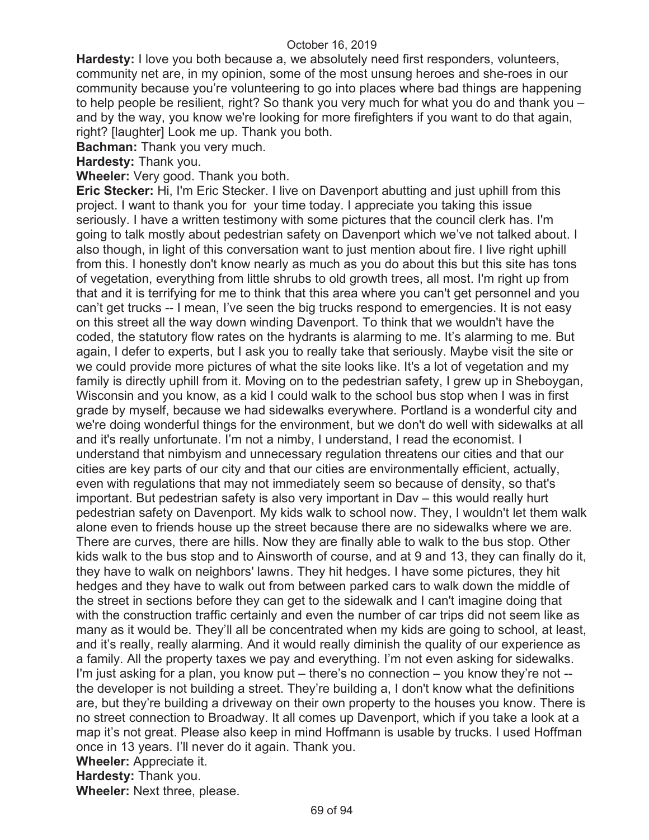**Hardesty:** I love you both because a, we absolutely need first responders, volunteers, community net are, in my opinion, some of the most unsung heroes and she-roes in our community because you're volunteering to go into places where bad things are happening to help people be resilient, right? So thank you very much for what you do and thank you – and by the way, you know we're looking for more firefighters if you want to do that again, right? [laughter] Look me up. Thank you both.

**Bachman:** Thank you very much.

**Hardesty:** Thank you.

**Wheeler:** Very good. Thank you both.

**Eric Stecker:** Hi, I'm Eric Stecker. I live on Davenport abutting and just uphill from this project. I want to thank you for your time today. I appreciate you taking this issue seriously. I have a written testimony with some pictures that the council clerk has. I'm going to talk mostly about pedestrian safety on Davenport which we've not talked about. I also though, in light of this conversation want to just mention about fire. I live right uphill from this. I honestly don't know nearly as much as you do about this but this site has tons of vegetation, everything from little shrubs to old growth trees, all most. I'm right up from that and it is terrifying for me to think that this area where you can't get personnel and you can't get trucks -- I mean, I've seen the big trucks respond to emergencies. It is not easy on this street all the way down winding Davenport. To think that we wouldn't have the coded, the statutory flow rates on the hydrants is alarming to me. It's alarming to me. But again, I defer to experts, but I ask you to really take that seriously. Maybe visit the site or we could provide more pictures of what the site looks like. It's a lot of vegetation and my family is directly uphill from it. Moving on to the pedestrian safety, I grew up in Sheboygan, Wisconsin and you know, as a kid I could walk to the school bus stop when I was in first grade by myself, because we had sidewalks everywhere. Portland is a wonderful city and we're doing wonderful things for the environment, but we don't do well with sidewalks at all and it's really unfortunate. I'm not a nimby, I understand, I read the economist. I understand that nimbyism and unnecessary regulation threatens our cities and that our cities are key parts of our city and that our cities are environmentally efficient, actually, even with regulations that may not immediately seem so because of density, so that's important. But pedestrian safety is also very important in Dav – this would really hurt pedestrian safety on Davenport. My kids walk to school now. They, I wouldn't let them walk alone even to friends house up the street because there are no sidewalks where we are. There are curves, there are hills. Now they are finally able to walk to the bus stop. Other kids walk to the bus stop and to Ainsworth of course, and at 9 and 13, they can finally do it, they have to walk on neighbors' lawns. They hit hedges. I have some pictures, they hit hedges and they have to walk out from between parked cars to walk down the middle of the street in sections before they can get to the sidewalk and I can't imagine doing that with the construction traffic certainly and even the number of car trips did not seem like as many as it would be. They'll all be concentrated when my kids are going to school, at least, and it's really, really alarming. And it would really diminish the quality of our experience as a family. All the property taxes we pay and everything. I'm not even asking for sidewalks. I'm just asking for a plan, you know put – there's no connection – you know they're not - the developer is not building a street. They're building a, I don't know what the definitions are, but they're building a driveway on their own property to the houses you know. There is no street connection to Broadway. It all comes up Davenport, which if you take a look at a map it's not great. Please also keep in mind Hoffmann is usable by trucks. I used Hoffman once in 13 years. I'll never do it again. Thank you. **Wheeler:** Appreciate it.

**Hardesty:** Thank you.

**Wheeler:** Next three, please.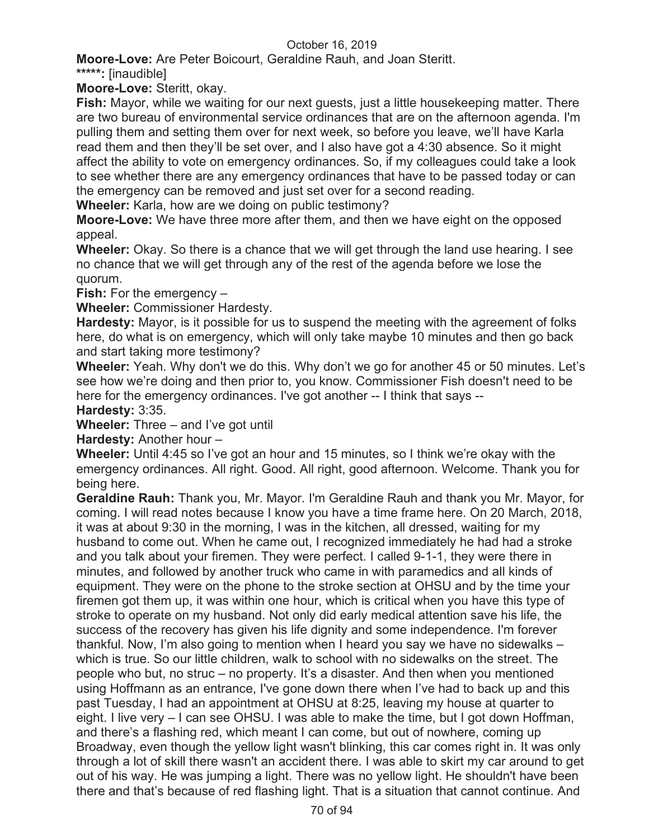**Moore-Love:** Are Peter Boicourt, Geraldine Rauh, and Joan Steritt.

**\*\*\*\*\*:** [inaudible]

**Moore-Love:** Steritt, okay.

**Fish:** Mayor, while we waiting for our next guests, just a little housekeeping matter. There are two bureau of environmental service ordinances that are on the afternoon agenda. I'm pulling them and setting them over for next week, so before you leave, we'll have Karla read them and then they'll be set over, and I also have got a 4:30 absence. So it might affect the ability to vote on emergency ordinances. So, if my colleagues could take a look to see whether there are any emergency ordinances that have to be passed today or can the emergency can be removed and just set over for a second reading.

**Wheeler:** Karla, how are we doing on public testimony?

**Moore-Love:** We have three more after them, and then we have eight on the opposed appeal.

**Wheeler:** Okay. So there is a chance that we will get through the land use hearing. I see no chance that we will get through any of the rest of the agenda before we lose the quorum.

**Fish:** For the emergency –

**Wheeler:** Commissioner Hardesty.

**Hardesty:** Mayor, is it possible for us to suspend the meeting with the agreement of folks here, do what is on emergency, which will only take maybe 10 minutes and then go back and start taking more testimony?

**Wheeler:** Yeah. Why don't we do this. Why don't we go for another 45 or 50 minutes. Let's see how we're doing and then prior to, you know. Commissioner Fish doesn't need to be here for the emergency ordinances. I've got another -- I think that says -- **Hardesty:** 3:35.

**Wheeler:** Three – and I've got until

**Hardesty:** Another hour –

**Wheeler:** Until 4:45 so I've got an hour and 15 minutes, so I think we're okay with the emergency ordinances. All right. Good. All right, good afternoon. Welcome. Thank you for being here.

**Geraldine Rauh:** Thank you, Mr. Mayor. I'm Geraldine Rauh and thank you Mr. Mayor, for coming. I will read notes because I know you have a time frame here. On 20 March, 2018, it was at about 9:30 in the morning, I was in the kitchen, all dressed, waiting for my husband to come out. When he came out, I recognized immediately he had had a stroke and you talk about your firemen. They were perfect. I called 9-1-1, they were there in minutes, and followed by another truck who came in with paramedics and all kinds of equipment. They were on the phone to the stroke section at OHSU and by the time your firemen got them up, it was within one hour, which is critical when you have this type of stroke to operate on my husband. Not only did early medical attention save his life, the success of the recovery has given his life dignity and some independence. I'm forever thankful. Now, I'm also going to mention when I heard you say we have no sidewalks – which is true. So our little children, walk to school with no sidewalks on the street. The people who but, no struc – no property. It's a disaster. And then when you mentioned using Hoffmann as an entrance, I've gone down there when I've had to back up and this past Tuesday, I had an appointment at OHSU at 8:25, leaving my house at quarter to eight. I live very – I can see OHSU. I was able to make the time, but I got down Hoffman, and there's a flashing red, which meant I can come, but out of nowhere, coming up Broadway, even though the yellow light wasn't blinking, this car comes right in. It was only through a lot of skill there wasn't an accident there. I was able to skirt my car around to get out of his way. He was jumping a light. There was no yellow light. He shouldn't have been there and that's because of red flashing light. That is a situation that cannot continue. And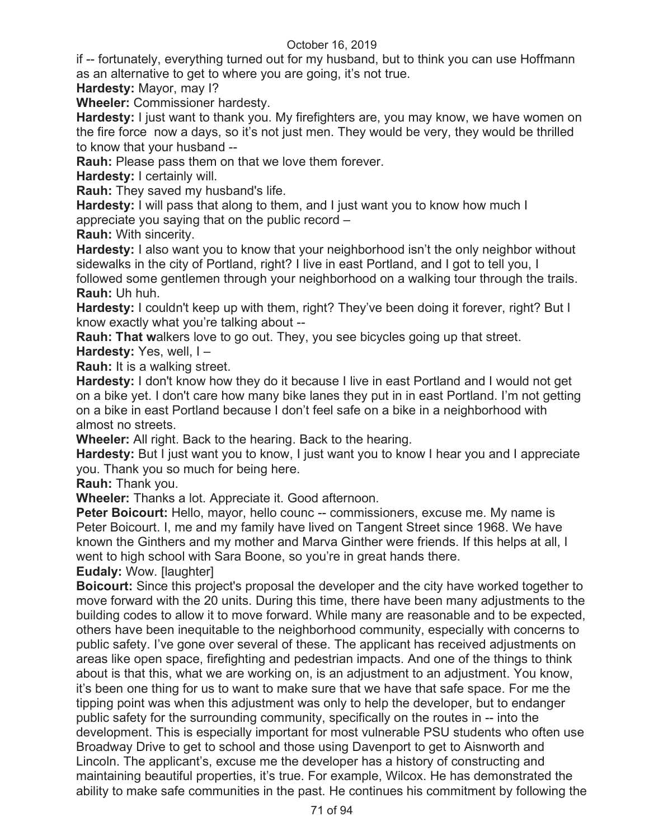if -- fortunately, everything turned out for my husband, but to think you can use Hoffmann as an alternative to get to where you are going, it's not true.

**Hardesty:** Mayor, may I?

**Wheeler:** Commissioner hardesty.

**Hardesty:** I just want to thank you. My firefighters are, you may know, we have women on the fire force now a days, so it's not just men. They would be very, they would be thrilled to know that your husband --

**Rauh:** Please pass them on that we love them forever.

**Hardesty:** I certainly will.

**Rauh:** They saved my husband's life.

**Hardesty:** I will pass that along to them, and I just want you to know how much I appreciate you saying that on the public record –

**Rauh:** With sincerity.

**Hardesty:** I also want you to know that your neighborhood isn't the only neighbor without sidewalks in the city of Portland, right? I live in east Portland, and I got to tell you, I

followed some gentlemen through your neighborhood on a walking tour through the trails. **Rauh:** Uh huh.

**Hardesty:** I couldn't keep up with them, right? They've been doing it forever, right? But I know exactly what you're talking about --

**Rauh: That w**alkers love to go out. They, you see bicycles going up that street.

**Hardesty:** Yes, well, I –

**Rauh:** It is a walking street.

**Hardesty:** I don't know how they do it because I live in east Portland and I would not get on a bike yet. I don't care how many bike lanes they put in in east Portland. I'm not getting on a bike in east Portland because I don't feel safe on a bike in a neighborhood with almost no streets.

**Wheeler:** All right. Back to the hearing. Back to the hearing.

**Hardesty:** But I just want you to know, I just want you to know I hear you and I appreciate you. Thank you so much for being here.

**Rauh:** Thank you.

**Wheeler:** Thanks a lot. Appreciate it. Good afternoon.

**Peter Boicourt:** Hello, mayor, hello counc -- commissioners, excuse me. My name is Peter Boicourt. I, me and my family have lived on Tangent Street since 1968. We have known the Ginthers and my mother and Marva Ginther were friends. If this helps at all, I went to high school with Sara Boone, so you're in great hands there.

**Eudaly:** Wow. [laughter]

**Boicourt:** Since this project's proposal the developer and the city have worked together to move forward with the 20 units. During this time, there have been many adjustments to the building codes to allow it to move forward. While many are reasonable and to be expected, others have been inequitable to the neighborhood community, especially with concerns to public safety. I've gone over several of these. The applicant has received adjustments on areas like open space, firefighting and pedestrian impacts. And one of the things to think about is that this, what we are working on, is an adjustment to an adjustment. You know, it's been one thing for us to want to make sure that we have that safe space. For me the tipping point was when this adjustment was only to help the developer, but to endanger public safety for the surrounding community, specifically on the routes in -- into the development. This is especially important for most vulnerable PSU students who often use Broadway Drive to get to school and those using Davenport to get to Aisnworth and Lincoln. The applicant's, excuse me the developer has a history of constructing and maintaining beautiful properties, it's true. For example, Wilcox. He has demonstrated the ability to make safe communities in the past. He continues his commitment by following the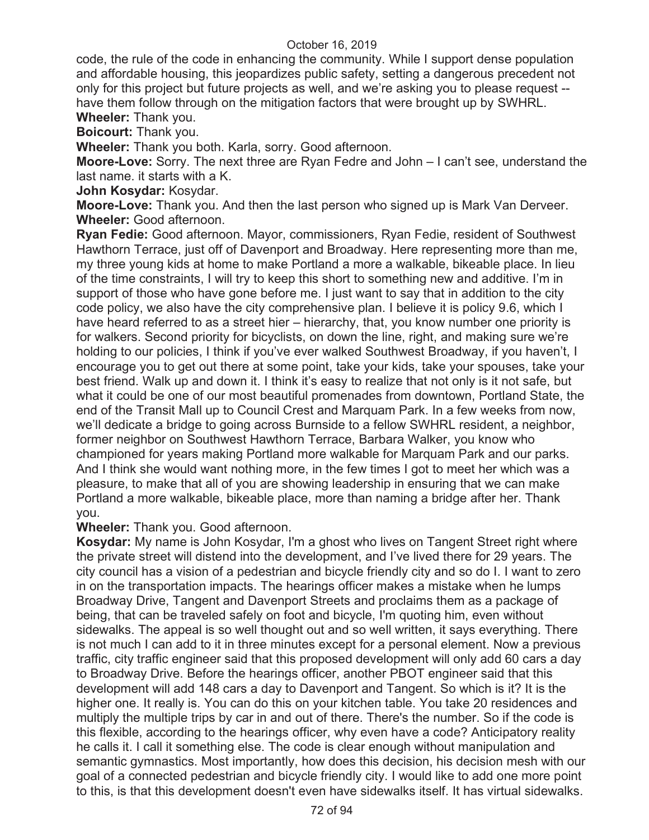code, the rule of the code in enhancing the community. While I support dense population and affordable housing, this jeopardizes public safety, setting a dangerous precedent not only for this project but future projects as well, and we're asking you to please request - have them follow through on the mitigation factors that were brought up by SWHRL. **Wheeler:** Thank you.

**Boicourt:** Thank you.

**Wheeler:** Thank you both. Karla, sorry. Good afternoon.

**Moore-Love:** Sorry. The next three are Ryan Fedre and John – I can't see, understand the last name. it starts with a K.

**John Kosydar:** Kosydar.

**Moore-Love:** Thank you. And then the last person who signed up is Mark Van Derveer. **Wheeler:** Good afternoon.

**Ryan Fedie:** Good afternoon. Mayor, commissioners, Ryan Fedie, resident of Southwest Hawthorn Terrace, just off of Davenport and Broadway. Here representing more than me, my three young kids at home to make Portland a more a walkable, bikeable place. In lieu of the time constraints, I will try to keep this short to something new and additive. I'm in support of those who have gone before me. I just want to say that in addition to the city code policy, we also have the city comprehensive plan. I believe it is policy 9.6, which I have heard referred to as a street hier – hierarchy, that, you know number one priority is for walkers. Second priority for bicyclists, on down the line, right, and making sure we're holding to our policies, I think if you've ever walked Southwest Broadway, if you haven't, I encourage you to get out there at some point, take your kids, take your spouses, take your best friend. Walk up and down it. I think it's easy to realize that not only is it not safe, but what it could be one of our most beautiful promenades from downtown, Portland State, the end of the Transit Mall up to Council Crest and Marquam Park. In a few weeks from now, we'll dedicate a bridge to going across Burnside to a fellow SWHRL resident, a neighbor, former neighbor on Southwest Hawthorn Terrace, Barbara Walker, you know who championed for years making Portland more walkable for Marquam Park and our parks. And I think she would want nothing more, in the few times I got to meet her which was a pleasure, to make that all of you are showing leadership in ensuring that we can make Portland a more walkable, bikeable place, more than naming a bridge after her. Thank you.

**Wheeler:** Thank you. Good afternoon.

**Kosydar:** My name is John Kosydar, I'm a ghost who lives on Tangent Street right where the private street will distend into the development, and I've lived there for 29 years. The city council has a vision of a pedestrian and bicycle friendly city and so do I. I want to zero in on the transportation impacts. The hearings officer makes a mistake when he lumps Broadway Drive, Tangent and Davenport Streets and proclaims them as a package of being, that can be traveled safely on foot and bicycle, I'm quoting him, even without sidewalks. The appeal is so well thought out and so well written, it says everything. There is not much I can add to it in three minutes except for a personal element. Now a previous traffic, city traffic engineer said that this proposed development will only add 60 cars a day to Broadway Drive. Before the hearings officer, another PBOT engineer said that this development will add 148 cars a day to Davenport and Tangent. So which is it? It is the higher one. It really is. You can do this on your kitchen table. You take 20 residences and multiply the multiple trips by car in and out of there. There's the number. So if the code is this flexible, according to the hearings officer, why even have a code? Anticipatory reality he calls it. I call it something else. The code is clear enough without manipulation and semantic gymnastics. Most importantly, how does this decision, his decision mesh with our goal of a connected pedestrian and bicycle friendly city. I would like to add one more point to this, is that this development doesn't even have sidewalks itself. It has virtual sidewalks.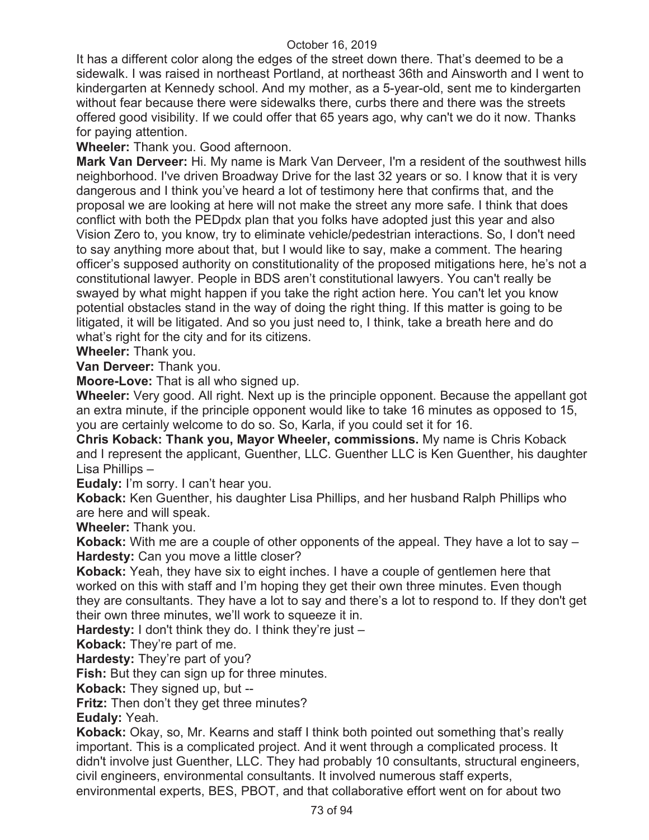It has a different color along the edges of the street down there. That's deemed to be a sidewalk. I was raised in northeast Portland, at northeast 36th and Ainsworth and I went to kindergarten at Kennedy school. And my mother, as a 5-year-old, sent me to kindergarten without fear because there were sidewalks there, curbs there and there was the streets offered good visibility. If we could offer that 65 years ago, why can't we do it now. Thanks for paying attention.

**Wheeler:** Thank you. Good afternoon.

**Mark Van Derveer:** Hi. My name is Mark Van Derveer, I'm a resident of the southwest hills neighborhood. I've driven Broadway Drive for the last 32 years or so. I know that it is very dangerous and I think you've heard a lot of testimony here that confirms that, and the proposal we are looking at here will not make the street any more safe. I think that does conflict with both the PEDpdx plan that you folks have adopted just this year and also Vision Zero to, you know, try to eliminate vehicle/pedestrian interactions. So, I don't need to say anything more about that, but I would like to say, make a comment. The hearing officer's supposed authority on constitutionality of the proposed mitigations here, he's not a constitutional lawyer. People in BDS aren't constitutional lawyers. You can't really be swayed by what might happen if you take the right action here. You can't let you know potential obstacles stand in the way of doing the right thing. If this matter is going to be litigated, it will be litigated. And so you just need to, I think, take a breath here and do what's right for the city and for its citizens.

**Wheeler:** Thank you.

**Van Derveer:** Thank you.

**Moore-Love:** That is all who signed up.

**Wheeler:** Very good. All right. Next up is the principle opponent. Because the appellant got an extra minute, if the principle opponent would like to take 16 minutes as opposed to 15, you are certainly welcome to do so. So, Karla, if you could set it for 16.

**Chris Koback: Thank you, Mayor Wheeler, commissions.** My name is Chris Koback and I represent the applicant, Guenther, LLC. Guenther LLC is Ken Guenther, his daughter Lisa Phillips –

**Eudaly:** I'm sorry. I can't hear you.

**Koback:** Ken Guenther, his daughter Lisa Phillips, and her husband Ralph Phillips who are here and will speak.

**Wheeler:** Thank you.

**Koback:** With me are a couple of other opponents of the appeal. They have a lot to say – **Hardesty:** Can you move a little closer?

**Koback:** Yeah, they have six to eight inches. I have a couple of gentlemen here that worked on this with staff and I'm hoping they get their own three minutes. Even though they are consultants. They have a lot to say and there's a lot to respond to. If they don't get their own three minutes, we'll work to squeeze it in.

**Hardesty:** I don't think they do. I think they're just –

**Koback:** They're part of me.

**Hardesty:** They're part of you?

**Fish:** But they can sign up for three minutes.

**Koback:** They signed up, but --

**Fritz:** Then don't they get three minutes?

**Eudaly:** Yeah.

**Koback:** Okay, so, Mr. Kearns and staff I think both pointed out something that's really important. This is a complicated project. And it went through a complicated process. It didn't involve just Guenther, LLC. They had probably 10 consultants, structural engineers, civil engineers, environmental consultants. It involved numerous staff experts, environmental experts, BES, PBOT, and that collaborative effort went on for about two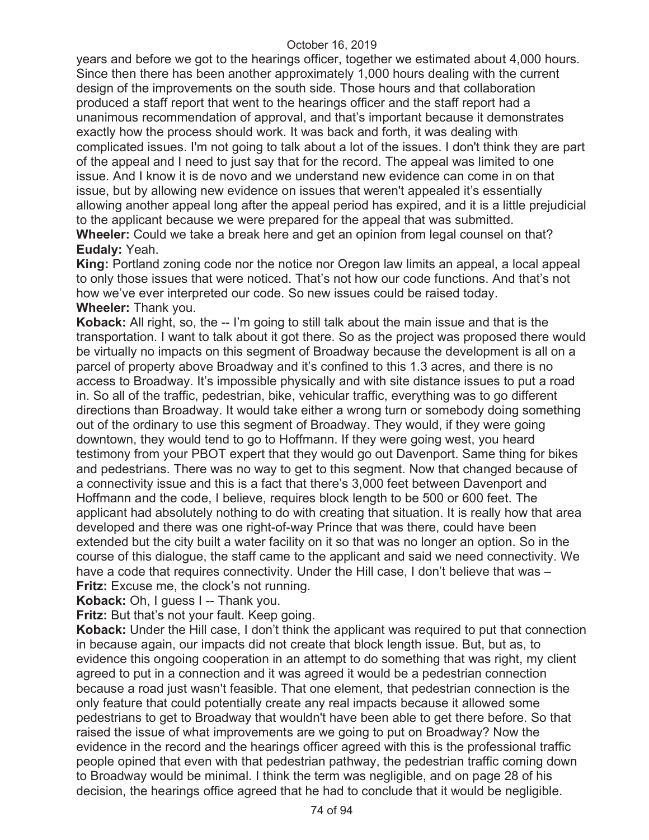years and before we got to the hearings officer, together we estimated about 4,000 hours. Since then there has been another approximately 1,000 hours dealing with the current design of the improvements on the south side. Those hours and that collaboration produced a staff report that went to the hearings officer and the staff report had a unanimous recommendation of approval, and that's important because it demonstrates exactly how the process should work. It was back and forth, it was dealing with complicated issues. I'm not going to talk about a lot of the issues. I don't think they are part of the appeal and I need to just say that for the record. The appeal was limited to one issue. And I know it is de novo and we understand new evidence can come in on that issue, but by allowing new evidence on issues that weren't appealed it's essentially allowing another appeal long after the appeal period has expired, and it is a little prejudicial to the applicant because we were prepared for the appeal that was submitted. **Wheeler:** Could we take a break here and get an opinion from legal counsel on that? **Eudaly:** Yeah.

**King:** Portland zoning code nor the notice nor Oregon law limits an appeal, a local appeal to only those issues that were noticed. That's not how our code functions. And that's not how we've ever interpreted our code. So new issues could be raised today. **Wheeler:** Thank you.

**Koback:** All right, so, the -- I'm going to still talk about the main issue and that is the transportation. I want to talk about it got there. So as the project was proposed there would be virtually no impacts on this segment of Broadway because the development is all on a parcel of property above Broadway and it's confined to this 1.3 acres, and there is no access to Broadway. It's impossible physically and with site distance issues to put a road in. So all of the traffic, pedestrian, bike, vehicular traffic, everything was to go different directions than Broadway. It would take either a wrong turn or somebody doing something out of the ordinary to use this segment of Broadway. They would, if they were going downtown, they would tend to go to Hoffmann. If they were going west, you heard testimony from your PBOT expert that they would go out Davenport. Same thing for bikes and pedestrians. There was no way to get to this segment. Now that changed because of a connectivity issue and this is a fact that there's 3,000 feet between Davenport and Hoffmann and the code, I believe, requires block length to be 500 or 600 feet. The applicant had absolutely nothing to do with creating that situation. It is really how that area developed and there was one right-of-way Prince that was there, could have been extended but the city built a water facility on it so that was no longer an option. So in the course of this dialogue, the staff came to the applicant and said we need connectivity. We have a code that requires connectivity. Under the Hill case, I don't believe that was -**Fritz:** Excuse me, the clock's not running.

**Koback:** Oh, I guess I -- Thank you.

**Fritz:** But that's not your fault. Keep going.

**Koback:** Under the Hill case, I don't think the applicant was required to put that connection in because again, our impacts did not create that block length issue. But, but as, to evidence this ongoing cooperation in an attempt to do something that was right, my client agreed to put in a connection and it was agreed it would be a pedestrian connection because a road just wasn't feasible. That one element, that pedestrian connection is the only feature that could potentially create any real impacts because it allowed some pedestrians to get to Broadway that wouldn't have been able to get there before. So that raised the issue of what improvements are we going to put on Broadway? Now the evidence in the record and the hearings officer agreed with this is the professional traffic people opined that even with that pedestrian pathway, the pedestrian traffic coming down to Broadway would be minimal. I think the term was negligible, and on page 28 of his decision, the hearings office agreed that he had to conclude that it would be negligible.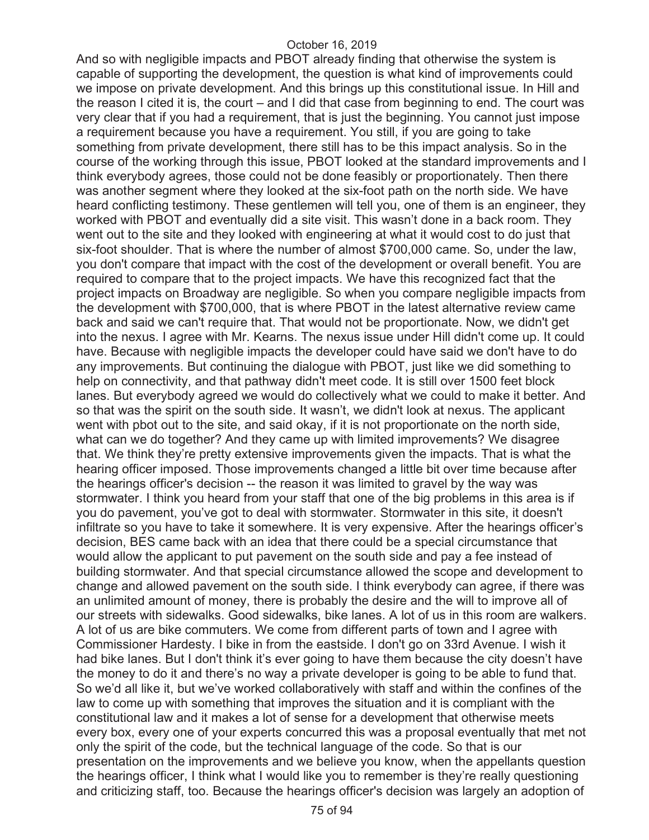And so with negligible impacts and PBOT already finding that otherwise the system is capable of supporting the development, the question is what kind of improvements could we impose on private development. And this brings up this constitutional issue. In Hill and the reason I cited it is, the court – and I did that case from beginning to end. The court was very clear that if you had a requirement, that is just the beginning. You cannot just impose a requirement because you have a requirement. You still, if you are going to take something from private development, there still has to be this impact analysis. So in the course of the working through this issue, PBOT looked at the standard improvements and I think everybody agrees, those could not be done feasibly or proportionately. Then there was another segment where they looked at the six-foot path on the north side. We have heard conflicting testimony. These gentlemen will tell you, one of them is an engineer, they worked with PBOT and eventually did a site visit. This wasn't done in a back room. They went out to the site and they looked with engineering at what it would cost to do just that six-foot shoulder. That is where the number of almost \$700,000 came. So, under the law, you don't compare that impact with the cost of the development or overall benefit. You are required to compare that to the project impacts. We have this recognized fact that the project impacts on Broadway are negligible. So when you compare negligible impacts from the development with \$700,000, that is where PBOT in the latest alternative review came back and said we can't require that. That would not be proportionate. Now, we didn't get into the nexus. I agree with Mr. Kearns. The nexus issue under Hill didn't come up. It could have. Because with negligible impacts the developer could have said we don't have to do any improvements. But continuing the dialogue with PBOT, just like we did something to help on connectivity, and that pathway didn't meet code. It is still over 1500 feet block lanes. But everybody agreed we would do collectively what we could to make it better. And so that was the spirit on the south side. It wasn't, we didn't look at nexus. The applicant went with pbot out to the site, and said okay, if it is not proportionate on the north side, what can we do together? And they came up with limited improvements? We disagree that. We think they're pretty extensive improvements given the impacts. That is what the hearing officer imposed. Those improvements changed a little bit over time because after the hearings officer's decision -- the reason it was limited to gravel by the way was stormwater. I think you heard from your staff that one of the big problems in this area is if you do pavement, you've got to deal with stormwater. Stormwater in this site, it doesn't infiltrate so you have to take it somewhere. It is very expensive. After the hearings officer's decision, BES came back with an idea that there could be a special circumstance that would allow the applicant to put pavement on the south side and pay a fee instead of building stormwater. And that special circumstance allowed the scope and development to change and allowed pavement on the south side. I think everybody can agree, if there was an unlimited amount of money, there is probably the desire and the will to improve all of our streets with sidewalks. Good sidewalks, bike lanes. A lot of us in this room are walkers. A lot of us are bike commuters. We come from different parts of town and I agree with Commissioner Hardesty. I bike in from the eastside. I don't go on 33rd Avenue. I wish it had bike lanes. But I don't think it's ever going to have them because the city doesn't have the money to do it and there's no way a private developer is going to be able to fund that. So we'd all like it, but we've worked collaboratively with staff and within the confines of the law to come up with something that improves the situation and it is compliant with the constitutional law and it makes a lot of sense for a development that otherwise meets every box, every one of your experts concurred this was a proposal eventually that met not only the spirit of the code, but the technical language of the code. So that is our presentation on the improvements and we believe you know, when the appellants question the hearings officer, I think what I would like you to remember is they're really questioning and criticizing staff, too. Because the hearings officer's decision was largely an adoption of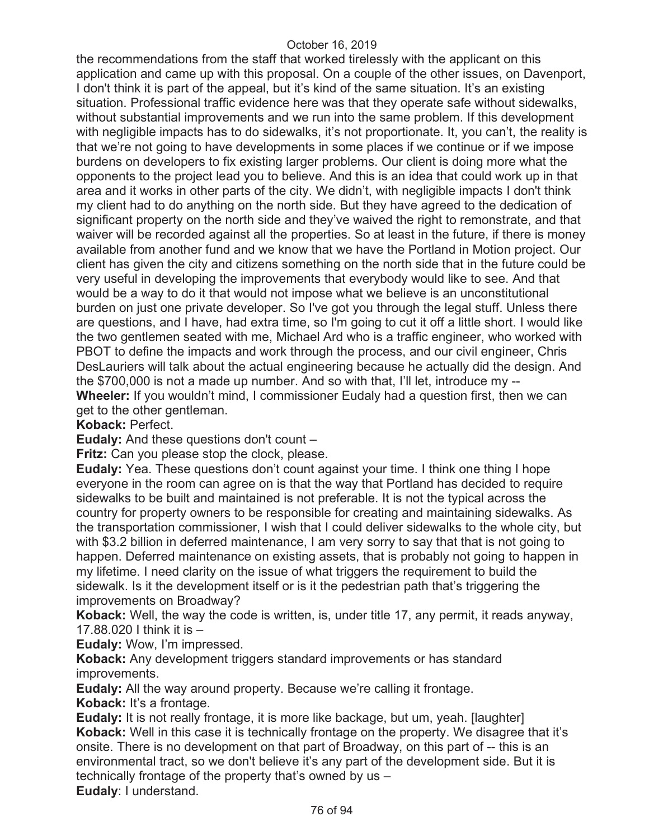the recommendations from the staff that worked tirelessly with the applicant on this application and came up with this proposal. On a couple of the other issues, on Davenport, I don't think it is part of the appeal, but it's kind of the same situation. It's an existing situation. Professional traffic evidence here was that they operate safe without sidewalks, without substantial improvements and we run into the same problem. If this development with negligible impacts has to do sidewalks, it's not proportionate. It, you can't, the reality is that we're not going to have developments in some places if we continue or if we impose burdens on developers to fix existing larger problems. Our client is doing more what the opponents to the project lead you to believe. And this is an idea that could work up in that area and it works in other parts of the city. We didn't, with negligible impacts I don't think my client had to do anything on the north side. But they have agreed to the dedication of significant property on the north side and they've waived the right to remonstrate, and that waiver will be recorded against all the properties. So at least in the future, if there is money available from another fund and we know that we have the Portland in Motion project. Our client has given the city and citizens something on the north side that in the future could be very useful in developing the improvements that everybody would like to see. And that would be a way to do it that would not impose what we believe is an unconstitutional burden on just one private developer. So I've got you through the legal stuff. Unless there are questions, and I have, had extra time, so I'm going to cut it off a little short. I would like the two gentlemen seated with me, Michael Ard who is a traffic engineer, who worked with PBOT to define the impacts and work through the process, and our civil engineer, Chris DesLauriers will talk about the actual engineering because he actually did the design. And the \$700,000 is not a made up number. And so with that, I'll let, introduce my -- **Wheeler:** If you wouldn't mind, I commissioner Eudaly had a question first, then we can get to the other gentleman.

**Koback:** Perfect.

**Eudaly:** And these questions don't count –

**Fritz:** Can you please stop the clock, please.

**Eudaly:** Yea. These questions don't count against your time. I think one thing I hope everyone in the room can agree on is that the way that Portland has decided to require sidewalks to be built and maintained is not preferable. It is not the typical across the country for property owners to be responsible for creating and maintaining sidewalks. As the transportation commissioner, I wish that I could deliver sidewalks to the whole city, but with \$3.2 billion in deferred maintenance, I am very sorry to say that that is not going to happen. Deferred maintenance on existing assets, that is probably not going to happen in my lifetime. I need clarity on the issue of what triggers the requirement to build the sidewalk. Is it the development itself or is it the pedestrian path that's triggering the improvements on Broadway?

**Koback:** Well, the way the code is written, is, under title 17, any permit, it reads anyway, 17.88.020 I think it is –

**Eudaly:** Wow, I'm impressed.

**Koback:** Any development triggers standard improvements or has standard improvements.

**Eudaly:** All the way around property. Because we're calling it frontage. **Koback:** It's a frontage.

**Eudaly:** It is not really frontage, it is more like backage, but um, yeah. [laughter] **Koback:** Well in this case it is technically frontage on the property. We disagree that it's onsite. There is no development on that part of Broadway, on this part of -- this is an environmental tract, so we don't believe it's any part of the development side. But it is technically frontage of the property that's owned by us – **Eudaly**: I understand.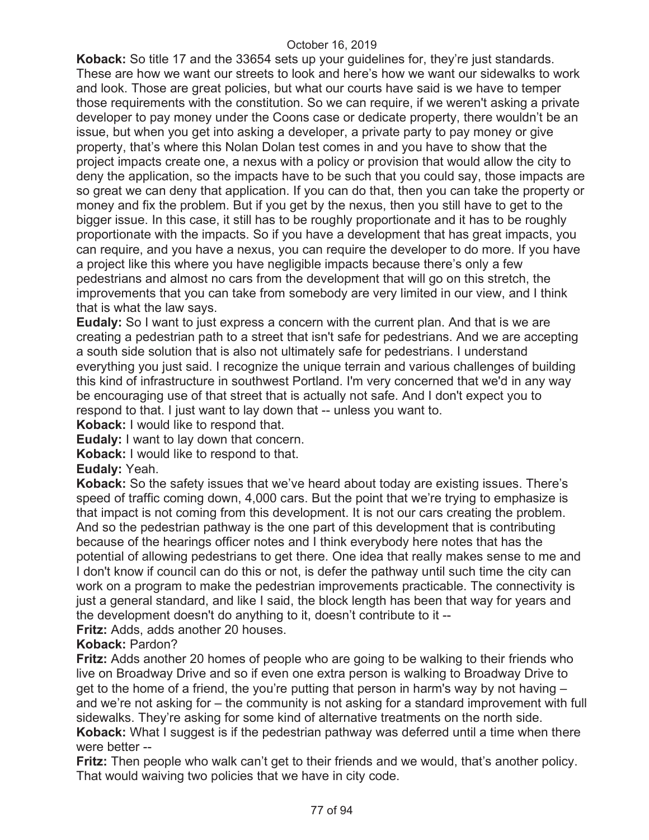**Koback:** So title 17 and the 33654 sets up your guidelines for, they're just standards. These are how we want our streets to look and here's how we want our sidewalks to work and look. Those are great policies, but what our courts have said is we have to temper those requirements with the constitution. So we can require, if we weren't asking a private developer to pay money under the Coons case or dedicate property, there wouldn't be an issue, but when you get into asking a developer, a private party to pay money or give property, that's where this Nolan Dolan test comes in and you have to show that the project impacts create one, a nexus with a policy or provision that would allow the city to deny the application, so the impacts have to be such that you could say, those impacts are so great we can deny that application. If you can do that, then you can take the property or money and fix the problem. But if you get by the nexus, then you still have to get to the bigger issue. In this case, it still has to be roughly proportionate and it has to be roughly proportionate with the impacts. So if you have a development that has great impacts, you can require, and you have a nexus, you can require the developer to do more. If you have a project like this where you have negligible impacts because there's only a few pedestrians and almost no cars from the development that will go on this stretch, the improvements that you can take from somebody are very limited in our view, and I think that is what the law says.

**Eudaly:** So I want to just express a concern with the current plan. And that is we are creating a pedestrian path to a street that isn't safe for pedestrians. And we are accepting a south side solution that is also not ultimately safe for pedestrians. I understand everything you just said. I recognize the unique terrain and various challenges of building this kind of infrastructure in southwest Portland. I'm very concerned that we'd in any way be encouraging use of that street that is actually not safe. And I don't expect you to respond to that. I just want to lay down that -- unless you want to.

**Koback:** I would like to respond that.

**Eudaly:** I want to lay down that concern.

**Koback:** I would like to respond to that.

**Eudaly:** Yeah.

**Koback:** So the safety issues that we've heard about today are existing issues. There's speed of traffic coming down, 4,000 cars. But the point that we're trying to emphasize is that impact is not coming from this development. It is not our cars creating the problem. And so the pedestrian pathway is the one part of this development that is contributing because of the hearings officer notes and I think everybody here notes that has the potential of allowing pedestrians to get there. One idea that really makes sense to me and I don't know if council can do this or not, is defer the pathway until such time the city can work on a program to make the pedestrian improvements practicable. The connectivity is just a general standard, and like I said, the block length has been that way for years and the development doesn't do anything to it, doesn't contribute to it --

**Fritz:** Adds, adds another 20 houses.

#### **Koback:** Pardon?

**Fritz:** Adds another 20 homes of people who are going to be walking to their friends who live on Broadway Drive and so if even one extra person is walking to Broadway Drive to get to the home of a friend, the you're putting that person in harm's way by not having – and we're not asking for – the community is not asking for a standard improvement with full sidewalks. They're asking for some kind of alternative treatments on the north side. **Koback:** What I suggest is if the pedestrian pathway was deferred until a time when there were better --

**Fritz:** Then people who walk can't get to their friends and we would, that's another policy. That would waiving two policies that we have in city code.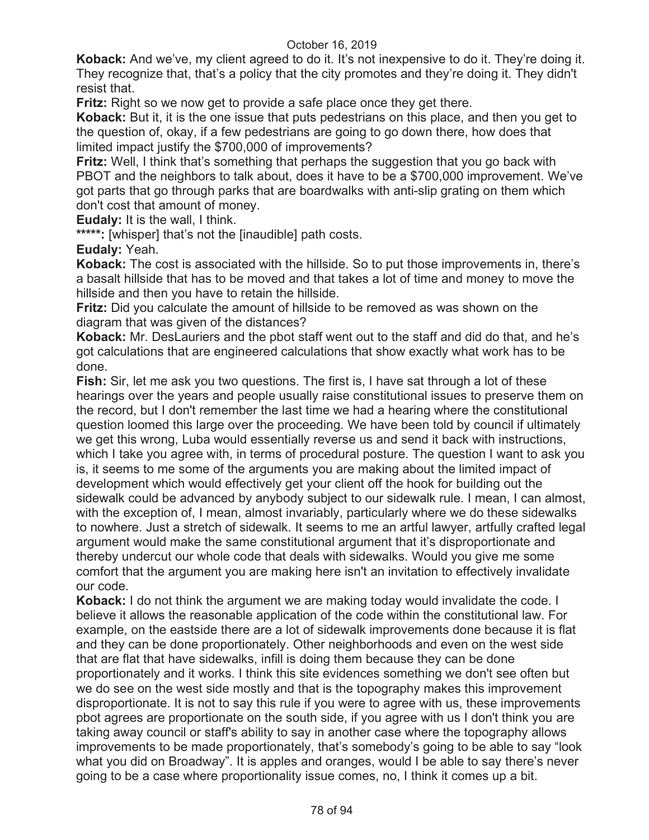**Koback:** And we've, my client agreed to do it. It's not inexpensive to do it. They're doing it. They recognize that, that's a policy that the city promotes and they're doing it. They didn't resist that.

**Fritz:** Right so we now get to provide a safe place once they get there.

**Koback:** But it, it is the one issue that puts pedestrians on this place, and then you get to the question of, okay, if a few pedestrians are going to go down there, how does that limited impact justify the \$700,000 of improvements?

**Fritz:** Well, I think that's something that perhaps the suggestion that you go back with PBOT and the neighbors to talk about, does it have to be a \$700,000 improvement. We've got parts that go through parks that are boardwalks with anti-slip grating on them which don't cost that amount of money.

**Eudaly:** It is the wall, I think.

**\*\*\*\*\*:** [whisper] that's not the [inaudible] path costs.

**Eudaly:** Yeah.

**Koback:** The cost is associated with the hillside. So to put those improvements in, there's a basalt hillside that has to be moved and that takes a lot of time and money to move the hillside and then you have to retain the hillside.

**Fritz:** Did you calculate the amount of hillside to be removed as was shown on the diagram that was given of the distances?

**Koback:** Mr. DesLauriers and the pbot staff went out to the staff and did do that, and he's got calculations that are engineered calculations that show exactly what work has to be done.

**Fish:** Sir, let me ask you two questions. The first is, I have sat through a lot of these hearings over the years and people usually raise constitutional issues to preserve them on the record, but I don't remember the last time we had a hearing where the constitutional question loomed this large over the proceeding. We have been told by council if ultimately we get this wrong, Luba would essentially reverse us and send it back with instructions, which I take you agree with, in terms of procedural posture. The question I want to ask you is, it seems to me some of the arguments you are making about the limited impact of development which would effectively get your client off the hook for building out the sidewalk could be advanced by anybody subject to our sidewalk rule. I mean, I can almost, with the exception of, I mean, almost invariably, particularly where we do these sidewalks to nowhere. Just a stretch of sidewalk. It seems to me an artful lawyer, artfully crafted legal argument would make the same constitutional argument that it's disproportionate and thereby undercut our whole code that deals with sidewalks. Would you give me some comfort that the argument you are making here isn't an invitation to effectively invalidate our code.

**Koback:** I do not think the argument we are making today would invalidate the code. I believe it allows the reasonable application of the code within the constitutional law. For example, on the eastside there are a lot of sidewalk improvements done because it is flat and they can be done proportionately. Other neighborhoods and even on the west side that are flat that have sidewalks, infill is doing them because they can be done proportionately and it works. I think this site evidences something we don't see often but we do see on the west side mostly and that is the topography makes this improvement disproportionate. It is not to say this rule if you were to agree with us, these improvements pbot agrees are proportionate on the south side, if you agree with us I don't think you are taking away council or staff's ability to say in another case where the topography allows improvements to be made proportionately, that's somebody's going to be able to say "look what you did on Broadway". It is apples and oranges, would I be able to say there's never going to be a case where proportionality issue comes, no, I think it comes up a bit.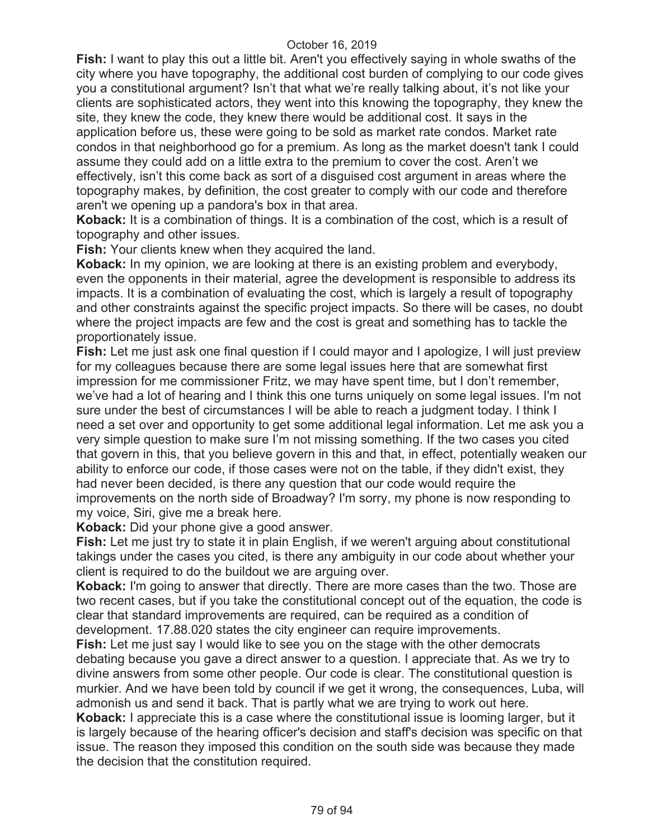**Fish:** I want to play this out a little bit. Aren't you effectively saying in whole swaths of the city where you have topography, the additional cost burden of complying to our code gives you a constitutional argument? Isn't that what we're really talking about, it's not like your clients are sophisticated actors, they went into this knowing the topography, they knew the site, they knew the code, they knew there would be additional cost. It says in the application before us, these were going to be sold as market rate condos. Market rate condos in that neighborhood go for a premium. As long as the market doesn't tank I could assume they could add on a little extra to the premium to cover the cost. Aren't we effectively, isn't this come back as sort of a disguised cost argument in areas where the topography makes, by definition, the cost greater to comply with our code and therefore aren't we opening up a pandora's box in that area.

**Koback:** It is a combination of things. It is a combination of the cost, which is a result of topography and other issues.

**Fish:** Your clients knew when they acquired the land.

**Koback:** In my opinion, we are looking at there is an existing problem and everybody, even the opponents in their material, agree the development is responsible to address its impacts. It is a combination of evaluating the cost, which is largely a result of topography and other constraints against the specific project impacts. So there will be cases, no doubt where the project impacts are few and the cost is great and something has to tackle the proportionately issue.

**Fish:** Let me just ask one final question if I could mayor and I apologize, I will just preview for my colleagues because there are some legal issues here that are somewhat first impression for me commissioner Fritz, we may have spent time, but I don't remember, we've had a lot of hearing and I think this one turns uniquely on some legal issues. I'm not sure under the best of circumstances I will be able to reach a judgment today. I think I need a set over and opportunity to get some additional legal information. Let me ask you a very simple question to make sure I'm not missing something. If the two cases you cited that govern in this, that you believe govern in this and that, in effect, potentially weaken our ability to enforce our code, if those cases were not on the table, if they didn't exist, they had never been decided, is there any question that our code would require the improvements on the north side of Broadway? I'm sorry, my phone is now responding to my voice, Siri, give me a break here.

**Koback:** Did your phone give a good answer.

**Fish:** Let me just try to state it in plain English, if we weren't arguing about constitutional takings under the cases you cited, is there any ambiguity in our code about whether your client is required to do the buildout we are arguing over.

**Koback:** I'm going to answer that directly. There are more cases than the two. Those are two recent cases, but if you take the constitutional concept out of the equation, the code is clear that standard improvements are required, can be required as a condition of development. 17.88.020 states the city engineer can require improvements.

**Fish:** Let me just say I would like to see you on the stage with the other democrats debating because you gave a direct answer to a question. I appreciate that. As we try to divine answers from some other people. Our code is clear. The constitutional question is murkier. And we have been told by council if we get it wrong, the consequences, Luba, will admonish us and send it back. That is partly what we are trying to work out here.

**Koback:** I appreciate this is a case where the constitutional issue is looming larger, but it is largely because of the hearing officer's decision and staff's decision was specific on that issue. The reason they imposed this condition on the south side was because they made the decision that the constitution required.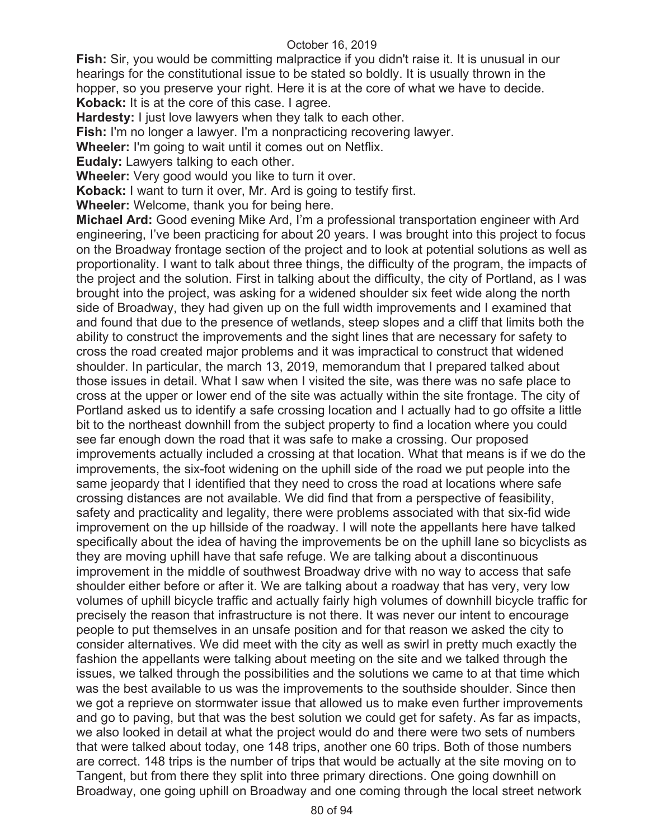**Fish:** Sir, you would be committing malpractice if you didn't raise it. It is unusual in our hearings for the constitutional issue to be stated so boldly. It is usually thrown in the hopper, so you preserve your right. Here it is at the core of what we have to decide. **Koback:** It is at the core of this case. I agree.

**Hardesty:** I just love lawyers when they talk to each other.

**Fish:** I'm no longer a lawyer. I'm a nonpracticing recovering lawyer.

**Wheeler:** I'm going to wait until it comes out on Netflix.

**Eudaly:** Lawyers talking to each other.

**Wheeler:** Very good would you like to turn it over.

**Koback:** I want to turn it over, Mr. Ard is going to testify first.

**Wheeler:** Welcome, thank you for being here.

**Michael Ard:** Good evening Mike Ard, I'm a professional transportation engineer with Ard engineering, I've been practicing for about 20 years. I was brought into this project to focus on the Broadway frontage section of the project and to look at potential solutions as well as proportionality. I want to talk about three things, the difficulty of the program, the impacts of the project and the solution. First in talking about the difficulty, the city of Portland, as I was brought into the project, was asking for a widened shoulder six feet wide along the north side of Broadway, they had given up on the full width improvements and I examined that and found that due to the presence of wetlands, steep slopes and a cliff that limits both the ability to construct the improvements and the sight lines that are necessary for safety to cross the road created major problems and it was impractical to construct that widened shoulder. In particular, the march 13, 2019, memorandum that I prepared talked about those issues in detail. What I saw when I visited the site, was there was no safe place to cross at the upper or lower end of the site was actually within the site frontage. The city of Portland asked us to identify a safe crossing location and I actually had to go offsite a little bit to the northeast downhill from the subject property to find a location where you could see far enough down the road that it was safe to make a crossing. Our proposed improvements actually included a crossing at that location. What that means is if we do the improvements, the six-foot widening on the uphill side of the road we put people into the same jeopardy that I identified that they need to cross the road at locations where safe crossing distances are not available. We did find that from a perspective of feasibility, safety and practicality and legality, there were problems associated with that six-fid wide improvement on the up hillside of the roadway. I will note the appellants here have talked specifically about the idea of having the improvements be on the uphill lane so bicyclists as they are moving uphill have that safe refuge. We are talking about a discontinuous improvement in the middle of southwest Broadway drive with no way to access that safe shoulder either before or after it. We are talking about a roadway that has very, very low volumes of uphill bicycle traffic and actually fairly high volumes of downhill bicycle traffic for precisely the reason that infrastructure is not there. It was never our intent to encourage people to put themselves in an unsafe position and for that reason we asked the city to consider alternatives. We did meet with the city as well as swirl in pretty much exactly the fashion the appellants were talking about meeting on the site and we talked through the issues, we talked through the possibilities and the solutions we came to at that time which was the best available to us was the improvements to the southside shoulder. Since then we got a reprieve on stormwater issue that allowed us to make even further improvements and go to paving, but that was the best solution we could get for safety. As far as impacts, we also looked in detail at what the project would do and there were two sets of numbers that were talked about today, one 148 trips, another one 60 trips. Both of those numbers are correct. 148 trips is the number of trips that would be actually at the site moving on to Tangent, but from there they split into three primary directions. One going downhill on Broadway, one going uphill on Broadway and one coming through the local street network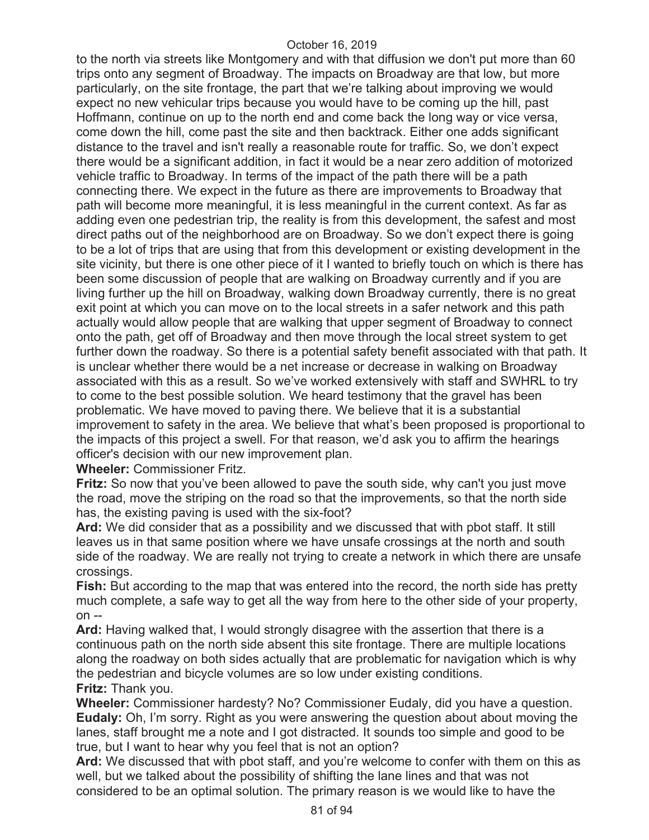to the north via streets like Montgomery and with that diffusion we don't put more than 60 trips onto any segment of Broadway. The impacts on Broadway are that low, but more particularly, on the site frontage, the part that we're talking about improving we would expect no new vehicular trips because you would have to be coming up the hill, past Hoffmann, continue on up to the north end and come back the long way or vice versa, come down the hill, come past the site and then backtrack. Either one adds significant distance to the travel and isn't really a reasonable route for traffic. So, we don't expect there would be a significant addition, in fact it would be a near zero addition of motorized vehicle traffic to Broadway. In terms of the impact of the path there will be a path connecting there. We expect in the future as there are improvements to Broadway that path will become more meaningful, it is less meaningful in the current context. As far as adding even one pedestrian trip, the reality is from this development, the safest and most direct paths out of the neighborhood are on Broadway. So we don't expect there is going to be a lot of trips that are using that from this development or existing development in the site vicinity, but there is one other piece of it I wanted to briefly touch on which is there has been some discussion of people that are walking on Broadway currently and if you are living further up the hill on Broadway, walking down Broadway currently, there is no great exit point at which you can move on to the local streets in a safer network and this path actually would allow people that are walking that upper segment of Broadway to connect onto the path, get off of Broadway and then move through the local street system to get further down the roadway. So there is a potential safety benefit associated with that path. It is unclear whether there would be a net increase or decrease in walking on Broadway associated with this as a result. So we've worked extensively with staff and SWHRL to try to come to the best possible solution. We heard testimony that the gravel has been problematic. We have moved to paving there. We believe that it is a substantial improvement to safety in the area. We believe that what's been proposed is proportional to the impacts of this project a swell. For that reason, we'd ask you to affirm the hearings officer's decision with our new improvement plan.

**Wheeler:** Commissioner Fritz.

**Fritz:** So now that you've been allowed to pave the south side, why can't you just move the road, move the striping on the road so that the improvements, so that the north side has, the existing paving is used with the six-foot?

**Ard:** We did consider that as a possibility and we discussed that with pbot staff. It still leaves us in that same position where we have unsafe crossings at the north and south side of the roadway. We are really not trying to create a network in which there are unsafe crossings.

**Fish:** But according to the map that was entered into the record, the north side has pretty much complete, a safe way to get all the way from here to the other side of your property, on --

**Ard:** Having walked that, I would strongly disagree with the assertion that there is a continuous path on the north side absent this site frontage. There are multiple locations along the roadway on both sides actually that are problematic for navigation which is why the pedestrian and bicycle volumes are so low under existing conditions. **Fritz:** Thank you.

**Wheeler:** Commissioner hardesty? No? Commissioner Eudaly, did you have a question. **Eudaly:** Oh, I'm sorry. Right as you were answering the question about about moving the lanes, staff brought me a note and I got distracted. It sounds too simple and good to be true, but I want to hear why you feel that is not an option?

**Ard:** We discussed that with pbot staff, and you're welcome to confer with them on this as well, but we talked about the possibility of shifting the lane lines and that was not considered to be an optimal solution. The primary reason is we would like to have the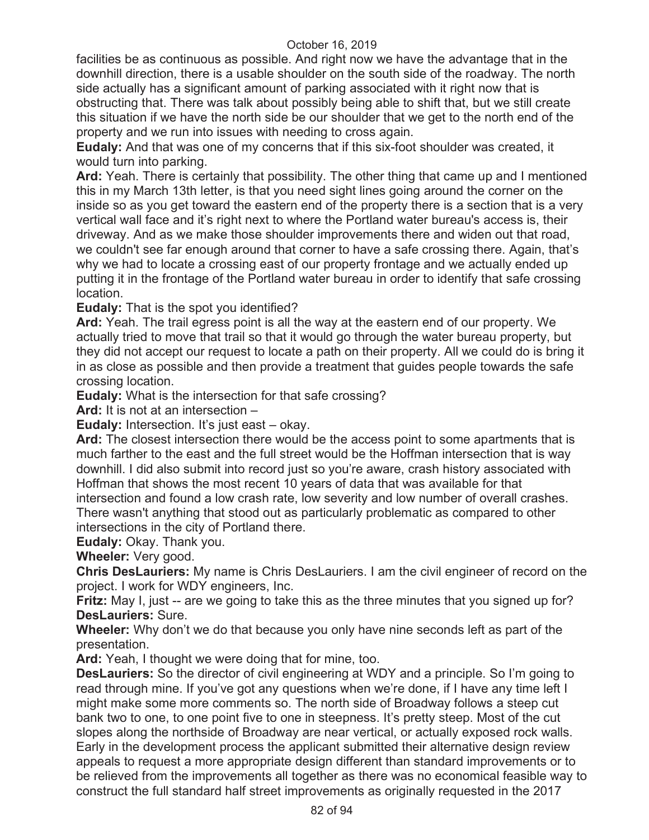facilities be as continuous as possible. And right now we have the advantage that in the downhill direction, there is a usable shoulder on the south side of the roadway. The north side actually has a significant amount of parking associated with it right now that is obstructing that. There was talk about possibly being able to shift that, but we still create this situation if we have the north side be our shoulder that we get to the north end of the property and we run into issues with needing to cross again.

**Eudaly:** And that was one of my concerns that if this six-foot shoulder was created, it would turn into parking.

**Ard:** Yeah. There is certainly that possibility. The other thing that came up and I mentioned this in my March 13th letter, is that you need sight lines going around the corner on the inside so as you get toward the eastern end of the property there is a section that is a very vertical wall face and it's right next to where the Portland water bureau's access is, their driveway. And as we make those shoulder improvements there and widen out that road, we couldn't see far enough around that corner to have a safe crossing there. Again, that's why we had to locate a crossing east of our property frontage and we actually ended up putting it in the frontage of the Portland water bureau in order to identify that safe crossing location.

**Eudaly:** That is the spot you identified?

**Ard:** Yeah. The trail egress point is all the way at the eastern end of our property. We actually tried to move that trail so that it would go through the water bureau property, but they did not accept our request to locate a path on their property. All we could do is bring it in as close as possible and then provide a treatment that guides people towards the safe crossing location.

**Eudaly:** What is the intersection for that safe crossing?

**Ard:** It is not at an intersection –

**Eudaly:** Intersection. It's just east – okay.

**Ard:** The closest intersection there would be the access point to some apartments that is much farther to the east and the full street would be the Hoffman intersection that is way downhill. I did also submit into record just so you're aware, crash history associated with Hoffman that shows the most recent 10 years of data that was available for that intersection and found a low crash rate, low severity and low number of overall crashes. There wasn't anything that stood out as particularly problematic as compared to other

intersections in the city of Portland there.

**Eudaly:** Okay. Thank you.

**Wheeler:** Very good.

**Chris DesLauriers:** My name is Chris DesLauriers. I am the civil engineer of record on the project. I work for WDY engineers, Inc.

**Fritz:** May I, just -- are we going to take this as the three minutes that you signed up for? **DesLauriers:** Sure.

**Wheeler:** Why don't we do that because you only have nine seconds left as part of the presentation.

**Ard:** Yeah, I thought we were doing that for mine, too.

**DesLauriers:** So the director of civil engineering at WDY and a principle. So I'm going to read through mine. If you've got any questions when we're done, if I have any time left I might make some more comments so. The north side of Broadway follows a steep cut bank two to one, to one point five to one in steepness. It's pretty steep. Most of the cut slopes along the northside of Broadway are near vertical, or actually exposed rock walls. Early in the development process the applicant submitted their alternative design review appeals to request a more appropriate design different than standard improvements or to be relieved from the improvements all together as there was no economical feasible way to construct the full standard half street improvements as originally requested in the 2017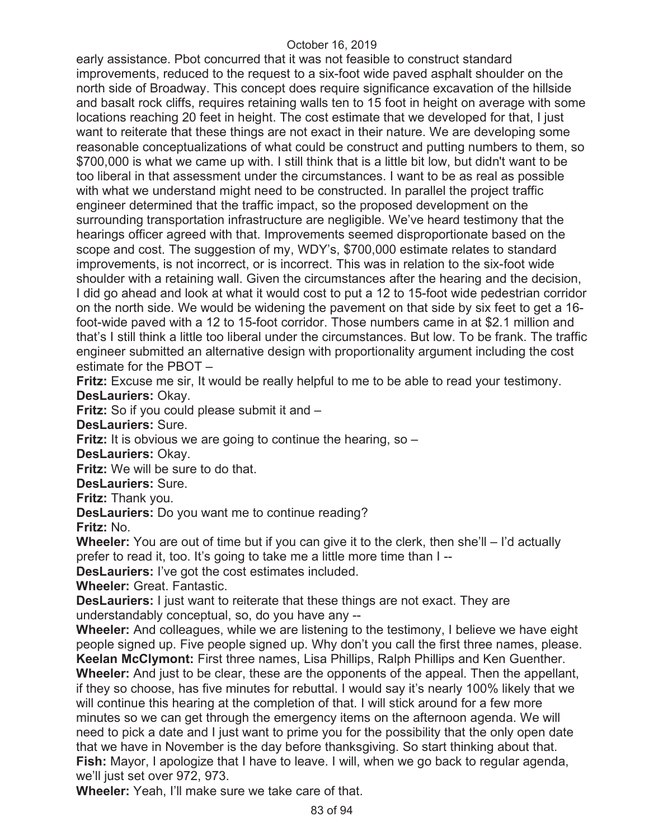early assistance. Pbot concurred that it was not feasible to construct standard improvements, reduced to the request to a six-foot wide paved asphalt shoulder on the north side of Broadway. This concept does require significance excavation of the hillside and basalt rock cliffs, requires retaining walls ten to 15 foot in height on average with some locations reaching 20 feet in height. The cost estimate that we developed for that, I just want to reiterate that these things are not exact in their nature. We are developing some reasonable conceptualizations of what could be construct and putting numbers to them, so \$700,000 is what we came up with. I still think that is a little bit low, but didn't want to be too liberal in that assessment under the circumstances. I want to be as real as possible with what we understand might need to be constructed. In parallel the project traffic engineer determined that the traffic impact, so the proposed development on the surrounding transportation infrastructure are negligible. We've heard testimony that the hearings officer agreed with that. Improvements seemed disproportionate based on the scope and cost. The suggestion of my, WDY's, \$700,000 estimate relates to standard improvements, is not incorrect, or is incorrect. This was in relation to the six-foot wide shoulder with a retaining wall. Given the circumstances after the hearing and the decision, I did go ahead and look at what it would cost to put a 12 to 15-foot wide pedestrian corridor on the north side. We would be widening the pavement on that side by six feet to get a 16 foot-wide paved with a 12 to 15-foot corridor. Those numbers came in at \$2.1 million and that's I still think a little too liberal under the circumstances. But low. To be frank. The traffic engineer submitted an alternative design with proportionality argument including the cost estimate for the PBOT –

**Fritz:** Excuse me sir, It would be really helpful to me to be able to read your testimony. **DesLauriers:** Okay.

**Fritz:** So if you could please submit it and –

**DesLauriers:** Sure.

**Fritz:** It is obvious we are going to continue the hearing, so –

**DesLauriers:** Okay.

**Fritz:** We will be sure to do that.

**DesLauriers:** Sure.

**Fritz:** Thank you.

**DesLauriers:** Do you want me to continue reading?

**Fritz:** No.

**Wheeler:** You are out of time but if you can give it to the clerk, then she'll – I'd actually prefer to read it, too. It's going to take me a little more time than I --

**DesLauriers:** I've got the cost estimates included.

**Wheeler:** Great. Fantastic.

**DesLauriers:** I just want to reiterate that these things are not exact. They are understandably conceptual, so, do you have any --

**Wheeler:** And colleagues, while we are listening to the testimony, I believe we have eight people signed up. Five people signed up. Why don't you call the first three names, please. **Keelan McClymont:** First three names, Lisa Phillips, Ralph Phillips and Ken Guenther. **Wheeler:** And just to be clear, these are the opponents of the appeal. Then the appellant,

if they so choose, has five minutes for rebuttal. I would say it's nearly 100% likely that we will continue this hearing at the completion of that. I will stick around for a few more minutes so we can get through the emergency items on the afternoon agenda. We will need to pick a date and I just want to prime you for the possibility that the only open date that we have in November is the day before thanksgiving. So start thinking about that. **Fish:** Mayor, I apologize that I have to leave. I will, when we go back to regular agenda, we'll just set over 972, 973.

**Wheeler:** Yeah, I'll make sure we take care of that.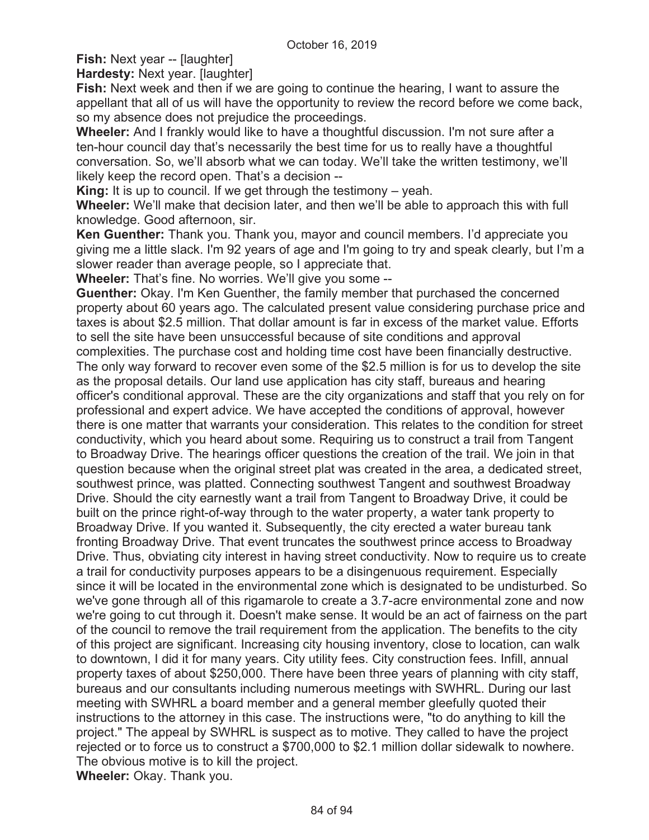# **Fish:** Next year -- [laughter]

**Hardesty: Next year. [laughter]** 

**Fish:** Next week and then if we are going to continue the hearing, I want to assure the appellant that all of us will have the opportunity to review the record before we come back, so my absence does not prejudice the proceedings.

**Wheeler:** And I frankly would like to have a thoughtful discussion. I'm not sure after a ten-hour council day that's necessarily the best time for us to really have a thoughtful conversation. So, we'll absorb what we can today. We'll take the written testimony, we'll likely keep the record open. That's a decision --

**King:** It is up to council. If we get through the testimony – yeah.

**Wheeler:** We'll make that decision later, and then we'll be able to approach this with full knowledge. Good afternoon, sir.

**Ken Guenther:** Thank you. Thank you, mayor and council members. I'd appreciate you giving me a little slack. I'm 92 years of age and I'm going to try and speak clearly, but I'm a slower reader than average people, so I appreciate that.

**Wheeler:** That's fine. No worries. We'll give you some --

**Guenther:** Okay. I'm Ken Guenther, the family member that purchased the concerned property about 60 years ago. The calculated present value considering purchase price and taxes is about \$2.5 million. That dollar amount is far in excess of the market value. Efforts to sell the site have been unsuccessful because of site conditions and approval complexities. The purchase cost and holding time cost have been financially destructive. The only way forward to recover even some of the \$2.5 million is for us to develop the site as the proposal details. Our land use application has city staff, bureaus and hearing officer's conditional approval. These are the city organizations and staff that you rely on for professional and expert advice. We have accepted the conditions of approval, however there is one matter that warrants your consideration. This relates to the condition for street conductivity, which you heard about some. Requiring us to construct a trail from Tangent to Broadway Drive. The hearings officer questions the creation of the trail. We join in that question because when the original street plat was created in the area, a dedicated street, southwest prince, was platted. Connecting southwest Tangent and southwest Broadway Drive. Should the city earnestly want a trail from Tangent to Broadway Drive, it could be built on the prince right-of-way through to the water property, a water tank property to Broadway Drive. If you wanted it. Subsequently, the city erected a water bureau tank fronting Broadway Drive. That event truncates the southwest prince access to Broadway Drive. Thus, obviating city interest in having street conductivity. Now to require us to create a trail for conductivity purposes appears to be a disingenuous requirement. Especially since it will be located in the environmental zone which is designated to be undisturbed. So we've gone through all of this rigamarole to create a 3.7-acre environmental zone and now we're going to cut through it. Doesn't make sense. It would be an act of fairness on the part of the council to remove the trail requirement from the application. The benefits to the city of this project are significant. Increasing city housing inventory, close to location, can walk to downtown, I did it for many years. City utility fees. City construction fees. Infill, annual property taxes of about \$250,000. There have been three years of planning with city staff, bureaus and our consultants including numerous meetings with SWHRL. During our last meeting with SWHRL a board member and a general member gleefully quoted their instructions to the attorney in this case. The instructions were, "to do anything to kill the project." The appeal by SWHRL is suspect as to motive. They called to have the project rejected or to force us to construct a \$700,000 to \$2.1 million dollar sidewalk to nowhere. The obvious motive is to kill the project. **Wheeler:** Okay. Thank you.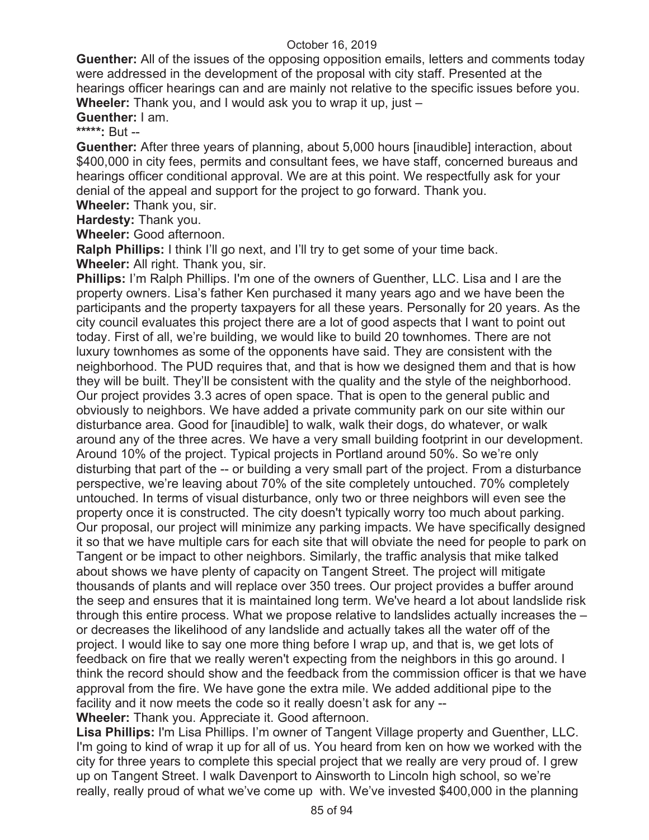**Guenther:** All of the issues of the opposing opposition emails, letters and comments today were addressed in the development of the proposal with city staff. Presented at the hearings officer hearings can and are mainly not relative to the specific issues before you. **Wheeler:** Thank you, and I would ask you to wrap it up, just –

**Guenther:** I am.

**\*\*\*\*\*:** But --

**Guenther:** After three years of planning, about 5,000 hours [inaudible] interaction, about \$400,000 in city fees, permits and consultant fees, we have staff, concerned bureaus and hearings officer conditional approval. We are at this point. We respectfully ask for your denial of the appeal and support for the project to go forward. Thank you.

**Wheeler:** Thank you, sir.

**Hardesty:** Thank you.

**Wheeler:** Good afternoon.

**Ralph Phillips:** I think I'll go next, and I'll try to get some of your time back.

**Wheeler:** All right. Thank you, sir.

**Phillips:** I'm Ralph Phillips. I'm one of the owners of Guenther, LLC. Lisa and I are the property owners. Lisa's father Ken purchased it many years ago and we have been the participants and the property taxpayers for all these years. Personally for 20 years. As the city council evaluates this project there are a lot of good aspects that I want to point out today. First of all, we're building, we would like to build 20 townhomes. There are not luxury townhomes as some of the opponents have said. They are consistent with the neighborhood. The PUD requires that, and that is how we designed them and that is how they will be built. They'll be consistent with the quality and the style of the neighborhood. Our project provides 3.3 acres of open space. That is open to the general public and obviously to neighbors. We have added a private community park on our site within our disturbance area. Good for [inaudible] to walk, walk their dogs, do whatever, or walk around any of the three acres. We have a very small building footprint in our development. Around 10% of the project. Typical projects in Portland around 50%. So we're only disturbing that part of the -- or building a very small part of the project. From a disturbance perspective, we're leaving about 70% of the site completely untouched. 70% completely untouched. In terms of visual disturbance, only two or three neighbors will even see the property once it is constructed. The city doesn't typically worry too much about parking. Our proposal, our project will minimize any parking impacts. We have specifically designed it so that we have multiple cars for each site that will obviate the need for people to park on Tangent or be impact to other neighbors. Similarly, the traffic analysis that mike talked about shows we have plenty of capacity on Tangent Street. The project will mitigate thousands of plants and will replace over 350 trees. Our project provides a buffer around the seep and ensures that it is maintained long term. We've heard a lot about landslide risk through this entire process. What we propose relative to landslides actually increases the – or decreases the likelihood of any landslide and actually takes all the water off of the project. I would like to say one more thing before I wrap up, and that is, we get lots of feedback on fire that we really weren't expecting from the neighbors in this go around. I think the record should show and the feedback from the commission officer is that we have approval from the fire. We have gone the extra mile. We added additional pipe to the facility and it now meets the code so it really doesn't ask for any --

**Wheeler:** Thank you. Appreciate it. Good afternoon.

**Lisa Phillips:** I'm Lisa Phillips. I'm owner of Tangent Village property and Guenther, LLC. I'm going to kind of wrap it up for all of us. You heard from ken on how we worked with the city for three years to complete this special project that we really are very proud of. I grew up on Tangent Street. I walk Davenport to Ainsworth to Lincoln high school, so we're really, really proud of what we've come up with. We've invested \$400,000 in the planning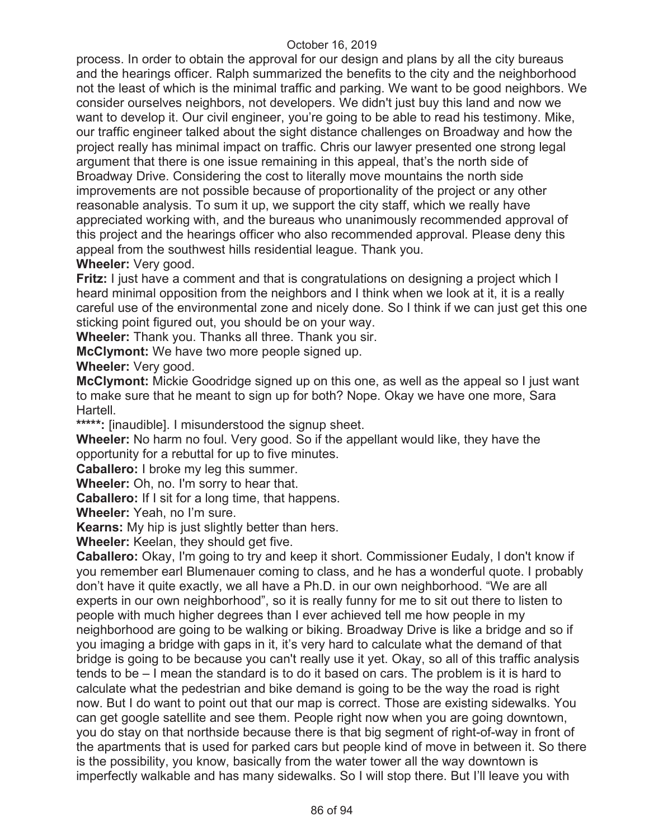process. In order to obtain the approval for our design and plans by all the city bureaus and the hearings officer. Ralph summarized the benefits to the city and the neighborhood not the least of which is the minimal traffic and parking. We want to be good neighbors. We consider ourselves neighbors, not developers. We didn't just buy this land and now we want to develop it. Our civil engineer, you're going to be able to read his testimony. Mike, our traffic engineer talked about the sight distance challenges on Broadway and how the project really has minimal impact on traffic. Chris our lawyer presented one strong legal argument that there is one issue remaining in this appeal, that's the north side of Broadway Drive. Considering the cost to literally move mountains the north side improvements are not possible because of proportionality of the project or any other reasonable analysis. To sum it up, we support the city staff, which we really have appreciated working with, and the bureaus who unanimously recommended approval of this project and the hearings officer who also recommended approval. Please deny this appeal from the southwest hills residential league. Thank you. **Wheeler:** Very good.

**Fritz:** I just have a comment and that is congratulations on designing a project which I heard minimal opposition from the neighbors and I think when we look at it, it is a really careful use of the environmental zone and nicely done. So I think if we can just get this one sticking point figured out, you should be on your way.

**Wheeler:** Thank you. Thanks all three. Thank you sir.

**McClymont:** We have two more people signed up.

**Wheeler:** Very good.

**McClymont:** Mickie Goodridge signed up on this one, as well as the appeal so I just want to make sure that he meant to sign up for both? Nope. Okay we have one more, Sara Hartell.

**\*\*\*\*\*:** [inaudible]. I misunderstood the signup sheet.

**Wheeler:** No harm no foul. Very good. So if the appellant would like, they have the opportunity for a rebuttal for up to five minutes.

**Caballero:** I broke my leg this summer.

**Wheeler:** Oh, no. I'm sorry to hear that.

**Caballero:** If I sit for a long time, that happens.

**Wheeler:** Yeah, no I'm sure.

**Kearns:** My hip is just slightly better than hers.

**Wheeler:** Keelan, they should get five.

**Caballero:** Okay, I'm going to try and keep it short. Commissioner Eudaly, I don't know if you remember earl Blumenauer coming to class, and he has a wonderful quote. I probably don't have it quite exactly, we all have a Ph.D. in our own neighborhood. "We are all experts in our own neighborhood", so it is really funny for me to sit out there to listen to people with much higher degrees than I ever achieved tell me how people in my neighborhood are going to be walking or biking. Broadway Drive is like a bridge and so if you imaging a bridge with gaps in it, it's very hard to calculate what the demand of that bridge is going to be because you can't really use it yet. Okay, so all of this traffic analysis tends to be – I mean the standard is to do it based on cars. The problem is it is hard to calculate what the pedestrian and bike demand is going to be the way the road is right now. But I do want to point out that our map is correct. Those are existing sidewalks. You can get google satellite and see them. People right now when you are going downtown, you do stay on that northside because there is that big segment of right-of-way in front of the apartments that is used for parked cars but people kind of move in between it. So there is the possibility, you know, basically from the water tower all the way downtown is imperfectly walkable and has many sidewalks. So I will stop there. But I'll leave you with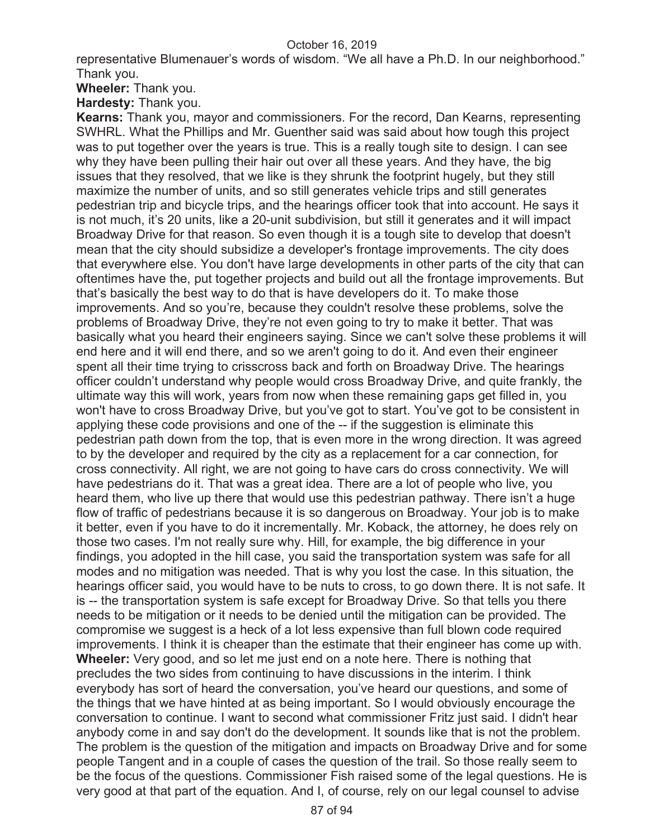representative Blumenauer's words of wisdom. "We all have a Ph.D. In our neighborhood." Thank you.

**Wheeler:** Thank you.

**Hardesty:** Thank you.

**Kearns:** Thank you, mayor and commissioners. For the record, Dan Kearns, representing SWHRL. What the Phillips and Mr. Guenther said was said about how tough this project was to put together over the years is true. This is a really tough site to design. I can see why they have been pulling their hair out over all these years. And they have, the big issues that they resolved, that we like is they shrunk the footprint hugely, but they still maximize the number of units, and so still generates vehicle trips and still generates pedestrian trip and bicycle trips, and the hearings officer took that into account. He says it is not much, it's 20 units, like a 20-unit subdivision, but still it generates and it will impact Broadway Drive for that reason. So even though it is a tough site to develop that doesn't mean that the city should subsidize a developer's frontage improvements. The city does that everywhere else. You don't have large developments in other parts of the city that can oftentimes have the, put together projects and build out all the frontage improvements. But that's basically the best way to do that is have developers do it. To make those improvements. And so you're, because they couldn't resolve these problems, solve the problems of Broadway Drive, they're not even going to try to make it better. That was basically what you heard their engineers saying. Since we can't solve these problems it will end here and it will end there, and so we aren't going to do it. And even their engineer spent all their time trying to crisscross back and forth on Broadway Drive. The hearings officer couldn't understand why people would cross Broadway Drive, and quite frankly, the ultimate way this will work, years from now when these remaining gaps get filled in, you won't have to cross Broadway Drive, but you've got to start. You've got to be consistent in applying these code provisions and one of the -- if the suggestion is eliminate this pedestrian path down from the top, that is even more in the wrong direction. It was agreed to by the developer and required by the city as a replacement for a car connection, for cross connectivity. All right, we are not going to have cars do cross connectivity. We will have pedestrians do it. That was a great idea. There are a lot of people who live, you heard them, who live up there that would use this pedestrian pathway. There isn't a huge flow of traffic of pedestrians because it is so dangerous on Broadway. Your job is to make it better, even if you have to do it incrementally. Mr. Koback, the attorney, he does rely on those two cases. I'm not really sure why. Hill, for example, the big difference in your findings, you adopted in the hill case, you said the transportation system was safe for all modes and no mitigation was needed. That is why you lost the case. In this situation, the hearings officer said, you would have to be nuts to cross, to go down there. It is not safe. It is -- the transportation system is safe except for Broadway Drive. So that tells you there needs to be mitigation or it needs to be denied until the mitigation can be provided. The compromise we suggest is a heck of a lot less expensive than full blown code required improvements. I think it is cheaper than the estimate that their engineer has come up with. **Wheeler:** Very good, and so let me just end on a note here. There is nothing that precludes the two sides from continuing to have discussions in the interim. I think everybody has sort of heard the conversation, you've heard our questions, and some of the things that we have hinted at as being important. So I would obviously encourage the conversation to continue. I want to second what commissioner Fritz just said. I didn't hear anybody come in and say don't do the development. It sounds like that is not the problem. The problem is the question of the mitigation and impacts on Broadway Drive and for some people Tangent and in a couple of cases the question of the trail. So those really seem to be the focus of the questions. Commissioner Fish raised some of the legal questions. He is very good at that part of the equation. And I, of course, rely on our legal counsel to advise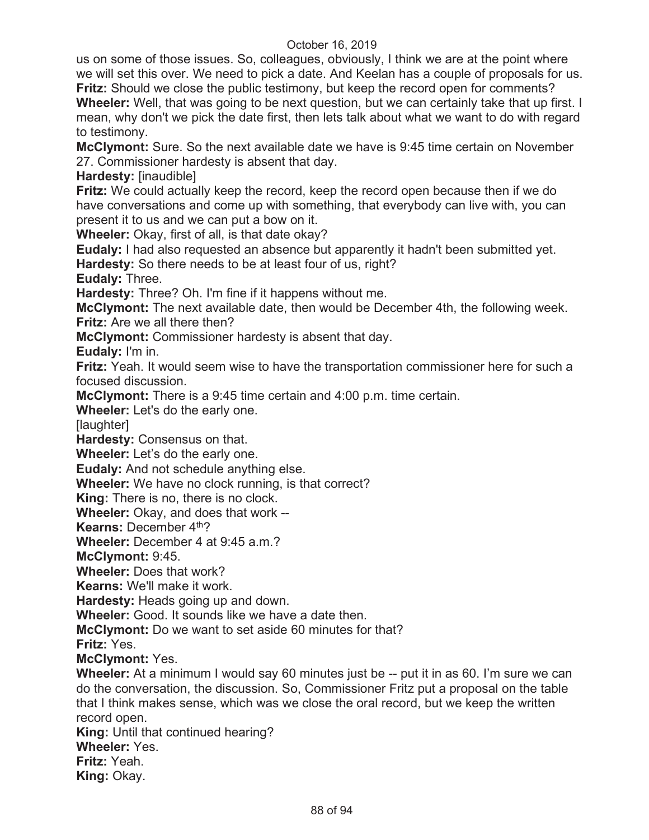us on some of those issues. So, colleagues, obviously, I think we are at the point where we will set this over. We need to pick a date. And Keelan has a couple of proposals for us. **Fritz:** Should we close the public testimony, but keep the record open for comments?

**Wheeler:** Well, that was going to be next question, but we can certainly take that up first. I mean, why don't we pick the date first, then lets talk about what we want to do with regard to testimony.

**McClymont:** Sure. So the next available date we have is 9:45 time certain on November 27. Commissioner hardesty is absent that day.

**Hardesty:** [inaudible]

**Fritz:** We could actually keep the record, keep the record open because then if we do have conversations and come up with something, that everybody can live with, you can present it to us and we can put a bow on it.

**Wheeler:** Okay, first of all, is that date okay?

**Eudaly:** I had also requested an absence but apparently it hadn't been submitted yet. **Hardesty:** So there needs to be at least four of us, right?

**Eudaly:** Three.

**Hardesty:** Three? Oh. I'm fine if it happens without me.

**McClymont:** The next available date, then would be December 4th, the following week. **Fritz:** Are we all there then?

**McClymont:** Commissioner hardesty is absent that day.

**Eudaly:** I'm in.

**Fritz:** Yeah. It would seem wise to have the transportation commissioner here for such a focused discussion.

**McClymont:** There is a 9:45 time certain and 4:00 p.m. time certain.

**Wheeler:** Let's do the early one.

[laughter]

**Hardesty:** Consensus on that.

**Wheeler:** Let's do the early one.

**Eudaly:** And not schedule anything else.

**Wheeler:** We have no clock running, is that correct?

**King:** There is no, there is no clock.

**Wheeler:** Okay, and does that work --

**Kearns: December 4th?** 

**Wheeler:** December 4 at 9:45 a.m.?

**McClymont:** 9:45.

**Wheeler:** Does that work?

**Kearns:** We'll make it work.

**Hardesty:** Heads going up and down.

**Wheeler:** Good. It sounds like we have a date then.

**McClymont:** Do we want to set aside 60 minutes for that?

**Fritz:** Yes.

**McClymont:** Yes.

**Wheeler:** At a minimum I would say 60 minutes just be -- put it in as 60. I'm sure we can do the conversation, the discussion. So, Commissioner Fritz put a proposal on the table that I think makes sense, which was we close the oral record, but we keep the written record open.

**King:** Until that continued hearing?

# **Wheeler:** Yes.

**Fritz:** Yeah.

**King:** Okay.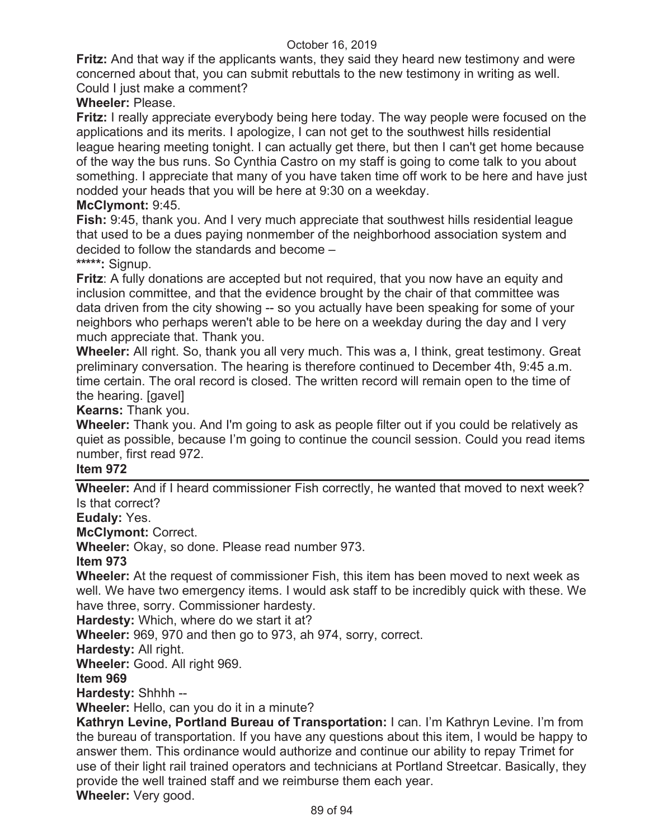**Fritz:** And that way if the applicants wants, they said they heard new testimony and were concerned about that, you can submit rebuttals to the new testimony in writing as well. Could I just make a comment?

# **Wheeler:** Please.

**Fritz:** I really appreciate everybody being here today. The way people were focused on the applications and its merits. I apologize, I can not get to the southwest hills residential league hearing meeting tonight. I can actually get there, but then I can't get home because of the way the bus runs. So Cynthia Castro on my staff is going to come talk to you about something. I appreciate that many of you have taken time off work to be here and have just nodded your heads that you will be here at 9:30 on a weekday.

### **McClymont:** 9:45.

**Fish:** 9:45, thank you. And I very much appreciate that southwest hills residential league that used to be a dues paying nonmember of the neighborhood association system and decided to follow the standards and become –

# **\*\*\*\*\*:** Signup.

**Fritz**: A fully donations are accepted but not required, that you now have an equity and inclusion committee, and that the evidence brought by the chair of that committee was data driven from the city showing -- so you actually have been speaking for some of your neighbors who perhaps weren't able to be here on a weekday during the day and I very much appreciate that. Thank you.

**Wheeler:** All right. So, thank you all very much. This was a, I think, great testimony. Great preliminary conversation. The hearing is therefore continued to December 4th, 9:45 a.m. time certain. The oral record is closed. The written record will remain open to the time of the hearing. [gavel]

### **Kearns:** Thank you.

**Wheeler:** Thank you. And I'm going to ask as people filter out if you could be relatively as quiet as possible, because I'm going to continue the council session. Could you read items number, first read 972.

#### **Item 972**

**Wheeler:** And if I heard commissioner Fish correctly, he wanted that moved to next week? Is that correct?

**Eudaly:** Yes.

**McClymont:** Correct.

**Wheeler:** Okay, so done. Please read number 973.

#### **Item 973**

**Wheeler:** At the request of commissioner Fish, this item has been moved to next week as well. We have two emergency items. I would ask staff to be incredibly quick with these. We have three, sorry. Commissioner hardesty.

**Hardesty:** Which, where do we start it at?

**Wheeler:** 969, 970 and then go to 973, ah 974, sorry, correct.

**Hardesty:** All right.

**Wheeler:** Good. All right 969.

### **Item 969**

**Hardesty:** Shhhh --

**Wheeler:** Hello, can you do it in a minute?

**Kathryn Levine, Portland Bureau of Transportation:** I can. I'm Kathryn Levine. I'm from the bureau of transportation. If you have any questions about this item, I would be happy to answer them. This ordinance would authorize and continue our ability to repay Trimet for use of their light rail trained operators and technicians at Portland Streetcar. Basically, they provide the well trained staff and we reimburse them each year.

**Wheeler:** Very good.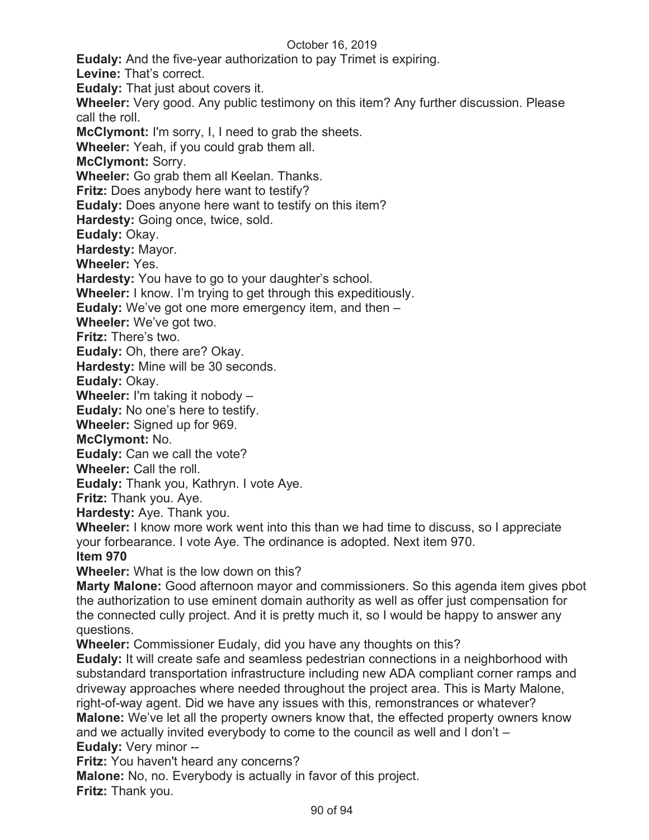**Eudaly:** And the five-year authorization to pay Trimet is expiring.

**Levine:** That's correct.

**Eudaly:** That just about covers it.

**Wheeler:** Very good. Any public testimony on this item? Any further discussion. Please call the roll.

**McClymont:** I'm sorry, I, I need to grab the sheets.

**Wheeler:** Yeah, if you could grab them all.

**McClymont:** Sorry.

**Wheeler:** Go grab them all Keelan. Thanks.

**Fritz:** Does anybody here want to testify?

**Eudaly:** Does anyone here want to testify on this item?

**Hardesty:** Going once, twice, sold.

**Eudaly:** Okay.

**Hardesty:** Mayor.

**Wheeler:** Yes.

**Hardesty:** You have to go to your daughter's school.

**Wheeler:** I know. I'm trying to get through this expeditiously.

**Eudaly:** We've got one more emergency item, and then –

**Wheeler:** We've got two.

**Fritz:** There's two.

**Eudaly:** Oh, there are? Okay.

**Hardesty:** Mine will be 30 seconds.

**Eudaly:** Okay.

**Wheeler:** I'm taking it nobody –

**Eudaly:** No one's here to testify.

**Wheeler:** Signed up for 969.

**McClymont:** No.

**Eudaly:** Can we call the vote?

**Wheeler:** Call the roll.

**Eudaly:** Thank you, Kathryn. I vote Aye.

**Fritz:** Thank you. Aye.

**Hardesty:** Aye. Thank you.

**Wheeler:** I know more work went into this than we had time to discuss, so I appreciate your forbearance. I vote Aye. The ordinance is adopted. Next item 970.

**Item 970** 

**Wheeler:** What is the low down on this?

**Marty Malone:** Good afternoon mayor and commissioners. So this agenda item gives pbot the authorization to use eminent domain authority as well as offer just compensation for the connected cully project. And it is pretty much it, so I would be happy to answer any questions.

**Wheeler:** Commissioner Eudaly, did you have any thoughts on this?

**Eudaly:** It will create safe and seamless pedestrian connections in a neighborhood with substandard transportation infrastructure including new ADA compliant corner ramps and driveway approaches where needed throughout the project area. This is Marty Malone, right-of-way agent. Did we have any issues with this, remonstrances or whatever? **Malone:** We've let all the property owners know that, the effected property owners know and we actually invited everybody to come to the council as well and I don't – **Eudaly:** Very minor --

**Fritz:** You haven't heard any concerns?

**Malone:** No, no. Everybody is actually in favor of this project. **Fritz:** Thank you.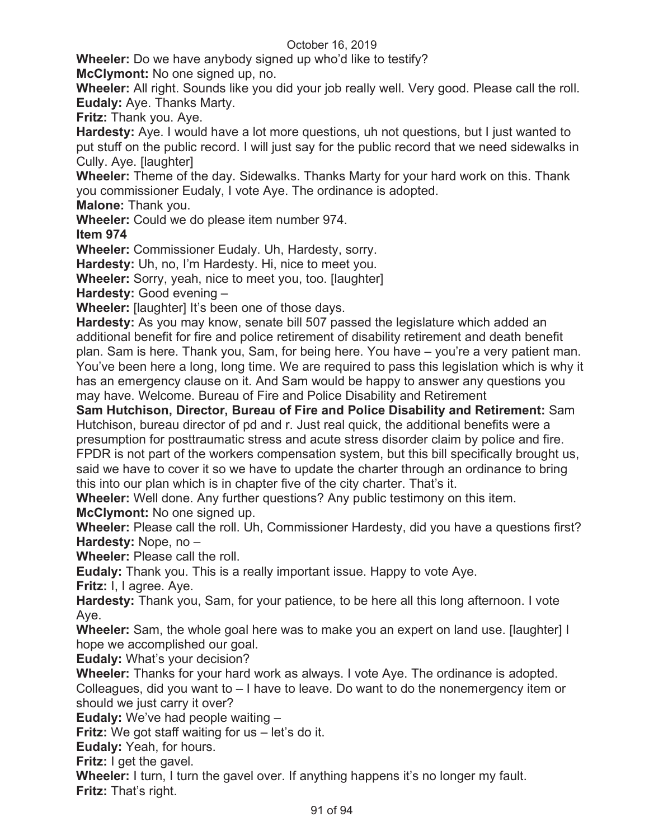**Wheeler:** Do we have anybody signed up who'd like to testify?

**McClymont:** No one signed up, no.

**Wheeler:** All right. Sounds like you did your job really well. Very good. Please call the roll. **Eudaly:** Aye. Thanks Marty.

**Fritz:** Thank you. Aye.

**Hardesty:** Aye. I would have a lot more questions, uh not questions, but I just wanted to put stuff on the public record. I will just say for the public record that we need sidewalks in Cully. Aye. [laughter]

**Wheeler:** Theme of the day. Sidewalks. Thanks Marty for your hard work on this. Thank you commissioner Eudaly, I vote Aye. The ordinance is adopted.

**Malone:** Thank you.

**Wheeler:** Could we do please item number 974.

**Item 974** 

**Wheeler:** Commissioner Eudaly. Uh, Hardesty, sorry.

**Hardesty:** Uh, no, I'm Hardesty. Hi, nice to meet you.

**Wheeler:** Sorry, yeah, nice to meet you, too. [laughter]

**Hardesty:** Good evening –

**Wheeler:** [laughter] It's been one of those days.

**Hardesty:** As you may know, senate bill 507 passed the legislature which added an additional benefit for fire and police retirement of disability retirement and death benefit plan. Sam is here. Thank you, Sam, for being here. You have – you're a very patient man. You've been here a long, long time. We are required to pass this legislation which is why it has an emergency clause on it. And Sam would be happy to answer any questions you may have. Welcome. Bureau of Fire and Police Disability and Retirement

**Sam Hutchison, Director, Bureau of Fire and Police Disability and Retirement:** Sam Hutchison, bureau director of pd and r. Just real quick, the additional benefits were a presumption for posttraumatic stress and acute stress disorder claim by police and fire. FPDR is not part of the workers compensation system, but this bill specifically brought us, said we have to cover it so we have to update the charter through an ordinance to bring this into our plan which is in chapter five of the city charter. That's it.

**Wheeler:** Well done. Any further questions? Any public testimony on this item. **McClymont:** No one signed up.

**Wheeler:** Please call the roll. Uh, Commissioner Hardesty, did you have a questions first? **Hardesty:** Nope, no –

**Wheeler:** Please call the roll.

**Eudaly:** Thank you. This is a really important issue. Happy to vote Aye.

**Fritz:** I, I agree. Aye.

**Hardesty:** Thank you, Sam, for your patience, to be here all this long afternoon. I vote Aye.

**Wheeler:** Sam, the whole goal here was to make you an expert on land use. [laughter] I hope we accomplished our goal.

**Eudaly:** What's your decision?

**Wheeler:** Thanks for your hard work as always. I vote Aye. The ordinance is adopted. Colleagues, did you want to – I have to leave. Do want to do the nonemergency item or should we just carry it over?

**Eudaly:** We've had people waiting –

**Fritz:** We got staff waiting for us – let's do it.

**Eudaly:** Yeah, for hours.

**Fritz:** I get the gavel.

**Wheeler:** I turn, I turn the gavel over. If anything happens it's no longer my fault. **Fritz:** That's right.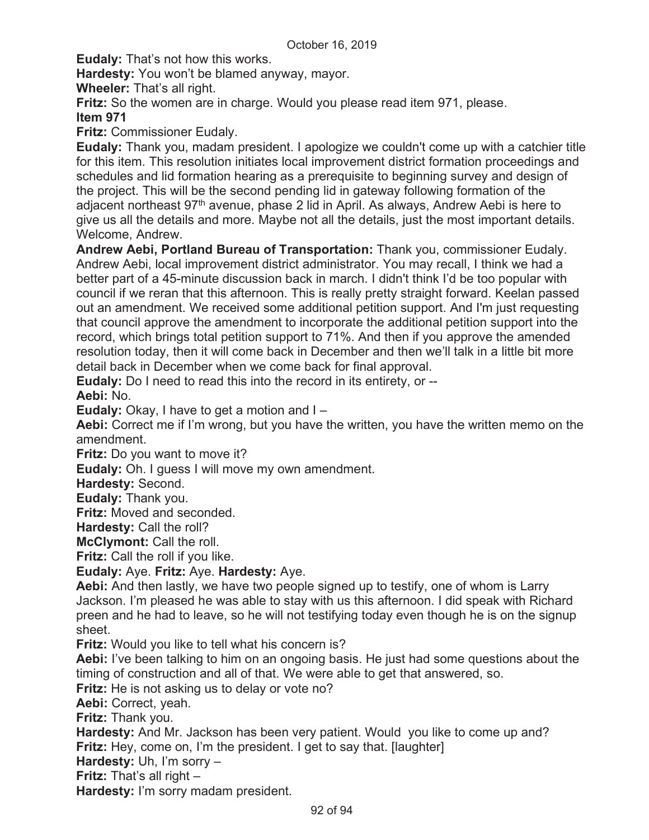**Eudaly:** That's not how this works.

**Hardesty:** You won't be blamed anyway, mayor.

**Wheeler:** That's all right.

**Fritz:** So the women are in charge. Would you please read item 971, please.

# **Item 971**

**Fritz:** Commissioner Eudaly.

**Eudaly:** Thank you, madam president. I apologize we couldn't come up with a catchier title for this item. This resolution initiates local improvement district formation proceedings and schedules and lid formation hearing as a prerequisite to beginning survey and design of the project. This will be the second pending lid in gateway following formation of the adjacent northeast 97<sup>th</sup> avenue, phase 2 lid in April. As always, Andrew Aebi is here to give us all the details and more. Maybe not all the details, just the most important details. Welcome, Andrew.

**Andrew Aebi, Portland Bureau of Transportation:** Thank you, commissioner Eudaly. Andrew Aebi, local improvement district administrator. You may recall, I think we had a better part of a 45-minute discussion back in march. I didn't think I'd be too popular with council if we reran that this afternoon. This is really pretty straight forward. Keelan passed out an amendment. We received some additional petition support. And I'm just requesting that council approve the amendment to incorporate the additional petition support into the record, which brings total petition support to 71%. And then if you approve the amended resolution today, then it will come back in December and then we'll talk in a little bit more detail back in December when we come back for final approval.

**Eudaly:** Do I need to read this into the record in its entirety, or --

**Aebi:** No.

**Eudaly:** Okay, I have to get a motion and I –

**Aebi:** Correct me if I'm wrong, but you have the written, you have the written memo on the amendment.

**Fritz:** Do you want to move it?

**Eudaly:** Oh. I guess I will move my own amendment.

**Hardesty:** Second.

**Eudaly:** Thank you.

**Fritz:** Moved and seconded.

**Hardesty:** Call the roll?

**McClymont:** Call the roll.

**Fritz:** Call the roll if you like.

**Eudaly:** Aye. **Fritz:** Aye. **Hardesty:** Aye.

**Aebi:** And then lastly, we have two people signed up to testify, one of whom is Larry Jackson. I'm pleased he was able to stay with us this afternoon. I did speak with Richard preen and he had to leave, so he will not testifying today even though he is on the signup sheet.

**Fritz:** Would you like to tell what his concern is?

**Aebi:** I've been talking to him on an ongoing basis. He just had some questions about the timing of construction and all of that. We were able to get that answered, so.

**Fritz:** He is not asking us to delay or vote no?

**Aebi:** Correct, yeah.

**Fritz:** Thank you.

**Hardesty:** And Mr. Jackson has been very patient. Would you like to come up and? **Fritz:** Hey, come on, I'm the president. I get to say that. [laughter]

**Hardesty:** Uh, I'm sorry –

**Fritz:** That's all right –

**Hardesty:** I'm sorry madam president.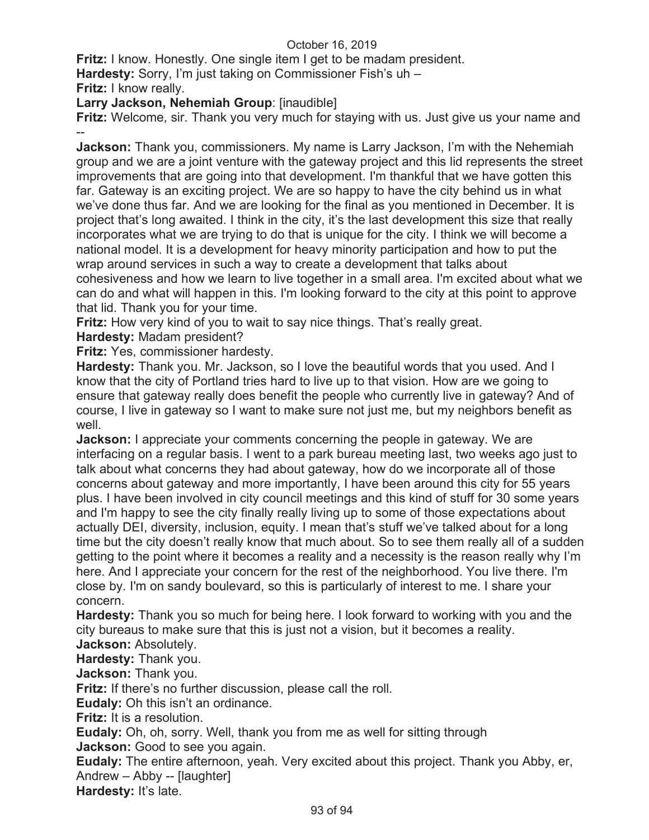**Fritz:** I know. Honestly. One single item I get to be madam president.

**Hardesty:** Sorry, I'm just taking on Commissioner Fish's uh –

**Fritz:** I know really.

**Larry Jackson, Nehemiah Group**: [inaudible]

**Fritz:** Welcome, sir. Thank you very much for staying with us. Just give us your name and --

**Jackson:** Thank you, commissioners. My name is Larry Jackson, I'm with the Nehemiah group and we are a joint venture with the gateway project and this lid represents the street improvements that are going into that development. I'm thankful that we have gotten this far. Gateway is an exciting project. We are so happy to have the city behind us in what we've done thus far. And we are looking for the final as you mentioned in December. It is project that's long awaited. I think in the city, it's the last development this size that really incorporates what we are trying to do that is unique for the city. I think we will become a national model. It is a development for heavy minority participation and how to put the wrap around services in such a way to create a development that talks about cohesiveness and how we learn to live together in a small area. I'm excited about what we can do and what will happen in this. I'm looking forward to the city at this point to approve that lid. Thank you for your time.

**Fritz:** How very kind of you to wait to say nice things. That's really great.

**Hardesty:** Madam president?

**Fritz:** Yes, commissioner hardesty.

**Hardesty:** Thank you. Mr. Jackson, so I love the beautiful words that you used. And I know that the city of Portland tries hard to live up to that vision. How are we going to ensure that gateway really does benefit the people who currently live in gateway? And of course, I live in gateway so I want to make sure not just me, but my neighbors benefit as well.

**Jackson:** I appreciate your comments concerning the people in gateway. We are interfacing on a regular basis. I went to a park bureau meeting last, two weeks ago just to talk about what concerns they had about gateway, how do we incorporate all of those concerns about gateway and more importantly, I have been around this city for 55 years plus. I have been involved in city council meetings and this kind of stuff for 30 some years and I'm happy to see the city finally really living up to some of those expectations about actually DEI, diversity, inclusion, equity. I mean that's stuff we've talked about for a long time but the city doesn't really know that much about. So to see them really all of a sudden getting to the point where it becomes a reality and a necessity is the reason really why I'm here. And I appreciate your concern for the rest of the neighborhood. You live there. I'm close by. I'm on sandy boulevard, so this is particularly of interest to me. I share your concern.

**Hardesty:** Thank you so much for being here. I look forward to working with you and the city bureaus to make sure that this is just not a vision, but it becomes a reality.

**Jackson:** Absolutely.

**Hardesty:** Thank you. **Jackson:** Thank you.

**Fritz:** If there's no further discussion, please call the roll.

**Eudaly:** Oh this isn't an ordinance.

**Fritz:** It is a resolution.

**Eudaly:** Oh, oh, sorry. Well, thank you from me as well for sitting through **Jackson:** Good to see you again.

**Eudaly:** The entire afternoon, yeah. Very excited about this project. Thank you Abby, er, Andrew – Abby -- [laughter]

**Hardesty:** It's late.